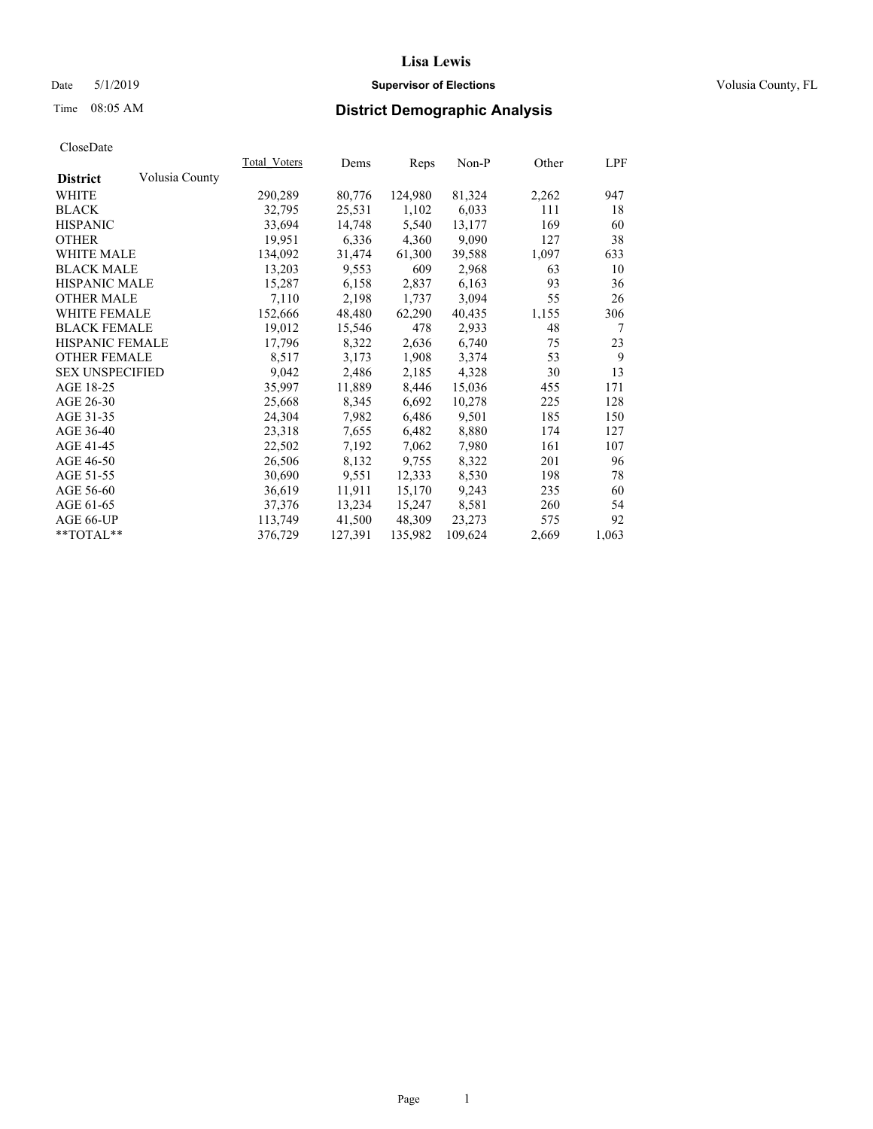### Date 5/1/2019 **Supervisor of Elections Supervisor of Elections** Volusia County, FL

# Time 08:05 AM **District Demographic Analysis**

|                        |                | Total Voters | Dems    | Reps    | $Non-P$ | Other | <u>LPF</u> |
|------------------------|----------------|--------------|---------|---------|---------|-------|------------|
| <b>District</b>        | Volusia County |              |         |         |         |       |            |
| WHITE                  |                | 290,289      | 80,776  | 124,980 | 81,324  | 2,262 | 947        |
| <b>BLACK</b>           |                | 32,795       | 25,531  | 1,102   | 6,033   | 111   | 18         |
| <b>HISPANIC</b>        |                | 33,694       | 14,748  | 5,540   | 13,177  | 169   | 60         |
| <b>OTHER</b>           |                | 19,951       | 6,336   | 4,360   | 9,090   | 127   | 38         |
| <b>WHITE MALE</b>      |                | 134,092      | 31,474  | 61,300  | 39,588  | 1,097 | 633        |
| <b>BLACK MALE</b>      |                | 13,203       | 9,553   | 609     | 2,968   | 63    | 10         |
| <b>HISPANIC MALE</b>   |                | 15,287       | 6,158   | 2,837   | 6,163   | 93    | 36         |
| <b>OTHER MALE</b>      |                | 7,110        | 2,198   | 1,737   | 3,094   | 55    | 26         |
| <b>WHITE FEMALE</b>    |                | 152,666      | 48,480  | 62,290  | 40,435  | 1,155 | 306        |
| <b>BLACK FEMALE</b>    |                | 19,012       | 15,546  | 478     | 2,933   | 48    | 7          |
| <b>HISPANIC FEMALE</b> |                | 17,796       | 8,322   | 2,636   | 6,740   | 75    | 23         |
| <b>OTHER FEMALE</b>    |                | 8,517        | 3,173   | 1,908   | 3,374   | 53    | 9          |
| <b>SEX UNSPECIFIED</b> |                | 9,042        | 2,486   | 2,185   | 4,328   | 30    | 13         |
| AGE 18-25              |                | 35,997       | 11,889  | 8,446   | 15,036  | 455   | 171        |
| AGE 26-30              |                | 25,668       | 8,345   | 6,692   | 10,278  | 225   | 128        |
| AGE 31-35              |                | 24,304       | 7,982   | 6,486   | 9,501   | 185   | 150        |
| AGE 36-40              |                | 23,318       | 7,655   | 6,482   | 8,880   | 174   | 127        |
| AGE 41-45              |                | 22,502       | 7,192   | 7,062   | 7,980   | 161   | 107        |
| AGE 46-50              |                | 26,506       | 8,132   | 9,755   | 8,322   | 201   | 96         |
| AGE 51-55              |                | 30,690       | 9,551   | 12,333  | 8,530   | 198   | 78         |
| AGE 56-60              |                | 36,619       | 11,911  | 15,170  | 9,243   | 235   | 60         |
| AGE 61-65              |                | 37,376       | 13,234  | 15,247  | 8,581   | 260   | 54         |
| AGE 66-UP              |                | 113,749      | 41,500  | 48,309  | 23,273  | 575   | 92         |
| $*$ TOTAL $*$          |                | 376,729      | 127,391 | 135,982 | 109,624 | 2,669 | 1,063      |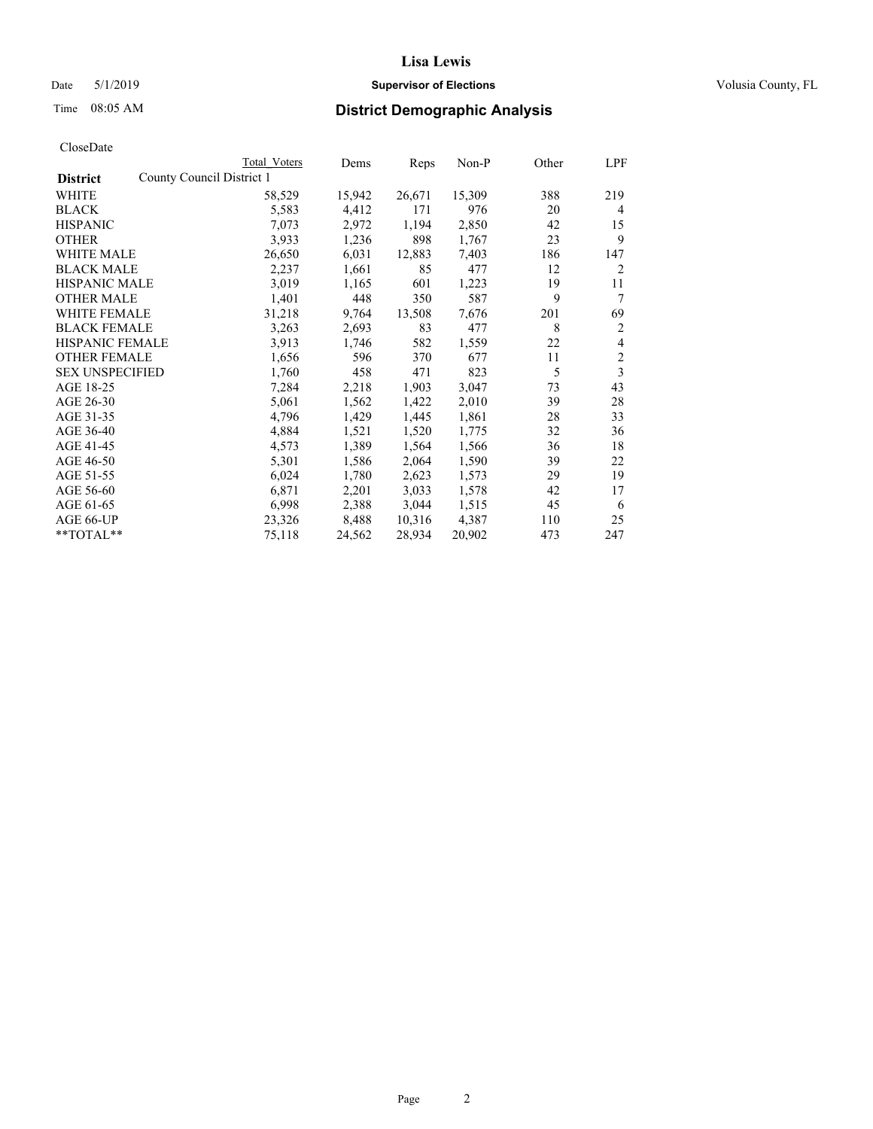### Date 5/1/2019 **Supervisor of Elections Supervisor of Elections** Volusia County, FL

|                                              | Total Voters | Dems   | Reps   | Non-P  | Other | LPF |
|----------------------------------------------|--------------|--------|--------|--------|-------|-----|
| County Council District 1<br><b>District</b> |              |        |        |        |       |     |
| WHITE                                        | 58,529       | 15,942 | 26,671 | 15,309 | 388   | 219 |
| <b>BLACK</b>                                 | 5,583        | 4,412  | 171    | 976    | 20    | 4   |
| <b>HISPANIC</b>                              | 7,073        | 2,972  | 1,194  | 2,850  | 42    | 15  |
| <b>OTHER</b>                                 | 3,933        | 1,236  | 898    | 1,767  | 23    | 9   |
| <b>WHITE MALE</b>                            | 26,650       | 6,031  | 12,883 | 7,403  | 186   | 147 |
| <b>BLACK MALE</b>                            | 2,237        | 1,661  | 85     | 477    | 12    | 2   |
| <b>HISPANIC MALE</b>                         | 3,019        | 1,165  | 601    | 1,223  | 19    | 11  |
| <b>OTHER MALE</b>                            | 1,401        | 448    | 350    | 587    | 9     | 7   |
| <b>WHITE FEMALE</b>                          | 31,218       | 9,764  | 13,508 | 7,676  | 201   | 69  |
| <b>BLACK FEMALE</b>                          | 3,263        | 2,693  | 83     | 477    | 8     | 2   |
| <b>HISPANIC FEMALE</b>                       | 3,913        | 1,746  | 582    | 1,559  | 22    | 4   |
| <b>OTHER FEMALE</b>                          | 1,656        | 596    | 370    | 677    | 11    | 2   |
| <b>SEX UNSPECIFIED</b>                       | 1,760        | 458    | 471    | 823    | 5     | 3   |
| AGE 18-25                                    | 7,284        | 2,218  | 1,903  | 3,047  | 73    | 43  |
| AGE 26-30                                    | 5,061        | 1,562  | 1,422  | 2,010  | 39    | 28  |
| AGE 31-35                                    | 4,796        | 1,429  | 1,445  | 1,861  | 28    | 33  |
| AGE 36-40                                    | 4,884        | 1,521  | 1,520  | 1,775  | 32    | 36  |
| AGE 41-45                                    | 4,573        | 1,389  | 1,564  | 1,566  | 36    | 18  |
| AGE 46-50                                    | 5,301        | 1,586  | 2,064  | 1,590  | 39    | 22  |
| AGE 51-55                                    | 6,024        | 1,780  | 2,623  | 1,573  | 29    | 19  |
| AGE 56-60                                    | 6,871        | 2,201  | 3,033  | 1,578  | 42    | 17  |
| AGE 61-65                                    | 6,998        | 2,388  | 3,044  | 1,515  | 45    | 6   |
| AGE 66-UP                                    | 23,326       | 8,488  | 10,316 | 4,387  | 110   | 25  |
| $*$ TOTAL $*$                                | 75,118       | 24,562 | 28,934 | 20,902 | 473   | 247 |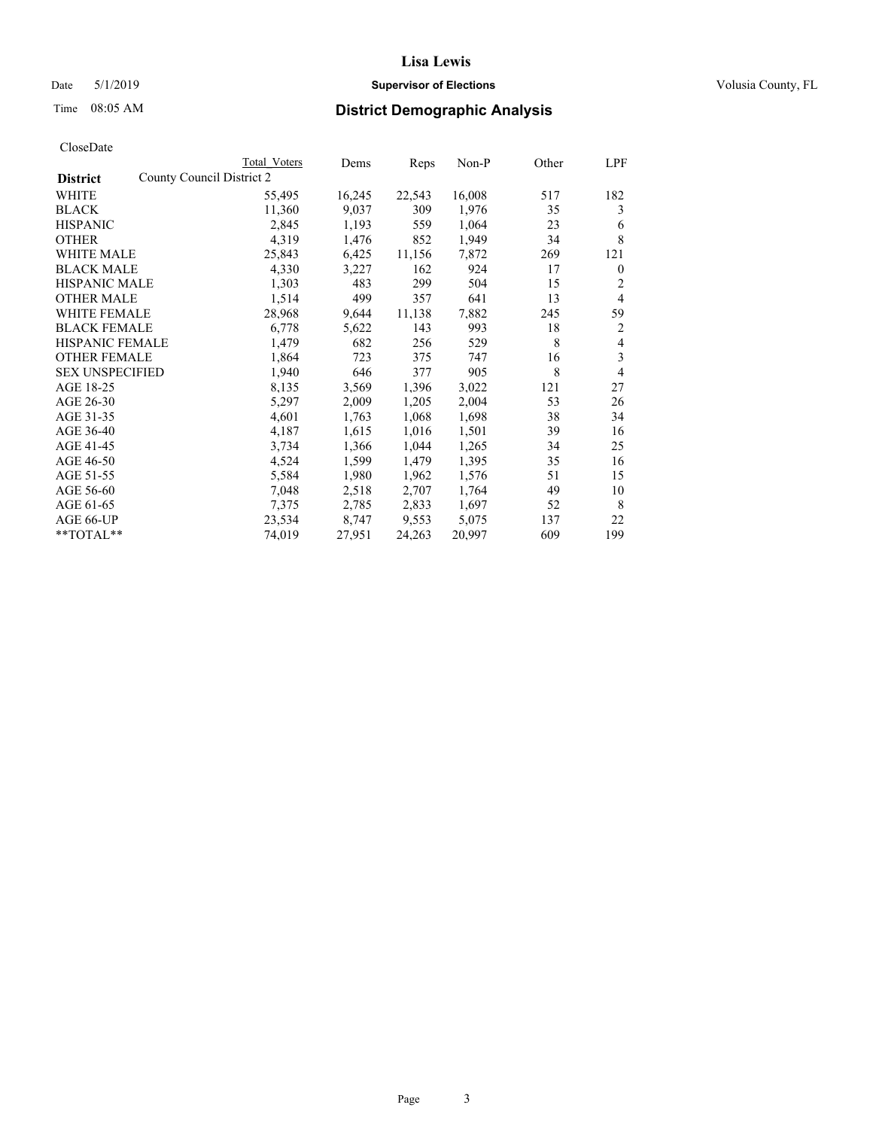## Date 5/1/2019 **Supervisor of Elections Supervisor of Elections** Volusia County, FL

|                        |                           | Total Voters | Dems   | Reps   | Non-P  | Other | LPF            |
|------------------------|---------------------------|--------------|--------|--------|--------|-------|----------------|
| <b>District</b>        | County Council District 2 |              |        |        |        |       |                |
| WHITE                  |                           | 55,495       | 16,245 | 22,543 | 16,008 | 517   | 182            |
| <b>BLACK</b>           |                           | 11,360       | 9,037  | 309    | 1,976  | 35    | 3              |
| <b>HISPANIC</b>        |                           | 2,845        | 1,193  | 559    | 1,064  | 23    | 6              |
| <b>OTHER</b>           |                           | 4,319        | 1,476  | 852    | 1,949  | 34    | 8              |
| <b>WHITE MALE</b>      |                           | 25,843       | 6,425  | 11,156 | 7,872  | 269   | 121            |
| <b>BLACK MALE</b>      |                           | 4,330        | 3,227  | 162    | 924    | 17    | $\mathbf{0}$   |
| <b>HISPANIC MALE</b>   |                           | 1,303        | 483    | 299    | 504    | 15    | 2              |
| <b>OTHER MALE</b>      |                           | 1,514        | 499    | 357    | 641    | 13    | $\overline{4}$ |
| <b>WHITE FEMALE</b>    |                           | 28,968       | 9,644  | 11,138 | 7,882  | 245   | 59             |
| <b>BLACK FEMALE</b>    |                           | 6,778        | 5,622  | 143    | 993    | 18    | 2              |
| <b>HISPANIC FEMALE</b> |                           | 1,479        | 682    | 256    | 529    | 8     | 4              |
| <b>OTHER FEMALE</b>    |                           | 1,864        | 723    | 375    | 747    | 16    | 3              |
| <b>SEX UNSPECIFIED</b> |                           | 1,940        | 646    | 377    | 905    | 8     | 4              |
| AGE 18-25              |                           | 8,135        | 3,569  | 1,396  | 3,022  | 121   | 27             |
| AGE 26-30              |                           | 5,297        | 2,009  | 1,205  | 2,004  | 53    | 26             |
| AGE 31-35              |                           | 4,601        | 1,763  | 1,068  | 1,698  | 38    | 34             |
| AGE 36-40              |                           | 4,187        | 1,615  | 1,016  | 1,501  | 39    | 16             |
| AGE 41-45              |                           | 3,734        | 1,366  | 1,044  | 1,265  | 34    | 25             |
| AGE 46-50              |                           | 4,524        | 1,599  | 1,479  | 1,395  | 35    | 16             |
| AGE 51-55              |                           | 5,584        | 1,980  | 1,962  | 1,576  | 51    | 15             |
| AGE 56-60              |                           | 7,048        | 2,518  | 2,707  | 1,764  | 49    | 10             |
| AGE 61-65              |                           | 7,375        | 2,785  | 2,833  | 1,697  | 52    | 8              |
| AGE 66-UP              |                           | 23,534       | 8,747  | 9,553  | 5,075  | 137   | 22             |
| **TOTAL**              |                           | 74,019       | 27,951 | 24,263 | 20,997 | 609   | 199            |
|                        |                           |              |        |        |        |       |                |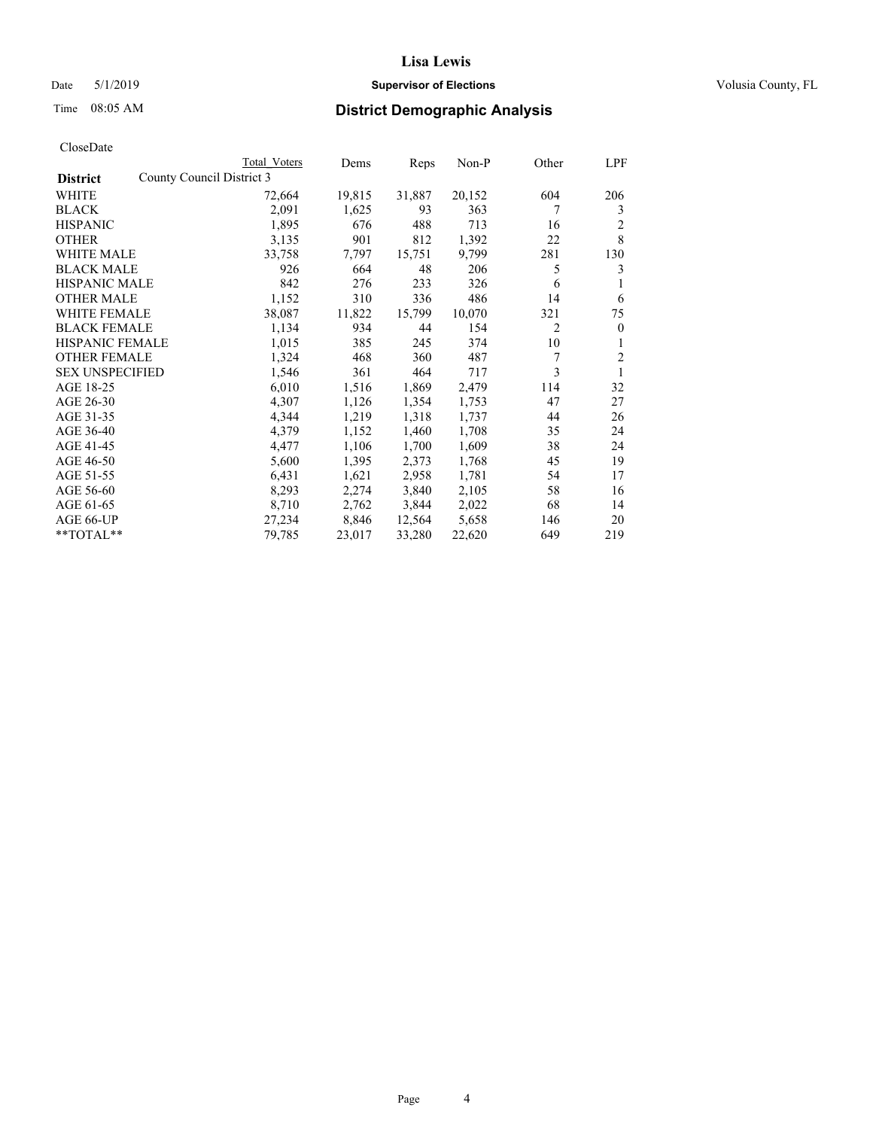## Date 5/1/2019 **Supervisor of Elections Supervisor of Elections** Volusia County, FL

| Total Voters                                                                                                                                                                            | Dems                      | Reps   | $Non-P$ | Other          | LPF            |
|-----------------------------------------------------------------------------------------------------------------------------------------------------------------------------------------|---------------------------|--------|---------|----------------|----------------|
|                                                                                                                                                                                         |                           |        |         |                |                |
| 72,664                                                                                                                                                                                  | 19,815                    | 31,887 | 20,152  | 604            | 206            |
| 2,091                                                                                                                                                                                   | 1,625                     | 93     | 363     | 7              | 3              |
| 1,895                                                                                                                                                                                   | 676                       | 488    | 713     | 16             | $\overline{c}$ |
| 3,135                                                                                                                                                                                   | 901                       | 812    | 1,392   | 22             | 8              |
| 33,758                                                                                                                                                                                  | 7,797                     | 15,751 | 9,799   | 281            | 130            |
| 926                                                                                                                                                                                     | 664                       | 48     | 206     | 5              | 3              |
| 842                                                                                                                                                                                     | 276                       | 233    | 326     | 6              |                |
| 1,152                                                                                                                                                                                   | 310                       | 336    | 486     | 14             | 6              |
| 38,087                                                                                                                                                                                  | 11,822                    | 15,799 | 10,070  | 321            | 75             |
| 1,134                                                                                                                                                                                   | 934                       | 44     | 154     | $\overline{2}$ | $\mathbf{0}$   |
| 1,015                                                                                                                                                                                   | 385                       | 245    | 374     | 10             | 1              |
| 1,324                                                                                                                                                                                   | 468                       | 360    | 487     | 7              | $\overline{c}$ |
| 1,546                                                                                                                                                                                   | 361                       | 464    | 717     | 3              | 1              |
| 6,010                                                                                                                                                                                   | 1,516                     | 1,869  | 2,479   | 114            | 32             |
| 4,307                                                                                                                                                                                   | 1,126                     | 1,354  | 1,753   | 47             | 27             |
| 4,344                                                                                                                                                                                   | 1,219                     | 1,318  | 1,737   | 44             | 26             |
| 4,379                                                                                                                                                                                   | 1,152                     | 1,460  | 1,708   | 35             | 24             |
| 4,477                                                                                                                                                                                   | 1,106                     | 1,700  | 1,609   | 38             | 24             |
| 5,600                                                                                                                                                                                   | 1,395                     | 2,373  | 1,768   | 45             | 19             |
| 6,431                                                                                                                                                                                   | 1,621                     | 2,958  | 1,781   | 54             | 17             |
| 8,293                                                                                                                                                                                   | 2,274                     | 3,840  | 2,105   | 58             | 16             |
| 8,710                                                                                                                                                                                   | 2,762                     | 3,844  | 2,022   | 68             | 14             |
| 27,234                                                                                                                                                                                  | 8,846                     | 12,564 | 5,658   | 146            | 20             |
| 79,785                                                                                                                                                                                  | 23,017                    | 33,280 | 22,620  | 649            | 219            |
| WHITE MALE<br><b>BLACK MALE</b><br><b>HISPANIC MALE</b><br><b>OTHER MALE</b><br>WHITE FEMALE<br><b>BLACK FEMALE</b><br>HISPANIC FEMALE<br><b>OTHER FEMALE</b><br><b>SEX UNSPECIFIED</b> | County Council District 3 |        |         |                |                |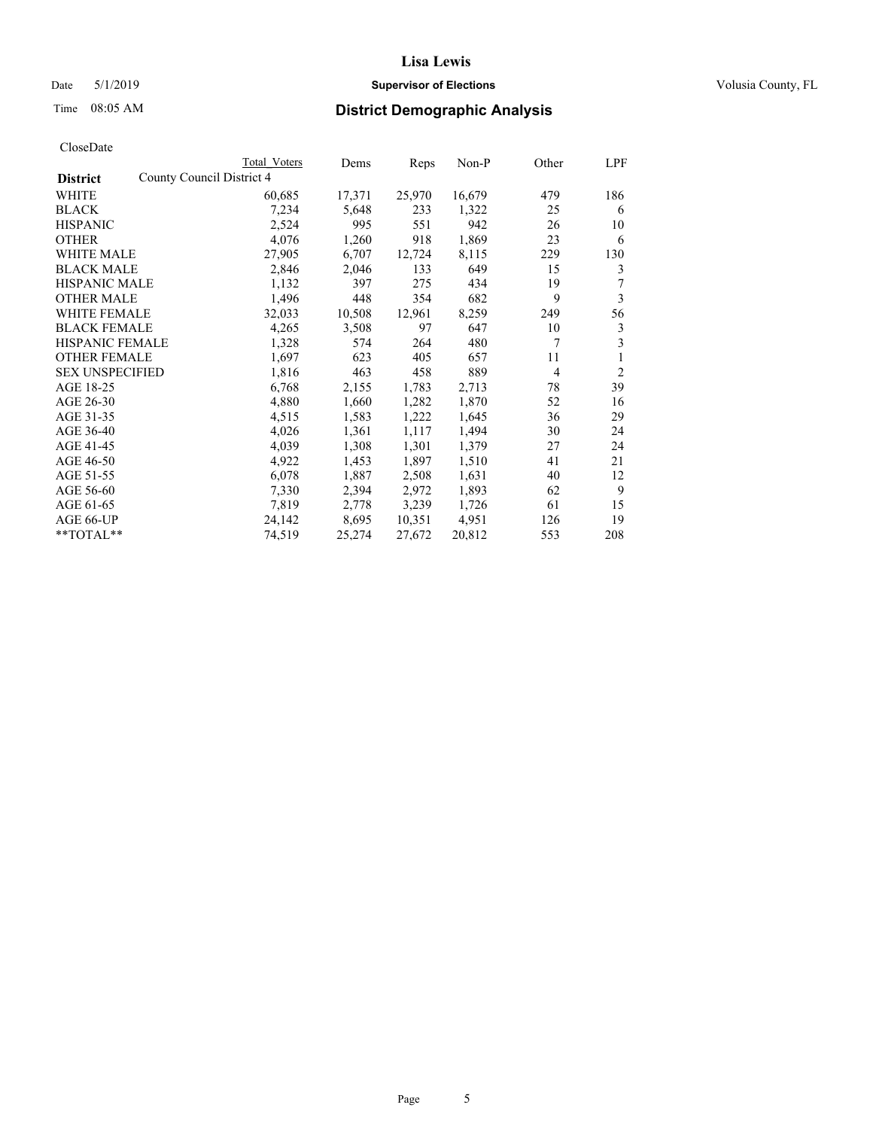### Date 5/1/2019 **Supervisor of Elections Supervisor of Elections** Volusia County, FL

|                                              | Total Voters | Dems   | Reps   | Non-P  | Other          | LPF            |
|----------------------------------------------|--------------|--------|--------|--------|----------------|----------------|
| County Council District 4<br><b>District</b> |              |        |        |        |                |                |
| WHITE                                        | 60,685       | 17,371 | 25,970 | 16,679 | 479            | 186            |
| <b>BLACK</b>                                 | 7,234        | 5,648  | 233    | 1,322  | 25             | 6              |
| <b>HISPANIC</b>                              | 2,524        | 995    | 551    | 942    | 26             | 10             |
| <b>OTHER</b>                                 | 4,076        | 1,260  | 918    | 1,869  | 23             | 6              |
| WHITE MALE                                   | 27,905       | 6,707  | 12,724 | 8,115  | 229            | 130            |
| <b>BLACK MALE</b>                            | 2,846        | 2,046  | 133    | 649    | 15             | 3              |
| <b>HISPANIC MALE</b>                         | 1,132        | 397    | 275    | 434    | 19             | 7              |
| <b>OTHER MALE</b>                            | 1,496        | 448    | 354    | 682    | 9              | 3              |
| <b>WHITE FEMALE</b>                          | 32,033       | 10,508 | 12,961 | 8,259  | 249            | 56             |
| <b>BLACK FEMALE</b>                          | 4,265        | 3,508  | 97     | 647    | 10             | 3              |
| <b>HISPANIC FEMALE</b>                       | 1,328        | 574    | 264    | 480    | 7              | 3              |
| <b>OTHER FEMALE</b>                          | 1,697        | 623    | 405    | 657    | 11             | 1              |
| <b>SEX UNSPECIFIED</b>                       | 1,816        | 463    | 458    | 889    | $\overline{4}$ | $\overline{2}$ |
| AGE 18-25                                    | 6,768        | 2,155  | 1,783  | 2,713  | 78             | 39             |
| AGE 26-30                                    | 4,880        | 1,660  | 1,282  | 1,870  | 52             | 16             |
| AGE 31-35                                    | 4,515        | 1,583  | 1,222  | 1,645  | 36             | 29             |
| AGE 36-40                                    | 4,026        | 1,361  | 1,117  | 1,494  | 30             | 24             |
| AGE 41-45                                    | 4,039        | 1,308  | 1,301  | 1,379  | 27             | 24             |
| AGE 46-50                                    | 4,922        | 1,453  | 1,897  | 1,510  | 41             | 21             |
| AGE 51-55                                    | 6,078        | 1,887  | 2,508  | 1,631  | 40             | 12             |
| AGE 56-60                                    | 7,330        | 2,394  | 2,972  | 1,893  | 62             | 9              |
| AGE 61-65                                    | 7,819        | 2,778  | 3,239  | 1,726  | 61             | 15             |
| AGE 66-UP                                    | 24,142       | 8,695  | 10,351 | 4,951  | 126            | 19             |
| $*$ $TOTAL**$                                | 74,519       | 25,274 | 27,672 | 20,812 | 553            | 208            |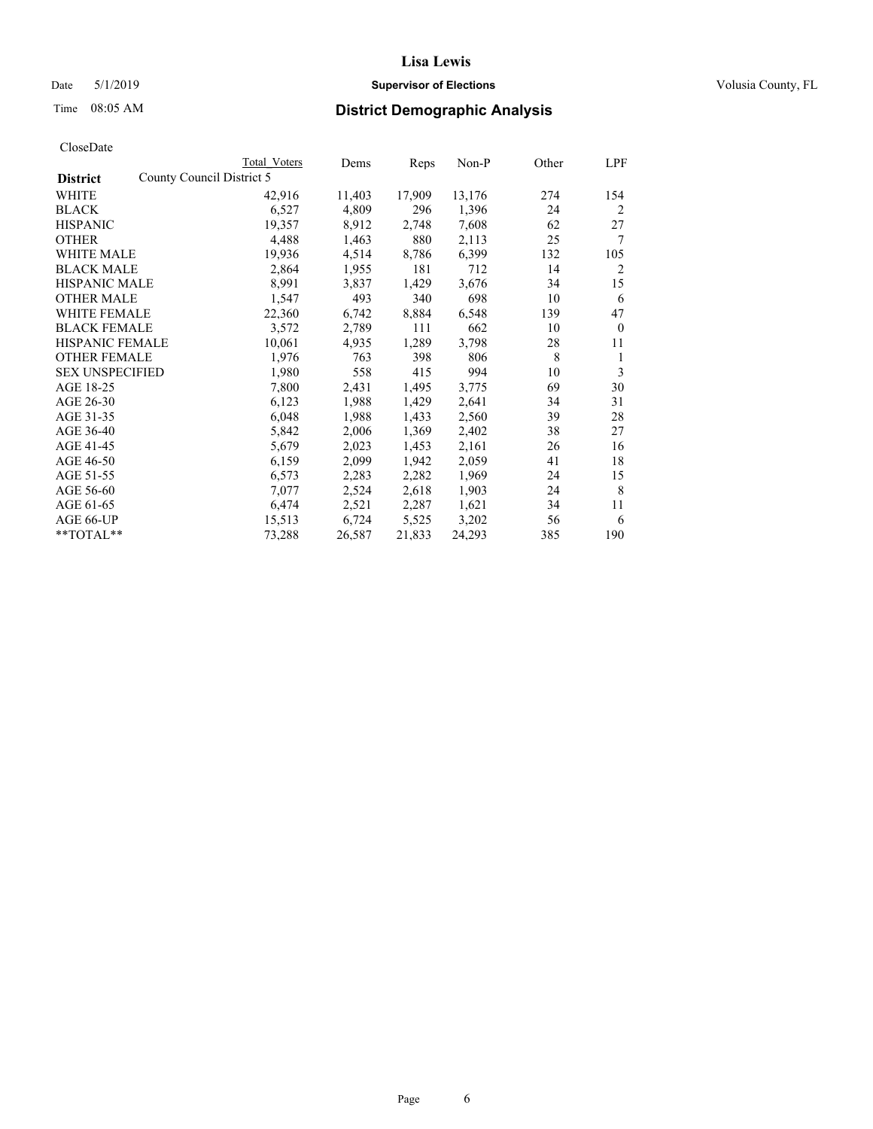## Date 5/1/2019 **Supervisor of Elections Supervisor of Elections** Volusia County, FL

|                                              | Total Voters | Dems   | Reps   | Non-P  | Other | LPF          |
|----------------------------------------------|--------------|--------|--------|--------|-------|--------------|
| County Council District 5<br><b>District</b> |              |        |        |        |       |              |
| WHITE                                        | 42,916       | 11,403 | 17,909 | 13,176 | 274   | 154          |
| <b>BLACK</b>                                 | 6,527        | 4,809  | 296    | 1,396  | 24    | 2            |
| <b>HISPANIC</b>                              | 19,357       | 8,912  | 2,748  | 7,608  | 62    | 27           |
| <b>OTHER</b>                                 | 4,488        | 1,463  | 880    | 2,113  | 25    | 7            |
| <b>WHITE MALE</b>                            | 19,936       | 4,514  | 8,786  | 6,399  | 132   | 105          |
| <b>BLACK MALE</b>                            | 2,864        | 1,955  | 181    | 712    | 14    | 2            |
| <b>HISPANIC MALE</b>                         | 8,991        | 3,837  | 1,429  | 3,676  | 34    | 15           |
| <b>OTHER MALE</b>                            | 1,547        | 493    | 340    | 698    | 10    | 6            |
| WHITE FEMALE                                 | 22,360       | 6,742  | 8,884  | 6,548  | 139   | 47           |
| <b>BLACK FEMALE</b>                          | 3,572        | 2,789  | 111    | 662    | 10    | $\mathbf{0}$ |
| <b>HISPANIC FEMALE</b>                       | 10,061       | 4,935  | 1,289  | 3,798  | 28    | 11           |
| <b>OTHER FEMALE</b>                          | 1,976        | 763    | 398    | 806    | 8     | 1            |
| <b>SEX UNSPECIFIED</b>                       | 1,980        | 558    | 415    | 994    | 10    | 3            |
| AGE 18-25                                    | 7,800        | 2,431  | 1,495  | 3,775  | 69    | 30           |
| AGE 26-30                                    | 6,123        | 1,988  | 1,429  | 2,641  | 34    | 31           |
| AGE 31-35                                    | 6,048        | 1,988  | 1,433  | 2,560  | 39    | 28           |
| AGE 36-40                                    | 5,842        | 2,006  | 1,369  | 2,402  | 38    | 27           |
| AGE 41-45                                    | 5,679        | 2,023  | 1,453  | 2,161  | 26    | 16           |
| AGE 46-50                                    | 6,159        | 2,099  | 1,942  | 2,059  | 41    | 18           |
| AGE 51-55                                    | 6,573        | 2,283  | 2,282  | 1,969  | 24    | 15           |
| AGE 56-60                                    | 7,077        | 2,524  | 2,618  | 1,903  | 24    | 8            |
| AGE 61-65                                    | 6,474        | 2,521  | 2,287  | 1,621  | 34    | 11           |
| AGE 66-UP                                    | 15,513       | 6,724  | 5,525  | 3,202  | 56    | 6            |
| **TOTAL**                                    | 73,288       | 26,587 | 21,833 | 24,293 | 385   | 190          |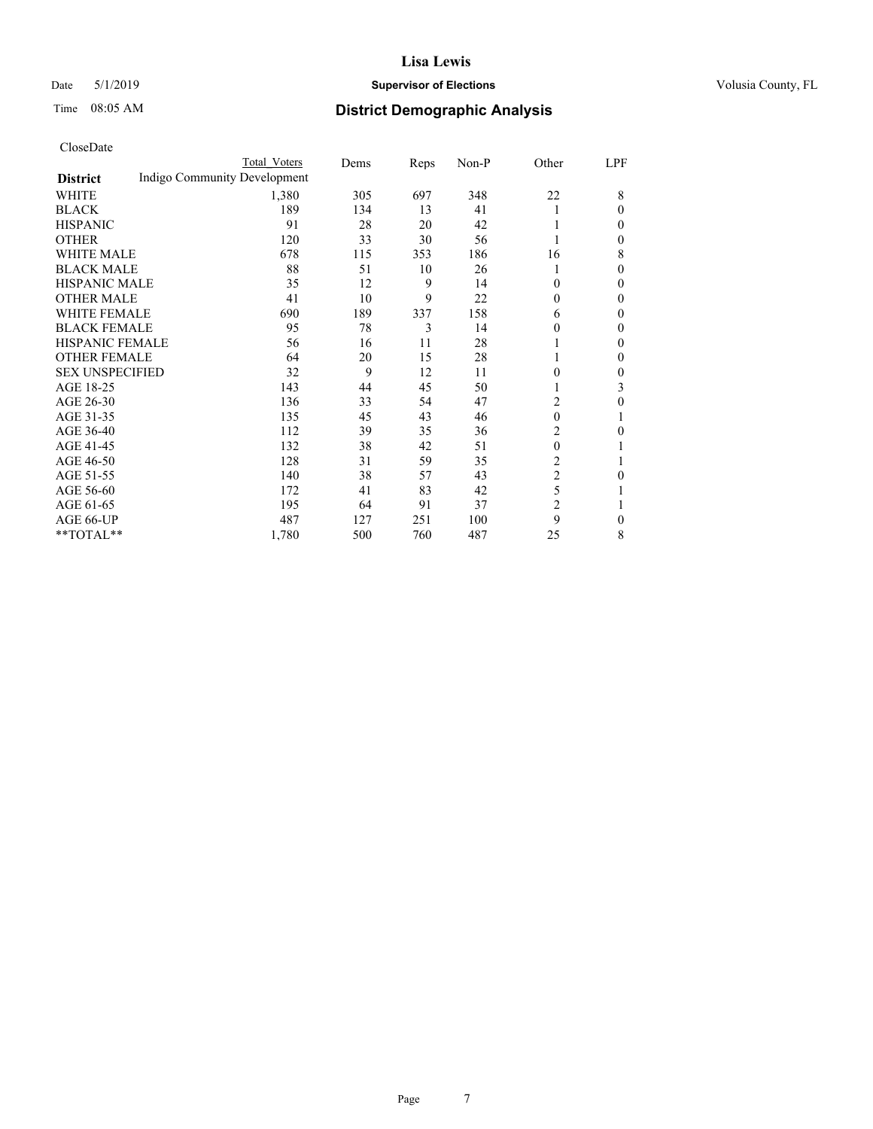### Date 5/1/2019 **Supervisor of Elections Supervisor of Elections** Volusia County, FL

# Time 08:05 AM **District Demographic Analysis**

|                        |                              | Total Voters | Dems | Reps | Non-P | Other          | LPF          |
|------------------------|------------------------------|--------------|------|------|-------|----------------|--------------|
| <b>District</b>        | Indigo Community Development |              |      |      |       |                |              |
| WHITE                  |                              | 1,380        | 305  | 697  | 348   | 22             | 8            |
| <b>BLACK</b>           |                              | 189          | 134  | 13   | 41    |                | $\theta$     |
| <b>HISPANIC</b>        |                              | 91           | 28   | 20   | 42    |                | 0            |
| <b>OTHER</b>           |                              | 120          | 33   | 30   | 56    |                | 0            |
| <b>WHITE MALE</b>      |                              | 678          | 115  | 353  | 186   | 16             | 8            |
| <b>BLACK MALE</b>      |                              | 88           | 51   | 10   | 26    |                | $\mathbf{0}$ |
| <b>HISPANIC MALE</b>   |                              | 35           | 12   | 9    | 14    | $\mathbf{0}$   | $\mathbf{0}$ |
| <b>OTHER MALE</b>      |                              | 41           | 10   | 9    | 22    | $\mathbf{0}$   | $\mathbf{0}$ |
| <b>WHITE FEMALE</b>    |                              | 690          | 189  | 337  | 158   | 6              | 0            |
| <b>BLACK FEMALE</b>    |                              | 95           | 78   | 3    | 14    | 0              | 0            |
| <b>HISPANIC FEMALE</b> |                              | 56           | 16   | 11   | 28    |                | 0            |
| <b>OTHER FEMALE</b>    |                              | 64           | 20   | 15   | 28    |                | 0            |
| <b>SEX UNSPECIFIED</b> |                              | 32           | 9    | 12   | 11    | 0              | 0            |
| AGE 18-25              |                              | 143          | 44   | 45   | 50    |                | 3            |
| AGE 26-30              |                              | 136          | 33   | 54   | 47    | 2              | 0            |
| AGE 31-35              |                              | 135          | 45   | 43   | 46    | $\theta$       | 1            |
| AGE 36-40              |                              | 112          | 39   | 35   | 36    | 2              | 0            |
| AGE 41-45              |                              | 132          | 38   | 42   | 51    | 0              |              |
| AGE 46-50              |                              | 128          | 31   | 59   | 35    | 2              | 1            |
| AGE 51-55              |                              | 140          | 38   | 57   | 43    | $\overline{c}$ | 0            |
| AGE 56-60              |                              | 172          | 41   | 83   | 42    | 5              |              |
| AGE 61-65              |                              | 195          | 64   | 91   | 37    | $\overline{2}$ | 1            |
| AGE 66-UP              |                              | 487          | 127  | 251  | 100   | 9              | $\mathbf{0}$ |
| **TOTAL**              |                              | 1,780        | 500  | 760  | 487   | 25             | 8            |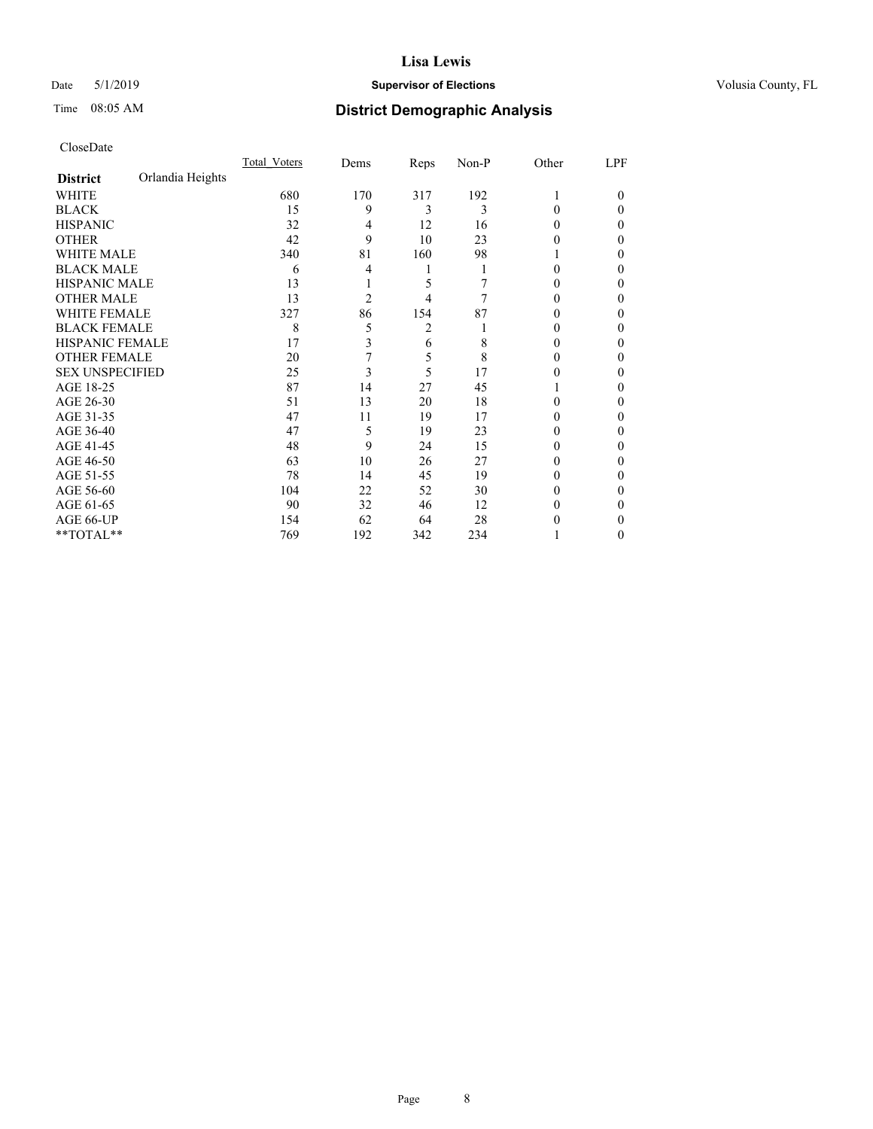### Date 5/1/2019 **Supervisor of Elections Supervisor of Elections** Volusia County, FL

# Time 08:05 AM **District Demographic Analysis**

|                        |                  | Total Voters | Dems | Reps | Non-P | Other    | LPF    |
|------------------------|------------------|--------------|------|------|-------|----------|--------|
| <b>District</b>        | Orlandia Heights |              |      |      |       |          |        |
| WHITE                  |                  | 680          | 170  | 317  | 192   | 1        | $_{0}$ |
| <b>BLACK</b>           |                  | 15           | 9    | 3    | 3     | 0        | 0      |
| <b>HISPANIC</b>        |                  | 32           | 4    | 12   | 16    | $_{0}$   | 0      |
| <b>OTHER</b>           |                  | 42           | 9    | 10   | 23    | 0        | 0      |
| <b>WHITE MALE</b>      |                  | 340          | 81   | 160  | 98    |          | 0      |
| <b>BLACK MALE</b>      |                  | 6            | 4    | 1    |       | 0        | 0      |
| <b>HISPANIC MALE</b>   |                  | 13           |      | 5    |       | 0        | 0      |
| <b>OTHER MALE</b>      |                  | 13           | 2    | 4    | 7     | 0        | 0      |
| <b>WHITE FEMALE</b>    |                  | 327          | 86   | 154  | 87    |          | 0      |
| <b>BLACK FEMALE</b>    |                  | 8            | 5    | 2    |       | $_{0}$   | 0      |
| <b>HISPANIC FEMALE</b> |                  | 17           | 3    | 6    | 8     | $_{0}$   | 0      |
| <b>OTHER FEMALE</b>    |                  | 20           | 7    | 5    | 8     | $_{0}$   | 0      |
| <b>SEX UNSPECIFIED</b> |                  | 25           | 3    | 5    | 17    | 0        | 0      |
| AGE 18-25              |                  | 87           | 14   | 27   | 45    |          | 0      |
| AGE 26-30              |                  | 51           | 13   | 20   | 18    | 0        | 0      |
| AGE 31-35              |                  | 47           | 11   | 19   | 17    |          | 0      |
| AGE 36-40              |                  | 47           | 5    | 19   | 23    | 0        | 0      |
| AGE 41-45              |                  | 48           | 9    | 24   | 15    | 0        | 0      |
| AGE 46-50              |                  | 63           | 10   | 26   | 27    | $_{0}$   | 0      |
| AGE 51-55              |                  | 78           | 14   | 45   | 19    | $\theta$ | 0      |
| AGE 56-60              |                  | 104          | 22   | 52   | 30    | 0        | 0      |
| AGE 61-65              |                  | 90           | 32   | 46   | 12    | $_{0}$   | 0      |
| AGE 66-UP              |                  | 154          | 62   | 64   | 28    |          | 0      |
| **TOTAL**              |                  | 769          | 192  | 342  | 234   |          | 0      |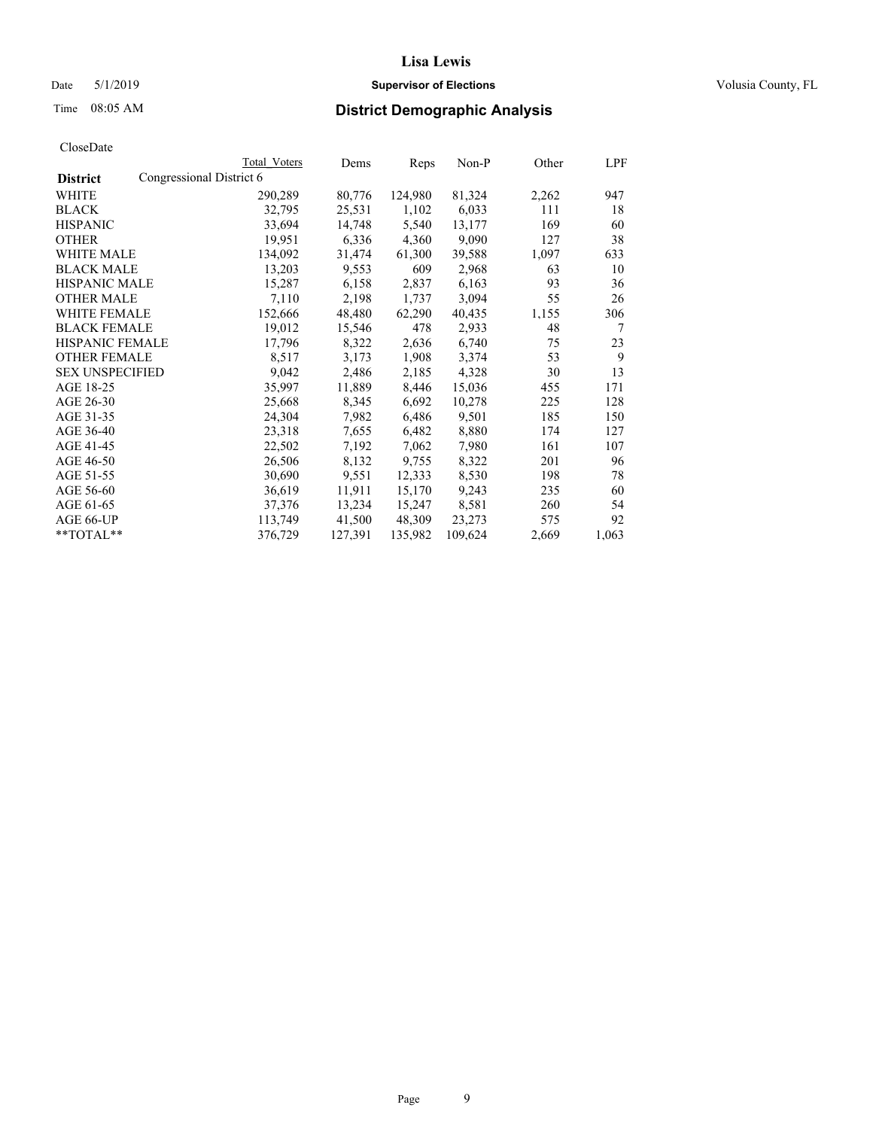### Date 5/1/2019 **Supervisor of Elections Supervisor of Elections** Volusia County, FL

# Time 08:05 AM **District Demographic Analysis**

|                        |                          | Total Voters | Dems    | Reps    | Non-P   | Other | LPF   |
|------------------------|--------------------------|--------------|---------|---------|---------|-------|-------|
| <b>District</b>        | Congressional District 6 |              |         |         |         |       |       |
| WHITE                  |                          | 290,289      | 80,776  | 124,980 | 81,324  | 2,262 | 947   |
| <b>BLACK</b>           |                          | 32,795       | 25,531  | 1,102   | 6,033   | 111   | 18    |
| <b>HISPANIC</b>        |                          | 33,694       | 14,748  | 5,540   | 13,177  | 169   | 60    |
| <b>OTHER</b>           |                          | 19,951       | 6,336   | 4,360   | 9,090   | 127   | 38    |
| <b>WHITE MALE</b>      |                          | 134,092      | 31,474  | 61,300  | 39,588  | 1,097 | 633   |
| <b>BLACK MALE</b>      |                          | 13,203       | 9,553   | 609     | 2,968   | 63    | 10    |
| <b>HISPANIC MALE</b>   |                          | 15,287       | 6,158   | 2,837   | 6,163   | 93    | 36    |
| <b>OTHER MALE</b>      |                          | 7,110        | 2,198   | 1,737   | 3,094   | 55    | 26    |
| <b>WHITE FEMALE</b>    |                          | 152,666      | 48,480  | 62,290  | 40,435  | 1,155 | 306   |
| <b>BLACK FEMALE</b>    |                          | 19,012       | 15,546  | 478     | 2,933   | 48    | 7     |
| HISPANIC FEMALE        |                          | 17,796       | 8,322   | 2,636   | 6,740   | 75    | 23    |
| <b>OTHER FEMALE</b>    |                          | 8,517        | 3,173   | 1,908   | 3,374   | 53    | 9     |
| <b>SEX UNSPECIFIED</b> |                          | 9,042        | 2,486   | 2,185   | 4,328   | 30    | 13    |
| AGE 18-25              |                          | 35,997       | 11,889  | 8,446   | 15,036  | 455   | 171   |
| AGE 26-30              |                          | 25,668       | 8,345   | 6,692   | 10,278  | 225   | 128   |
| AGE 31-35              |                          | 24,304       | 7,982   | 6,486   | 9,501   | 185   | 150   |
| AGE 36-40              |                          | 23,318       | 7,655   | 6,482   | 8,880   | 174   | 127   |
| AGE 41-45              |                          | 22,502       | 7,192   | 7,062   | 7,980   | 161   | 107   |
| AGE 46-50              |                          | 26,506       | 8,132   | 9,755   | 8,322   | 201   | 96    |
| AGE 51-55              |                          | 30,690       | 9,551   | 12,333  | 8,530   | 198   | 78    |
| AGE 56-60              |                          | 36,619       | 11,911  | 15,170  | 9,243   | 235   | 60    |
| AGE 61-65              |                          | 37,376       | 13,234  | 15,247  | 8,581   | 260   | 54    |
| AGE 66-UP              |                          | 113,749      | 41,500  | 48,309  | 23,273  | 575   | 92    |
| $*$ $TOTAL**$          |                          | 376,729      | 127,391 | 135,982 | 109,624 | 2,669 | 1,063 |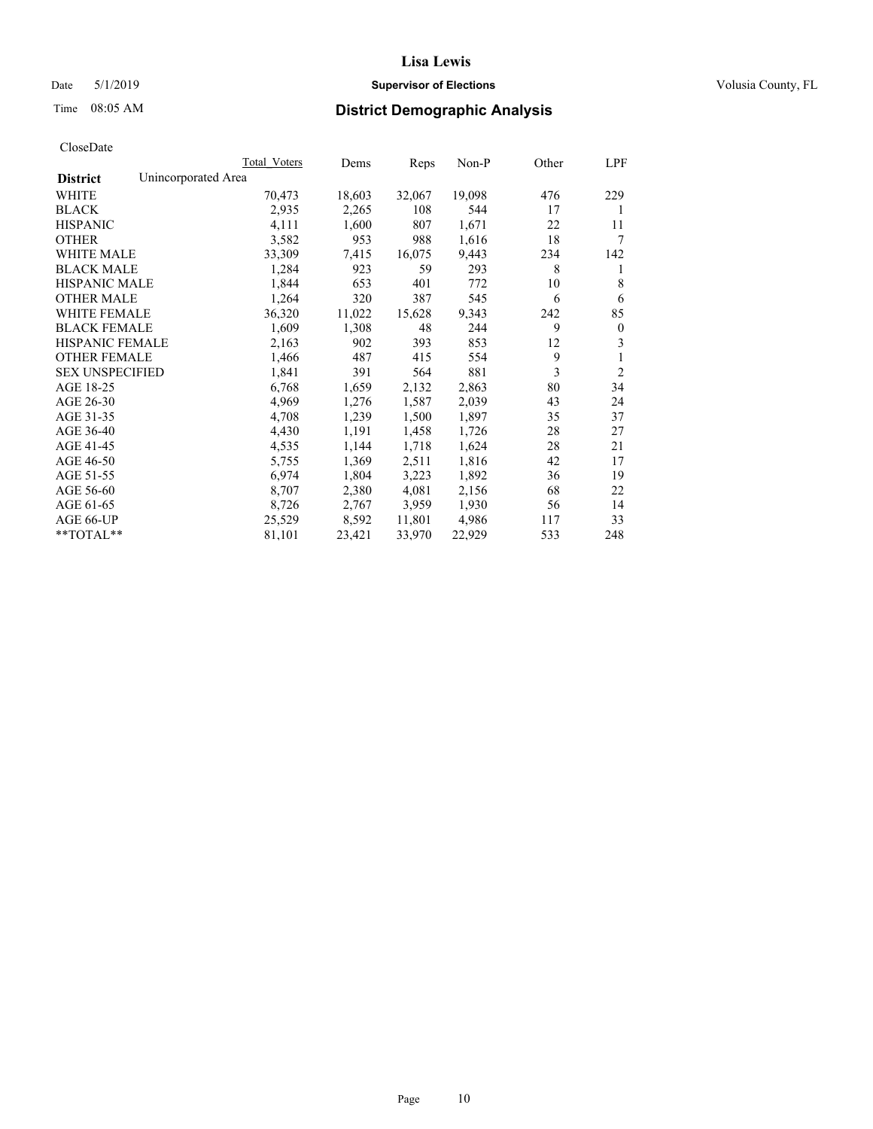## Date 5/1/2019 **Supervisor of Elections Supervisor of Elections** Volusia County, FL

# Time 08:05 AM **District Demographic Analysis**

|                        | Total Voters        | Dems   | Reps   | Non-P  | Other | LPF            |
|------------------------|---------------------|--------|--------|--------|-------|----------------|
| <b>District</b>        | Unincorporated Area |        |        |        |       |                |
| WHITE                  | 70,473              | 18,603 | 32,067 | 19,098 | 476   | 229            |
| <b>BLACK</b>           | 2,935               | 2,265  | 108    | 544    | 17    | 1              |
| <b>HISPANIC</b>        | 4,111               | 1,600  | 807    | 1,671  | 22    | 11             |
| <b>OTHER</b>           | 3,582               | 953    | 988    | 1,616  | 18    | 7              |
| WHITE MALE             | 33,309              | 7,415  | 16,075 | 9,443  | 234   | 142            |
| <b>BLACK MALE</b>      | 1,284               | 923    | 59     | 293    | 8     | 1              |
| <b>HISPANIC MALE</b>   | 1,844               | 653    | 401    | 772    | 10    | 8              |
| <b>OTHER MALE</b>      | 1,264               | 320    | 387    | 545    | 6     | 6              |
| WHITE FEMALE           | 36,320              | 11,022 | 15,628 | 9,343  | 242   | 85             |
| <b>BLACK FEMALE</b>    | 1,609               | 1,308  | 48     | 244    | 9     | $\mathbf{0}$   |
| <b>HISPANIC FEMALE</b> | 2,163               | 902    | 393    | 853    | 12    | 3              |
| <b>OTHER FEMALE</b>    | 1,466               | 487    | 415    | 554    | 9     | 1              |
| <b>SEX UNSPECIFIED</b> | 1,841               | 391    | 564    | 881    | 3     | $\overline{2}$ |
| AGE 18-25              | 6,768               | 1,659  | 2,132  | 2,863  | 80    | 34             |
| AGE 26-30              | 4,969               | 1,276  | 1,587  | 2,039  | 43    | 24             |
| AGE 31-35              | 4,708               | 1,239  | 1,500  | 1,897  | 35    | 37             |
| AGE 36-40              | 4,430               | 1,191  | 1,458  | 1,726  | 28    | 27             |
| AGE 41-45              | 4,535               | 1,144  | 1,718  | 1,624  | 28    | 21             |
| AGE 46-50              | 5,755               | 1,369  | 2,511  | 1,816  | 42    | 17             |
| AGE 51-55              | 6,974               | 1,804  | 3,223  | 1,892  | 36    | 19             |
| AGE 56-60              | 8,707               | 2,380  | 4,081  | 2,156  | 68    | 22             |
| AGE 61-65              | 8,726               | 2,767  | 3,959  | 1,930  | 56    | 14             |
| AGE 66-UP              | 25,529              | 8,592  | 11,801 | 4,986  | 117   | 33             |
| $*$ $TOTAL**$          | 81,101              | 23,421 | 33,970 | 22,929 | 533   | 248            |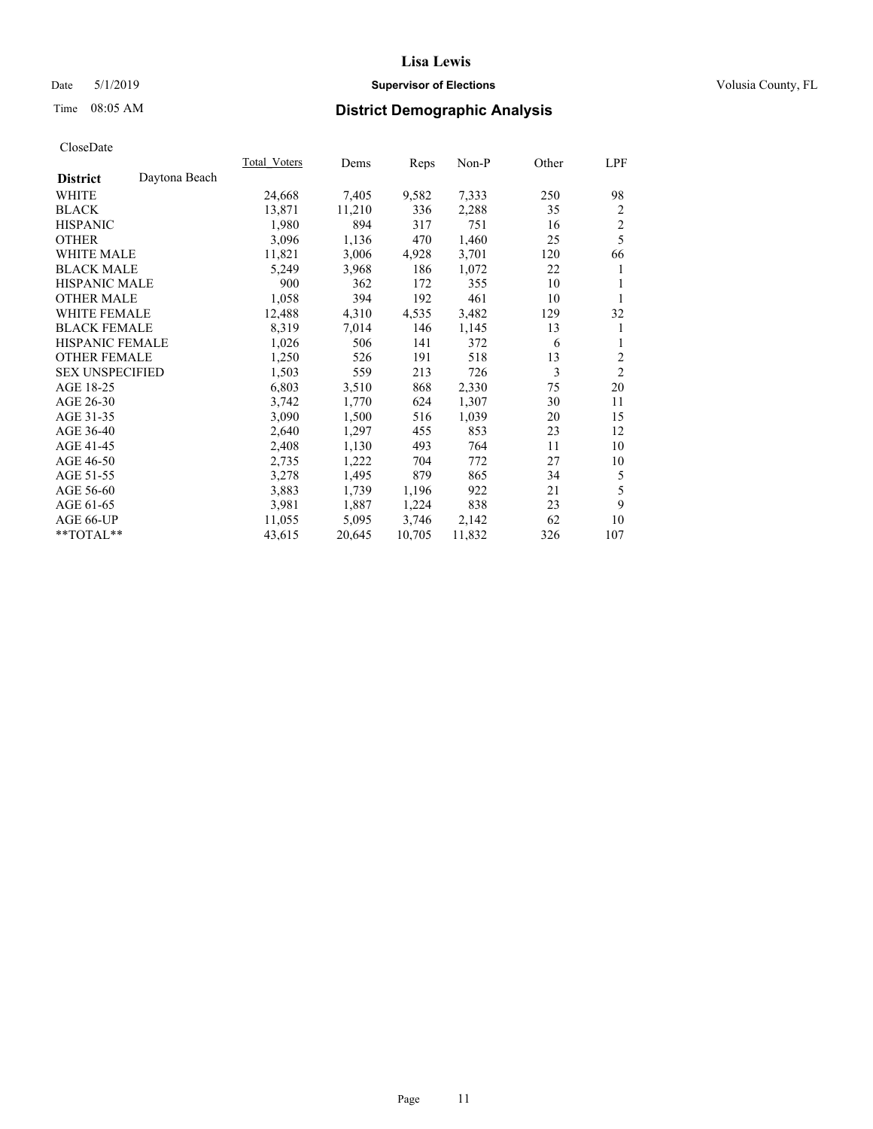## Date 5/1/2019 **Supervisor of Elections Supervisor of Elections** Volusia County, FL

# Time 08:05 AM **District Demographic Analysis**

| Total Voters | Dems   |        | Non-P  | Other | LPF            |
|--------------|--------|--------|--------|-------|----------------|
|              |        |        |        |       |                |
| 24,668       | 7,405  | 9,582  | 7,333  | 250   | 98             |
| 13,871       | 11,210 | 336    | 2,288  | 35    | $\overline{c}$ |
| 1,980        | 894    | 317    | 751    | 16    | $\sqrt{2}$     |
| 3,096        | 1,136  | 470    | 1,460  | 25    | 5              |
| 11,821       | 3,006  | 4,928  | 3,701  | 120   | 66             |
| 5,249        | 3,968  | 186    | 1,072  | 22    | 1              |
| 900          | 362    | 172    | 355    | 10    | 1              |
| 1,058        | 394    | 192    | 461    | 10    | 1              |
| 12,488       | 4,310  | 4,535  | 3,482  | 129   | 32             |
| 8,319        | 7,014  | 146    | 1,145  | 13    | 1              |
| 1,026        | 506    | 141    | 372    | 6     | 1              |
| 1,250        | 526    | 191    | 518    | 13    | $\overline{c}$ |
| 1,503        | 559    | 213    | 726    | 3     | $\overline{2}$ |
| 6,803        | 3,510  | 868    | 2,330  | 75    | 20             |
| 3,742        | 1,770  | 624    | 1,307  | 30    | 11             |
| 3,090        | 1,500  | 516    | 1,039  | 20    | 15             |
| 2,640        | 1,297  | 455    | 853    | 23    | 12             |
| 2,408        | 1,130  | 493    | 764    | 11    | 10             |
| 2,735        | 1,222  | 704    | 772    | 27    | 10             |
| 3,278        | 1,495  | 879    | 865    | 34    | 5              |
| 3,883        | 1,739  | 1,196  | 922    | 21    | 5              |
| 3,981        | 1,887  | 1,224  | 838    | 23    | 9              |
| 11,055       | 5,095  | 3,746  | 2,142  | 62    | 10             |
| 43,615       | 20,645 | 10,705 | 11,832 | 326   | 107            |
|              |        |        | Reps   |       |                |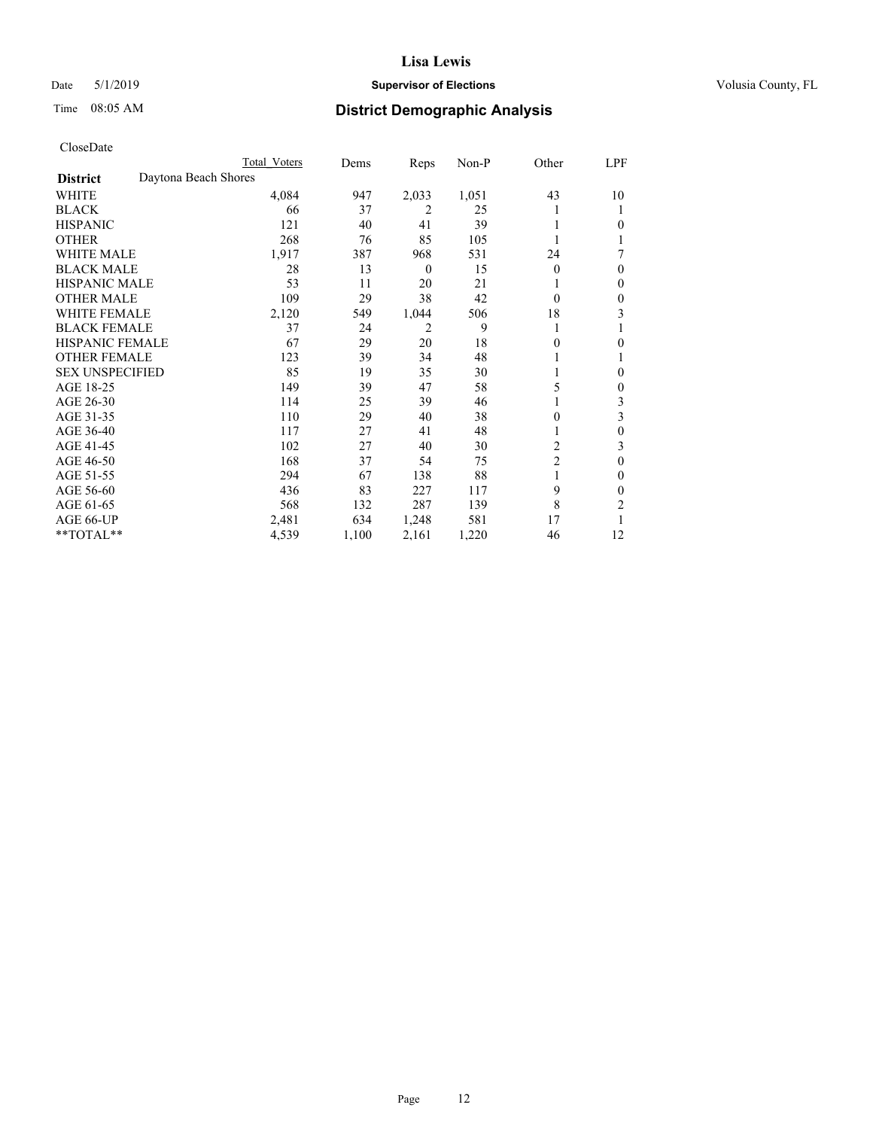## Date 5/1/2019 **Supervisor of Elections Supervisor of Elections** Volusia County, FL

# Time 08:05 AM **District Demographic Analysis**

|                        | Total Voters         | Dems  | Reps             | Non-P | Other          | LPF |
|------------------------|----------------------|-------|------------------|-------|----------------|-----|
| <b>District</b>        | Daytona Beach Shores |       |                  |       |                |     |
| WHITE                  | 4,084                | 947   | 2,033            | 1,051 | 43             | 10  |
| <b>BLACK</b>           | 66                   | 37    | 2                | 25    |                |     |
| <b>HISPANIC</b>        | 121                  | 40    | 41               | 39    |                | 0   |
| <b>OTHER</b>           | 268                  | 76    | 85               | 105   |                |     |
| WHITE MALE             | 1,917                | 387   | 968              | 531   | 24             | 7   |
| <b>BLACK MALE</b>      | 28                   | 13    | $\boldsymbol{0}$ | 15    | $\Omega$       | 0   |
| <b>HISPANIC MALE</b>   | 53                   | 11    | 20               | 21    |                | 0   |
| <b>OTHER MALE</b>      | 109                  | 29    | 38               | 42    | $\Omega$       | 0   |
| <b>WHITE FEMALE</b>    | 2,120                | 549   | 1,044            | 506   | 18             | 3   |
| <b>BLACK FEMALE</b>    | 37                   | 24    | 2                | 9     | 1              |     |
| <b>HISPANIC FEMALE</b> | 67                   | 29    | 20               | 18    | 0              | 0   |
| <b>OTHER FEMALE</b>    | 123                  | 39    | 34               | 48    |                |     |
| <b>SEX UNSPECIFIED</b> | 85                   | 19    | 35               | 30    |                | 0   |
| AGE 18-25              | 149                  | 39    | 47               | 58    | 5              | 0   |
| AGE 26-30              | 114                  | 25    | 39               | 46    |                | 3   |
| AGE 31-35              | 110                  | 29    | 40               | 38    | 0              | 3   |
| AGE 36-40              | 117                  | 27    | 41               | 48    |                | 0   |
| AGE 41-45              | 102                  | 27    | 40               | 30    | 2              | 3   |
| AGE 46-50              | 168                  | 37    | 54               | 75    | $\overline{2}$ | 0   |
| AGE 51-55              | 294                  | 67    | 138              | 88    |                | 0   |
| AGE 56-60              | 436                  | 83    | 227              | 117   | 9              | 0   |
| AGE 61-65              | 568                  | 132   | 287              | 139   | 8              | 2   |
| AGE 66-UP              | 2,481                | 634   | 1,248            | 581   | 17             |     |
| **TOTAL**              | 4,539                | 1,100 | 2,161            | 1,220 | 46             | 12  |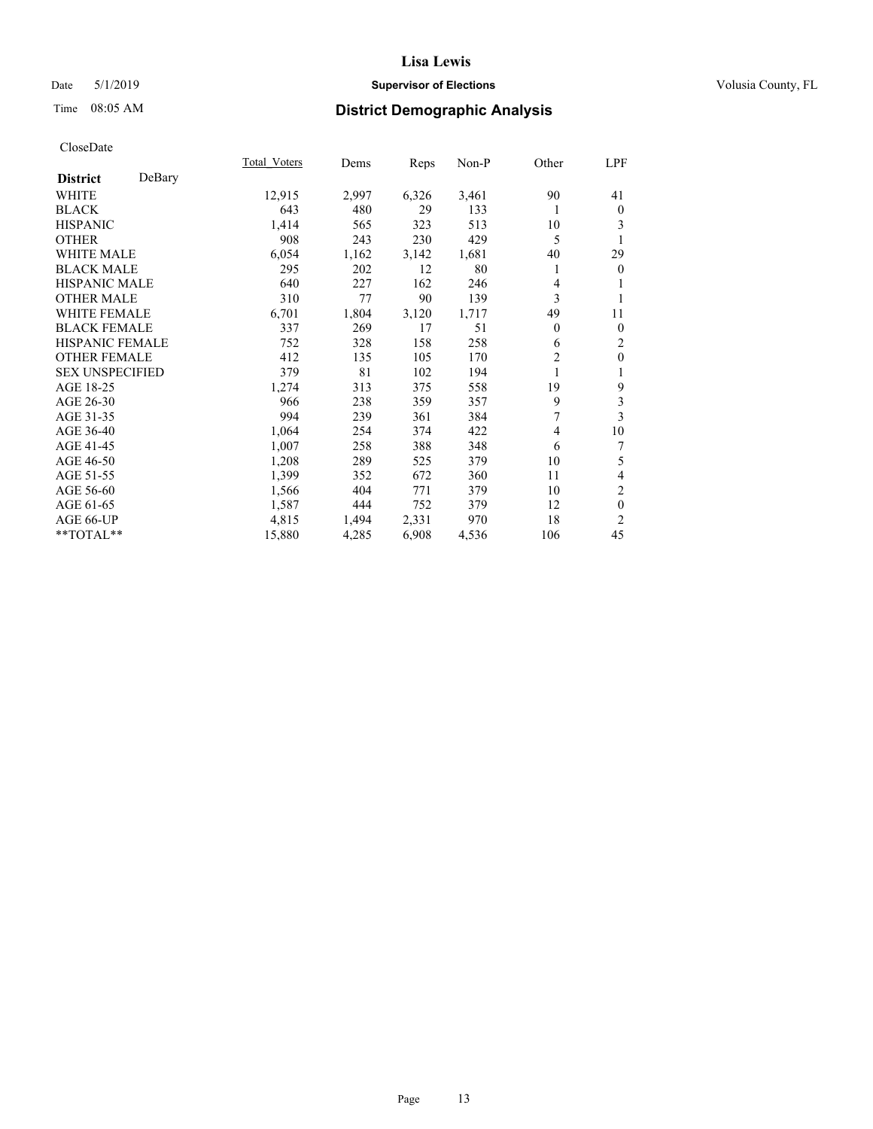## Date 5/1/2019 **Supervisor of Elections Supervisor of Elections** Volusia County, FL

# Time 08:05 AM **District Demographic Analysis**

|                           | Total Voters | Dems  | Reps  | $Non-P$ | Other          | LPF                      |
|---------------------------|--------------|-------|-------|---------|----------------|--------------------------|
| DeBary<br><b>District</b> |              |       |       |         |                |                          |
| WHITE                     | 12,915       | 2,997 | 6,326 | 3,461   | 90             | 41                       |
| <b>BLACK</b>              | 643          | 480   | 29    | 133     | 1              | $\bf{0}$                 |
| <b>HISPANIC</b>           | 1,414        | 565   | 323   | 513     | 10             | 3                        |
| <b>OTHER</b>              | 908          | 243   | 230   | 429     | 5              | 1                        |
| <b>WHITE MALE</b>         | 6,054        | 1,162 | 3,142 | 1,681   | 40             | 29                       |
| <b>BLACK MALE</b>         | 295          | 202   | 12    | 80      | 1              | $\mathbf{0}$             |
| HISPANIC MALE             | 640          | 227   | 162   | 246     | 4              | 1                        |
| <b>OTHER MALE</b>         | 310          | 77    | 90    | 139     | 3              | 1                        |
| <b>WHITE FEMALE</b>       | 6,701        | 1,804 | 3,120 | 1,717   | 49             | 11                       |
| <b>BLACK FEMALE</b>       | 337          | 269   | 17    | 51      | $\theta$       | $\mathbf{0}$             |
| <b>HISPANIC FEMALE</b>    | 752          | 328   | 158   | 258     | 6              | $\overline{c}$           |
| <b>OTHER FEMALE</b>       | 412          | 135   | 105   | 170     | $\overline{2}$ | $\boldsymbol{0}$         |
| <b>SEX UNSPECIFIED</b>    | 379          | 81    | 102   | 194     | 1              | 1                        |
| AGE 18-25                 | 1,274        | 313   | 375   | 558     | 19             | 9                        |
| AGE 26-30                 | 966          | 238   | 359   | 357     | 9              | 3                        |
| AGE 31-35                 | 994          | 239   | 361   | 384     | 7              | 3                        |
| AGE 36-40                 | 1,064        | 254   | 374   | 422     | 4              | 10                       |
| AGE 41-45                 | 1,007        | 258   | 388   | 348     | 6              | 7                        |
| AGE 46-50                 | 1,208        | 289   | 525   | 379     | 10             | 5                        |
| AGE 51-55                 | 1,399        | 352   | 672   | 360     | 11             | $\overline{\mathcal{L}}$ |
| AGE 56-60                 | 1,566        | 404   | 771   | 379     | 10             | 2                        |
| AGE 61-65                 | 1,587        | 444   | 752   | 379     | 12             | $\mathbf{0}$             |
| AGE 66-UP                 | 4,815        | 1,494 | 2,331 | 970     | 18             | $\overline{c}$           |
| **TOTAL**                 | 15,880       | 4,285 | 6,908 | 4,536   | 106            | 45                       |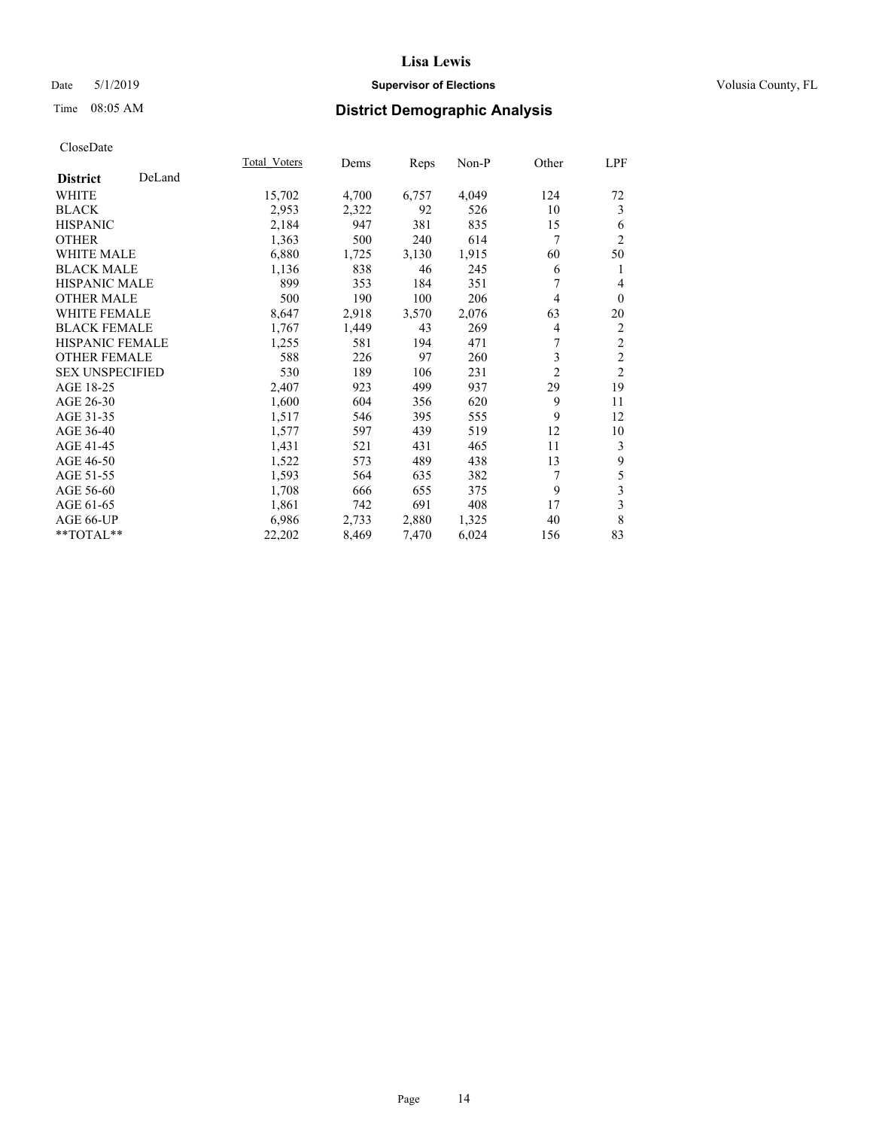## Date 5/1/2019 **Supervisor of Elections Supervisor of Elections** Volusia County, FL

# Time 08:05 AM **District Demographic Analysis**

|                        |        | Total Voters | Dems  | Reps  | Non-P | Other          | LPF            |
|------------------------|--------|--------------|-------|-------|-------|----------------|----------------|
| <b>District</b>        | DeLand |              |       |       |       |                |                |
| <b>WHITE</b>           |        | 15,702       | 4,700 | 6,757 | 4,049 | 124            | 72             |
| <b>BLACK</b>           |        | 2,953        | 2,322 | 92    | 526   | 10             | 3              |
| <b>HISPANIC</b>        |        | 2,184        | 947   | 381   | 835   | 15             | 6              |
| <b>OTHER</b>           |        | 1,363        | 500   | 240   | 614   | 7              | $\overline{2}$ |
| <b>WHITE MALE</b>      |        | 6,880        | 1,725 | 3,130 | 1,915 | 60             | 50             |
| <b>BLACK MALE</b>      |        | 1,136        | 838   | 46    | 245   | 6              | 1              |
| <b>HISPANIC MALE</b>   |        | 899          | 353   | 184   | 351   | 7              | $\overline{4}$ |
| <b>OTHER MALE</b>      |        | 500          | 190   | 100   | 206   | 4              | $\theta$       |
| <b>WHITE FEMALE</b>    |        | 8,647        | 2,918 | 3,570 | 2,076 | 63             | 20             |
| <b>BLACK FEMALE</b>    |        | 1,767        | 1,449 | 43    | 269   | 4              | 2              |
| <b>HISPANIC FEMALE</b> |        | 1,255        | 581   | 194   | 471   | 7              | $\sqrt{2}$     |
| <b>OTHER FEMALE</b>    |        | 588          | 226   | 97    | 260   | 3              | $\overline{2}$ |
| <b>SEX UNSPECIFIED</b> |        | 530          | 189   | 106   | 231   | $\overline{c}$ | $\overline{2}$ |
| AGE 18-25              |        | 2,407        | 923   | 499   | 937   | 29             | 19             |
| AGE 26-30              |        | 1,600        | 604   | 356   | 620   | 9              | 11             |
| AGE 31-35              |        | 1,517        | 546   | 395   | 555   | 9              | 12             |
| AGE 36-40              |        | 1,577        | 597   | 439   | 519   | 12             | 10             |
| AGE 41-45              |        | 1,431        | 521   | 431   | 465   | 11             | 3              |
| AGE 46-50              |        | 1,522        | 573   | 489   | 438   | 13             | 9              |
| AGE 51-55              |        | 1,593        | 564   | 635   | 382   | 7              | 5              |
| AGE 56-60              |        | 1,708        | 666   | 655   | 375   | 9              | 3              |
| AGE 61-65              |        | 1,861        | 742   | 691   | 408   | 17             | 3              |
| AGE 66-UP              |        | 6,986        | 2,733 | 2,880 | 1,325 | 40             | 8              |
| **TOTAL**              |        | 22,202       | 8,469 | 7,470 | 6,024 | 156            | 83             |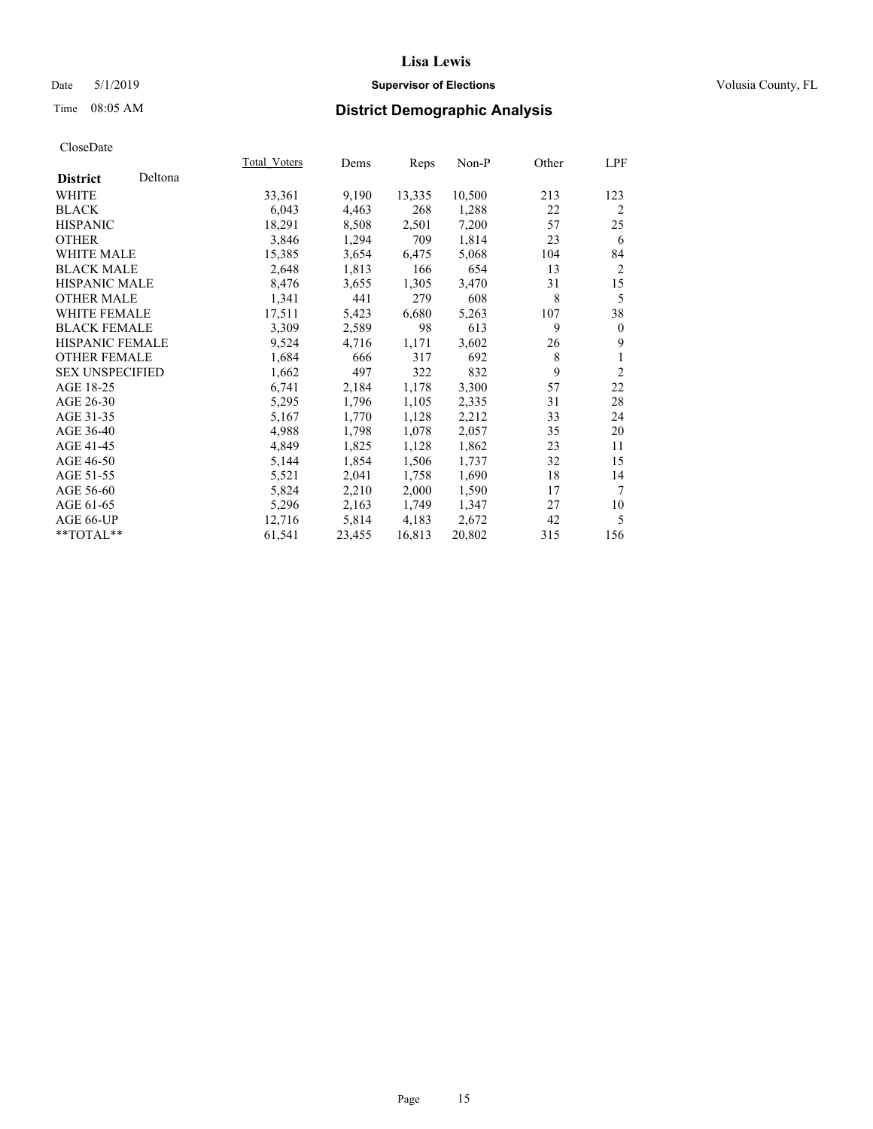## Date 5/1/2019 **Supervisor of Elections Supervisor of Elections** Volusia County, FL

## Time 08:05 AM **District Demographic Analysis**

|                        |         | Total Voters | Dems   | Reps   | Non-P  | Other | LPF            |
|------------------------|---------|--------------|--------|--------|--------|-------|----------------|
| <b>District</b>        | Deltona |              |        |        |        |       |                |
| <b>WHITE</b>           |         | 33,361       | 9,190  | 13,335 | 10,500 | 213   | 123            |
| <b>BLACK</b>           |         | 6,043        | 4,463  | 268    | 1,288  | 22    | $\overline{2}$ |
| <b>HISPANIC</b>        |         | 18,291       | 8,508  | 2,501  | 7,200  | 57    | 25             |
| <b>OTHER</b>           |         | 3,846        | 1,294  | 709    | 1,814  | 23    | 6              |
| WHITE MALE             |         | 15,385       | 3,654  | 6,475  | 5,068  | 104   | 84             |
| <b>BLACK MALE</b>      |         | 2,648        | 1,813  | 166    | 654    | 13    | $\overline{2}$ |
| <b>HISPANIC MALE</b>   |         | 8,476        | 3,655  | 1,305  | 3,470  | 31    | 15             |
| <b>OTHER MALE</b>      |         | 1,341        | 441    | 279    | 608    | 8     | 5              |
| <b>WHITE FEMALE</b>    |         | 17,511       | 5,423  | 6,680  | 5,263  | 107   | 38             |
| <b>BLACK FEMALE</b>    |         | 3,309        | 2,589  | 98     | 613    | 9     | $\theta$       |
| HISPANIC FEMALE        |         | 9,524        | 4,716  | 1,171  | 3,602  | 26    | 9              |
| <b>OTHER FEMALE</b>    |         | 1,684        | 666    | 317    | 692    | 8     | 1              |
| <b>SEX UNSPECIFIED</b> |         | 1,662        | 497    | 322    | 832    | 9     | $\overline{2}$ |
| AGE 18-25              |         | 6,741        | 2,184  | 1,178  | 3,300  | 57    | 22             |
| AGE 26-30              |         | 5,295        | 1,796  | 1,105  | 2,335  | 31    | 28             |
| AGE 31-35              |         | 5,167        | 1,770  | 1,128  | 2,212  | 33    | 24             |
| AGE 36-40              |         | 4,988        | 1,798  | 1,078  | 2,057  | 35    | 20             |
| AGE 41-45              |         | 4,849        | 1,825  | 1,128  | 1,862  | 23    | 11             |
| AGE 46-50              |         | 5,144        | 1,854  | 1,506  | 1,737  | 32    | 15             |
| AGE 51-55              |         | 5,521        | 2,041  | 1,758  | 1,690  | 18    | 14             |
| AGE 56-60              |         | 5,824        | 2,210  | 2,000  | 1,590  | 17    | 7              |
| AGE 61-65              |         | 5,296        | 2,163  | 1,749  | 1,347  | 27    | 10             |
| AGE 66-UP              |         | 12,716       | 5,814  | 4,183  | 2,672  | 42    | 5              |
| $*$ $TOTAL**$          |         | 61,541       | 23,455 | 16,813 | 20,802 | 315   | 156            |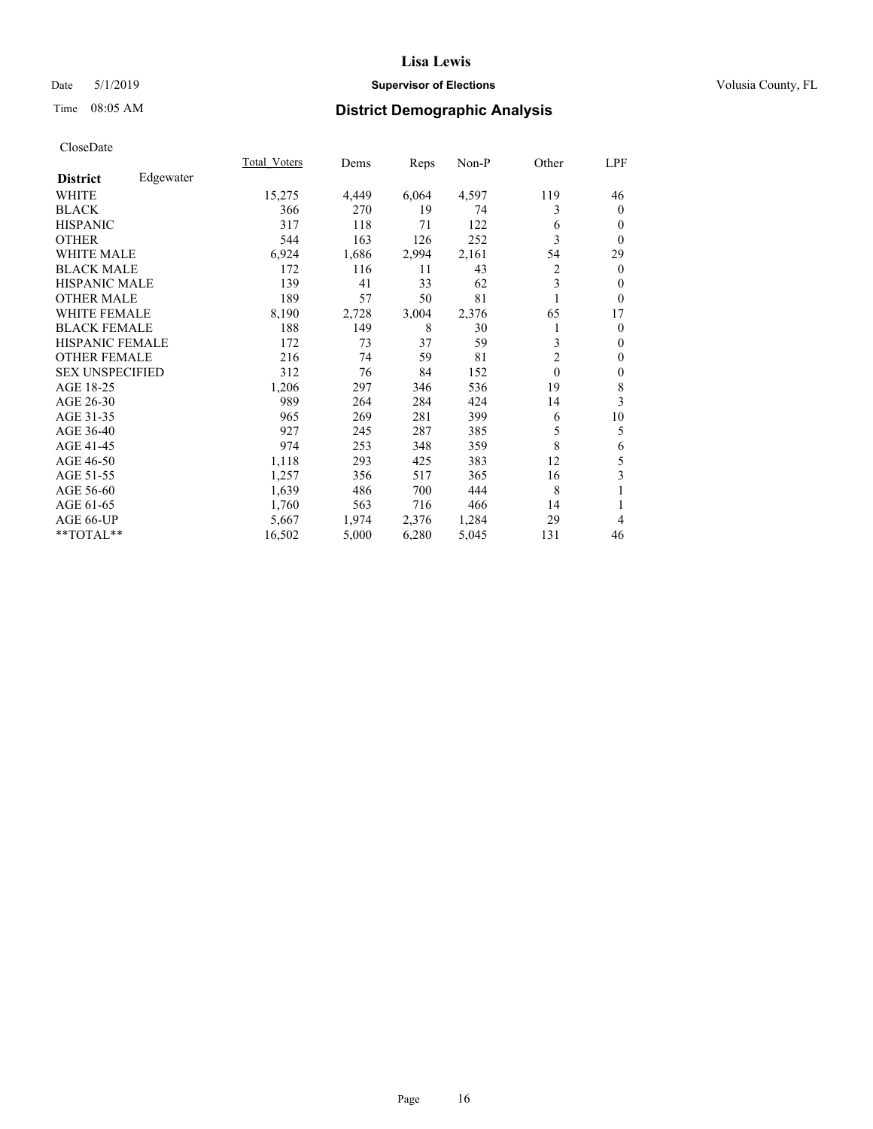## Date 5/1/2019 **Supervisor of Elections Supervisor of Elections** Volusia County, FL

# Time 08:05 AM **District Demographic Analysis**

|                        |           | Total Voters | Dems  | Reps  | Non-P | Other          | LPF          |
|------------------------|-----------|--------------|-------|-------|-------|----------------|--------------|
| <b>District</b>        | Edgewater |              |       |       |       |                |              |
| WHITE                  |           | 15,275       | 4,449 | 6,064 | 4,597 | 119            | 46           |
| <b>BLACK</b>           |           | 366          | 270   | 19    | 74    | 3              | $\mathbf{0}$ |
| <b>HISPANIC</b>        |           | 317          | 118   | 71    | 122   | 6              | $\mathbf{0}$ |
| <b>OTHER</b>           |           | 544          | 163   | 126   | 252   | 3              | $\theta$     |
| WHITE MALE             |           | 6,924        | 1,686 | 2,994 | 2,161 | 54             | 29           |
| <b>BLACK MALE</b>      |           | 172          | 116   | 11    | 43    | 2              | $\mathbf{0}$ |
| <b>HISPANIC MALE</b>   |           | 139          | 41    | 33    | 62    | 3              | $\theta$     |
| <b>OTHER MALE</b>      |           | 189          | 57    | 50    | 81    | 1              | $\theta$     |
| <b>WHITE FEMALE</b>    |           | 8,190        | 2,728 | 3,004 | 2,376 | 65             | 17           |
| <b>BLACK FEMALE</b>    |           | 188          | 149   | 8     | 30    |                | $\mathbf{0}$ |
| <b>HISPANIC FEMALE</b> |           | 172          | 73    | 37    | 59    | 3              | $\mathbf{0}$ |
| <b>OTHER FEMALE</b>    |           | 216          | 74    | 59    | 81    | $\overline{2}$ | $\theta$     |
| <b>SEX UNSPECIFIED</b> |           | 312          | 76    | 84    | 152   | $\theta$       | $\mathbf{0}$ |
| AGE 18-25              |           | 1,206        | 297   | 346   | 536   | 19             | 8            |
| AGE 26-30              |           | 989          | 264   | 284   | 424   | 14             | 3            |
| AGE 31-35              |           | 965          | 269   | 281   | 399   | 6              | 10           |
| AGE 36-40              |           | 927          | 245   | 287   | 385   | 5              | 5            |
| AGE 41-45              |           | 974          | 253   | 348   | 359   | 8              | 6            |
| AGE 46-50              |           | 1,118        | 293   | 425   | 383   | 12             | 5            |
| AGE 51-55              |           | 1,257        | 356   | 517   | 365   | 16             | 3            |
| AGE 56-60              |           | 1,639        | 486   | 700   | 444   | 8              | 1            |
| AGE 61-65              |           | 1,760        | 563   | 716   | 466   | 14             | 1            |
| AGE 66-UP              |           | 5,667        | 1,974 | 2,376 | 1,284 | 29             | 4            |
| **TOTAL**              |           | 16,502       | 5,000 | 6,280 | 5,045 | 131            | 46           |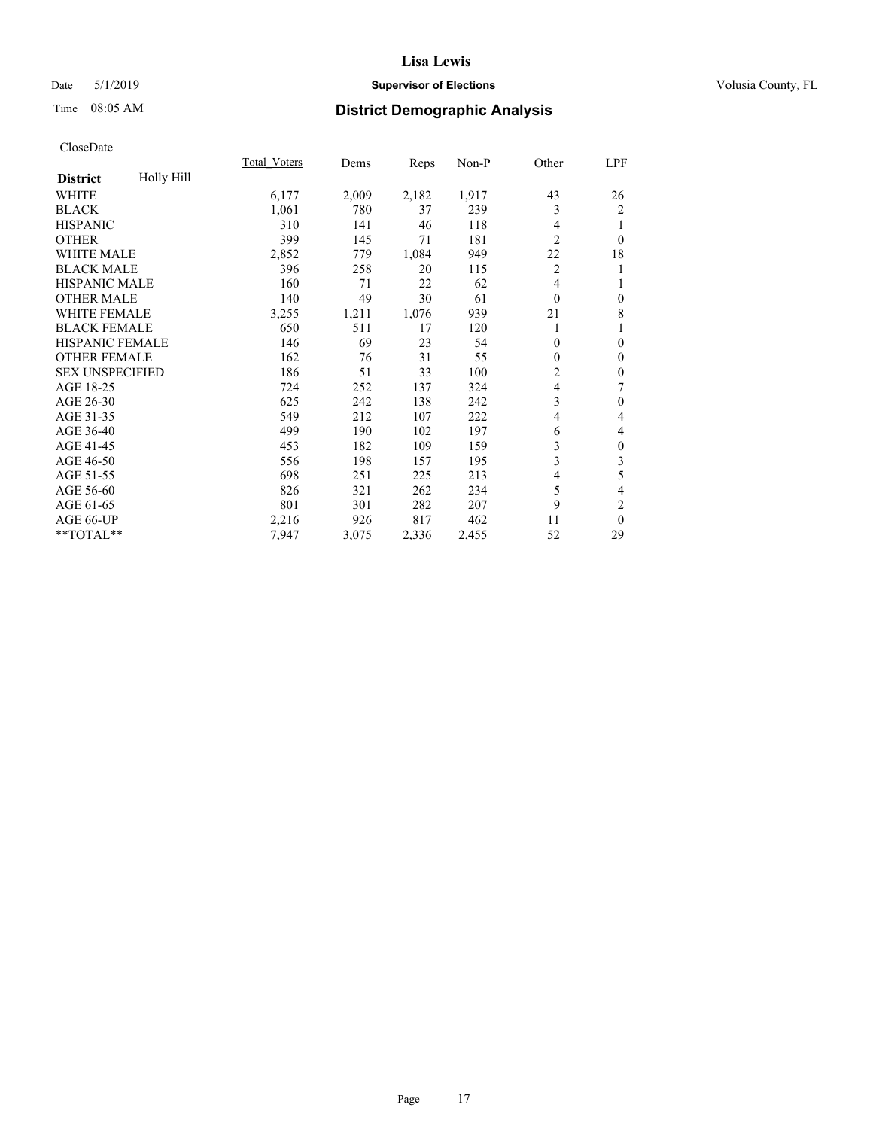## Date 5/1/2019 **Supervisor of Elections Supervisor of Elections** Volusia County, FL

# Time 08:05 AM **District Demographic Analysis**

|                        |            | Total Voters | Dems  | Reps  | Non-P | Other          | LPF              |
|------------------------|------------|--------------|-------|-------|-------|----------------|------------------|
| <b>District</b>        | Holly Hill |              |       |       |       |                |                  |
| WHITE                  |            | 6,177        | 2,009 | 2,182 | 1,917 | 43             | 26               |
| <b>BLACK</b>           |            | 1,061        | 780   | 37    | 239   | 3              | 2                |
| <b>HISPANIC</b>        |            | 310          | 141   | 46    | 118   | 4              | 1                |
| <b>OTHER</b>           |            | 399          | 145   | 71    | 181   | $\overline{2}$ | $\theta$         |
| WHITE MALE             |            | 2,852        | 779   | 1,084 | 949   | 22             | 18               |
| <b>BLACK MALE</b>      |            | 396          | 258   | 20    | 115   | 2              | 1                |
| <b>HISPANIC MALE</b>   |            | 160          | 71    | 22    | 62    | 4              | 1                |
| <b>OTHER MALE</b>      |            | 140          | 49    | 30    | 61    | $\theta$       | $\mathbf{0}$     |
| WHITE FEMALE           |            | 3,255        | 1,211 | 1,076 | 939   | 21             | 8                |
| <b>BLACK FEMALE</b>    |            | 650          | 511   | 17    | 120   |                | 1                |
| <b>HISPANIC FEMALE</b> |            | 146          | 69    | 23    | 54    | $\theta$       | $\mathbf{0}$     |
| <b>OTHER FEMALE</b>    |            | 162          | 76    | 31    | 55    | 0              | $\mathbf{0}$     |
| <b>SEX UNSPECIFIED</b> |            | 186          | 51    | 33    | 100   | $\overline{2}$ | $\mathbf{0}$     |
| AGE 18-25              |            | 724          | 252   | 137   | 324   | 4              | 7                |
| AGE 26-30              |            | 625          | 242   | 138   | 242   | 3              | $\mathbf{0}$     |
| AGE 31-35              |            | 549          | 212   | 107   | 222   | 4              | 4                |
| AGE 36-40              |            | 499          | 190   | 102   | 197   | 6              | 4                |
| AGE 41-45              |            | 453          | 182   | 109   | 159   | 3              | $\boldsymbol{0}$ |
| AGE 46-50              |            | 556          | 198   | 157   | 195   | 3              | 3                |
| AGE 51-55              |            | 698          | 251   | 225   | 213   | 4              | 5                |
| AGE 56-60              |            | 826          | 321   | 262   | 234   | 5              | 4                |
| AGE 61-65              |            | 801          | 301   | 282   | 207   | 9              | 2                |
| AGE 66-UP              |            | 2,216        | 926   | 817   | 462   | 11             | $\theta$         |
| **TOTAL**              |            | 7,947        | 3,075 | 2,336 | 2,455 | 52             | 29               |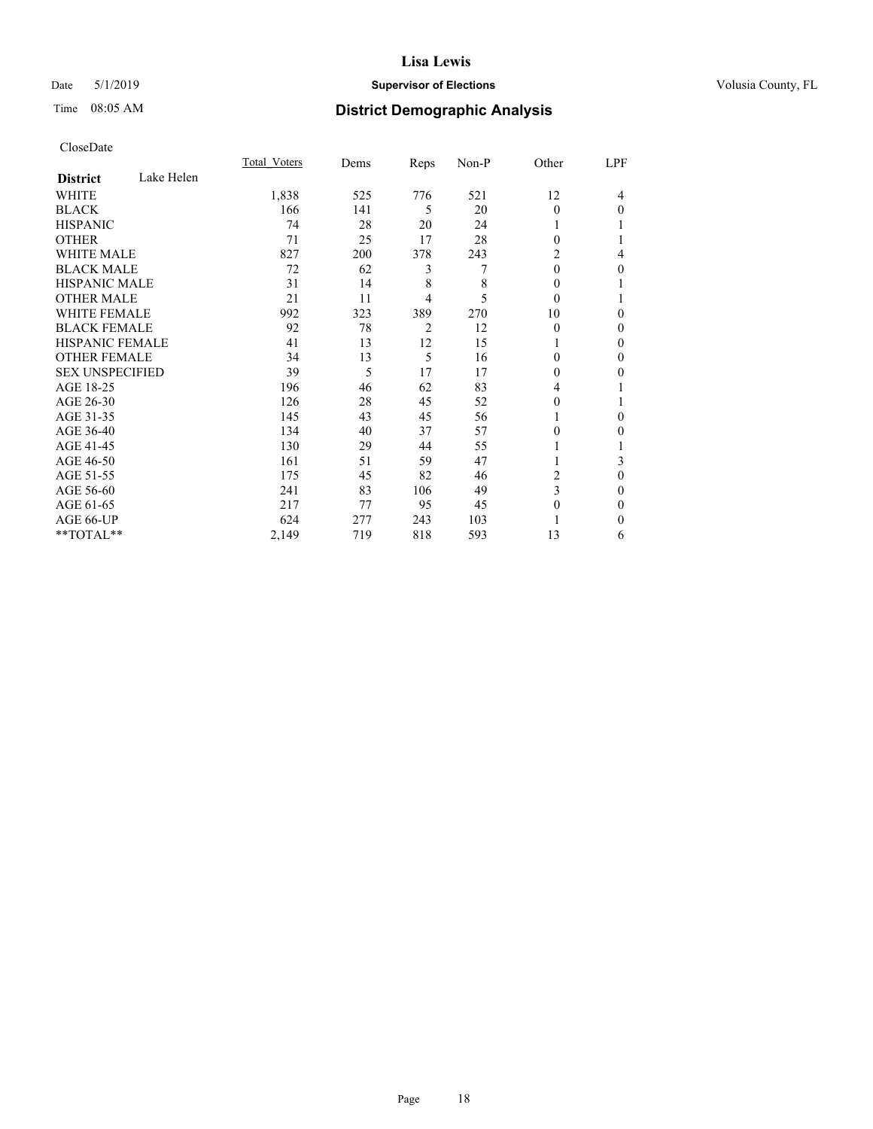## Date 5/1/2019 **Supervisor of Elections Supervisor of Elections** Volusia County, FL

# Time 08:05 AM **District Demographic Analysis**

|                        |            | Total Voters | Dems | Reps           | Non-P | Other    | LPF          |
|------------------------|------------|--------------|------|----------------|-------|----------|--------------|
| <b>District</b>        | Lake Helen |              |      |                |       |          |              |
| WHITE                  |            | 1,838        | 525  | 776            | 521   | 12       | 4            |
| <b>BLACK</b>           |            | 166          | 141  | 5              | 20    | $\theta$ | $\Omega$     |
| <b>HISPANIC</b>        |            | 74           | 28   | 20             | 24    |          |              |
| <b>OTHER</b>           |            | 71           | 25   | 17             | 28    | $\Omega$ |              |
| <b>WHITE MALE</b>      |            | 827          | 200  | 378            | 243   | 2        | 4            |
| <b>BLACK MALE</b>      |            | 72           | 62   | 3              | 7     | $\theta$ | $\mathbf{0}$ |
| <b>HISPANIC MALE</b>   |            | 31           | 14   | 8              | 8     | $\theta$ |              |
| <b>OTHER MALE</b>      |            | 21           | 11   | 4              | 5     | $\theta$ |              |
| <b>WHITE FEMALE</b>    |            | 992          | 323  | 389            | 270   | 10       | $\Omega$     |
| <b>BLACK FEMALE</b>    |            | 92           | 78   | $\overline{c}$ | 12    | $\theta$ | $\Omega$     |
| <b>HISPANIC FEMALE</b> |            | 41           | 13   | 12             | 15    |          | 0            |
| <b>OTHER FEMALE</b>    |            | 34           | 13   | 5              | 16    | $\theta$ | 0            |
| <b>SEX UNSPECIFIED</b> |            | 39           | 5    | 17             | 17    | $\Omega$ | 0            |
| AGE 18-25              |            | 196          | 46   | 62             | 83    | 4        |              |
| AGE 26-30              |            | 126          | 28   | 45             | 52    | $\theta$ |              |
| AGE 31-35              |            | 145          | 43   | 45             | 56    |          | $\Omega$     |
| AGE 36-40              |            | 134          | 40   | 37             | 57    | $\Omega$ | 0            |
| AGE 41-45              |            | 130          | 29   | 44             | 55    |          |              |
| AGE 46-50              |            | 161          | 51   | 59             | 47    |          | 3            |
| AGE 51-55              |            | 175          | 45   | 82             | 46    | 2        | $\mathbf{0}$ |
| AGE 56-60              |            | 241          | 83   | 106            | 49    | 3        | 0            |
| AGE 61-65              |            | 217          | 77   | 95             | 45    | $\theta$ | $\Omega$     |
| AGE 66-UP              |            | 624          | 277  | 243            | 103   |          | $\Omega$     |
| **TOTAL**              |            | 2,149        | 719  | 818            | 593   | 13       | 6            |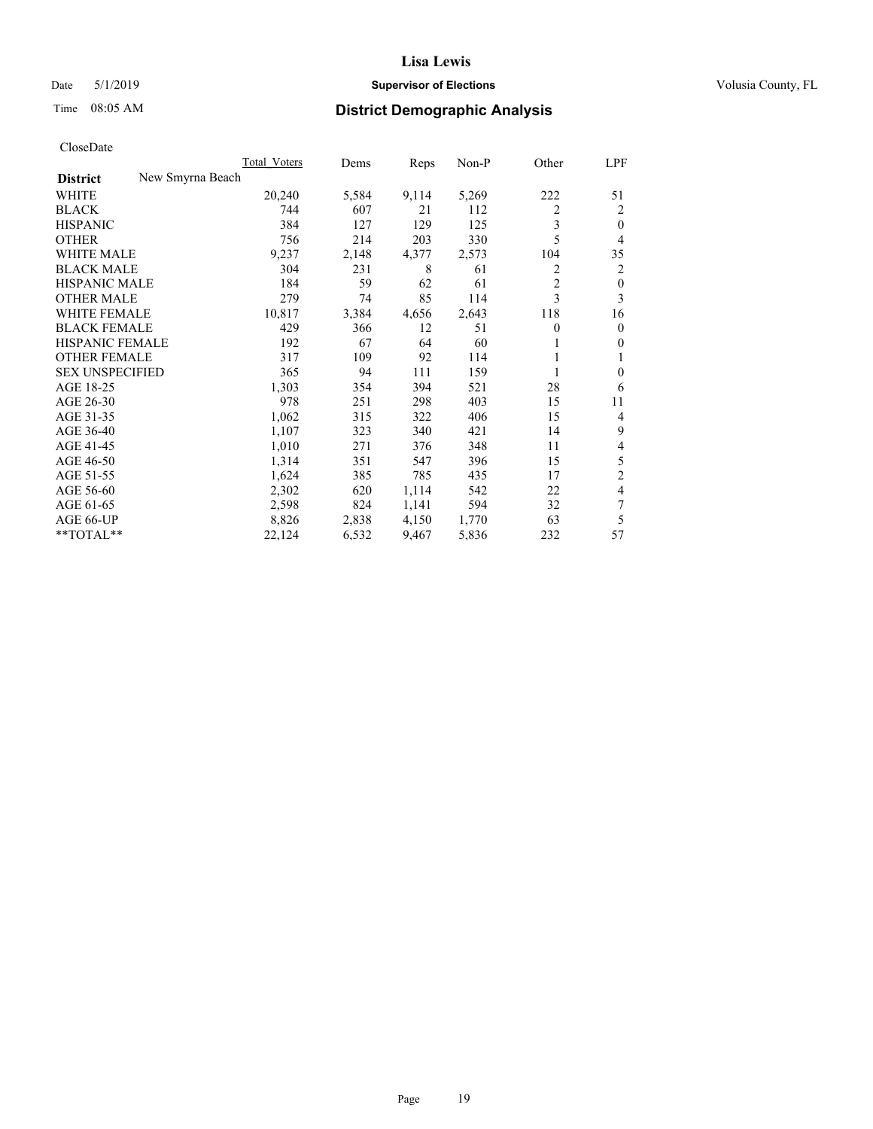## Date 5/1/2019 **Supervisor of Elections Supervisor of Elections** Volusia County, FL

# Time 08:05 AM **District Demographic Analysis**

|                        |                  | Total Voters | Dems  | Reps  | $Non-P$ | Other          | LPF            |
|------------------------|------------------|--------------|-------|-------|---------|----------------|----------------|
| <b>District</b>        | New Smyrna Beach |              |       |       |         |                |                |
| WHITE                  |                  | 20,240       | 5,584 | 9,114 | 5,269   | 222            | 51             |
| <b>BLACK</b>           |                  | 744          | 607   | 21    | 112     | 2              | 2              |
| <b>HISPANIC</b>        |                  | 384          | 127   | 129   | 125     | 3              | $\theta$       |
| <b>OTHER</b>           |                  | 756          | 214   | 203   | 330     | 5              | 4              |
| <b>WHITE MALE</b>      |                  | 9,237        | 2,148 | 4,377 | 2,573   | 104            | 35             |
| <b>BLACK MALE</b>      |                  | 304          | 231   | 8     | 61      | 2              | 2              |
| <b>HISPANIC MALE</b>   |                  | 184          | 59    | 62    | 61      | $\overline{2}$ | $\mathbf{0}$   |
| <b>OTHER MALE</b>      |                  | 279          | 74    | 85    | 114     | 3              | 3              |
| <b>WHITE FEMALE</b>    |                  | 10,817       | 3,384 | 4,656 | 2,643   | 118            | 16             |
| <b>BLACK FEMALE</b>    |                  | 429          | 366   | 12    | 51      | 0              | $\mathbf{0}$   |
| HISPANIC FEMALE        |                  | 192          | 67    | 64    | 60      | 1              | $\mathbf{0}$   |
| <b>OTHER FEMALE</b>    |                  | 317          | 109   | 92    | 114     |                | 1              |
| <b>SEX UNSPECIFIED</b> |                  | 365          | 94    | 111   | 159     | 1              | $\theta$       |
| AGE 18-25              |                  | 1,303        | 354   | 394   | 521     | 28             | 6              |
| AGE 26-30              |                  | 978          | 251   | 298   | 403     | 15             | 11             |
| AGE 31-35              |                  | 1,062        | 315   | 322   | 406     | 15             | 4              |
| AGE 36-40              |                  | 1,107        | 323   | 340   | 421     | 14             | 9              |
| AGE 41-45              |                  | 1,010        | 271   | 376   | 348     | 11             | 4              |
| AGE 46-50              |                  | 1,314        | 351   | 547   | 396     | 15             | 5              |
| AGE 51-55              |                  | 1,624        | 385   | 785   | 435     | 17             | $\overline{2}$ |
| AGE 56-60              |                  | 2,302        | 620   | 1,114 | 542     | 22             | 4              |
| AGE 61-65              |                  | 2,598        | 824   | 1,141 | 594     | 32             | 7              |
| AGE 66-UP              |                  | 8,826        | 2,838 | 4,150 | 1,770   | 63             | 5              |
| **TOTAL**              |                  | 22,124       | 6,532 | 9,467 | 5,836   | 232            | 57             |
|                        |                  |              |       |       |         |                |                |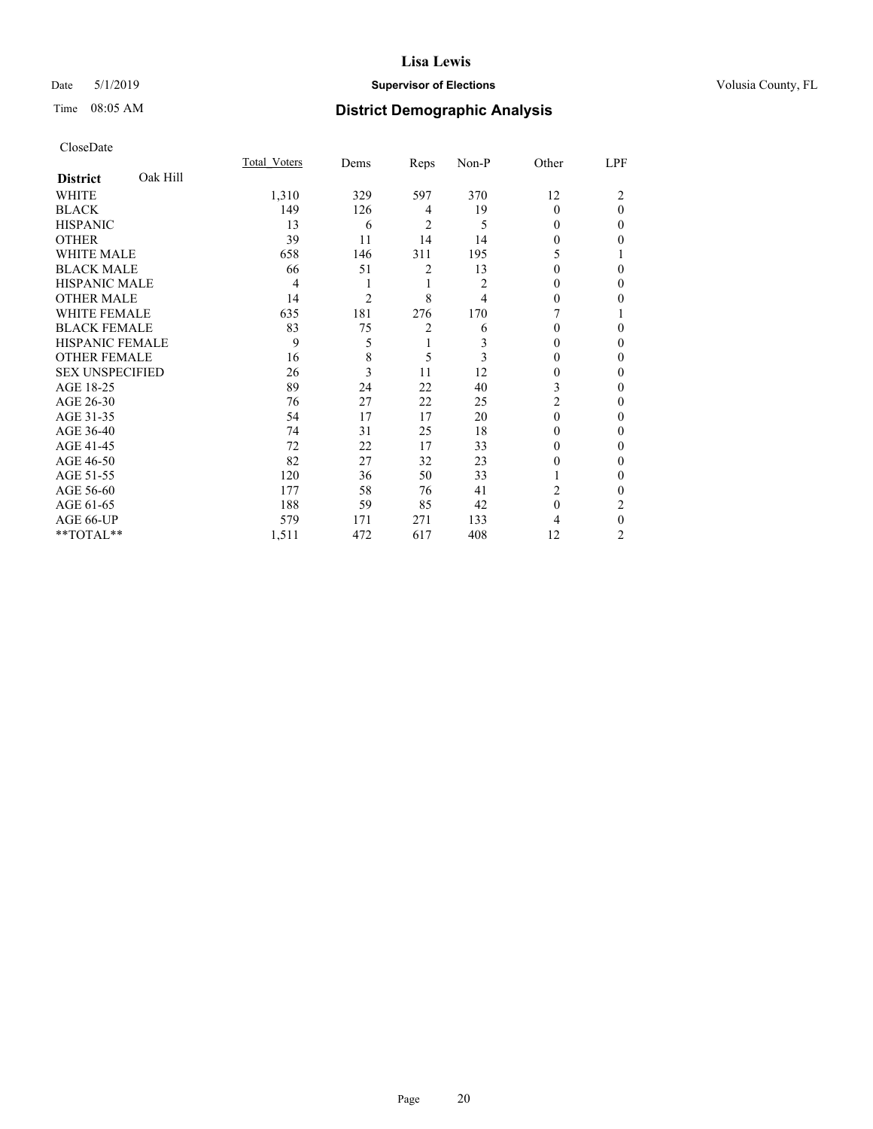## Date 5/1/2019 **Supervisor of Elections Supervisor of Elections** Volusia County, FL

# Time 08:05 AM **District Demographic Analysis**

|                        |          | Total Voters | Dems           | Reps           | Non-P | Other    | LPF |
|------------------------|----------|--------------|----------------|----------------|-------|----------|-----|
| <b>District</b>        | Oak Hill |              |                |                |       |          |     |
| WHITE                  |          | 1,310        | 329            | 597            | 370   | 12       | 2   |
| <b>BLACK</b>           |          | 149          | 126            | 4              | 19    | $\Omega$ | 0   |
| <b>HISPANIC</b>        |          | 13           | 6              | $\overline{c}$ | 5     | 0        | 0   |
| <b>OTHER</b>           |          | 39           | 11             | 14             | 14    | 0        | 0   |
| WHITE MALE             |          | 658          | 146            | 311            | 195   | 5        |     |
| <b>BLACK MALE</b>      |          | 66           | 51             | 2              | 13    | 0        | 0   |
| <b>HISPANIC MALE</b>   |          | 4            |                | 1              | 2     | 0        | 0   |
| <b>OTHER MALE</b>      |          | 14           | $\overline{c}$ | 8              | 4     | 0        | 0   |
| WHITE FEMALE           |          | 635          | 181            | 276            | 170   |          |     |
| <b>BLACK FEMALE</b>    |          | 83           | 75             | 2              | 6     | 0        | 0   |
| <b>HISPANIC FEMALE</b> |          | 9            | 5              | 1              | 3     | 0        | 0   |
| <b>OTHER FEMALE</b>    |          | 16           | 8              | 5              | 3     | 0        | 0   |
| <b>SEX UNSPECIFIED</b> |          | 26           | 3              | 11             | 12    | 0        | 0   |
| AGE 18-25              |          | 89           | 24             | 22             | 40    | 3        | 0   |
| AGE 26-30              |          | 76           | 27             | 22             | 25    | 2        | 0   |
| AGE 31-35              |          | 54           | 17             | 17             | 20    | 0        | 0   |
| AGE 36-40              |          | 74           | 31             | 25             | 18    | 0        | 0   |
| AGE 41-45              |          | 72           | 22             | 17             | 33    | 0        | 0   |
| AGE 46-50              |          | 82           | 27             | 32             | 23    | 0        | 0   |
| AGE 51-55              |          | 120          | 36             | 50             | 33    |          | 0   |
| AGE 56-60              |          | 177          | 58             | 76             | 41    | 2        | 0   |
| AGE 61-65              |          | 188          | 59             | 85             | 42    | 0        | 2   |
| AGE 66-UP              |          | 579          | 171            | 271            | 133   | 4        | 0   |
| **TOTAL**              |          | 1,511        | 472            | 617            | 408   | 12       | 2   |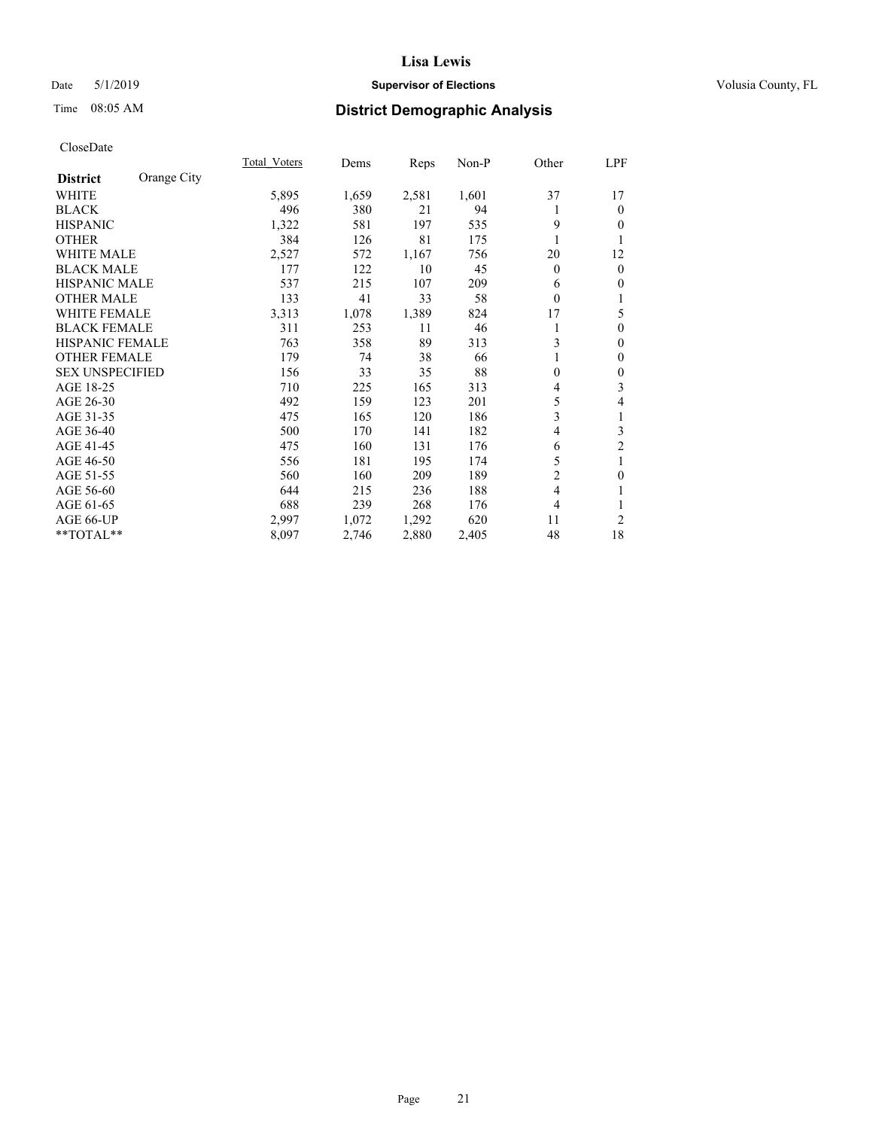## Date 5/1/2019 **Supervisor of Elections Supervisor of Elections** Volusia County, FL

# Time 08:05 AM **District Demographic Analysis**

|                        |             | Total Voters | Dems  | Reps  | Non-P | Other          | <u>LPF</u>     |
|------------------------|-------------|--------------|-------|-------|-------|----------------|----------------|
| <b>District</b>        | Orange City |              |       |       |       |                |                |
| WHITE                  |             | 5,895        | 1,659 | 2,581 | 1,601 | 37             | 17             |
| <b>BLACK</b>           |             | 496          | 380   | 21    | 94    |                | $\mathbf{0}$   |
| <b>HISPANIC</b>        |             | 1,322        | 581   | 197   | 535   | 9              | $\theta$       |
| <b>OTHER</b>           |             | 384          | 126   | 81    | 175   |                | 1              |
| <b>WHITE MALE</b>      |             | 2,527        | 572   | 1,167 | 756   | 20             | 12             |
| <b>BLACK MALE</b>      |             | 177          | 122   | 10    | 45    | $\theta$       | $\mathbf{0}$   |
| <b>HISPANIC MALE</b>   |             | 537          | 215   | 107   | 209   | 6              | $\mathbf{0}$   |
| <b>OTHER MALE</b>      |             | 133          | 41    | 33    | 58    | $\mathbf{0}$   | 1              |
| <b>WHITE FEMALE</b>    |             | 3,313        | 1,078 | 1,389 | 824   | 17             | 5              |
| <b>BLACK FEMALE</b>    |             | 311          | 253   | 11    | 46    |                | $\mathbf{0}$   |
| <b>HISPANIC FEMALE</b> |             | 763          | 358   | 89    | 313   | 3              | $\theta$       |
| <b>OTHER FEMALE</b>    |             | 179          | 74    | 38    | 66    |                | $\mathbf{0}$   |
| <b>SEX UNSPECIFIED</b> |             | 156          | 33    | 35    | 88    | 0              | $\mathbf{0}$   |
| AGE 18-25              |             | 710          | 225   | 165   | 313   | 4              | 3              |
| AGE 26-30              |             | 492          | 159   | 123   | 201   | 5              | 4              |
| AGE 31-35              |             | 475          | 165   | 120   | 186   | 3              | 1              |
| AGE 36-40              |             | 500          | 170   | 141   | 182   | 4              | 3              |
| AGE 41-45              |             | 475          | 160   | 131   | 176   | 6              | $\overline{c}$ |
| AGE 46-50              |             | 556          | 181   | 195   | 174   | 5              | 1              |
| AGE 51-55              |             | 560          | 160   | 209   | 189   | $\overline{2}$ | $\mathbf{0}$   |
| AGE 56-60              |             | 644          | 215   | 236   | 188   | 4              | 1              |
| AGE 61-65              |             | 688          | 239   | 268   | 176   | 4              | 1              |
| AGE 66-UP              |             | 2,997        | 1,072 | 1,292 | 620   | 11             | $\overline{c}$ |
| **TOTAL**              |             | 8,097        | 2,746 | 2,880 | 2,405 | 48             | 18             |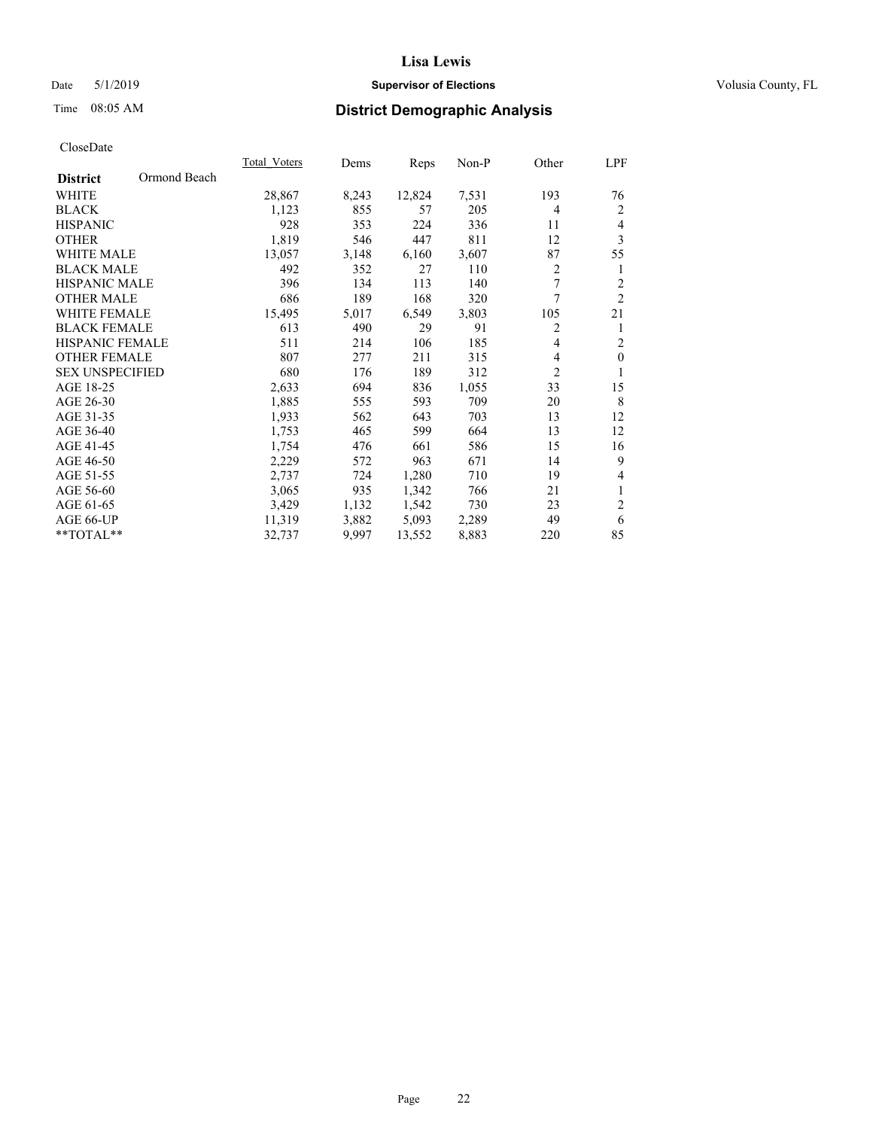## Date 5/1/2019 **Supervisor of Elections Supervisor of Elections** Volusia County, FL

# Time 08:05 AM **District Demographic Analysis**

|                        |              | Total Voters | Dems  | Reps   | Non-P | Other | LPF            |
|------------------------|--------------|--------------|-------|--------|-------|-------|----------------|
| <b>District</b>        | Ormond Beach |              |       |        |       |       |                |
| <b>WHITE</b>           |              | 28,867       | 8,243 | 12,824 | 7,531 | 193   | 76             |
| <b>BLACK</b>           |              | 1,123        | 855   | 57     | 205   | 4     | 2              |
| <b>HISPANIC</b>        |              | 928          | 353   | 224    | 336   | 11    | $\overline{4}$ |
| <b>OTHER</b>           |              | 1,819        | 546   | 447    | 811   | 12    | 3              |
| <b>WHITE MALE</b>      |              | 13,057       | 3,148 | 6,160  | 3,607 | 87    | 55             |
| <b>BLACK MALE</b>      |              | 492          | 352   | 27     | 110   | 2     | 1              |
| <b>HISPANIC MALE</b>   |              | 396          | 134   | 113    | 140   | 7     | $\overline{c}$ |
| <b>OTHER MALE</b>      |              | 686          | 189   | 168    | 320   | 7     | $\overline{2}$ |
| WHITE FEMALE           |              | 15,495       | 5,017 | 6,549  | 3,803 | 105   | 21             |
| <b>BLACK FEMALE</b>    |              | 613          | 490   | 29     | 91    | 2     | 1              |
| <b>HISPANIC FEMALE</b> |              | 511          | 214   | 106    | 185   | 4     | $\overline{c}$ |
| <b>OTHER FEMALE</b>    |              | 807          | 277   | 211    | 315   | 4     | $\mathbf{0}$   |
| <b>SEX UNSPECIFIED</b> |              | 680          | 176   | 189    | 312   | 2     | 1              |
| AGE 18-25              |              | 2,633        | 694   | 836    | 1,055 | 33    | 15             |
| AGE 26-30              |              | 1,885        | 555   | 593    | 709   | 20    | 8              |
| AGE 31-35              |              | 1,933        | 562   | 643    | 703   | 13    | 12             |
| AGE 36-40              |              | 1,753        | 465   | 599    | 664   | 13    | 12             |
| AGE 41-45              |              | 1,754        | 476   | 661    | 586   | 15    | 16             |
| AGE 46-50              |              | 2,229        | 572   | 963    | 671   | 14    | 9              |
| AGE 51-55              |              | 2,737        | 724   | 1,280  | 710   | 19    | 4              |
| AGE 56-60              |              | 3,065        | 935   | 1,342  | 766   | 21    | 1              |
| AGE 61-65              |              | 3,429        | 1,132 | 1,542  | 730   | 23    | $\overline{c}$ |
| AGE 66-UP              |              | 11,319       | 3,882 | 5,093  | 2,289 | 49    | 6              |
| **TOTAL**              |              | 32,737       | 9,997 | 13,552 | 8,883 | 220   | 85             |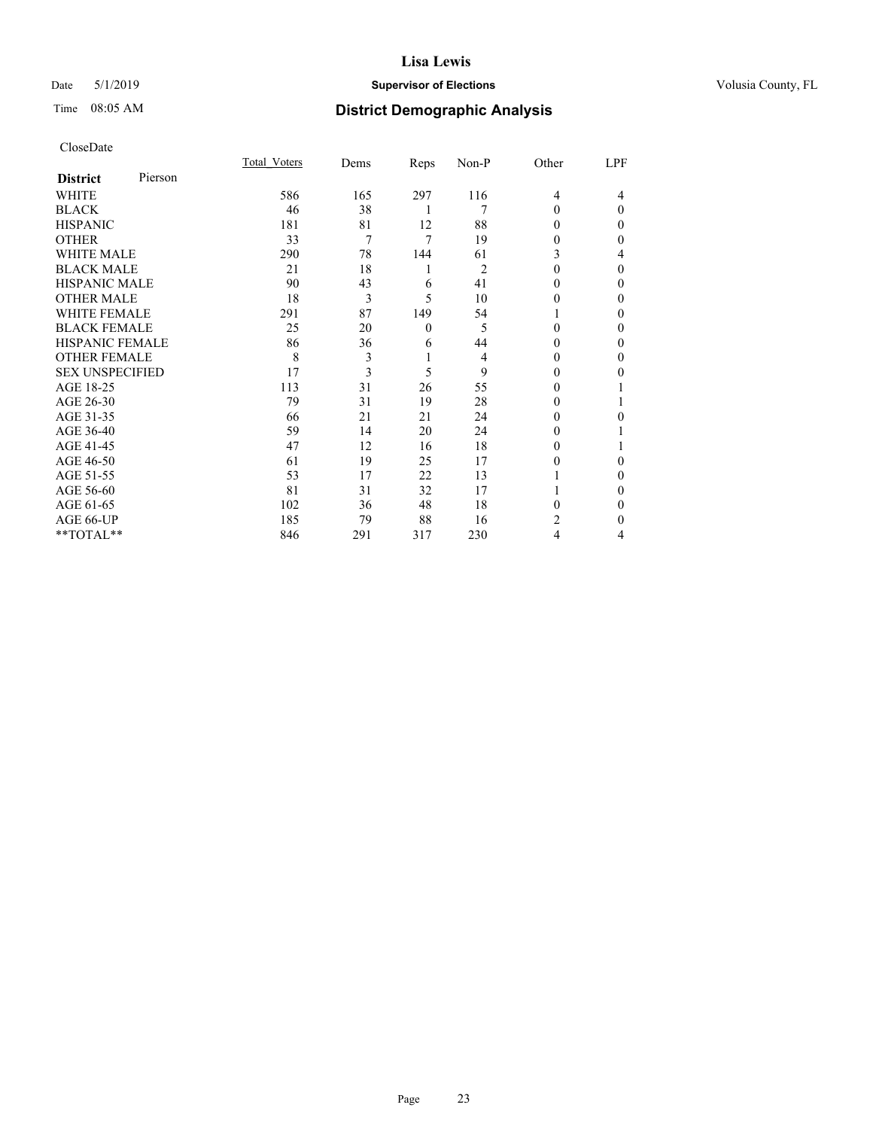## Date 5/1/2019 **Supervisor of Elections Supervisor of Elections** Volusia County, FL

# Time 08:05 AM **District Demographic Analysis**

|                        |         | Total Voters | Dems | Reps         | Non-P | Other          | LPF      |
|------------------------|---------|--------------|------|--------------|-------|----------------|----------|
| <b>District</b>        | Pierson |              |      |              |       |                |          |
| WHITE                  |         | 586          | 165  | 297          | 116   | $\overline{4}$ | 4        |
| <b>BLACK</b>           |         | 46           | 38   | 1            | 7     | $\Omega$       | $\Omega$ |
| <b>HISPANIC</b>        |         | 181          | 81   | 12           | 88    | 0              | 0        |
| <b>OTHER</b>           |         | 33           | 7    | 7            | 19    | 0              | 0        |
| <b>WHITE MALE</b>      |         | 290          | 78   | 144          | 61    | 3              | 4        |
| <b>BLACK MALE</b>      |         | 21           | 18   | 1            | 2     | 0              | 0        |
| <b>HISPANIC MALE</b>   |         | 90           | 43   | 6            | 41    | 0              | 0        |
| <b>OTHER MALE</b>      |         | 18           | 3    | 5            | 10    | $_{0}$         | 0        |
| WHITE FEMALE           |         | 291          | 87   | 149          | 54    |                | 0        |
| <b>BLACK FEMALE</b>    |         | 25           | 20   | $\mathbf{0}$ | 5     | $\Omega$       | 0        |
| <b>HISPANIC FEMALE</b> |         | 86           | 36   | 6            | 44    | 0              | 0        |
| <b>OTHER FEMALE</b>    |         | 8            | 3    | 1            | 4     | 0              | 0        |
| <b>SEX UNSPECIFIED</b> |         | 17           | 3    | 5            | 9     | 0              | 0        |
| AGE 18-25              |         | 113          | 31   | 26           | 55    | $_{0}$         |          |
| AGE 26-30              |         | 79           | 31   | 19           | 28    | 0              |          |
| AGE 31-35              |         | 66           | 21   | 21           | 24    | $_{0}$         | 0        |
| AGE 36-40              |         | 59           | 14   | 20           | 24    | 0              |          |
| AGE 41-45              |         | 47           | 12   | 16           | 18    | 0              |          |
| AGE 46-50              |         | 61           | 19   | 25           | 17    | 0              | 0        |
| AGE 51-55              |         | 53           | 17   | 22           | 13    |                | 0        |
| AGE 56-60              |         | 81           | 31   | 32           | 17    |                | 0        |
| AGE 61-65              |         | 102          | 36   | 48           | 18    | 0              | 0        |
| AGE 66-UP              |         | 185          | 79   | 88           | 16    | 2              | 0        |
| **TOTAL**              |         | 846          | 291  | 317          | 230   | 4              | 4        |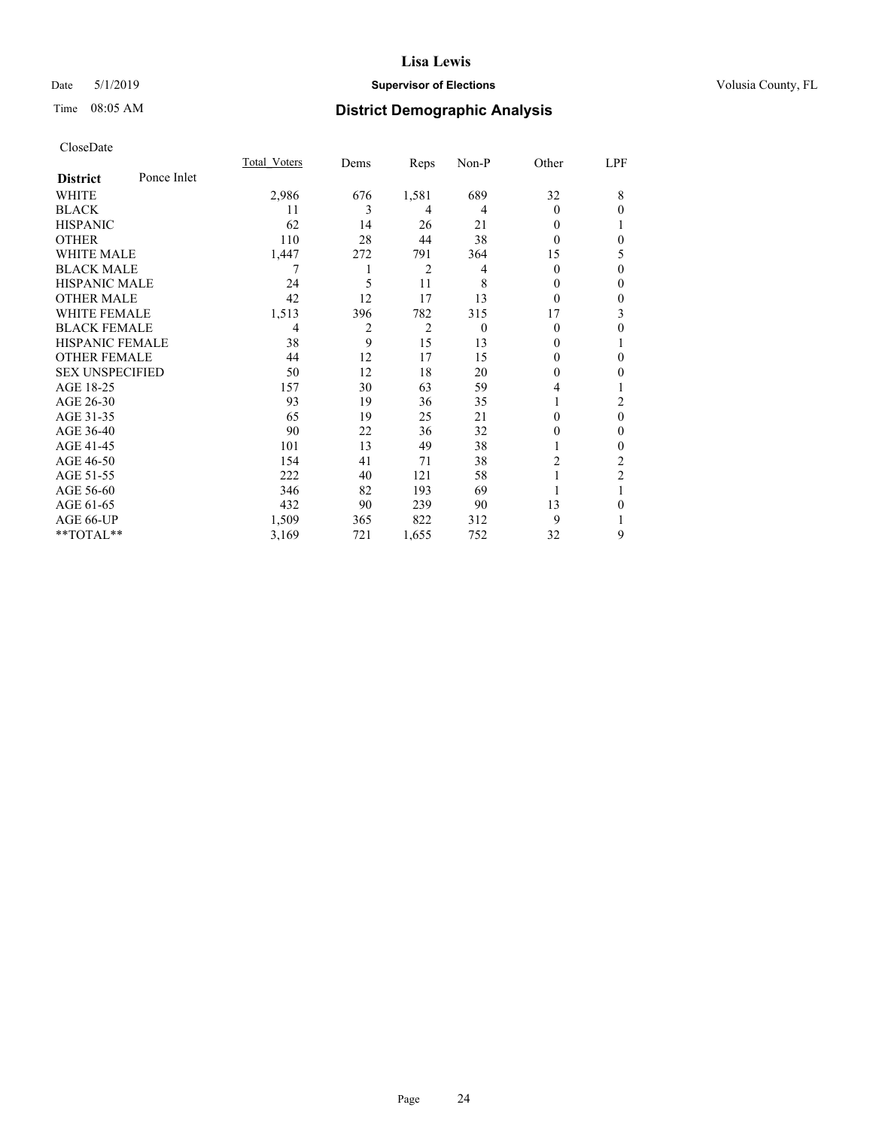## Date 5/1/2019 **Supervisor of Elections Supervisor of Elections** Volusia County, FL

# Time 08:05 AM **District Demographic Analysis**

|                        |             | Total Voters | Dems           | Reps           | Non-P    | Other    | LPF            |
|------------------------|-------------|--------------|----------------|----------------|----------|----------|----------------|
| <b>District</b>        | Ponce Inlet |              |                |                |          |          |                |
| WHITE                  |             | 2,986        | 676            | 1,581          | 689      | 32       | 8              |
| <b>BLACK</b>           |             | 11           | 3              | 4              | 4        | $\Omega$ | $\theta$       |
| <b>HISPANIC</b>        |             | 62           | 14             | 26             | 21       | $\theta$ | T              |
| <b>OTHER</b>           |             | 110          | 28             | 44             | 38       | 0        | $\theta$       |
| WHITE MALE             |             | 1,447        | 272            | 791            | 364      | 15       | 5              |
| <b>BLACK MALE</b>      |             | 7            |                | 2              | 4        | $\Omega$ | $\theta$       |
| <b>HISPANIC MALE</b>   |             | 24           | 5              | 11             | 8        | $_{0}$   | $\theta$       |
| <b>OTHER MALE</b>      |             | 42           | 12             | 17             | 13       | $\theta$ | $\mathbf{0}$   |
| <b>WHITE FEMALE</b>    |             | 1,513        | 396            | 782            | 315      | 17       | 3              |
| <b>BLACK FEMALE</b>    |             | 4            | $\overline{2}$ | $\overline{2}$ | $\theta$ | $\theta$ | $\theta$       |
| <b>HISPANIC FEMALE</b> |             | 38           | 9              | 15             | 13       | 0        | 1              |
| <b>OTHER FEMALE</b>    |             | 44           | 12             | 17             | 15       | 0        | $\theta$       |
| <b>SEX UNSPECIFIED</b> |             | 50           | 12             | 18             | 20       | 0        | $\mathbf{0}$   |
| AGE 18-25              |             | 157          | 30             | 63             | 59       | 4        | 1              |
| AGE 26-30              |             | 93           | 19             | 36             | 35       |          | 2              |
| AGE 31-35              |             | 65           | 19             | 25             | 21       | 0        | $\theta$       |
| AGE 36-40              |             | 90           | 22             | 36             | 32       | 0        | $\mathbf{0}$   |
| AGE 41-45              |             | 101          | 13             | 49             | 38       |          | $\theta$       |
| AGE 46-50              |             | 154          | 41             | 71             | 38       | 2        | 2              |
| AGE 51-55              |             | 222          | 40             | 121            | 58       |          | $\overline{2}$ |
| AGE 56-60              |             | 346          | 82             | 193            | 69       |          |                |
| AGE 61-65              |             | 432          | 90             | 239            | 90       | 13       | $\theta$       |
| AGE 66-UP              |             | 1,509        | 365            | 822            | 312      | 9        |                |
| **TOTAL**              |             | 3,169        | 721            | 1,655          | 752      | 32       | 9              |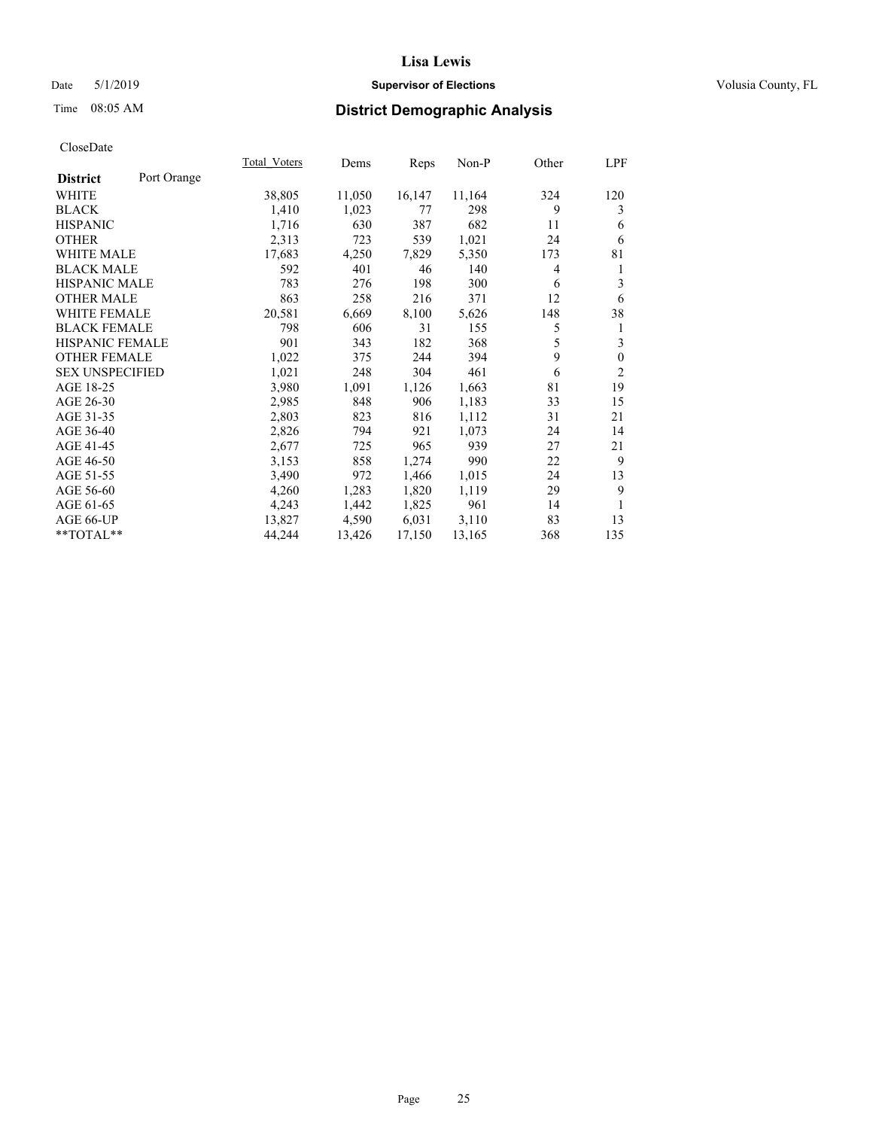## Date 5/1/2019 **Supervisor of Elections Supervisor of Elections** Volusia County, FL

# Time 08:05 AM **District Demographic Analysis**

|                        |             | Total Voters | Dems   | Reps   | Non-P  | Other | LPF            |
|------------------------|-------------|--------------|--------|--------|--------|-------|----------------|
| <b>District</b>        | Port Orange |              |        |        |        |       |                |
| WHITE                  |             | 38,805       | 11,050 | 16,147 | 11,164 | 324   | 120            |
| <b>BLACK</b>           |             | 1,410        | 1,023  | 77     | 298    | 9     | 3              |
| <b>HISPANIC</b>        |             | 1,716        | 630    | 387    | 682    | 11    | 6              |
| <b>OTHER</b>           |             | 2,313        | 723    | 539    | 1,021  | 24    | 6              |
| <b>WHITE MALE</b>      |             | 17,683       | 4,250  | 7,829  | 5,350  | 173   | 81             |
| <b>BLACK MALE</b>      |             | 592          | 401    | 46     | 140    | 4     | 1              |
| <b>HISPANIC MALE</b>   |             | 783          | 276    | 198    | 300    | 6     | 3              |
| <b>OTHER MALE</b>      |             | 863          | 258    | 216    | 371    | 12    | 6              |
| <b>WHITE FEMALE</b>    |             | 20,581       | 6,669  | 8,100  | 5,626  | 148   | 38             |
| <b>BLACK FEMALE</b>    |             | 798          | 606    | 31     | 155    | 5     | 1              |
| HISPANIC FEMALE        |             | 901          | 343    | 182    | 368    | 5     | 3              |
| <b>OTHER FEMALE</b>    |             | 1,022        | 375    | 244    | 394    | 9     | $\mathbf{0}$   |
| <b>SEX UNSPECIFIED</b> |             | 1,021        | 248    | 304    | 461    | 6     | $\mathfrak{2}$ |
| AGE 18-25              |             | 3,980        | 1,091  | 1,126  | 1,663  | 81    | 19             |
| AGE 26-30              |             | 2,985        | 848    | 906    | 1,183  | 33    | 15             |
| AGE 31-35              |             | 2,803        | 823    | 816    | 1,112  | 31    | 21             |
| AGE 36-40              |             | 2,826        | 794    | 921    | 1,073  | 24    | 14             |
| AGE 41-45              |             | 2,677        | 725    | 965    | 939    | 27    | 21             |
| AGE 46-50              |             | 3,153        | 858    | 1,274  | 990    | 22    | 9              |
| AGE 51-55              |             | 3,490        | 972    | 1,466  | 1,015  | 24    | 13             |
| AGE 56-60              |             | 4,260        | 1,283  | 1,820  | 1,119  | 29    | 9              |
| AGE 61-65              |             | 4,243        | 1,442  | 1,825  | 961    | 14    |                |
| AGE 66-UP              |             | 13,827       | 4,590  | 6,031  | 3,110  | 83    | 13             |
| **TOTAL**              |             | 44,244       | 13,426 | 17,150 | 13,165 | 368   | 135            |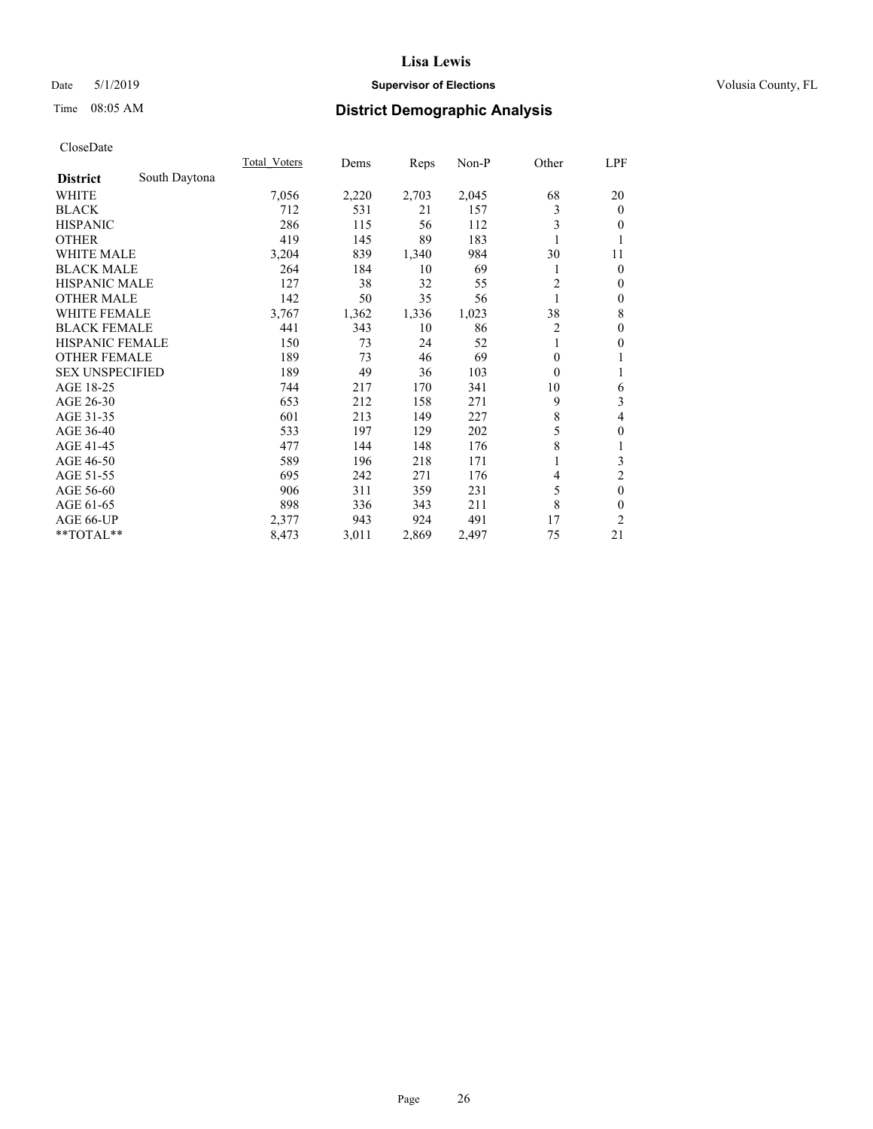## Date 5/1/2019 **Supervisor of Elections Supervisor of Elections** Volusia County, FL

# Time 08:05 AM **District Demographic Analysis**

|                        |               | Total Voters | Dems  | Reps  | Non-P | Other          | LPF              |
|------------------------|---------------|--------------|-------|-------|-------|----------------|------------------|
| <b>District</b>        | South Daytona |              |       |       |       |                |                  |
| WHITE                  |               | 7,056        | 2,220 | 2,703 | 2,045 | 68             | 20               |
| <b>BLACK</b>           |               | 712          | 531   | 21    | 157   | 3              | $\mathbf{0}$     |
| <b>HISPANIC</b>        |               | 286          | 115   | 56    | 112   | 3              | $\overline{0}$   |
| <b>OTHER</b>           |               | 419          | 145   | 89    | 183   |                | 1                |
| WHITE MALE             |               | 3,204        | 839   | 1,340 | 984   | 30             | 11               |
| <b>BLACK MALE</b>      |               | 264          | 184   | 10    | 69    | 1              | $\theta$         |
| <b>HISPANIC MALE</b>   |               | 127          | 38    | 32    | 55    | $\overline{2}$ | $\mathbf{0}$     |
| <b>OTHER MALE</b>      |               | 142          | 50    | 35    | 56    | 1              | $\boldsymbol{0}$ |
| <b>WHITE FEMALE</b>    |               | 3,767        | 1,362 | 1,336 | 1,023 | 38             | 8                |
| <b>BLACK FEMALE</b>    |               | 441          | 343   | 10    | 86    | 2              | $\theta$         |
| <b>HISPANIC FEMALE</b> |               | 150          | 73    | 24    | 52    |                | $\theta$         |
| <b>OTHER FEMALE</b>    |               | 189          | 73    | 46    | 69    | $\Omega$       | 1                |
| <b>SEX UNSPECIFIED</b> |               | 189          | 49    | 36    | 103   | $\theta$       | 1                |
| AGE 18-25              |               | 744          | 217   | 170   | 341   | 10             | 6                |
| AGE 26-30              |               | 653          | 212   | 158   | 271   | 9              | 3                |
| AGE 31-35              |               | 601          | 213   | 149   | 227   | 8              | 4                |
| AGE 36-40              |               | 533          | 197   | 129   | 202   | 5              | $\theta$         |
| AGE 41-45              |               | 477          | 144   | 148   | 176   | 8              | 1                |
| AGE 46-50              |               | 589          | 196   | 218   | 171   |                | 3                |
| AGE 51-55              |               | 695          | 242   | 271   | 176   | 4              | $\overline{c}$   |
| AGE 56-60              |               | 906          | 311   | 359   | 231   | 5              | $\mathbf{0}$     |
| AGE 61-65              |               | 898          | 336   | 343   | 211   | 8              | $\theta$         |
| AGE 66-UP              |               | 2,377        | 943   | 924   | 491   | 17             | 2                |
| **TOTAL**              |               | 8,473        | 3,011 | 2,869 | 2,497 | 75             | 21               |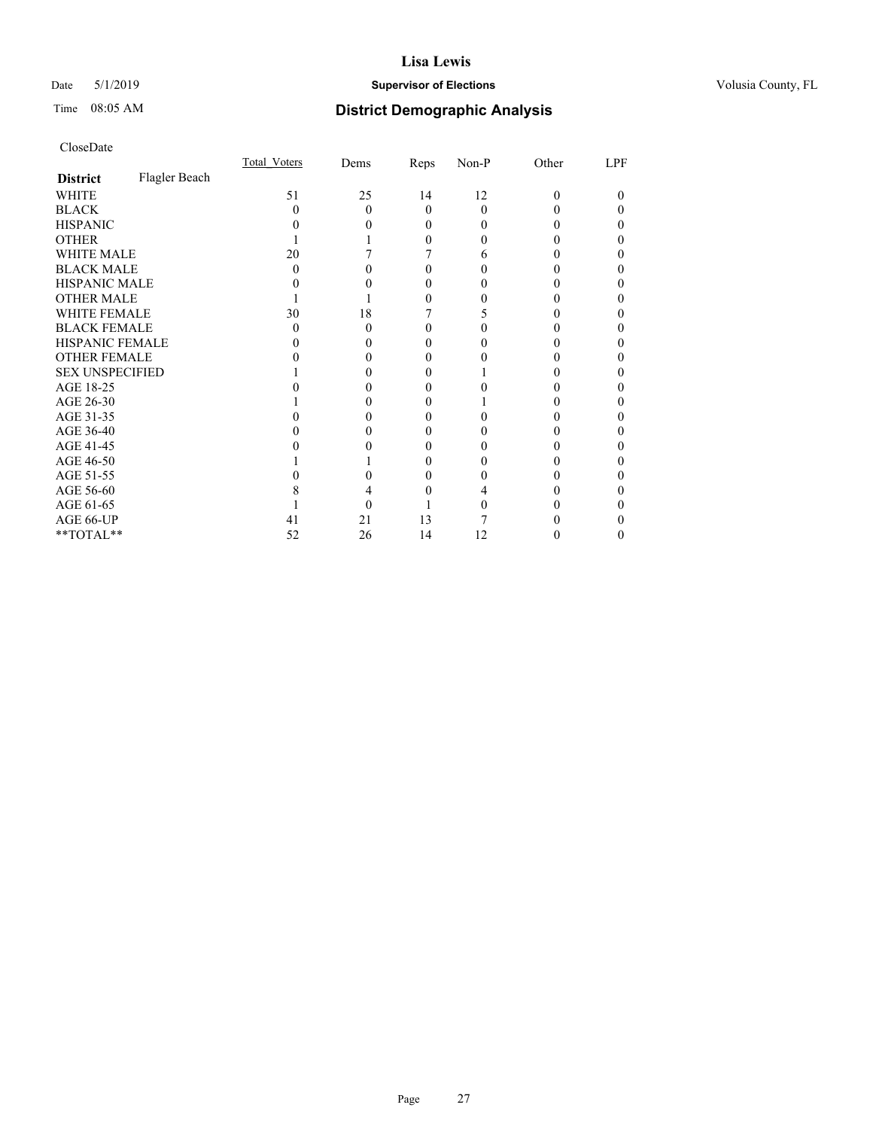## Date 5/1/2019 **Supervisor of Elections Supervisor of Elections** Volusia County, FL

# Time 08:05 AM **District Demographic Analysis**

|                        |               | Total Voters | Dems | Reps     | Non-P | Other | LPF |
|------------------------|---------------|--------------|------|----------|-------|-------|-----|
| <b>District</b>        | Flagler Beach |              |      |          |       |       |     |
| WHITE                  |               | 51           | 25   | 14       | 12    | 0     | 0   |
| <b>BLACK</b>           |               | 0            | 0    | 0        | 0     |       |     |
| <b>HISPANIC</b>        |               |              |      | $\theta$ | 0     |       |     |
| <b>OTHER</b>           |               |              |      | 0        |       |       |     |
| WHITE MALE             |               | 20           |      |          | h     |       |     |
| <b>BLACK MALE</b>      |               | 0            |      |          |       |       |     |
| <b>HISPANIC MALE</b>   |               |              |      |          |       |       |     |
| <b>OTHER MALE</b>      |               |              |      |          |       |       |     |
| WHITE FEMALE           |               | 30           | 18   |          |       |       |     |
| <b>BLACK FEMALE</b>    |               | 0            | 0    |          |       |       |     |
| <b>HISPANIC FEMALE</b> |               |              |      |          |       |       |     |
| <b>OTHER FEMALE</b>    |               |              |      |          |       |       |     |
| <b>SEX UNSPECIFIED</b> |               |              |      |          |       |       |     |
| AGE 18-25              |               |              |      |          |       |       |     |
| AGE 26-30              |               |              |      |          |       |       |     |
| AGE 31-35              |               |              |      |          |       |       |     |
| AGE 36-40              |               |              |      |          |       |       |     |
| AGE 41-45              |               |              |      |          |       |       |     |
| AGE 46-50              |               |              |      | 0        |       |       |     |
| AGE 51-55              |               |              |      |          |       |       |     |
| AGE 56-60              |               |              |      |          |       |       |     |
| AGE 61-65              |               |              |      |          |       |       |     |
| AGE 66-UP              |               | 41           | 21   | 13       |       |       |     |
| **TOTAL**              |               | 52           | 26   | 14       | 12    |       |     |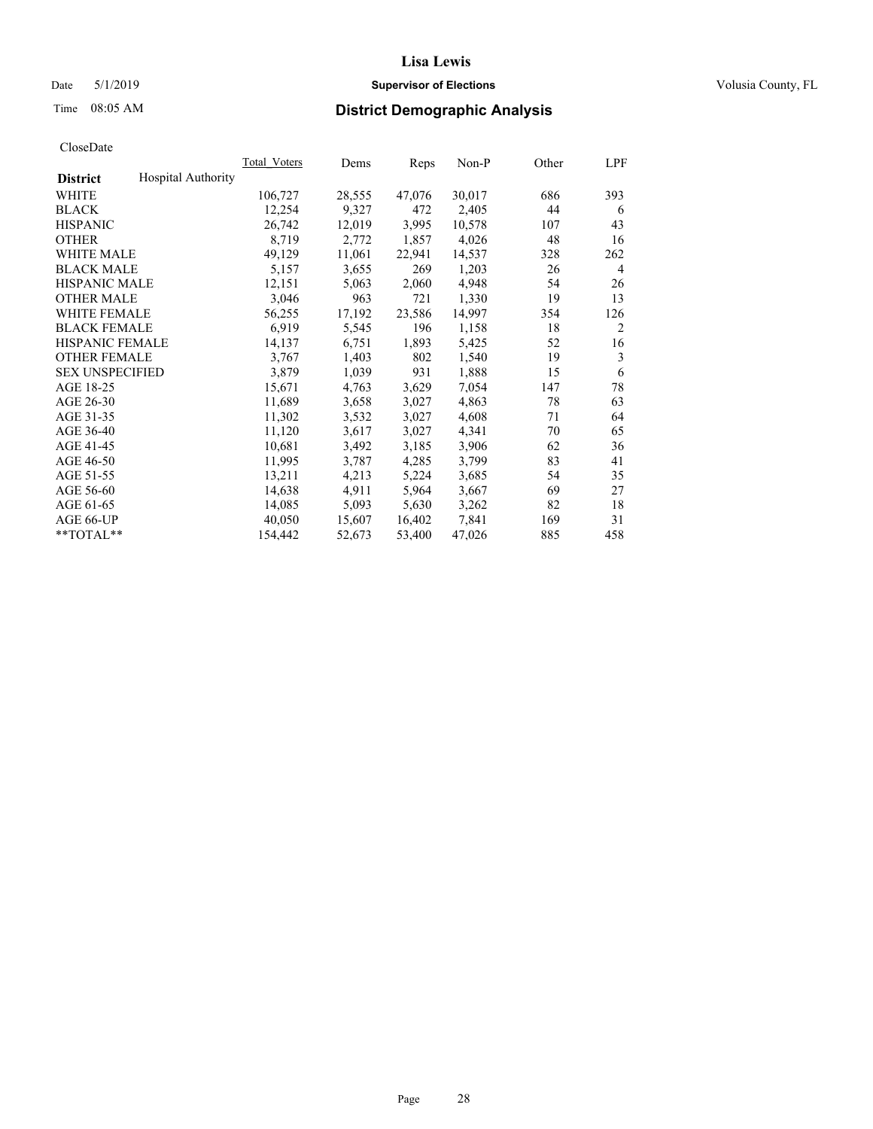## Date 5/1/2019 **Supervisor of Elections Supervisor of Elections** Volusia County, FL

# Time 08:05 AM **District Demographic Analysis**

|                        |                           | Total Voters | Dems   | Reps   | Non-P  | Other | LPF            |
|------------------------|---------------------------|--------------|--------|--------|--------|-------|----------------|
| <b>District</b>        | <b>Hospital Authority</b> |              |        |        |        |       |                |
| WHITE                  |                           | 106,727      | 28,555 | 47,076 | 30,017 | 686   | 393            |
| <b>BLACK</b>           |                           | 12,254       | 9,327  | 472    | 2,405  | 44    | 6              |
| <b>HISPANIC</b>        |                           | 26,742       | 12,019 | 3,995  | 10,578 | 107   | 43             |
| <b>OTHER</b>           |                           | 8,719        | 2,772  | 1,857  | 4,026  | 48    | 16             |
| WHITE MALE             |                           | 49,129       | 11,061 | 22,941 | 14,537 | 328   | 262            |
| <b>BLACK MALE</b>      |                           | 5,157        | 3,655  | 269    | 1,203  | 26    | 4              |
| <b>HISPANIC MALE</b>   |                           | 12,151       | 5,063  | 2,060  | 4,948  | 54    | 26             |
| <b>OTHER MALE</b>      |                           | 3,046        | 963    | 721    | 1,330  | 19    | 13             |
| <b>WHITE FEMALE</b>    |                           | 56,255       | 17,192 | 23,586 | 14,997 | 354   | 126            |
| <b>BLACK FEMALE</b>    |                           | 6,919        | 5,545  | 196    | 1,158  | 18    | $\overline{c}$ |
| <b>HISPANIC FEMALE</b> |                           | 14,137       | 6,751  | 1,893  | 5,425  | 52    | 16             |
| <b>OTHER FEMALE</b>    |                           | 3,767        | 1,403  | 802    | 1,540  | 19    | 3              |
| <b>SEX UNSPECIFIED</b> |                           | 3,879        | 1,039  | 931    | 1,888  | 15    | 6              |
| AGE 18-25              |                           | 15,671       | 4,763  | 3,629  | 7,054  | 147   | 78             |
| AGE 26-30              |                           | 11,689       | 3,658  | 3,027  | 4,863  | 78    | 63             |
| AGE 31-35              |                           | 11,302       | 3,532  | 3,027  | 4,608  | 71    | 64             |
| AGE 36-40              |                           | 11,120       | 3,617  | 3,027  | 4,341  | 70    | 65             |
| AGE 41-45              |                           | 10,681       | 3,492  | 3,185  | 3,906  | 62    | 36             |
| AGE 46-50              |                           | 11,995       | 3,787  | 4,285  | 3,799  | 83    | 41             |
| AGE 51-55              |                           | 13,211       | 4,213  | 5,224  | 3,685  | 54    | 35             |
| AGE 56-60              |                           | 14,638       | 4,911  | 5,964  | 3,667  | 69    | 27             |
| AGE 61-65              |                           | 14,085       | 5,093  | 5,630  | 3,262  | 82    | 18             |
| AGE 66-UP              |                           | 40,050       | 15,607 | 16,402 | 7,841  | 169   | 31             |
| $*$ TOTAL $*$          |                           | 154,442      | 52,673 | 53,400 | 47,026 | 885   | 458            |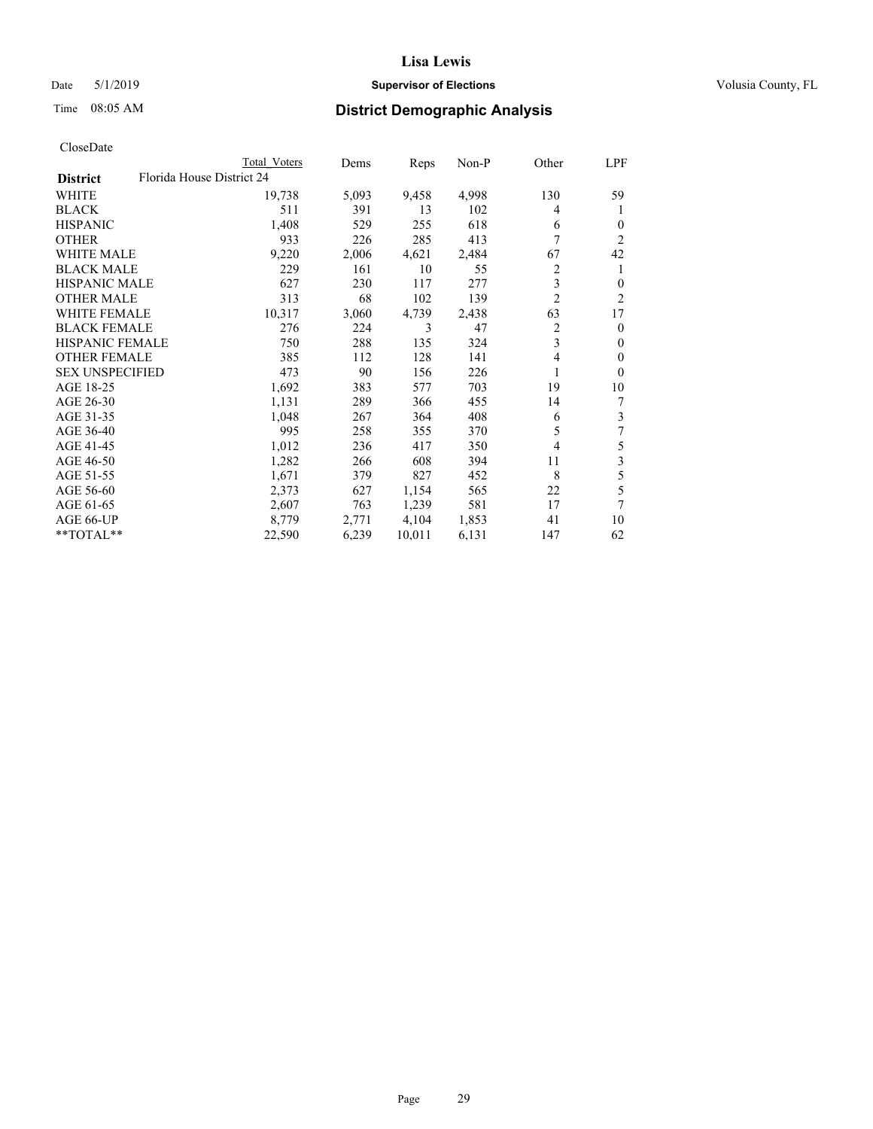## Date 5/1/2019 **Supervisor of Elections Supervisor of Elections** Volusia County, FL

| CloseDate |
|-----------|
|-----------|

|                        |                           | Total Voters | Dems  | Reps   | Non-P | Other          | LPF            |
|------------------------|---------------------------|--------------|-------|--------|-------|----------------|----------------|
| <b>District</b>        | Florida House District 24 |              |       |        |       |                |                |
| WHITE                  |                           | 19,738       | 5,093 | 9,458  | 4,998 | 130            | 59             |
| <b>BLACK</b>           |                           | 511          | 391   | 13     | 102   | 4              | 1              |
| <b>HISPANIC</b>        |                           | 1,408        | 529   | 255    | 618   | 6              | $\theta$       |
| <b>OTHER</b>           |                           | 933          | 226   | 285    | 413   | 7              | $\overline{2}$ |
| <b>WHITE MALE</b>      |                           | 9,220        | 2,006 | 4,621  | 2,484 | 67             | 42             |
| <b>BLACK MALE</b>      |                           | 229          | 161   | 10     | 55    | 2              | 1              |
| <b>HISPANIC MALE</b>   |                           | 627          | 230   | 117    | 277   | 3              | 0              |
| <b>OTHER MALE</b>      |                           | 313          | 68    | 102    | 139   | $\overline{2}$ | $\overline{c}$ |
| <b>WHITE FEMALE</b>    |                           | 10,317       | 3,060 | 4,739  | 2,438 | 63             | 17             |
| <b>BLACK FEMALE</b>    |                           | 276          | 224   | 3      | 47    | 2              | $\theta$       |
| <b>HISPANIC FEMALE</b> |                           | 750          | 288   | 135    | 324   | 3              | $\mathbf{0}$   |
| <b>OTHER FEMALE</b>    |                           | 385          | 112   | 128    | 141   | 4              | $\theta$       |
| <b>SEX UNSPECIFIED</b> |                           | 473          | 90    | 156    | 226   | 1              | $\theta$       |
| AGE 18-25              |                           | 1,692        | 383   | 577    | 703   | 19             | 10             |
| AGE 26-30              |                           | 1,131        | 289   | 366    | 455   | 14             | 7              |
| AGE 31-35              |                           | 1,048        | 267   | 364    | 408   | 6              | 3              |
| AGE 36-40              |                           | 995          | 258   | 355    | 370   | 5              | 7              |
| AGE 41-45              |                           | 1,012        | 236   | 417    | 350   | 4              | 5              |
| AGE 46-50              |                           | 1,282        | 266   | 608    | 394   | 11             | 3              |
| AGE 51-55              |                           | 1,671        | 379   | 827    | 452   | 8              | 5              |
| AGE 56-60              |                           | 2,373        | 627   | 1,154  | 565   | 22             | 5              |
| AGE 61-65              |                           | 2,607        | 763   | 1,239  | 581   | 17             | 7              |
| AGE 66-UP              |                           | 8,779        | 2,771 | 4,104  | 1,853 | 41             | 10             |
| **TOTAL**              |                           | 22,590       | 6,239 | 10,011 | 6,131 | 147            | 62             |
|                        |                           |              |       |        |       |                |                |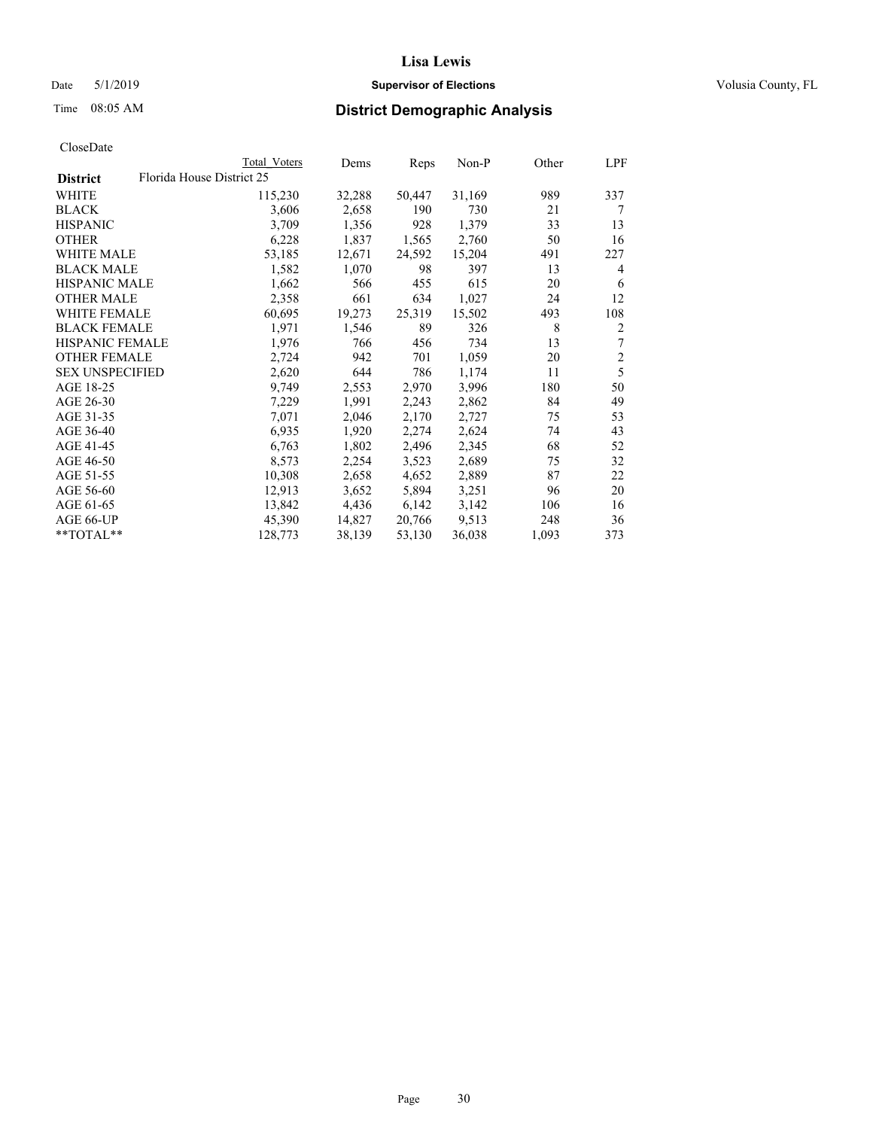### Date 5/1/2019 **Supervisor of Elections Supervisor of Elections** Volusia County, FL

# Time 08:05 AM **District Demographic Analysis**

|                        | Total Voters              | Dems   | Reps   | Non-P  | Other | LPF            |
|------------------------|---------------------------|--------|--------|--------|-------|----------------|
| <b>District</b>        | Florida House District 25 |        |        |        |       |                |
| WHITE                  | 115,230                   | 32,288 | 50,447 | 31,169 | 989   | 337            |
| <b>BLACK</b>           | 3,606                     | 2,658  | 190    | 730    | 21    | 7              |
| <b>HISPANIC</b>        | 3,709                     | 1,356  | 928    | 1,379  | 33    | 13             |
| <b>OTHER</b>           | 6,228                     | 1,837  | 1,565  | 2,760  | 50    | 16             |
| WHITE MALE             | 53,185                    | 12,671 | 24,592 | 15,204 | 491   | 227            |
| <b>BLACK MALE</b>      | 1,582                     | 1,070  | 98     | 397    | 13    | 4              |
| <b>HISPANIC MALE</b>   | 1,662                     | 566    | 455    | 615    | 20    | 6              |
| <b>OTHER MALE</b>      | 2,358                     | 661    | 634    | 1,027  | 24    | 12             |
| WHITE FEMALE           | 60,695                    | 19,273 | 25,319 | 15,502 | 493   | 108            |
| <b>BLACK FEMALE</b>    | 1,971                     | 1,546  | 89     | 326    | 8     | 2              |
| <b>HISPANIC FEMALE</b> | 1,976                     | 766    | 456    | 734    | 13    | 7              |
| <b>OTHER FEMALE</b>    | 2,724                     | 942    | 701    | 1,059  | 20    | $\overline{2}$ |
| <b>SEX UNSPECIFIED</b> | 2,620                     | 644    | 786    | 1,174  | 11    | 5              |
| AGE 18-25              | 9,749                     | 2,553  | 2,970  | 3,996  | 180   | 50             |
| AGE 26-30              | 7,229                     | 1,991  | 2,243  | 2,862  | 84    | 49             |
| AGE 31-35              | 7,071                     | 2,046  | 2,170  | 2,727  | 75    | 53             |
| AGE 36-40              | 6,935                     | 1,920  | 2,274  | 2,624  | 74    | 43             |
| AGE 41-45              | 6,763                     | 1,802  | 2,496  | 2,345  | 68    | 52             |
| AGE 46-50              | 8,573                     | 2,254  | 3,523  | 2,689  | 75    | 32             |
| AGE 51-55              | 10,308                    | 2,658  | 4,652  | 2,889  | 87    | 22             |
| AGE 56-60              | 12,913                    | 3,652  | 5,894  | 3,251  | 96    | 20             |
| AGE 61-65              | 13,842                    | 4,436  | 6,142  | 3,142  | 106   | 16             |
| AGE 66-UP              | 45,390                    | 14,827 | 20,766 | 9,513  | 248   | 36             |
| $*$ TOTAL $*$          | 128,773                   | 38,139 | 53,130 | 36,038 | 1,093 | 373            |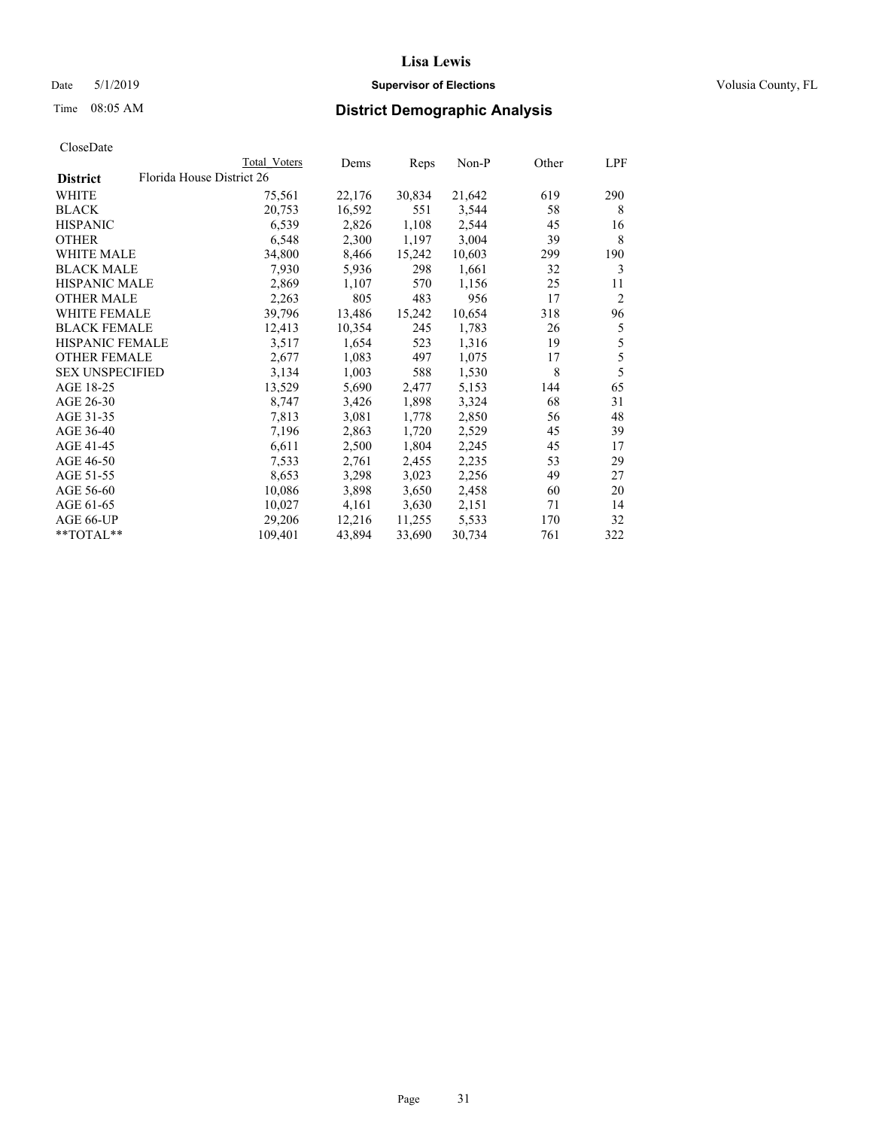## Date 5/1/2019 **Supervisor of Elections Supervisor of Elections** Volusia County, FL

| CloseDate |
|-----------|
|-----------|

|                     |                           | Total Voters | Dems   | Reps   | Non-P  | Other | LPF |
|---------------------|---------------------------|--------------|--------|--------|--------|-------|-----|
| <b>District</b>     | Florida House District 26 |              |        |        |        |       |     |
| WHITE               |                           | 75,561       | 22,176 | 30,834 | 21,642 | 619   | 290 |
| BLACK               |                           | 20,753       | 16,592 | 551    | 3,544  | 58    | 8   |
| HISPANIC            |                           | 6,539        | 2,826  | 1,108  | 2,544  | 45    | 16  |
| OTHER               |                           | 6,548        | 2,300  | 1,197  | 3,004  | 39    | 8   |
| WHITE MALE          |                           | 34,800       | 8,466  | 15,242 | 10,603 | 299   | 190 |
| BLACK MALE          |                           | 7,930        | 5,936  | 298    | 1,661  | 32    | 3   |
| HISPANIC MALE       |                           | 2,869        | 1,107  | 570    | 1,156  | 25    | 11  |
| OTHER MALE          |                           | 2,263        | 805    | 483    | 956    | 17    | 2   |
| WHITE FEMALE        |                           | 39,796       | 13,486 | 15,242 | 10,654 | 318   | 96  |
| <b>BLACK FEMALE</b> |                           | 12,413       | 10,354 | 245    | 1,783  | 26    | 5   |
| HISPANIC FEMALE     |                           | 3,517        | 1,654  | 523    | 1,316  | 19    | 5   |
| OTHER FEMALE        |                           | 2,677        | 1,083  | 497    | 1,075  | 17    | 5   |
| SEX UNSPECIFIED     |                           | 3,134        | 1,003  | 588    | 1,530  | 8     | 5   |
| AGE 18-25           |                           | 13,529       | 5,690  | 2,477  | 5,153  | 144   | 65  |
| AGE 26-30           |                           | 8,747        | 3,426  | 1,898  | 3,324  | 68    | 31  |
| AGE 31-35           |                           | 7,813        | 3,081  | 1,778  | 2,850  | 56    | 48  |
| AGE 36-40           |                           | 7,196        | 2,863  | 1,720  | 2,529  | 45    | 39  |
| AGE 41-45           |                           | 6,611        | 2,500  | 1,804  | 2,245  | 45    | 17  |
| AGE 46-50           |                           | 7,533        | 2,761  | 2,455  | 2,235  | 53    | 29  |
| AGE 51-55           |                           | 8,653        | 3,298  | 3,023  | 2,256  | 49    | 27  |
| AGE 56-60           |                           | 10,086       | 3,898  | 3,650  | 2,458  | 60    | 20  |
| AGE 61-65           |                           | 10,027       | 4,161  | 3,630  | 2,151  | 71    | 14  |
| AGE 66-UP           |                           | 29,206       | 12,216 | 11,255 | 5,533  | 170   | 32  |
| **TOTAL**           |                           | 109,401      | 43,894 | 33,690 | 30,734 | 761   | 322 |
|                     |                           |              |        |        |        |       |     |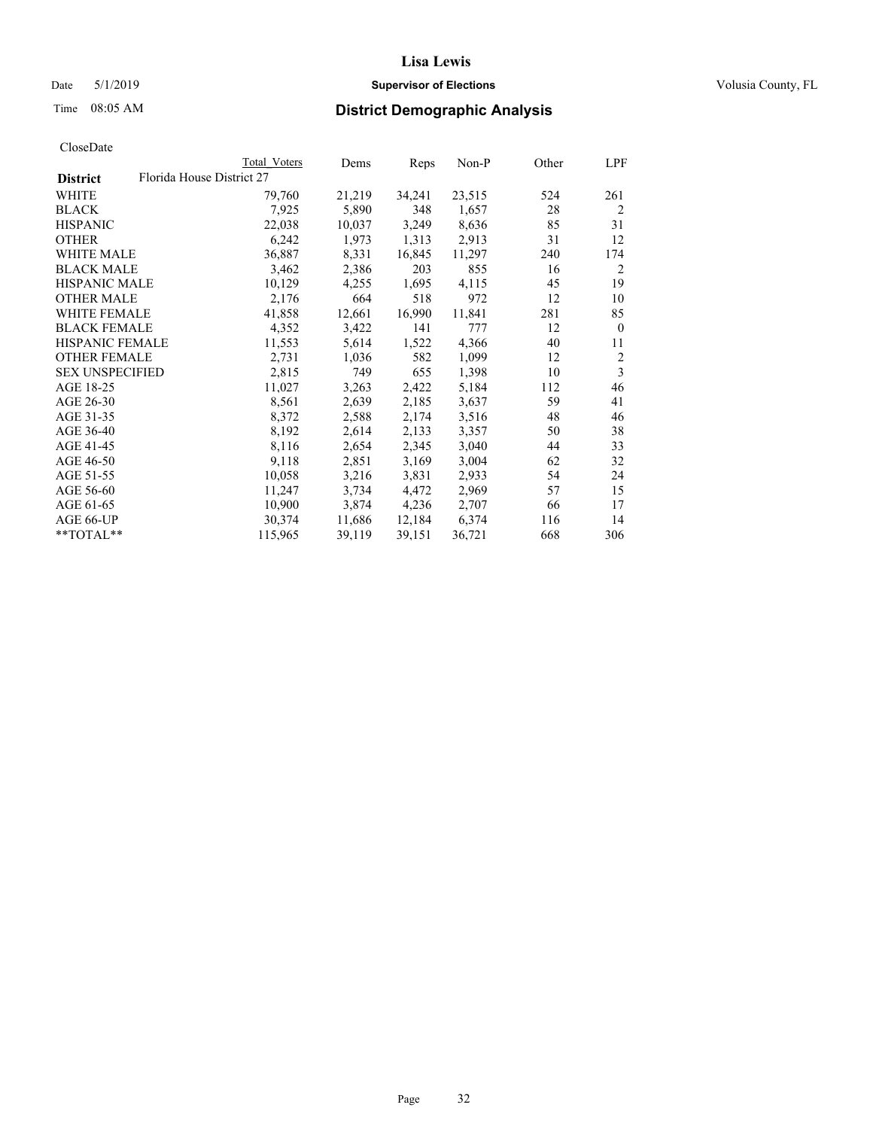## Date 5/1/2019 **Supervisor of Elections Supervisor of Elections** Volusia County, FL

|                        |                           | Total Voters | Dems   | Reps   | Non-P  | Other | LPF            |
|------------------------|---------------------------|--------------|--------|--------|--------|-------|----------------|
| <b>District</b>        | Florida House District 27 |              |        |        |        |       |                |
| WHITE                  |                           | 79,760       | 21,219 | 34,241 | 23,515 | 524   | 261            |
| BLACK                  |                           | 7,925        | 5,890  | 348    | 1,657  | 28    | $\overline{2}$ |
| <b>HISPANIC</b>        |                           | 22,038       | 10,037 | 3,249  | 8,636  | 85    | 31             |
| <b>OTHER</b>           |                           | 6,242        | 1,973  | 1,313  | 2,913  | 31    | 12             |
| WHITE MALE             |                           | 36,887       | 8,331  | 16,845 | 11,297 | 240   | 174            |
| BLACK MALE             |                           | 3,462        | 2,386  | 203    | 855    | 16    | 2              |
| <b>HISPANIC MALE</b>   |                           | 10,129       | 4,255  | 1,695  | 4,115  | 45    | 19             |
| OTHER MALE             |                           | 2,176        | 664    | 518    | 972    | 12    | 10             |
| <b>WHITE FEMALE</b>    |                           | 41,858       | 12,661 | 16,990 | 11,841 | 281   | 85             |
| <b>BLACK FEMALE</b>    |                           | 4,352        | 3,422  | 141    | 777    | 12    | $\theta$       |
| HISPANIC FEMALE        |                           | 11,553       | 5,614  | 1,522  | 4,366  | 40    | 11             |
| <b>OTHER FEMALE</b>    |                           | 2,731        | 1,036  | 582    | 1,099  | 12    | $\overline{2}$ |
| <b>SEX UNSPECIFIED</b> |                           | 2,815        | 749    | 655    | 1,398  | 10    | $\mathfrak{Z}$ |
| AGE 18-25              |                           | 11,027       | 3,263  | 2,422  | 5,184  | 112   | 46             |
| AGE 26-30              |                           | 8,561        | 2,639  | 2,185  | 3,637  | 59    | 41             |
| AGE 31-35              |                           | 8,372        | 2,588  | 2,174  | 3,516  | 48    | 46             |
| AGE 36-40              |                           | 8,192        | 2,614  | 2,133  | 3,357  | 50    | 38             |
| AGE 41-45              |                           | 8,116        | 2,654  | 2,345  | 3,040  | 44    | 33             |
| AGE 46-50              |                           | 9,118        | 2,851  | 3,169  | 3,004  | 62    | 32             |
| AGE 51-55              |                           | 10,058       | 3,216  | 3,831  | 2,933  | 54    | 24             |
| AGE 56-60              |                           | 11,247       | 3,734  | 4,472  | 2,969  | 57    | 15             |
| AGE 61-65              |                           | 10,900       | 3,874  | 4,236  | 2,707  | 66    | 17             |
| AGE 66-UP              |                           | 30,374       | 11,686 | 12,184 | 6,374  | 116   | 14             |
| **TOTAL**              |                           | 115,965      | 39,119 | 39,151 | 36,721 | 668   | 306            |
|                        |                           |              |        |        |        |       |                |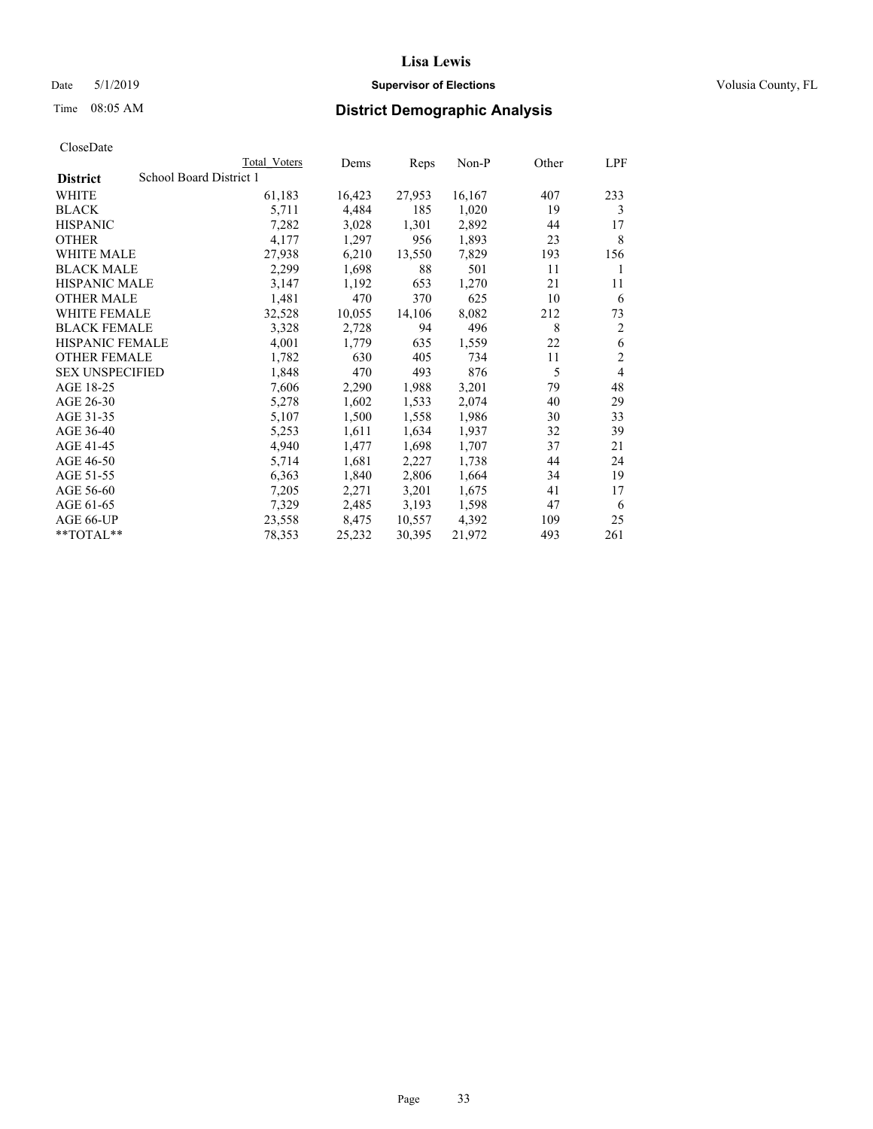### Date 5/1/2019 **Supervisor of Elections Supervisor of Elections** Volusia County, FL

# Time 08:05 AM **District Demographic Analysis**

|                        | Total Voters            | Dems   | Reps   | Non-P  | Other | LPF            |
|------------------------|-------------------------|--------|--------|--------|-------|----------------|
| <b>District</b>        | School Board District 1 |        |        |        |       |                |
| WHITE                  | 61,183                  | 16,423 | 27,953 | 16,167 | 407   | 233            |
| <b>BLACK</b>           | 5,711                   | 4,484  | 185    | 1,020  | 19    | 3              |
| <b>HISPANIC</b>        | 7,282                   | 3,028  | 1,301  | 2,892  | 44    | 17             |
| <b>OTHER</b>           | 4,177                   | 1,297  | 956    | 1,893  | 23    | 8              |
| WHITE MALE             | 27,938                  | 6,210  | 13,550 | 7,829  | 193   | 156            |
| <b>BLACK MALE</b>      | 2,299                   | 1,698  | 88     | 501    | 11    | 1              |
| <b>HISPANIC MALE</b>   | 3,147                   | 1,192  | 653    | 1,270  | 21    | 11             |
| <b>OTHER MALE</b>      | 1,481                   | 470    | 370    | 625    | 10    | 6              |
| WHITE FEMALE           | 32,528                  | 10,055 | 14,106 | 8,082  | 212   | 73             |
| <b>BLACK FEMALE</b>    | 3,328                   | 2,728  | 94     | 496    | 8     | $\overline{2}$ |
| <b>HISPANIC FEMALE</b> | 4,001                   | 1,779  | 635    | 1,559  | 22    | 6              |
| <b>OTHER FEMALE</b>    | 1,782                   | 630    | 405    | 734    | 11    | $\mathfrak{2}$ |
| <b>SEX UNSPECIFIED</b> | 1,848                   | 470    | 493    | 876    | 5     | 4              |
| AGE 18-25              | 7,606                   | 2,290  | 1,988  | 3,201  | 79    | 48             |
| AGE 26-30              | 5,278                   | 1,602  | 1,533  | 2,074  | 40    | 29             |
| AGE 31-35              | 5,107                   | 1,500  | 1,558  | 1,986  | 30    | 33             |
| AGE 36-40              | 5,253                   | 1,611  | 1,634  | 1,937  | 32    | 39             |
| AGE 41-45              | 4,940                   | 1,477  | 1,698  | 1,707  | 37    | 21             |
| AGE 46-50              | 5,714                   | 1,681  | 2,227  | 1,738  | 44    | 24             |
| AGE 51-55              | 6,363                   | 1,840  | 2,806  | 1,664  | 34    | 19             |
| AGE 56-60              | 7,205                   | 2,271  | 3,201  | 1,675  | 41    | 17             |
| AGE 61-65              | 7,329                   | 2,485  | 3,193  | 1,598  | 47    | 6              |
| AGE 66-UP              | 23,558                  | 8,475  | 10,557 | 4,392  | 109   | 25             |
| $*$ $TOTAL**$          | 78,353                  | 25,232 | 30,395 | 21,972 | 493   | 261            |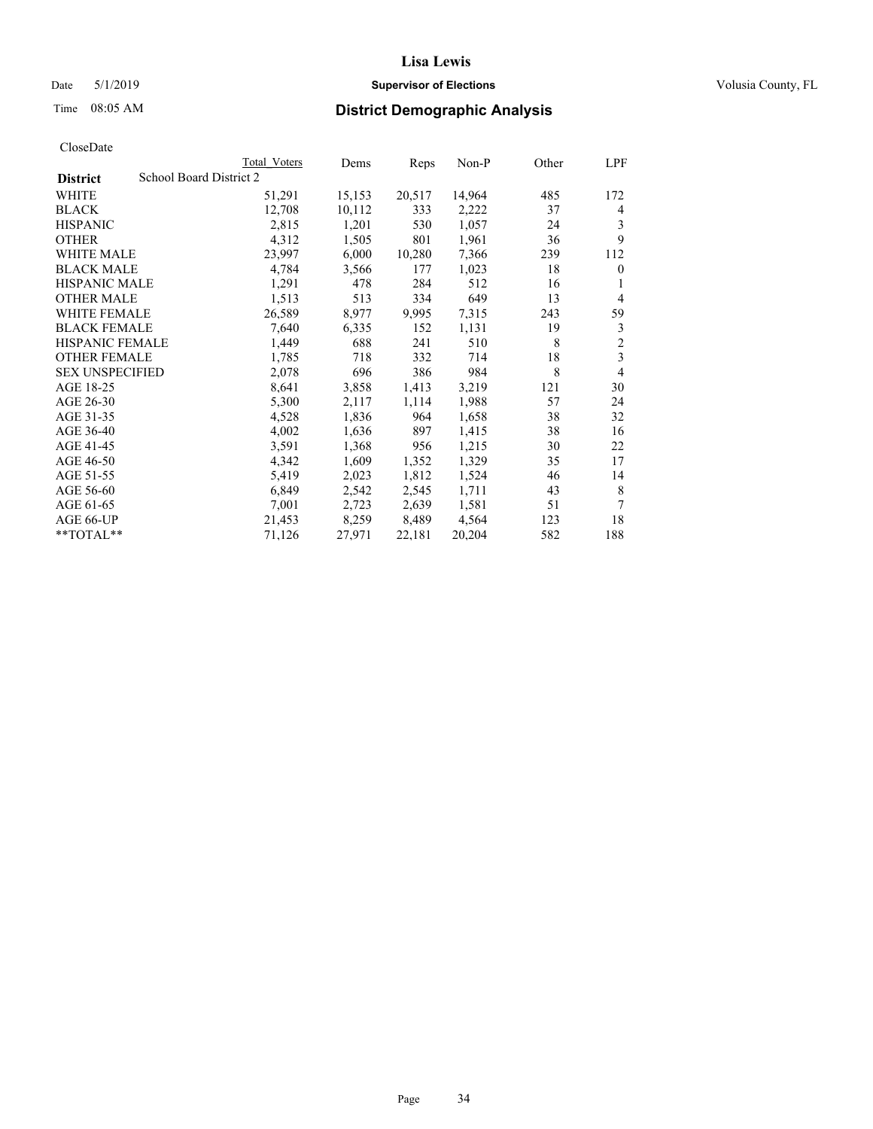## Date 5/1/2019 **Supervisor of Elections Supervisor of Elections** Volusia County, FL

# Time 08:05 AM **District Demographic Analysis**

|                        | Total Voters            | Dems   | Reps   | Non-P  | Other | LPF            |
|------------------------|-------------------------|--------|--------|--------|-------|----------------|
| <b>District</b>        | School Board District 2 |        |        |        |       |                |
| WHITE                  | 51,291                  | 15,153 | 20,517 | 14,964 | 485   | 172            |
| <b>BLACK</b>           | 12,708                  | 10,112 | 333    | 2,222  | 37    | 4              |
| <b>HISPANIC</b>        | 2,815                   | 1,201  | 530    | 1,057  | 24    | 3              |
| <b>OTHER</b>           | 4,312                   | 1,505  | 801    | 1,961  | 36    | 9              |
| WHITE MALE             | 23,997                  | 6,000  | 10,280 | 7,366  | 239   | 112            |
| <b>BLACK MALE</b>      | 4,784                   | 3,566  | 177    | 1,023  | 18    | $\mathbf{0}$   |
| <b>HISPANIC MALE</b>   | 1,291                   | 478    | 284    | 512    | 16    | 1              |
| <b>OTHER MALE</b>      | 1,513                   | 513    | 334    | 649    | 13    | 4              |
| WHITE FEMALE           | 26,589                  | 8,977  | 9,995  | 7,315  | 243   | 59             |
| <b>BLACK FEMALE</b>    | 7,640                   | 6,335  | 152    | 1,131  | 19    | 3              |
| <b>HISPANIC FEMALE</b> | 1,449                   | 688    | 241    | 510    | 8     | $\overline{c}$ |
| <b>OTHER FEMALE</b>    | 1,785                   | 718    | 332    | 714    | 18    | 3              |
| <b>SEX UNSPECIFIED</b> | 2,078                   | 696    | 386    | 984    | 8     | 4              |
| AGE 18-25              | 8,641                   | 3,858  | 1,413  | 3,219  | 121   | 30             |
| AGE 26-30              | 5,300                   | 2,117  | 1,114  | 1,988  | 57    | 24             |
| AGE 31-35              | 4,528                   | 1,836  | 964    | 1,658  | 38    | 32             |
| AGE 36-40              | 4,002                   | 1,636  | 897    | 1,415  | 38    | 16             |
| AGE 41-45              | 3,591                   | 1,368  | 956    | 1,215  | 30    | 22             |
| AGE 46-50              | 4,342                   | 1,609  | 1,352  | 1,329  | 35    | 17             |
| AGE 51-55              | 5,419                   | 2,023  | 1,812  | 1,524  | 46    | 14             |
| AGE 56-60              | 6,849                   | 2,542  | 2,545  | 1,711  | 43    | 8              |
| AGE 61-65              | 7,001                   | 2,723  | 2,639  | 1,581  | 51    | 7              |
| AGE 66-UP              | 21,453                  | 8,259  | 8,489  | 4,564  | 123   | 18             |
| **TOTAL**              | 71,126                  | 27,971 | 22,181 | 20,204 | 582   | 188            |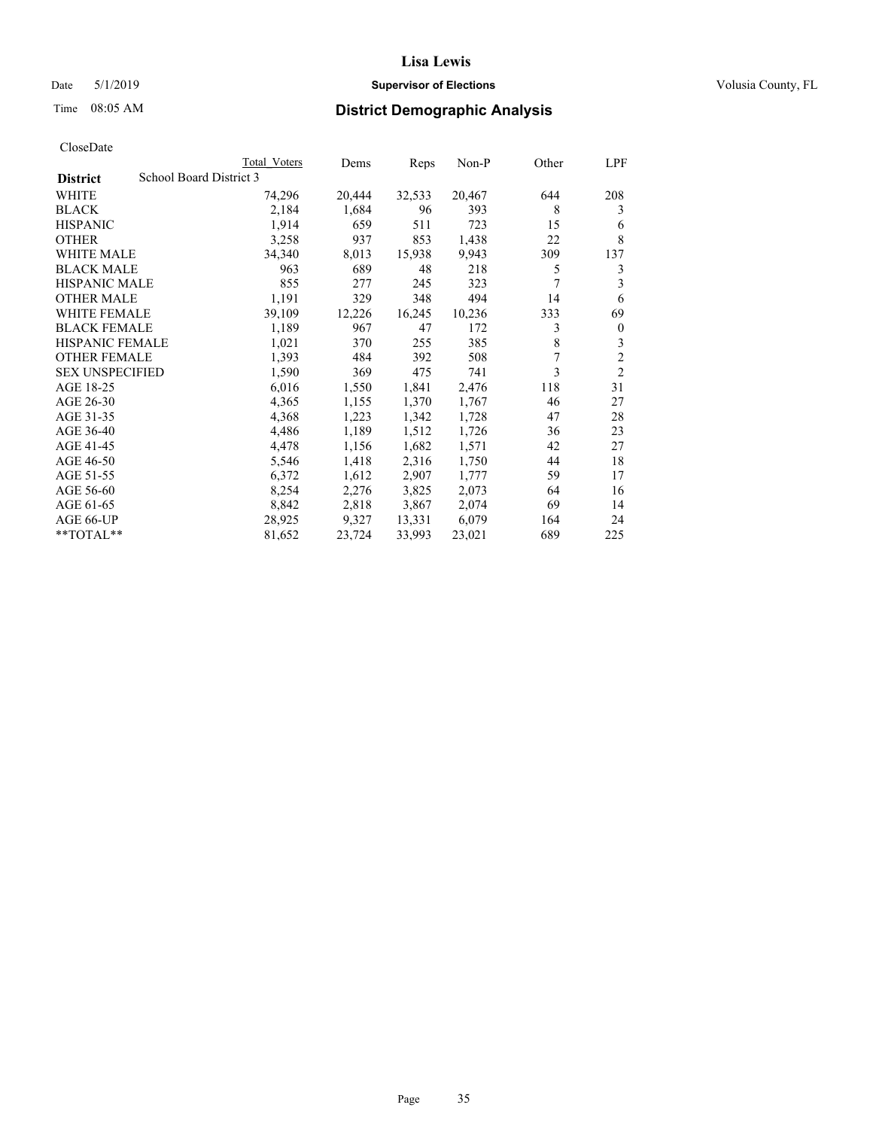## Date 5/1/2019 **Supervisor of Elections Supervisor of Elections** Volusia County, FL

# Time 08:05 AM **District Demographic Analysis**

|                        |                         | Total Voters | Dems   | Reps   | Non-P  | Other | LPF            |
|------------------------|-------------------------|--------------|--------|--------|--------|-------|----------------|
| <b>District</b>        | School Board District 3 |              |        |        |        |       |                |
| WHITE                  |                         | 74,296       | 20,444 | 32,533 | 20,467 | 644   | 208            |
| <b>BLACK</b>           |                         | 2,184        | 1,684  | 96     | 393    | 8     | 3              |
| <b>HISPANIC</b>        |                         | 1,914        | 659    | 511    | 723    | 15    | 6              |
| <b>OTHER</b>           |                         | 3,258        | 937    | 853    | 1,438  | 22    | 8              |
| WHITE MALE             |                         | 34,340       | 8,013  | 15,938 | 9,943  | 309   | 137            |
| <b>BLACK MALE</b>      |                         | 963          | 689    | 48     | 218    | 5     | 3              |
| <b>HISPANIC MALE</b>   |                         | 855          | 277    | 245    | 323    | 7     | 3              |
| <b>OTHER MALE</b>      |                         | 1,191        | 329    | 348    | 494    | 14    | 6              |
| WHITE FEMALE           |                         | 39,109       | 12,226 | 16,245 | 10,236 | 333   | 69             |
| <b>BLACK FEMALE</b>    |                         | 1,189        | 967    | 47     | 172    | 3     | $\mathbf{0}$   |
| <b>HISPANIC FEMALE</b> |                         | 1,021        | 370    | 255    | 385    | 8     | 3              |
| <b>OTHER FEMALE</b>    |                         | 1,393        | 484    | 392    | 508    | 7     | $\overline{c}$ |
| <b>SEX UNSPECIFIED</b> |                         | 1,590        | 369    | 475    | 741    | 3     | $\overline{2}$ |
| AGE 18-25              |                         | 6,016        | 1,550  | 1,841  | 2,476  | 118   | 31             |
| AGE 26-30              |                         | 4,365        | 1,155  | 1,370  | 1,767  | 46    | 27             |
| AGE 31-35              |                         | 4,368        | 1,223  | 1,342  | 1,728  | 47    | 28             |
| AGE 36-40              |                         | 4,486        | 1,189  | 1,512  | 1,726  | 36    | 23             |
| AGE 41-45              |                         | 4,478        | 1,156  | 1,682  | 1,571  | 42    | 27             |
| AGE 46-50              |                         | 5,546        | 1,418  | 2,316  | 1,750  | 44    | 18             |
| AGE 51-55              |                         | 6,372        | 1,612  | 2,907  | 1,777  | 59    | 17             |
| AGE 56-60              |                         | 8,254        | 2,276  | 3,825  | 2,073  | 64    | 16             |
| AGE 61-65              |                         | 8,842        | 2,818  | 3,867  | 2,074  | 69    | 14             |
| AGE 66-UP              |                         | 28,925       | 9,327  | 13,331 | 6,079  | 164   | 24             |
| $*$ $TOTAL**$          |                         | 81,652       | 23,724 | 33,993 | 23,021 | 689   | 225            |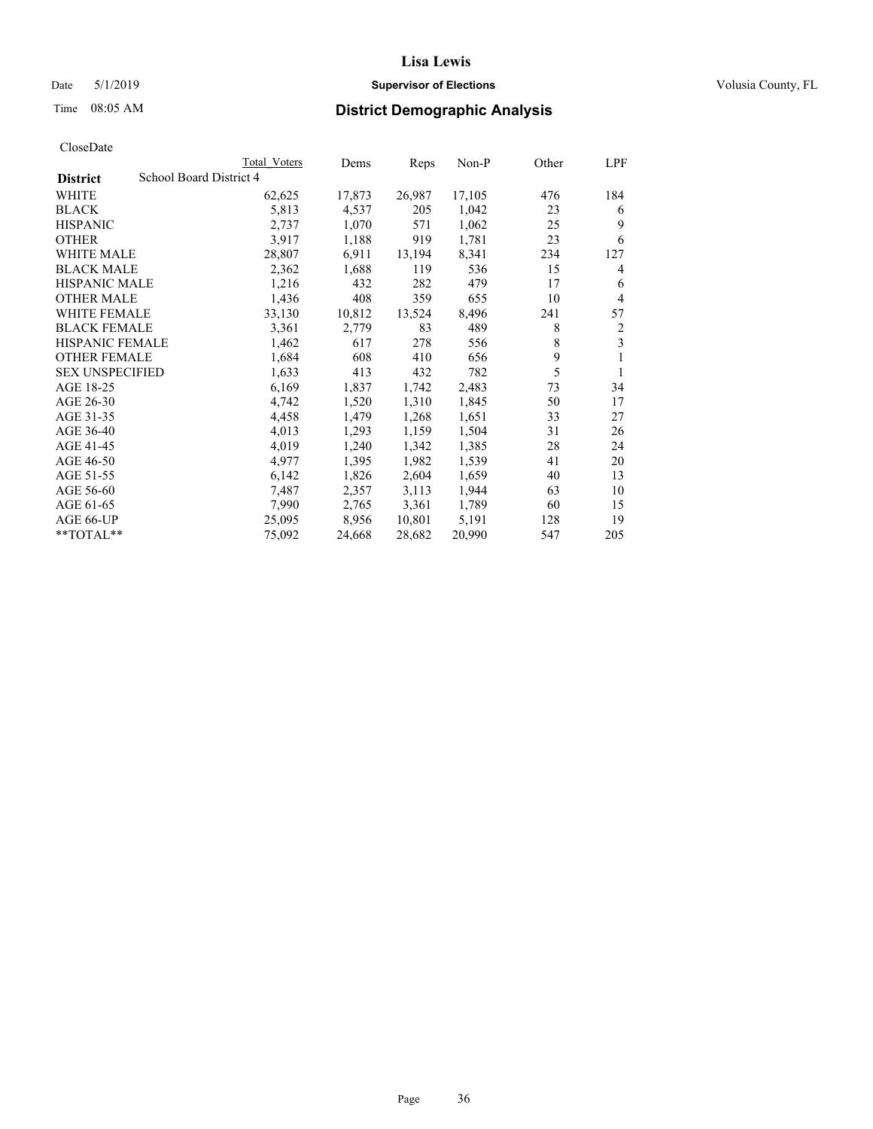## Date 5/1/2019 **Supervisor of Elections Supervisor of Elections** Volusia County, FL

# Time 08:05 AM **District Demographic Analysis**

|                        |                         | Total Voters | Dems   | Reps   | Non-P  | Other | LPF |
|------------------------|-------------------------|--------------|--------|--------|--------|-------|-----|
| <b>District</b>        | School Board District 4 |              |        |        |        |       |     |
| WHITE                  |                         | 62,625       | 17,873 | 26,987 | 17,105 | 476   | 184 |
| <b>BLACK</b>           |                         | 5,813        | 4,537  | 205    | 1,042  | 23    | 6   |
| <b>HISPANIC</b>        |                         | 2,737        | 1,070  | 571    | 1,062  | 25    | 9   |
| <b>OTHER</b>           |                         | 3,917        | 1,188  | 919    | 1,781  | 23    | 6   |
| WHITE MALE             |                         | 28,807       | 6,911  | 13,194 | 8,341  | 234   | 127 |
| <b>BLACK MALE</b>      |                         | 2,362        | 1,688  | 119    | 536    | 15    | 4   |
| <b>HISPANIC MALE</b>   |                         | 1,216        | 432    | 282    | 479    | 17    | 6   |
| <b>OTHER MALE</b>      |                         | 1,436        | 408    | 359    | 655    | 10    | 4   |
| <b>WHITE FEMALE</b>    |                         | 33,130       | 10,812 | 13,524 | 8,496  | 241   | 57  |
| <b>BLACK FEMALE</b>    |                         | 3,361        | 2,779  | 83     | 489    | 8     | 2   |
| <b>HISPANIC FEMALE</b> |                         | 1,462        | 617    | 278    | 556    | 8     | 3   |
| <b>OTHER FEMALE</b>    |                         | 1,684        | 608    | 410    | 656    | 9     | 1   |
| <b>SEX UNSPECIFIED</b> |                         | 1,633        | 413    | 432    | 782    | 5     | 1   |
| AGE 18-25              |                         | 6,169        | 1,837  | 1,742  | 2,483  | 73    | 34  |
| AGE 26-30              |                         | 4,742        | 1,520  | 1,310  | 1,845  | 50    | 17  |
| AGE 31-35              |                         | 4,458        | 1,479  | 1,268  | 1,651  | 33    | 27  |
| AGE 36-40              |                         | 4,013        | 1,293  | 1,159  | 1,504  | 31    | 26  |
| AGE 41-45              |                         | 4,019        | 1,240  | 1,342  | 1,385  | 28    | 24  |
| AGE 46-50              |                         | 4,977        | 1,395  | 1,982  | 1,539  | 41    | 20  |
| AGE 51-55              |                         | 6,142        | 1,826  | 2,604  | 1,659  | 40    | 13  |
| AGE 56-60              |                         | 7,487        | 2,357  | 3,113  | 1,944  | 63    | 10  |
| AGE 61-65              |                         | 7,990        | 2,765  | 3,361  | 1,789  | 60    | 15  |
| AGE 66-UP              |                         | 25,095       | 8,956  | 10,801 | 5,191  | 128   | 19  |
| $*$ $TOTAL**$          |                         | 75,092       | 24,668 | 28,682 | 20,990 | 547   | 205 |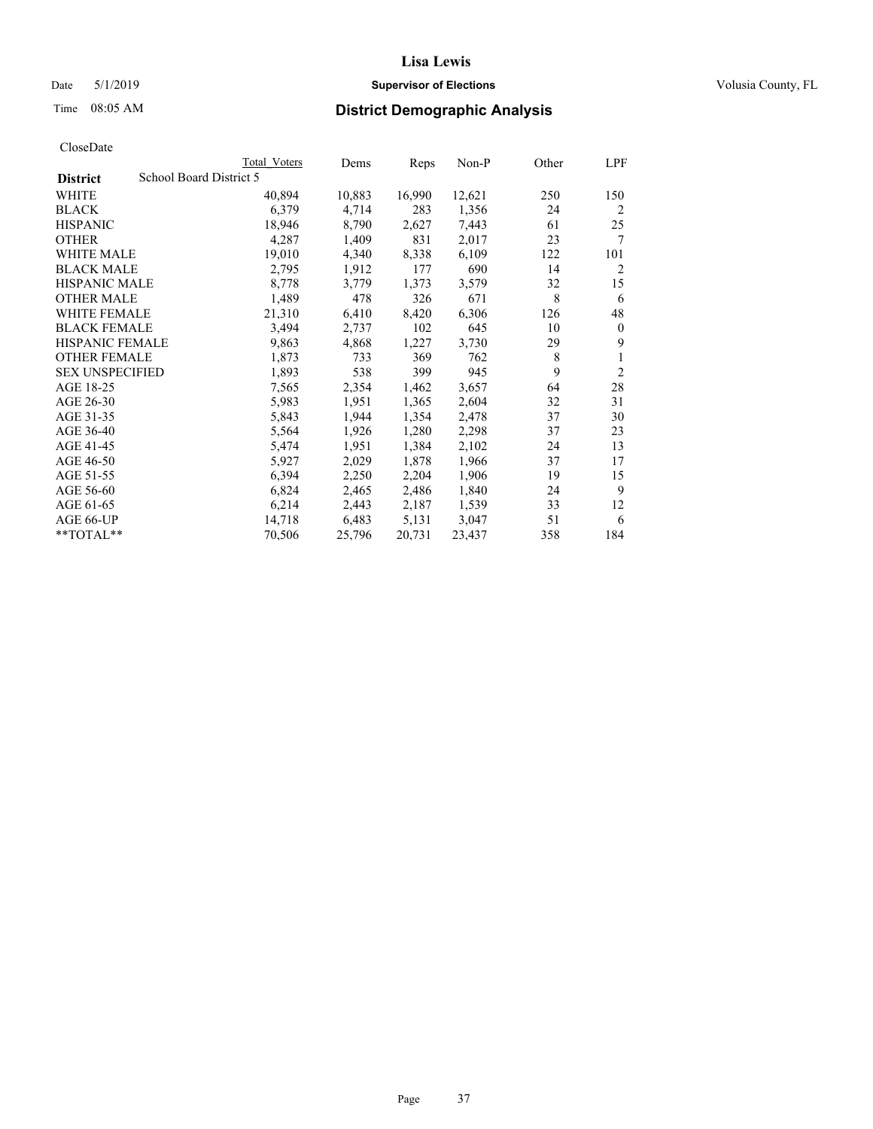#### Date 5/1/2019 **Supervisor of Elections Supervisor of Elections** Volusia County, FL

# Time 08:05 AM **District Demographic Analysis**

|                        |                         | Total Voters | Dems   | Reps   | Non-P  | Other | LPF            |
|------------------------|-------------------------|--------------|--------|--------|--------|-------|----------------|
| <b>District</b>        | School Board District 5 |              |        |        |        |       |                |
| WHITE                  |                         | 40,894       | 10,883 | 16,990 | 12,621 | 250   | 150            |
| <b>BLACK</b>           |                         | 6,379        | 4,714  | 283    | 1,356  | 24    | $\overline{2}$ |
| <b>HISPANIC</b>        |                         | 18,946       | 8,790  | 2,627  | 7,443  | 61    | 25             |
| <b>OTHER</b>           |                         | 4,287        | 1,409  | 831    | 2,017  | 23    | 7              |
| WHITE MALE             |                         | 19,010       | 4,340  | 8,338  | 6,109  | 122   | 101            |
| <b>BLACK MALE</b>      |                         | 2,795        | 1,912  | 177    | 690    | 14    | 2              |
| <b>HISPANIC MALE</b>   |                         | 8,778        | 3,779  | 1,373  | 3,579  | 32    | 15             |
| <b>OTHER MALE</b>      |                         | 1,489        | 478    | 326    | 671    | 8     | 6              |
| WHITE FEMALE           |                         | 21,310       | 6,410  | 8,420  | 6,306  | 126   | 48             |
| <b>BLACK FEMALE</b>    |                         | 3,494        | 2,737  | 102    | 645    | 10    | $\theta$       |
| <b>HISPANIC FEMALE</b> |                         | 9,863        | 4,868  | 1,227  | 3,730  | 29    | 9              |
| <b>OTHER FEMALE</b>    |                         | 1,873        | 733    | 369    | 762    | 8     | 1              |
| <b>SEX UNSPECIFIED</b> |                         | 1,893        | 538    | 399    | 945    | 9     | $\overline{2}$ |
| AGE 18-25              |                         | 7,565        | 2,354  | 1,462  | 3,657  | 64    | 28             |
| AGE 26-30              |                         | 5,983        | 1,951  | 1,365  | 2,604  | 32    | 31             |
| AGE 31-35              |                         | 5,843        | 1,944  | 1,354  | 2,478  | 37    | 30             |
| AGE 36-40              |                         | 5,564        | 1,926  | 1,280  | 2,298  | 37    | 23             |
| AGE 41-45              |                         | 5,474        | 1,951  | 1,384  | 2,102  | 24    | 13             |
| AGE 46-50              |                         | 5,927        | 2,029  | 1,878  | 1,966  | 37    | 17             |
| AGE 51-55              |                         | 6,394        | 2,250  | 2,204  | 1,906  | 19    | 15             |
| AGE 56-60              |                         | 6,824        | 2,465  | 2,486  | 1,840  | 24    | 9              |
| AGE 61-65              |                         | 6,214        | 2,443  | 2,187  | 1,539  | 33    | 12             |
| AGE 66-UP              |                         | 14,718       | 6,483  | 5,131  | 3,047  | 51    | 6              |
| $*$ $TOTAL**$          |                         | 70,506       | 25,796 | 20,731 | 23,437 | 358   | 184            |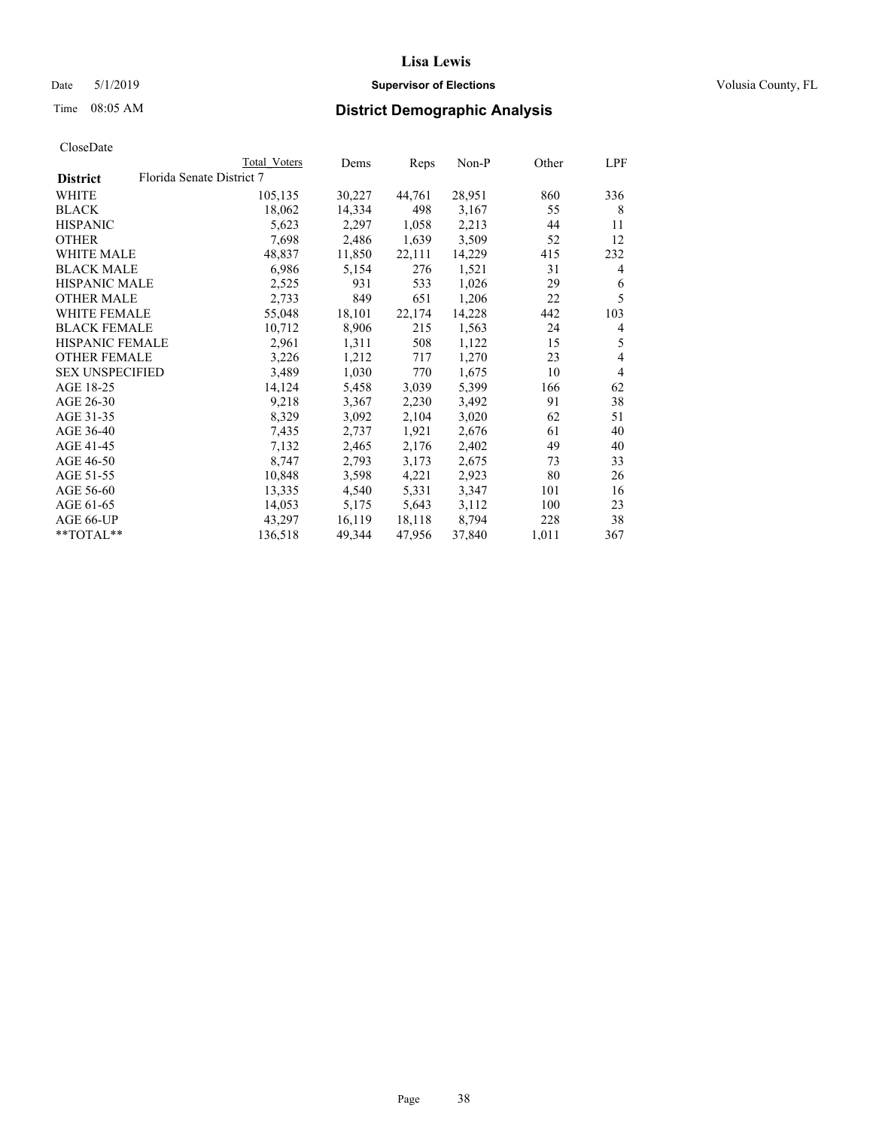#### Date 5/1/2019 **Supervisor of Elections Supervisor of Elections** Volusia County, FL

# Time 08:05 AM **District Demographic Analysis**

|                        | Total Voters              | Dems   | Reps   | Non-P  | Other | LPF |
|------------------------|---------------------------|--------|--------|--------|-------|-----|
| <b>District</b>        | Florida Senate District 7 |        |        |        |       |     |
| WHITE                  | 105,135                   | 30,227 | 44,761 | 28,951 | 860   | 336 |
| <b>BLACK</b>           | 18,062                    | 14,334 | 498    | 3,167  | 55    | 8   |
| <b>HISPANIC</b>        | 5,623                     | 2,297  | 1,058  | 2,213  | 44    | 11  |
| <b>OTHER</b>           | 7,698                     | 2,486  | 1,639  | 3,509  | 52    | 12  |
| WHITE MALE             | 48,837                    | 11,850 | 22,111 | 14,229 | 415   | 232 |
| <b>BLACK MALE</b>      | 6,986                     | 5,154  | 276    | 1,521  | 31    | 4   |
| <b>HISPANIC MALE</b>   | 2,525                     | 931    | 533    | 1,026  | 29    | 6   |
| <b>OTHER MALE</b>      | 2,733                     | 849    | 651    | 1,206  | 22    | 5   |
| <b>WHITE FEMALE</b>    | 55,048                    | 18,101 | 22,174 | 14,228 | 442   | 103 |
| <b>BLACK FEMALE</b>    | 10,712                    | 8,906  | 215    | 1,563  | 24    | 4   |
| <b>HISPANIC FEMALE</b> | 2,961                     | 1,311  | 508    | 1,122  | 15    | 5   |
| <b>OTHER FEMALE</b>    | 3,226                     | 1,212  | 717    | 1,270  | 23    | 4   |
| <b>SEX UNSPECIFIED</b> | 3,489                     | 1,030  | 770    | 1,675  | 10    | 4   |
| AGE 18-25              | 14,124                    | 5,458  | 3,039  | 5,399  | 166   | 62  |
| AGE 26-30              | 9,218                     | 3,367  | 2,230  | 3,492  | 91    | 38  |
| AGE 31-35              | 8,329                     | 3,092  | 2,104  | 3,020  | 62    | 51  |
| AGE 36-40              | 7,435                     | 2,737  | 1,921  | 2,676  | 61    | 40  |
| AGE 41-45              | 7,132                     | 2,465  | 2,176  | 2,402  | 49    | 40  |
| AGE 46-50              | 8,747                     | 2,793  | 3,173  | 2,675  | 73    | 33  |
| AGE 51-55              | 10,848                    | 3,598  | 4,221  | 2,923  | 80    | 26  |
| AGE 56-60              | 13,335                    | 4,540  | 5,331  | 3,347  | 101   | 16  |
| AGE 61-65              | 14,053                    | 5,175  | 5,643  | 3,112  | 100   | 23  |
| AGE 66-UP              | 43,297                    | 16,119 | 18,118 | 8,794  | 228   | 38  |
| $*$ TOTAL $*$          | 136,518                   | 49,344 | 47,956 | 37,840 | 1,011 | 367 |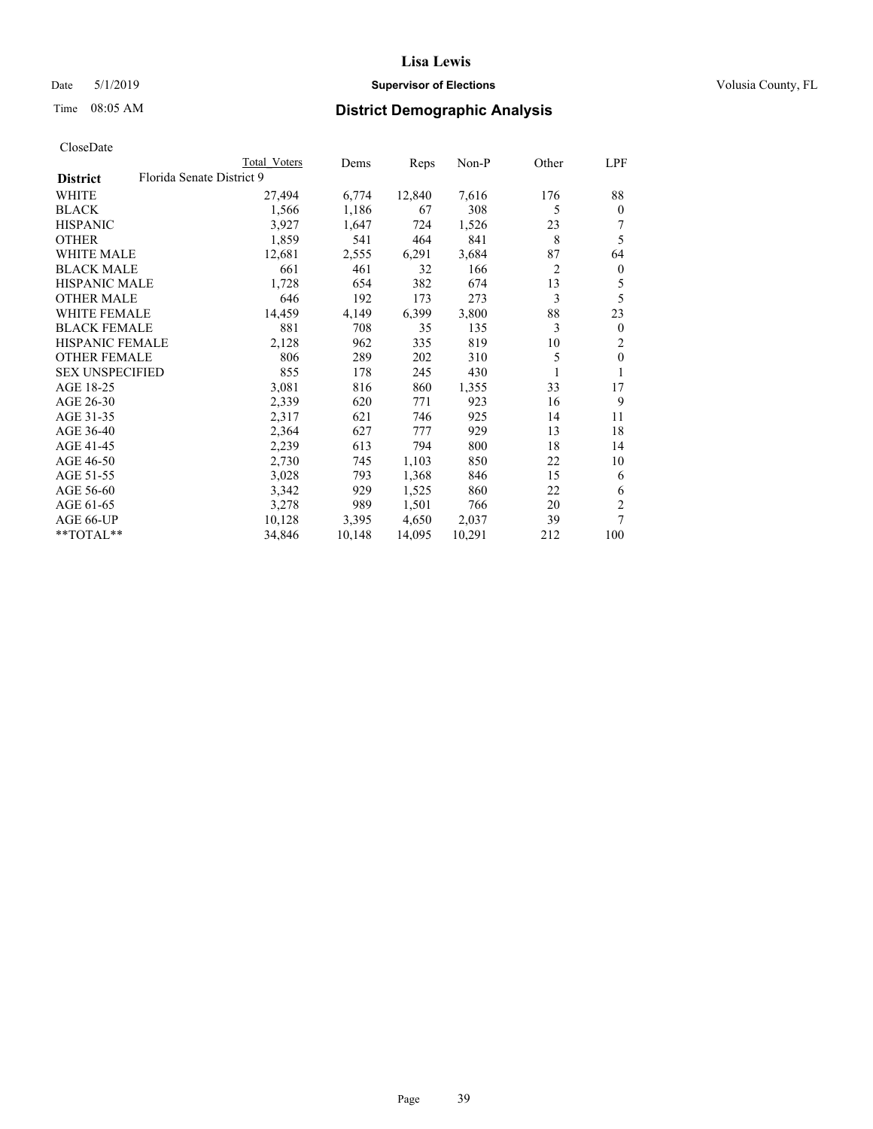## Date 5/1/2019 **Supervisor of Elections Supervisor of Elections** Volusia County, FL

# Time 08:05 AM **District Demographic Analysis**

|                        | Total Voters              | Dems   | Reps   | $Non-P$ | Other          | LPF              |
|------------------------|---------------------------|--------|--------|---------|----------------|------------------|
| <b>District</b>        | Florida Senate District 9 |        |        |         |                |                  |
| WHITE                  | 27,494                    | 6,774  | 12,840 | 7,616   | 176            | 88               |
| <b>BLACK</b>           | 1,566                     | 1,186  | 67     | 308     | 5              | $\mathbf{0}$     |
| <b>HISPANIC</b>        | 3,927                     | 1,647  | 724    | 1,526   | 23             |                  |
| <b>OTHER</b>           | 1,859                     | 541    | 464    | 841     | 8              | 5                |
| WHITE MALE             | 12,681                    | 2,555  | 6,291  | 3,684   | 87             | 64               |
| <b>BLACK MALE</b>      | 661                       | 461    | 32     | 166     | $\overline{2}$ | $\boldsymbol{0}$ |
| <b>HISPANIC MALE</b>   | 1,728                     | 654    | 382    | 674     | 13             | 5                |
| <b>OTHER MALE</b>      | 646                       | 192    | 173    | 273     | 3              | 5                |
| <b>WHITE FEMALE</b>    | 14,459                    | 4,149  | 6,399  | 3,800   | 88             | 23               |
| <b>BLACK FEMALE</b>    | 881                       | 708    | 35     | 135     | 3              | $\mathbf{0}$     |
| <b>HISPANIC FEMALE</b> | 2,128                     | 962    | 335    | 819     | 10             | 2                |
| <b>OTHER FEMALE</b>    | 806                       | 289    | 202    | 310     | 5              | $\theta$         |
| <b>SEX UNSPECIFIED</b> | 855                       | 178    | 245    | 430     |                | 1                |
| AGE 18-25              | 3,081                     | 816    | 860    | 1,355   | 33             | 17               |
| AGE 26-30              | 2,339                     | 620    | 771    | 923     | 16             | 9                |
| AGE 31-35              | 2,317                     | 621    | 746    | 925     | 14             | 11               |
| AGE 36-40              | 2,364                     | 627    | 777    | 929     | 13             | 18               |
| AGE 41-45              | 2,239                     | 613    | 794    | 800     | 18             | 14               |
| AGE 46-50              | 2,730                     | 745    | 1,103  | 850     | 22             | 10               |
| AGE 51-55              | 3,028                     | 793    | 1,368  | 846     | 15             | 6                |
| AGE 56-60              | 3,342                     | 929    | 1,525  | 860     | 22             | 6                |
| AGE 61-65              | 3,278                     | 989    | 1,501  | 766     | 20             | 2                |
| AGE 66-UP              | 10,128                    | 3,395  | 4,650  | 2,037   | 39             | 7                |
| **TOTAL**              | 34,846                    | 10,148 | 14,095 | 10,291  | 212            | 100              |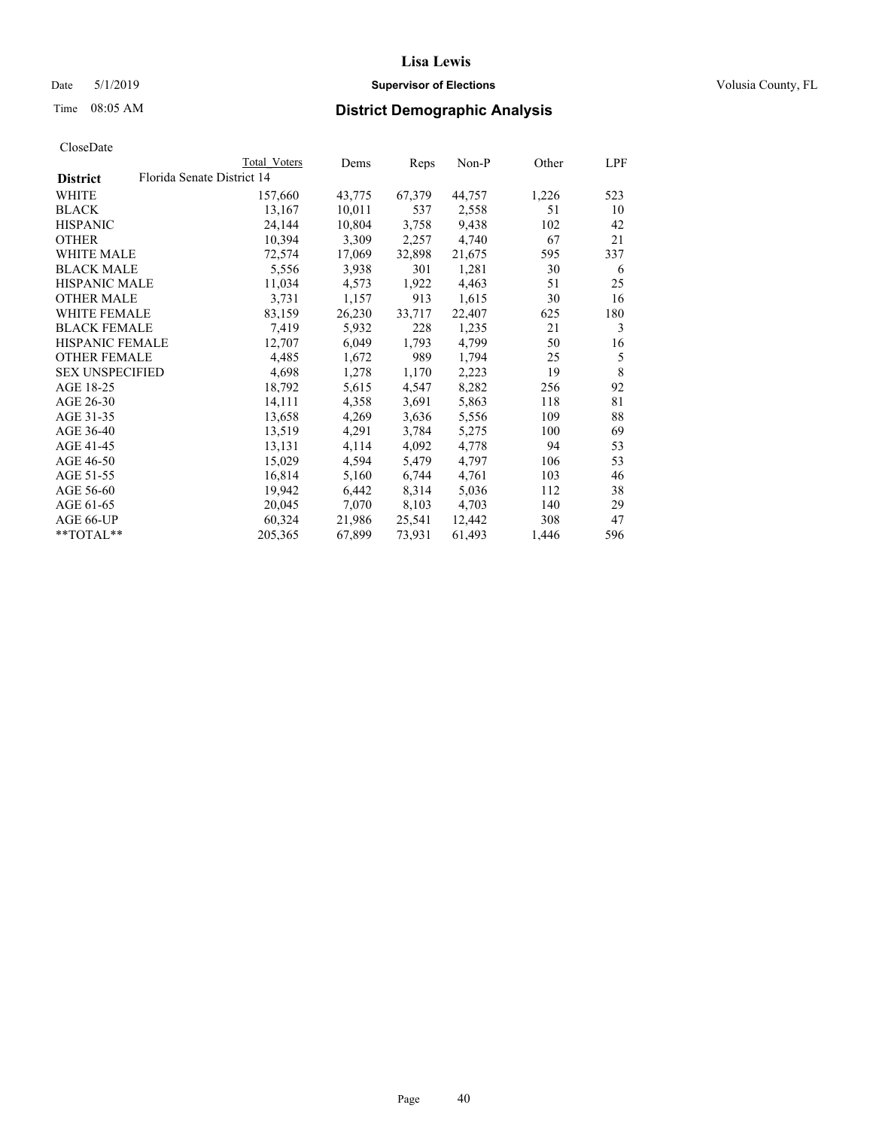## Date 5/1/2019 **Supervisor of Elections Supervisor of Elections** Volusia County, FL

| CloseDate |
|-----------|
|-----------|

|                        |                            | Total Voters | Dems   | Reps   | Non-P  | Other | LPF         |
|------------------------|----------------------------|--------------|--------|--------|--------|-------|-------------|
| <b>District</b>        | Florida Senate District 14 |              |        |        |        |       |             |
| WHITE                  |                            | 157,660      | 43,775 | 67,379 | 44,757 | 1,226 | 523         |
| <b>BLACK</b>           |                            | 13,167       | 10,011 | 537    | 2,558  | 51    | 10          |
| <b>HISPANIC</b>        |                            | 24,144       | 10,804 | 3,758  | 9,438  | 102   | 42          |
| <b>OTHER</b>           |                            | 10,394       | 3,309  | 2,257  | 4,740  | 67    | 21          |
| <b>WHITE MALE</b>      |                            | 72,574       | 17,069 | 32,898 | 21,675 | 595   | 337         |
| <b>BLACK MALE</b>      |                            | 5,556        | 3,938  | 301    | 1,281  | 30    | 6           |
| <b>HISPANIC MALE</b>   |                            | 11,034       | 4,573  | 1,922  | 4,463  | 51    | 25          |
| <b>OTHER MALE</b>      |                            | 3,731        | 1,157  | 913    | 1,615  | 30    | 16          |
| WHITE FEMALE           |                            | 83,159       | 26,230 | 33,717 | 22,407 | 625   | 180         |
| <b>BLACK FEMALE</b>    |                            | 7,419        | 5,932  | 228    | 1,235  | 21    | 3           |
| <b>HISPANIC FEMALE</b> |                            | 12,707       | 6,049  | 1,793  | 4,799  | 50    | 16          |
| <b>OTHER FEMALE</b>    |                            | 4,485        | 1,672  | 989    | 1,794  | 25    | 5           |
| <b>SEX UNSPECIFIED</b> |                            | 4,698        | 1,278  | 1,170  | 2,223  | 19    | $\,$ 8 $\,$ |
| AGE 18-25              |                            | 18,792       | 5,615  | 4,547  | 8,282  | 256   | 92          |
| AGE 26-30              |                            | 14,111       | 4,358  | 3,691  | 5,863  | 118   | 81          |
| AGE 31-35              |                            | 13,658       | 4,269  | 3,636  | 5,556  | 109   | 88          |
| AGE 36-40              |                            | 13,519       | 4,291  | 3,784  | 5,275  | 100   | 69          |
| AGE 41-45              |                            | 13,131       | 4,114  | 4,092  | 4,778  | 94    | 53          |
| AGE 46-50              |                            | 15,029       | 4,594  | 5,479  | 4,797  | 106   | 53          |
| AGE 51-55              |                            | 16,814       | 5,160  | 6,744  | 4,761  | 103   | 46          |
| AGE 56-60              |                            | 19,942       | 6,442  | 8,314  | 5,036  | 112   | 38          |
| AGE 61-65              |                            | 20,045       | 7,070  | 8,103  | 4,703  | 140   | 29          |
| AGE 66-UP              |                            | 60,324       | 21,986 | 25,541 | 12,442 | 308   | 47          |
| **TOTAL**              |                            | 205,365      | 67,899 | 73,931 | 61,493 | 1,446 | 596         |
|                        |                            |              |        |        |        |       |             |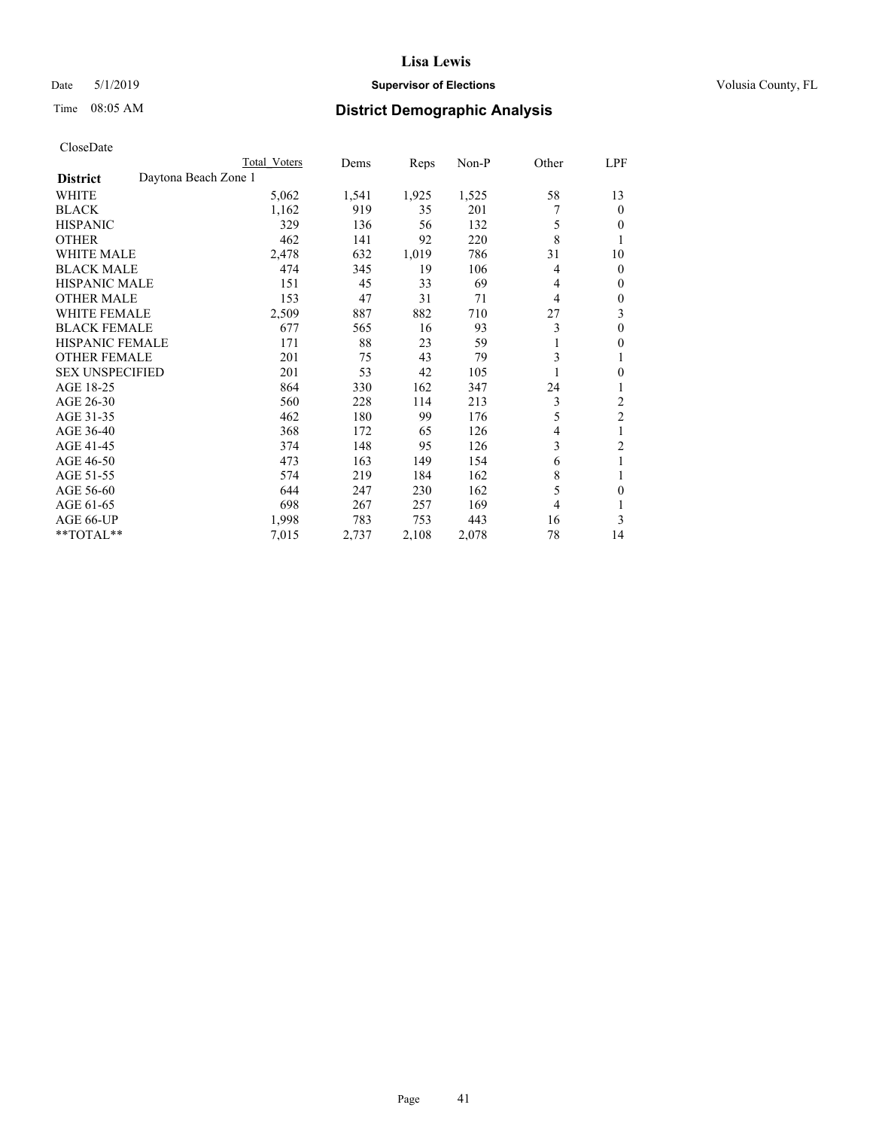## Date 5/1/2019 **Supervisor of Elections Supervisor of Elections** Volusia County, FL

# Time 08:05 AM **District Demographic Analysis**

|                        |                      | Total Voters | Dems  | Reps  | Non-P | Other | LPF            |
|------------------------|----------------------|--------------|-------|-------|-------|-------|----------------|
| <b>District</b>        | Daytona Beach Zone 1 |              |       |       |       |       |                |
| WHITE                  |                      | 5,062        | 1,541 | 1,925 | 1,525 | 58    | 13             |
| <b>BLACK</b>           |                      | 1,162        | 919   | 35    | 201   |       | $\mathbf{0}$   |
| <b>HISPANIC</b>        |                      | 329          | 136   | 56    | 132   | 5     | $\theta$       |
| <b>OTHER</b>           |                      | 462          | 141   | 92    | 220   | 8     | 1              |
| <b>WHITE MALE</b>      |                      | 2,478        | 632   | 1,019 | 786   | 31    | 10             |
| <b>BLACK MALE</b>      |                      | 474          | 345   | 19    | 106   | 4     | $\mathbf{0}$   |
| <b>HISPANIC MALE</b>   |                      | 151          | 45    | 33    | 69    | 4     | $\mathbf{0}$   |
| <b>OTHER MALE</b>      |                      | 153          | 47    | 31    | 71    | 4     | $\mathbf{0}$   |
| <b>WHITE FEMALE</b>    |                      | 2,509        | 887   | 882   | 710   | 27    | 3              |
| <b>BLACK FEMALE</b>    |                      | 677          | 565   | 16    | 93    | 3     | $\theta$       |
| <b>HISPANIC FEMALE</b> |                      | 171          | 88    | 23    | 59    |       | $\theta$       |
| <b>OTHER FEMALE</b>    |                      | 201          | 75    | 43    | 79    | 3     | 1              |
| <b>SEX UNSPECIFIED</b> |                      | 201          | 53    | 42    | 105   |       | $\mathbf{0}$   |
| AGE 18-25              |                      | 864          | 330   | 162   | 347   | 24    | 1              |
| AGE 26-30              |                      | 560          | 228   | 114   | 213   | 3     | 2              |
| AGE 31-35              |                      | 462          | 180   | 99    | 176   | 5     | $\overline{c}$ |
| AGE 36-40              |                      | 368          | 172   | 65    | 126   | 4     | 1              |
| AGE 41-45              |                      | 374          | 148   | 95    | 126   | 3     | 2              |
| AGE 46-50              |                      | 473          | 163   | 149   | 154   | 6     | 1              |
| AGE 51-55              |                      | 574          | 219   | 184   | 162   | 8     | 1              |
| AGE 56-60              |                      | 644          | 247   | 230   | 162   | 5     | $\theta$       |
| AGE 61-65              |                      | 698          | 267   | 257   | 169   | 4     | 1              |
| AGE 66-UP              |                      | 1,998        | 783   | 753   | 443   | 16    | 3              |
| **TOTAL**              |                      | 7,015        | 2,737 | 2,108 | 2,078 | 78    | 14             |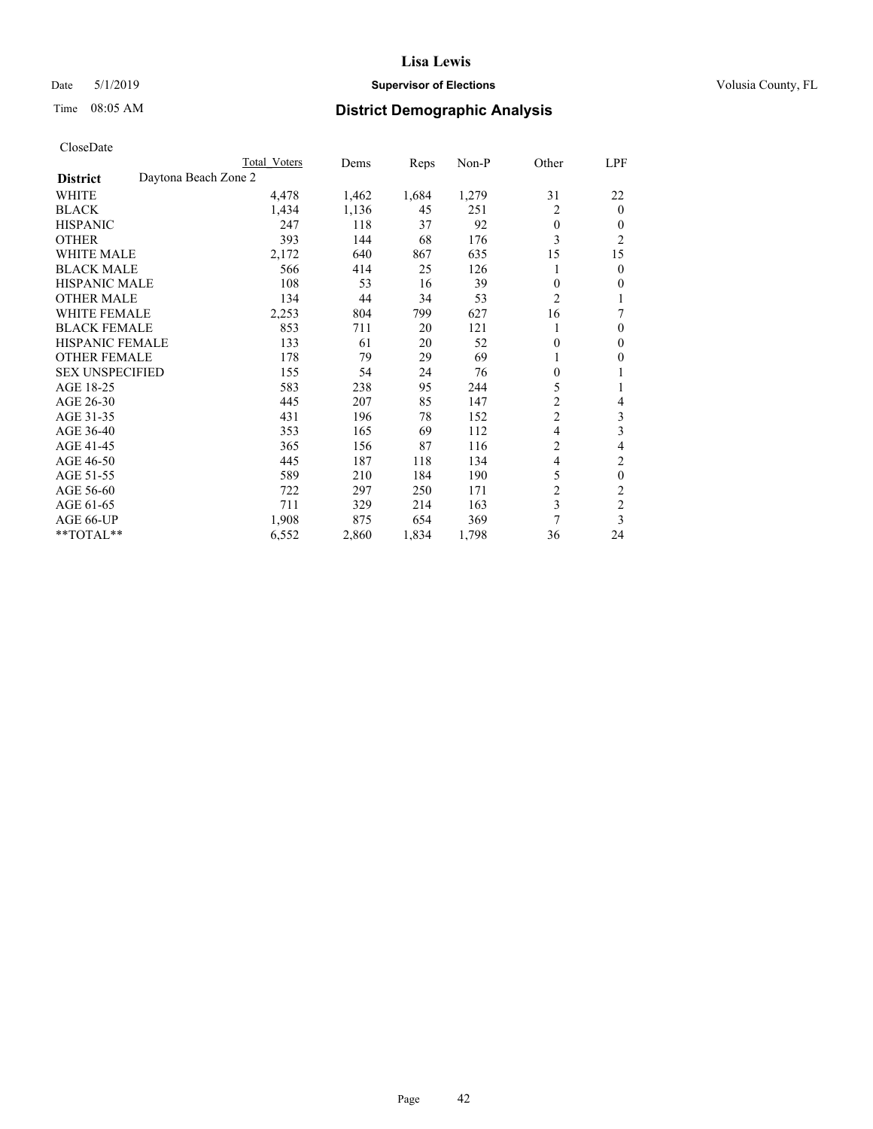## Date 5/1/2019 **Supervisor of Elections Supervisor of Elections** Volusia County, FL

# Time 08:05 AM **District Demographic Analysis**

|                        | Total Voters         | Dems  | Reps  | Non-P | Other          | LPF            |
|------------------------|----------------------|-------|-------|-------|----------------|----------------|
| <b>District</b>        | Daytona Beach Zone 2 |       |       |       |                |                |
| WHITE                  | 4,478                | 1,462 | 1,684 | 1,279 | 31             | 22             |
| <b>BLACK</b>           | 1,434                | 1,136 | 45    | 251   | 2              | $\mathbf{0}$   |
| <b>HISPANIC</b>        | 247                  | 118   | 37    | 92    | $\theta$       | $\Omega$       |
| <b>OTHER</b>           | 393                  | 144   | 68    | 176   | 3              | $\overline{2}$ |
| <b>WHITE MALE</b>      | 2,172                | 640   | 867   | 635   | 15             | 15             |
| <b>BLACK MALE</b>      | 566                  | 414   | 25    | 126   |                | $\theta$       |
| <b>HISPANIC MALE</b>   | 108                  | 53    | 16    | 39    | $\theta$       | $\theta$       |
| <b>OTHER MALE</b>      | 134                  | 44    | 34    | 53    | $\overline{2}$ | 1              |
| <b>WHITE FEMALE</b>    | 2,253                | 804   | 799   | 627   | 16             | 7              |
| <b>BLACK FEMALE</b>    | 853                  | 711   | 20    | 121   |                | $\mathbf{0}$   |
| <b>HISPANIC FEMALE</b> | 133                  | 61    | 20    | 52    | 0              | $\Omega$       |
| <b>OTHER FEMALE</b>    | 178                  | 79    | 29    | 69    |                | $\theta$       |
| <b>SEX UNSPECIFIED</b> | 155                  | 54    | 24    | 76    | $\theta$       | 1              |
| AGE 18-25              | 583                  | 238   | 95    | 244   | 5              | 1              |
| AGE 26-30              | 445                  | 207   | 85    | 147   | $\overline{c}$ | 4              |
| AGE 31-35              | 431                  | 196   | 78    | 152   | $\overline{c}$ | 3              |
| AGE 36-40              | 353                  | 165   | 69    | 112   | 4              | 3              |
| AGE 41-45              | 365                  | 156   | 87    | 116   | $\overline{c}$ | 4              |
| AGE 46-50              | 445                  | 187   | 118   | 134   | 4              | 2              |
| AGE 51-55              | 589                  | 210   | 184   | 190   | 5              | $\theta$       |
| AGE 56-60              | 722                  | 297   | 250   | 171   | $\overline{2}$ | $\mathfrak{2}$ |
| AGE 61-65              | 711                  | 329   | 214   | 163   | 3              | $\mathfrak{2}$ |
| AGE 66-UP              | 1,908                | 875   | 654   | 369   | 7              | 3              |
| **TOTAL**              | 6,552                | 2,860 | 1,834 | 1,798 | 36             | 24             |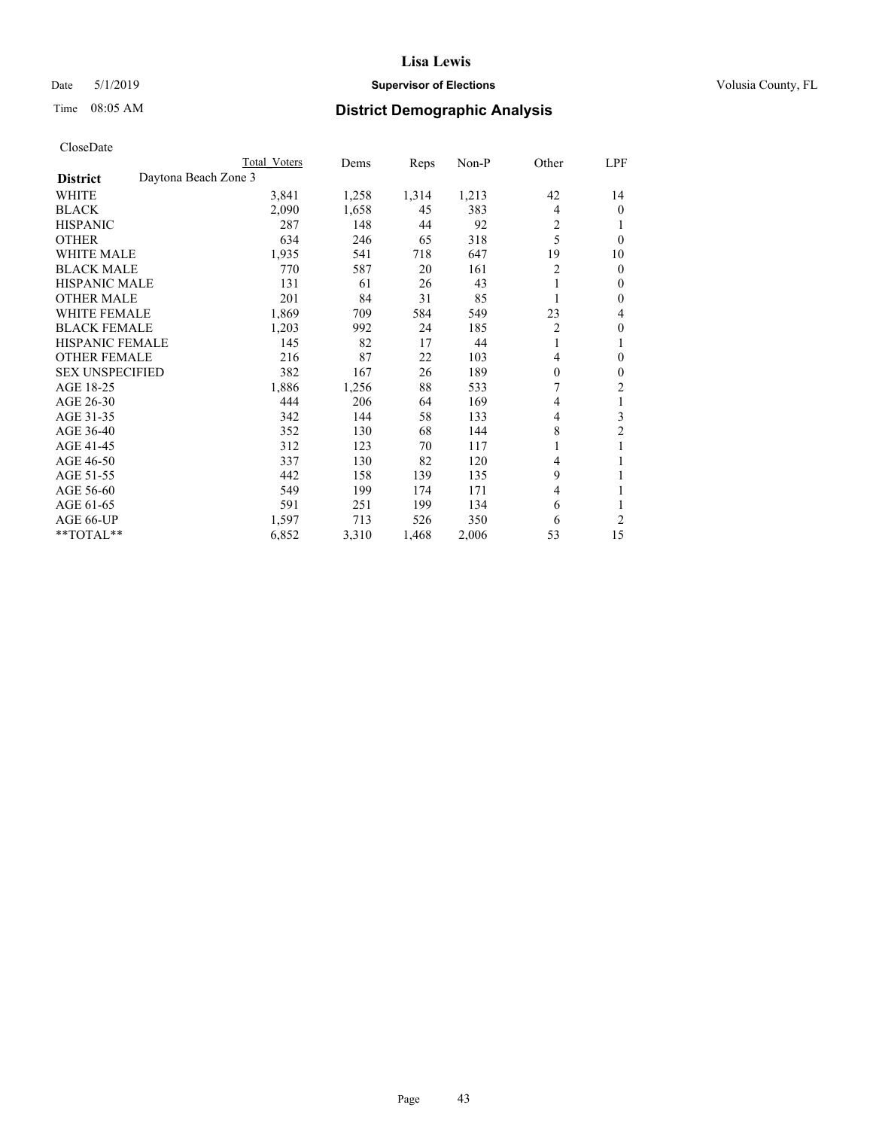## Date 5/1/2019 **Supervisor of Elections Supervisor of Elections** Volusia County, FL

# Time 08:05 AM **District Demographic Analysis**

|                                         | Total Voters | Dems  | Reps  | $Non-P$ | Other          | <b>LPF</b>     |
|-----------------------------------------|--------------|-------|-------|---------|----------------|----------------|
| Daytona Beach Zone 3<br><b>District</b> |              |       |       |         |                |                |
| WHITE                                   | 3,841        | 1,258 | 1,314 | 1,213   | 42             | 14             |
| <b>BLACK</b>                            | 2,090        | 1,658 | 45    | 383     | 4              | 0              |
| <b>HISPANIC</b>                         | 287          | 148   | 44    | 92      | $\overline{c}$ |                |
| <b>OTHER</b>                            | 634          | 246   | 65    | 318     | 5              | $\theta$       |
| <b>WHITE MALE</b>                       | 1,935        | 541   | 718   | 647     | 19             | 10             |
| <b>BLACK MALE</b>                       | 770          | 587   | 20    | 161     | $\overline{c}$ | 0              |
| <b>HISPANIC MALE</b>                    | 131          | 61    | 26    | 43      | 1              | 0              |
| <b>OTHER MALE</b>                       | 201          | 84    | 31    | 85      | 1              | 0              |
| WHITE FEMALE                            | 1,869        | 709   | 584   | 549     | 23             | 4              |
| <b>BLACK FEMALE</b>                     | 1,203        | 992   | 24    | 185     | $\overline{2}$ | 0              |
| <b>HISPANIC FEMALE</b>                  | 145          | 82    | 17    | 44      | 1              | 1              |
| <b>OTHER FEMALE</b>                     | 216          | 87    | 22    | 103     | 4              | 0              |
| <b>SEX UNSPECIFIED</b>                  | 382          | 167   | 26    | 189     | $\theta$       | 0              |
| AGE 18-25                               | 1,886        | 1,256 | 88    | 533     | 7              | 2              |
| AGE 26-30                               | 444          | 206   | 64    | 169     | 4              | 1              |
| AGE 31-35                               | 342          | 144   | 58    | 133     | 4              | 3              |
| AGE 36-40                               | 352          | 130   | 68    | 144     | 8              | $\overline{2}$ |
| AGE 41-45                               | 312          | 123   | 70    | 117     | 1              | 1              |
| AGE 46-50                               | 337          | 130   | 82    | 120     | 4              |                |
| AGE 51-55                               | 442          | 158   | 139   | 135     | 9              |                |
| AGE 56-60                               | 549          | 199   | 174   | 171     | 4              | 1              |
| AGE 61-65                               | 591          | 251   | 199   | 134     | 6              |                |
| AGE 66-UP                               | 1,597        | 713   | 526   | 350     | 6              | 2              |
| $*$ TOTAL $*$                           | 6,852        | 3,310 | 1,468 | 2,006   | 53             | 15             |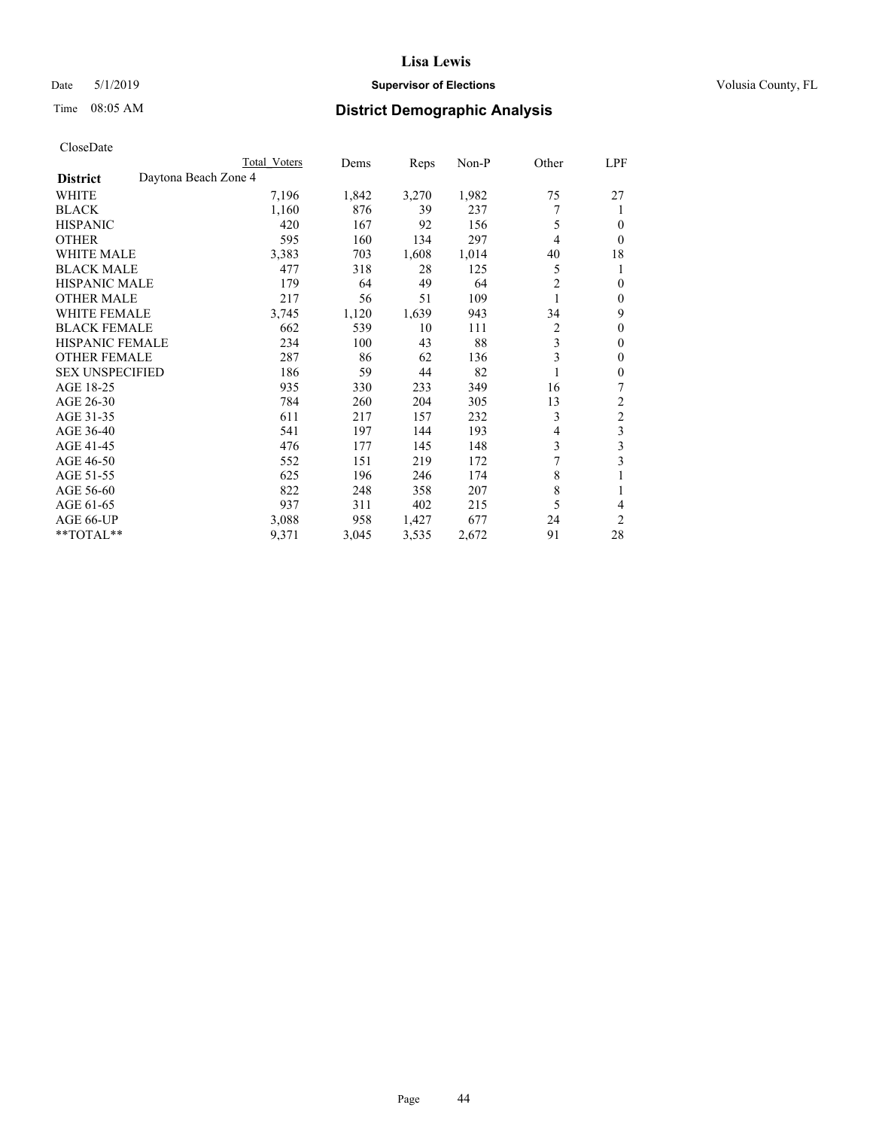## Date 5/1/2019 **Supervisor of Elections Supervisor of Elections** Volusia County, FL

# Time 08:05 AM **District Demographic Analysis**

|                        | Total Voters         |       | Dems<br>Reps   | Non-P     | Other          | LPF            |
|------------------------|----------------------|-------|----------------|-----------|----------------|----------------|
| <b>District</b>        | Daytona Beach Zone 4 |       |                |           |                |                |
| WHITE                  |                      | 7,196 | 1,842<br>3,270 | 1,982     | 75             | 27             |
| <b>BLACK</b>           |                      | 1,160 | 876            | 39<br>237 | 7              | 1              |
| <b>HISPANIC</b>        |                      | 420   | 167            | 92<br>156 | 5              | $\theta$       |
| <b>OTHER</b>           |                      | 595   | 160<br>134     | 297       | 4              | $\Omega$       |
| <b>WHITE MALE</b>      |                      | 3,383 | 703<br>1,608   | 1,014     | 40             | 18             |
| <b>BLACK MALE</b>      |                      | 477   | 318            | 28<br>125 | 5              | 1              |
| <b>HISPANIC MALE</b>   |                      | 179   | 64             | 49<br>64  | $\overline{2}$ | $\theta$       |
| <b>OTHER MALE</b>      |                      | 217   | 56             | 51<br>109 | 1              | $\mathbf{0}$   |
| <b>WHITE FEMALE</b>    |                      | 3,745 | 1,120<br>1,639 | 943       | 34             | 9              |
| <b>BLACK FEMALE</b>    |                      | 662   | 539            | 10<br>111 | $\overline{2}$ | $\theta$       |
| <b>HISPANIC FEMALE</b> |                      | 234   | 100            | 43<br>88  | 3              | $\Omega$       |
| <b>OTHER FEMALE</b>    |                      | 287   | 86             | 62<br>136 | 3              | $\theta$       |
| <b>SEX UNSPECIFIED</b> |                      | 186   | 59             | 44<br>82  |                | $\theta$       |
| AGE 18-25              |                      | 935   | 330<br>233     | 349       | 16             | 7              |
| AGE 26-30              |                      | 784   | 260<br>204     | 305       | 13             | $\overline{2}$ |
| AGE 31-35              |                      | 611   | 217<br>157     | 232       | 3              | $\overline{c}$ |
| AGE 36-40              |                      | 541   | 197<br>144     | 193       | 4              | 3              |
| AGE 41-45              |                      | 476   | 145<br>177     | 148       | 3              | 3              |
| AGE 46-50              |                      | 552   | 219<br>151     | 172       | 7              | 3              |
| AGE 51-55              |                      | 625   | 196<br>246     | 174       | 8              | 1              |
| AGE 56-60              |                      | 822   | 248<br>358     | 207       | 8              |                |
| AGE 61-65              |                      | 937   | 311<br>402     | 215       | 5              | 4              |
| AGE 66-UP              |                      | 3,088 | 958<br>1,427   | 677       | 24             | $\overline{2}$ |
| **TOTAL**              |                      | 9,371 | 3,045<br>3,535 | 2,672     | 91             | 28             |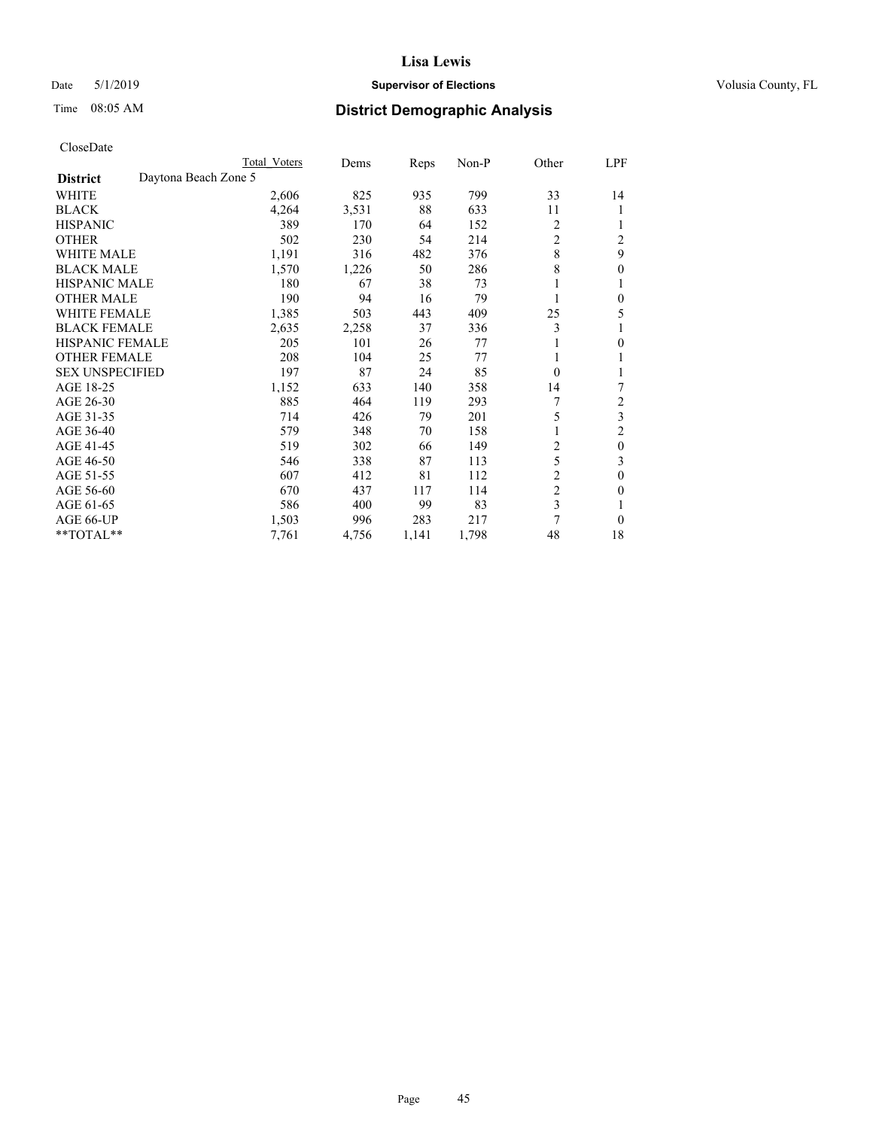## Date 5/1/2019 **Supervisor of Elections Supervisor of Elections** Volusia County, FL

# Time 08:05 AM **District Demographic Analysis**

|                        |                      | Total Voters | Dems  | Reps  | Non-P | Other          | LPF              |
|------------------------|----------------------|--------------|-------|-------|-------|----------------|------------------|
| <b>District</b>        | Daytona Beach Zone 5 |              |       |       |       |                |                  |
| WHITE                  |                      | 2,606        | 825   | 935   | 799   | 33             | 14               |
| <b>BLACK</b>           |                      | 4,264        | 3,531 | 88    | 633   | 11             |                  |
| <b>HISPANIC</b>        |                      | 389          | 170   | 64    | 152   | 2              |                  |
| <b>OTHER</b>           |                      | 502          | 230   | 54    | 214   | $\overline{c}$ | $\overline{2}$   |
| WHITE MALE             |                      | 1,191        | 316   | 482   | 376   | 8              | 9                |
| <b>BLACK MALE</b>      |                      | 1,570        | 1,226 | 50    | 286   | 8              | 0                |
| <b>HISPANIC MALE</b>   |                      | 180          | 67    | 38    | 73    |                |                  |
| <b>OTHER MALE</b>      |                      | 190          | 94    | 16    | 79    | 1              | 0                |
| WHITE FEMALE           |                      | 1,385        | 503   | 443   | 409   | 25             | 5                |
| <b>BLACK FEMALE</b>    |                      | 2,635        | 2,258 | 37    | 336   | 3              |                  |
| <b>HISPANIC FEMALE</b> |                      | 205          | 101   | 26    | 77    |                | 0                |
| <b>OTHER FEMALE</b>    |                      | 208          | 104   | 25    | 77    | 1              |                  |
| <b>SEX UNSPECIFIED</b> |                      | 197          | 87    | 24    | 85    | $\Omega$       |                  |
| AGE 18-25              |                      | 1,152        | 633   | 140   | 358   | 14             | 7                |
| AGE 26-30              |                      | 885          | 464   | 119   | 293   | 7              | 2                |
| AGE 31-35              |                      | 714          | 426   | 79    | 201   | 5              | 3                |
| AGE 36-40              |                      | 579          | 348   | 70    | 158   | 1              | 2                |
| AGE 41-45              |                      | 519          | 302   | 66    | 149   | 2              | $\boldsymbol{0}$ |
| AGE 46-50              |                      | 546          | 338   | 87    | 113   | 5              | 3                |
| AGE 51-55              |                      | 607          | 412   | 81    | 112   | $\overline{c}$ | 0                |
| AGE 56-60              |                      | 670          | 437   | 117   | 114   | $\overline{c}$ | 0                |
| AGE 61-65              |                      | 586          | 400   | 99    | 83    | 3              |                  |
| AGE 66-UP              |                      | 1,503        | 996   | 283   | 217   | 7              | 0                |
| **TOTAL**              |                      | 7,761        | 4,756 | 1,141 | 1,798 | 48             | 18               |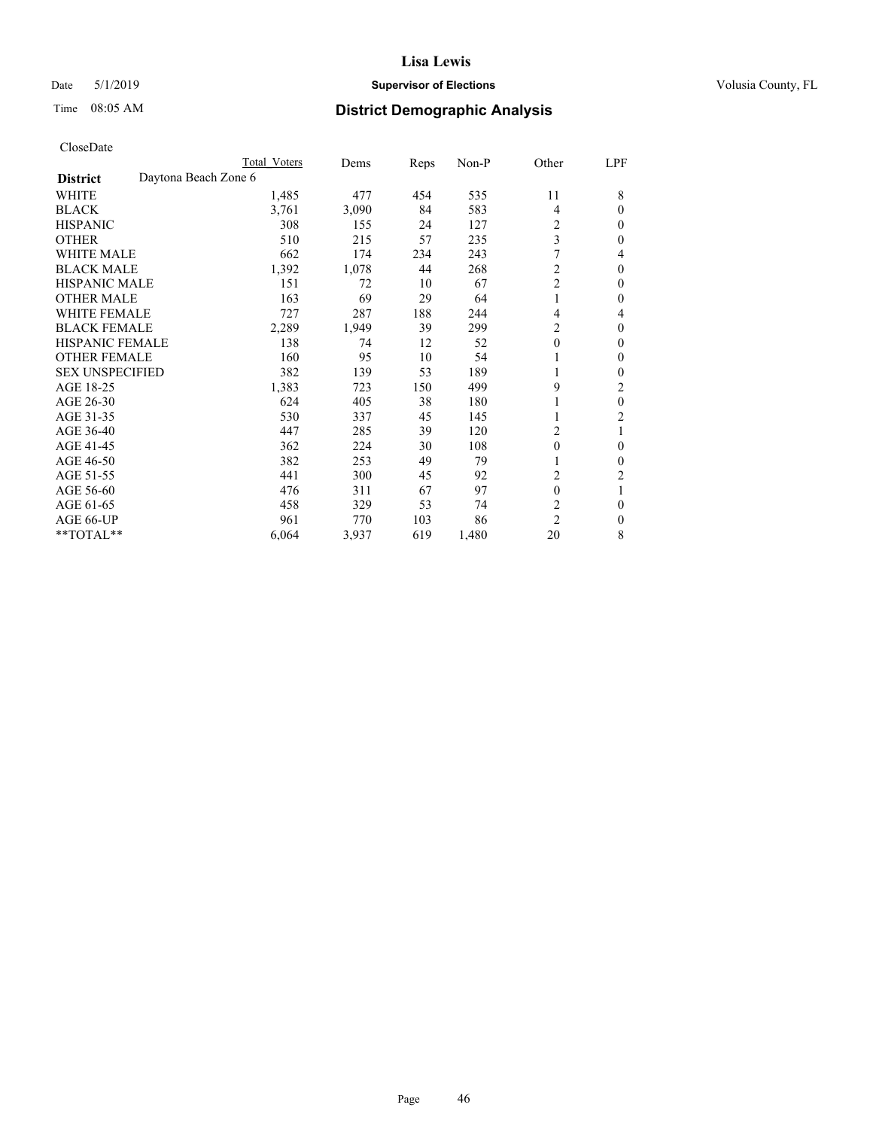## Date 5/1/2019 **Supervisor of Elections Supervisor of Elections** Volusia County, FL

# Time 08:05 AM **District Demographic Analysis**

|                        | Total Voters         | Dems  | Reps | Non-P | Other            | LPF            |
|------------------------|----------------------|-------|------|-------|------------------|----------------|
| <b>District</b>        | Daytona Beach Zone 6 |       |      |       |                  |                |
| WHITE                  | 1,485                | 477   | 454  | 535   | 11               | 8              |
| <b>BLACK</b>           | 3,761                | 3,090 | 84   | 583   | $\overline{4}$   | $\Omega$       |
| <b>HISPANIC</b>        | 308                  | 155   | 24   | 127   | 2                | $\theta$       |
| <b>OTHER</b>           | 510                  | 215   | 57   | 235   | 3                | $\Omega$       |
| <b>WHITE MALE</b>      | 662                  | 174   | 234  | 243   | 7                | 4              |
| <b>BLACK MALE</b>      | 1,392                | 1,078 | 44   | 268   | $\overline{c}$   | 0              |
| <b>HISPANIC MALE</b>   | 151                  | 72    | 10   | 67    | $\overline{c}$   | 0              |
| <b>OTHER MALE</b>      | 163                  | 69    | 29   | 64    |                  | $\Omega$       |
| <b>WHITE FEMALE</b>    | 727                  | 287   | 188  | 244   | $\overline{4}$   | 4              |
| <b>BLACK FEMALE</b>    | 2,289                | 1,949 | 39   | 299   | $\overline{c}$   | $\theta$       |
| <b>HISPANIC FEMALE</b> | 138                  | 74    | 12   | 52    | $\mathbf{0}$     | $\theta$       |
| <b>OTHER FEMALE</b>    | 160                  | 95    | 10   | 54    | 1                | 0              |
| <b>SEX UNSPECIFIED</b> | 382                  | 139   | 53   | 189   | 1                | 0              |
| AGE 18-25              | 1,383                | 723   | 150  | 499   | 9                | 2              |
| AGE 26-30              | 624                  | 405   | 38   | 180   | 1                | $\theta$       |
| AGE 31-35              | 530                  | 337   | 45   | 145   |                  | $\overline{c}$ |
| AGE 36-40              | 447                  | 285   | 39   | 120   | 2                |                |
| AGE 41-45              | 362                  | 224   | 30   | 108   | $\boldsymbol{0}$ | $\theta$       |
| AGE 46-50              | 382                  | 253   | 49   | 79    |                  | 0              |
| AGE 51-55              | 441                  | 300   | 45   | 92    | 2                | 2              |
| AGE 56-60              | 476                  | 311   | 67   | 97    | $\theta$         |                |
| AGE 61-65              | 458                  | 329   | 53   | 74    | $\overline{c}$   | $\theta$       |
| AGE 66-UP              | 961                  | 770   | 103  | 86    | $\overline{2}$   | $\theta$       |
| **TOTAL**              | 6,064                | 3,937 | 619  | 1,480 | 20               | 8              |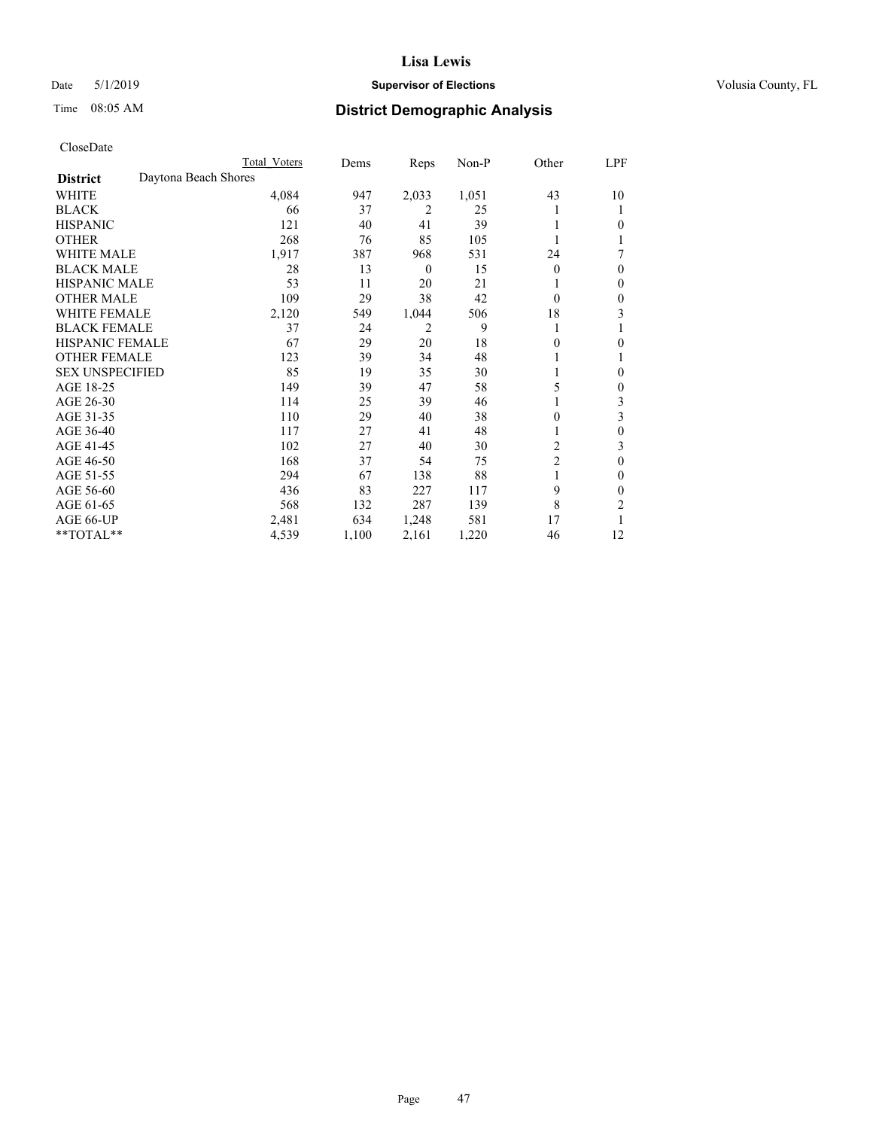## Date 5/1/2019 **Supervisor of Elections Supervisor of Elections** Volusia County, FL

# Time 08:05 AM **District Demographic Analysis**

|                        | Total Voters         | Dems  | Reps             | Non-P | Other          | LPF |
|------------------------|----------------------|-------|------------------|-------|----------------|-----|
| <b>District</b>        | Daytona Beach Shores |       |                  |       |                |     |
| WHITE                  | 4,084                | 947   | 2,033            | 1,051 | 43             | 10  |
| <b>BLACK</b>           | 66                   | 37    | 2                | 25    |                |     |
| <b>HISPANIC</b>        | 121                  | 40    | 41               | 39    |                | 0   |
| <b>OTHER</b>           | 268                  | 76    | 85               | 105   |                |     |
| WHITE MALE             | 1,917                | 387   | 968              | 531   | 24             | 7   |
| <b>BLACK MALE</b>      | 28                   | 13    | $\boldsymbol{0}$ | 15    | $\Omega$       | 0   |
| <b>HISPANIC MALE</b>   | 53                   | 11    | 20               | 21    |                | 0   |
| <b>OTHER MALE</b>      | 109                  | 29    | 38               | 42    | $\Omega$       | 0   |
| <b>WHITE FEMALE</b>    | 2,120                | 549   | 1,044            | 506   | 18             | 3   |
| <b>BLACK FEMALE</b>    | 37                   | 24    | 2                | 9     | 1              |     |
| <b>HISPANIC FEMALE</b> | 67                   | 29    | 20               | 18    | 0              | 0   |
| <b>OTHER FEMALE</b>    | 123                  | 39    | 34               | 48    |                |     |
| <b>SEX UNSPECIFIED</b> | 85                   | 19    | 35               | 30    |                | 0   |
| AGE 18-25              | 149                  | 39    | 47               | 58    | 5              | 0   |
| AGE 26-30              | 114                  | 25    | 39               | 46    |                | 3   |
| AGE 31-35              | 110                  | 29    | 40               | 38    | 0              | 3   |
| AGE 36-40              | 117                  | 27    | 41               | 48    |                | 0   |
| AGE 41-45              | 102                  | 27    | 40               | 30    | 2              | 3   |
| AGE 46-50              | 168                  | 37    | 54               | 75    | $\overline{2}$ | 0   |
| AGE 51-55              | 294                  | 67    | 138              | 88    |                | 0   |
| AGE 56-60              | 436                  | 83    | 227              | 117   | 9              | 0   |
| AGE 61-65              | 568                  | 132   | 287              | 139   | 8              | 2   |
| AGE 66-UP              | 2,481                | 634   | 1,248            | 581   | 17             |     |
| **TOTAL**              | 4,539                | 1,100 | 2,161            | 1,220 | 46             | 12  |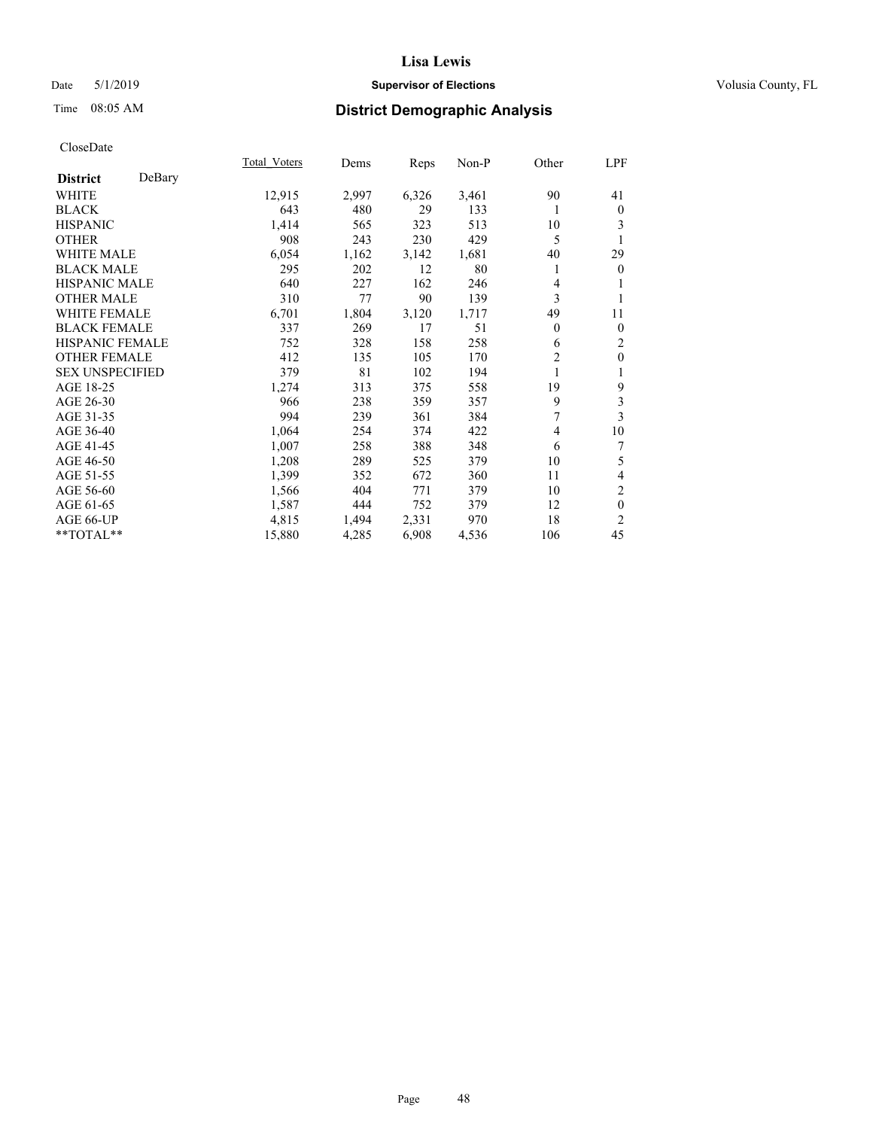## Date 5/1/2019 **Supervisor of Elections Supervisor of Elections** Volusia County, FL

# Time 08:05 AM **District Demographic Analysis**

|                           | Total Voters | Dems  | Reps  | Non-P | Other          | LPF              |
|---------------------------|--------------|-------|-------|-------|----------------|------------------|
| DeBary<br><b>District</b> |              |       |       |       |                |                  |
| WHITE                     | 12,915       | 2,997 | 6,326 | 3,461 | 90             | 41               |
| <b>BLACK</b>              | 643          | 480   | 29    | 133   | 1              | $\mathbf{0}$     |
| <b>HISPANIC</b>           | 1,414        | 565   | 323   | 513   | 10             | 3                |
| <b>OTHER</b>              | 908          | 243   | 230   | 429   | 5              | 1                |
| <b>WHITE MALE</b>         | 6,054        | 1,162 | 3,142 | 1,681 | 40             | 29               |
| <b>BLACK MALE</b>         | 295          | 202   | 12    | 80    | 1              | $\bf{0}$         |
| HISPANIC MALE             | 640          | 227   | 162   | 246   | 4              |                  |
| <b>OTHER MALE</b>         | 310          | 77    | 90    | 139   | 3              |                  |
| <b>WHITE FEMALE</b>       | 6,701        | 1,804 | 3,120 | 1,717 | 49             | 11               |
| <b>BLACK FEMALE</b>       | 337          | 269   | 17    | 51    | 0              | $\mathbf{0}$     |
| <b>HISPANIC FEMALE</b>    | 752          | 328   | 158   | 258   | 6              | $\mathfrak{2}$   |
| <b>OTHER FEMALE</b>       | 412          | 135   | 105   | 170   | $\overline{2}$ | $\boldsymbol{0}$ |
| <b>SEX UNSPECIFIED</b>    | 379          | 81    | 102   | 194   | 1              | 1                |
| AGE 18-25                 | 1,274        | 313   | 375   | 558   | 19             | 9                |
| AGE 26-30                 | 966          | 238   | 359   | 357   | 9              | 3                |
| AGE 31-35                 | 994          | 239   | 361   | 384   | 7              | 3                |
| AGE 36-40                 | 1,064        | 254   | 374   | 422   | 4              | 10               |
| AGE 41-45                 | 1,007        | 258   | 388   | 348   | 6              | 7                |
| AGE 46-50                 | 1,208        | 289   | 525   | 379   | 10             | 5                |
| AGE 51-55                 | 1,399        | 352   | 672   | 360   | 11             | $\overline{4}$   |
| AGE 56-60                 | 1,566        | 404   | 771   | 379   | 10             | 2                |
| AGE 61-65                 | 1,587        | 444   | 752   | 379   | 12             | $\mathbf{0}$     |
| AGE 66-UP                 | 4,815        | 1,494 | 2,331 | 970   | 18             | $\overline{c}$   |
| **TOTAL**                 | 15,880       | 4,285 | 6,908 | 4,536 | 106            | 45               |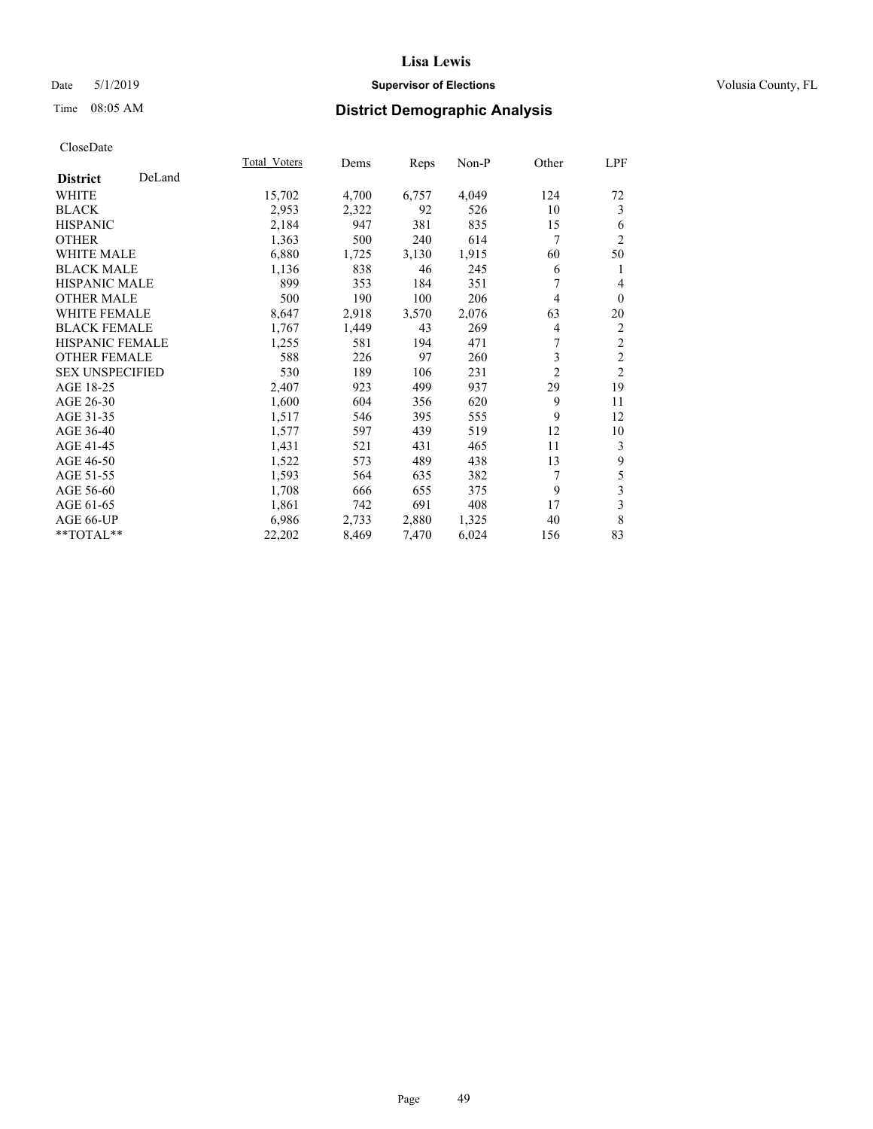## Date 5/1/2019 **Supervisor of Elections Supervisor of Elections** Volusia County, FL

# Time 08:05 AM **District Demographic Analysis**

|                           | Total Voters | Dems  | Reps  | Non-P | Other          | LPF            |
|---------------------------|--------------|-------|-------|-------|----------------|----------------|
| DeLand<br><b>District</b> |              |       |       |       |                |                |
| WHITE                     | 15,702       | 4,700 | 6,757 | 4,049 | 124            | 72             |
| <b>BLACK</b>              | 2,953        | 2,322 | 92    | 526   | 10             | 3              |
| <b>HISPANIC</b>           | 2,184        | 947   | 381   | 835   | 15             | 6              |
| <b>OTHER</b>              | 1,363        | 500   | 240   | 614   | 7              | $\overline{2}$ |
| WHITE MALE                | 6,880        | 1,725 | 3,130 | 1,915 | 60             | 50             |
| <b>BLACK MALE</b>         | 1,136        | 838   | 46    | 245   | 6              | 1              |
| <b>HISPANIC MALE</b>      | 899          | 353   | 184   | 351   | 7              | 4              |
| <b>OTHER MALE</b>         | 500          | 190   | 100   | 206   | 4              | $\theta$       |
| WHITE FEMALE              | 8,647        | 2,918 | 3,570 | 2,076 | 63             | 20             |
| <b>BLACK FEMALE</b>       | 1,767        | 1,449 | 43    | 269   | $\overline{4}$ | 2              |
| <b>HISPANIC FEMALE</b>    | 1,255        | 581   | 194   | 471   | 7              | $\sqrt{2}$     |
| <b>OTHER FEMALE</b>       | 588          | 226   | 97    | 260   | 3              | $\overline{2}$ |
| <b>SEX UNSPECIFIED</b>    | 530          | 189   | 106   | 231   | $\overline{2}$ | $\overline{2}$ |
| AGE 18-25                 | 2,407        | 923   | 499   | 937   | 29             | 19             |
| AGE 26-30                 | 1,600        | 604   | 356   | 620   | 9              | 11             |
| AGE 31-35                 | 1,517        | 546   | 395   | 555   | 9              | 12             |
| AGE 36-40                 | 1,577        | 597   | 439   | 519   | 12             | 10             |
| AGE 41-45                 | 1,431        | 521   | 431   | 465   | 11             | 3              |
| AGE 46-50                 | 1,522        | 573   | 489   | 438   | 13             | 9              |
| AGE 51-55                 | 1,593        | 564   | 635   | 382   | 7              | 5              |
| AGE 56-60                 | 1,708        | 666   | 655   | 375   | 9              | 3              |
| AGE 61-65                 | 1,861        | 742   | 691   | 408   | 17             | 3              |
| AGE 66-UP                 | 6,986        | 2,733 | 2,880 | 1,325 | 40             | 8              |
| **TOTAL**                 | 22,202       | 8,469 | 7,470 | 6,024 | 156            | 83             |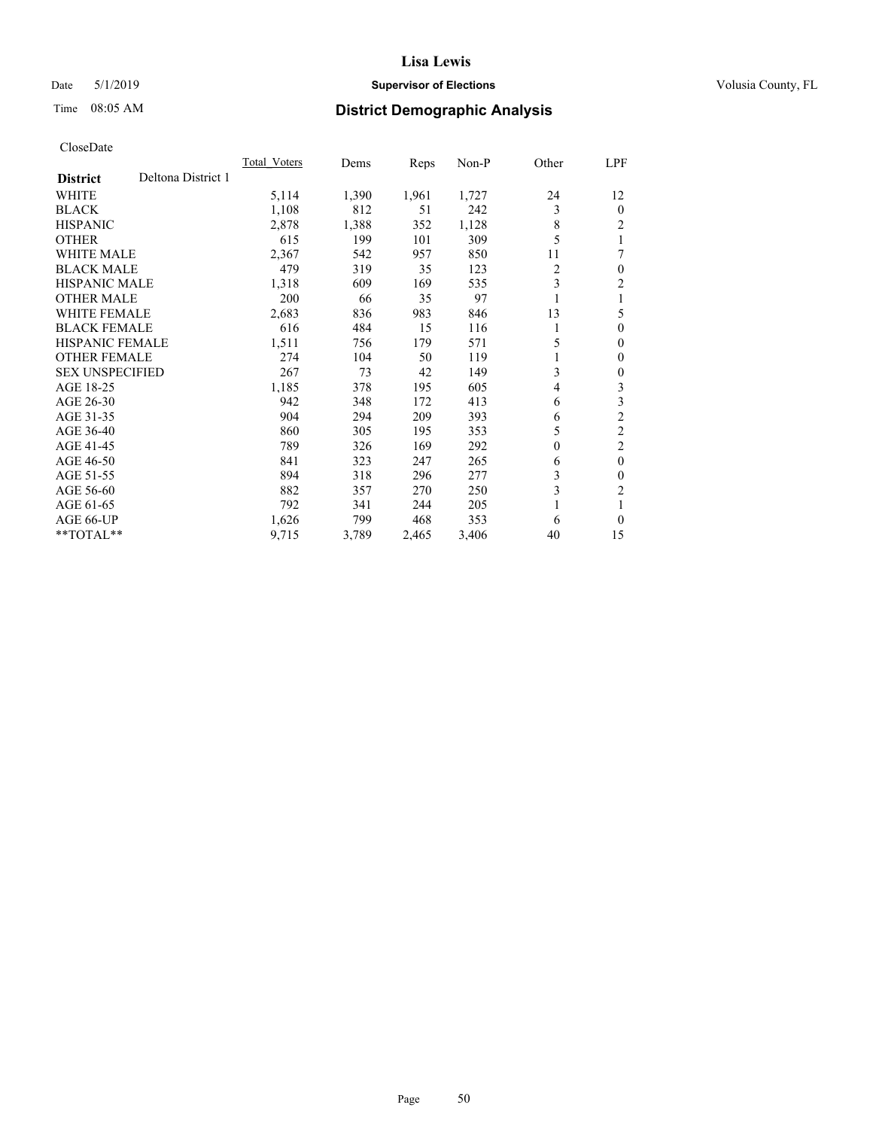## Date 5/1/2019 **Supervisor of Elections Supervisor of Elections** Volusia County, FL

# Time 08:05 AM **District Demographic Analysis**

|                                       | Total Voters | Dems  | Reps  | Non-P | Other    | <u>LPF</u>     |
|---------------------------------------|--------------|-------|-------|-------|----------|----------------|
| Deltona District 1<br><b>District</b> |              |       |       |       |          |                |
| WHITE                                 | 5,114        | 1,390 | 1,961 | 1,727 | 24       | 12             |
| <b>BLACK</b>                          | 1,108        | 812   | 51    | 242   | 3        | $\theta$       |
| <b>HISPANIC</b>                       | 2,878        | 1,388 | 352   | 1,128 | 8        | $\overline{c}$ |
| <b>OTHER</b>                          | 615          | 199   | 101   | 309   | 5        |                |
| <b>WHITE MALE</b>                     | 2,367        | 542   | 957   | 850   | 11       | 7              |
| <b>BLACK MALE</b>                     | 479          | 319   | 35    | 123   | 2        | $\theta$       |
| <b>HISPANIC MALE</b>                  | 1,318        | 609   | 169   | 535   | 3        | 2              |
| <b>OTHER MALE</b>                     | 200          | 66    | 35    | 97    | 1        |                |
| WHITE FEMALE                          | 2,683        | 836   | 983   | 846   | 13       | 5              |
| <b>BLACK FEMALE</b>                   | 616          | 484   | 15    | 116   | 1        | $\theta$       |
| <b>HISPANIC FEMALE</b>                | 1,511        | 756   | 179   | 571   | 5        | $\mathbf{0}$   |
| <b>OTHER FEMALE</b>                   | 274          | 104   | 50    | 119   | 1        | $\Omega$       |
| <b>SEX UNSPECIFIED</b>                | 267          | 73    | 42    | 149   | 3        | 0              |
| AGE 18-25                             | 1,185        | 378   | 195   | 605   | 4        | 3              |
| AGE 26-30                             | 942          | 348   | 172   | 413   | 6        | 3              |
| AGE 31-35                             | 904          | 294   | 209   | 393   | 6        | $\overline{2}$ |
| AGE 36-40                             | 860          | 305   | 195   | 353   | 5        | $\overline{2}$ |
| AGE 41-45                             | 789          | 326   | 169   | 292   | $\theta$ | 2              |
| AGE 46-50                             | 841          | 323   | 247   | 265   | 6        | $\theta$       |
| AGE 51-55                             | 894          | 318   | 296   | 277   | 3        | 0              |
| AGE 56-60                             | 882          | 357   | 270   | 250   | 3        | $\overline{c}$ |
| AGE 61-65                             | 792          | 341   | 244   | 205   | 1        |                |
| AGE 66-UP                             | 1,626        | 799   | 468   | 353   | 6        | 0              |
| $*$ $TOTAL**$                         | 9,715        | 3,789 | 2,465 | 3,406 | 40       | 15             |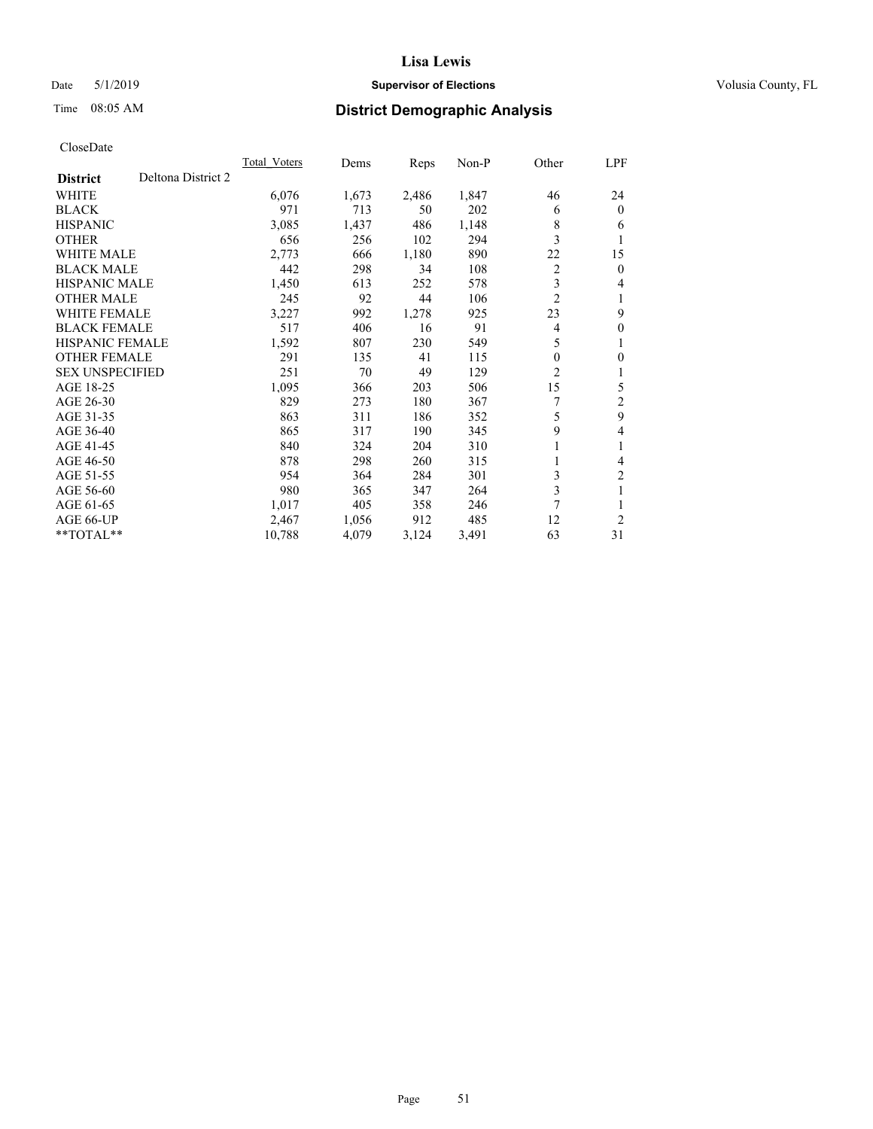## Date 5/1/2019 **Supervisor of Elections Supervisor of Elections** Volusia County, FL

# Time 08:05 AM **District Demographic Analysis**

|                                       | Total Voters | Dems  | Reps  | Non-P | Other          | LPF            |
|---------------------------------------|--------------|-------|-------|-------|----------------|----------------|
| Deltona District 2<br><b>District</b> |              |       |       |       |                |                |
| WHITE                                 | 6,076        | 1,673 | 2,486 | 1,847 | 46             | 24             |
| <b>BLACK</b>                          | 971          | 713   | 50    | 202   | 6              | $\theta$       |
| <b>HISPANIC</b>                       | 3,085        | 1,437 | 486   | 1,148 | 8              | 6              |
| <b>OTHER</b>                          | 656          | 256   | 102   | 294   | 3              | 1              |
| WHITE MALE                            | 2,773        | 666   | 1,180 | 890   | 22             | 15             |
| <b>BLACK MALE</b>                     | 442          | 298   | 34    | 108   | $\overline{c}$ | $\theta$       |
| <b>HISPANIC MALE</b>                  | 1,450        | 613   | 252   | 578   | 3              | 4              |
| <b>OTHER MALE</b>                     | 245          | 92    | 44    | 106   | $\overline{2}$ | 1              |
| <b>WHITE FEMALE</b>                   | 3,227        | 992   | 1,278 | 925   | 23             | 9              |
| <b>BLACK FEMALE</b>                   | 517          | 406   | 16    | 91    | 4              | $\mathbf{0}$   |
| <b>HISPANIC FEMALE</b>                | 1,592        | 807   | 230   | 549   | 5              | 1              |
| <b>OTHER FEMALE</b>                   | 291          | 135   | 41    | 115   | 0              | 0              |
| <b>SEX UNSPECIFIED</b>                | 251          | 70    | 49    | 129   | $\overline{2}$ | 1              |
| AGE 18-25                             | 1,095        | 366   | 203   | 506   | 15             | 5              |
| AGE 26-30                             | 829          | 273   | 180   | 367   |                | 2              |
| AGE 31-35                             | 863          | 311   | 186   | 352   | 5              | 9              |
| AGE 36-40                             | 865          | 317   | 190   | 345   | 9              | 4              |
| AGE 41-45                             | 840          | 324   | 204   | 310   | 1              | 1              |
| AGE 46-50                             | 878          | 298   | 260   | 315   |                | 4              |
| AGE 51-55                             | 954          | 364   | 284   | 301   | 3              | $\overline{c}$ |
| AGE 56-60                             | 980          | 365   | 347   | 264   | 3              | 1              |
| AGE 61-65                             | 1,017        | 405   | 358   | 246   | 7              |                |
| AGE 66-UP                             | 2,467        | 1,056 | 912   | 485   | 12             | $\overline{2}$ |
| **TOTAL**                             | 10,788       | 4,079 | 3,124 | 3,491 | 63             | 31             |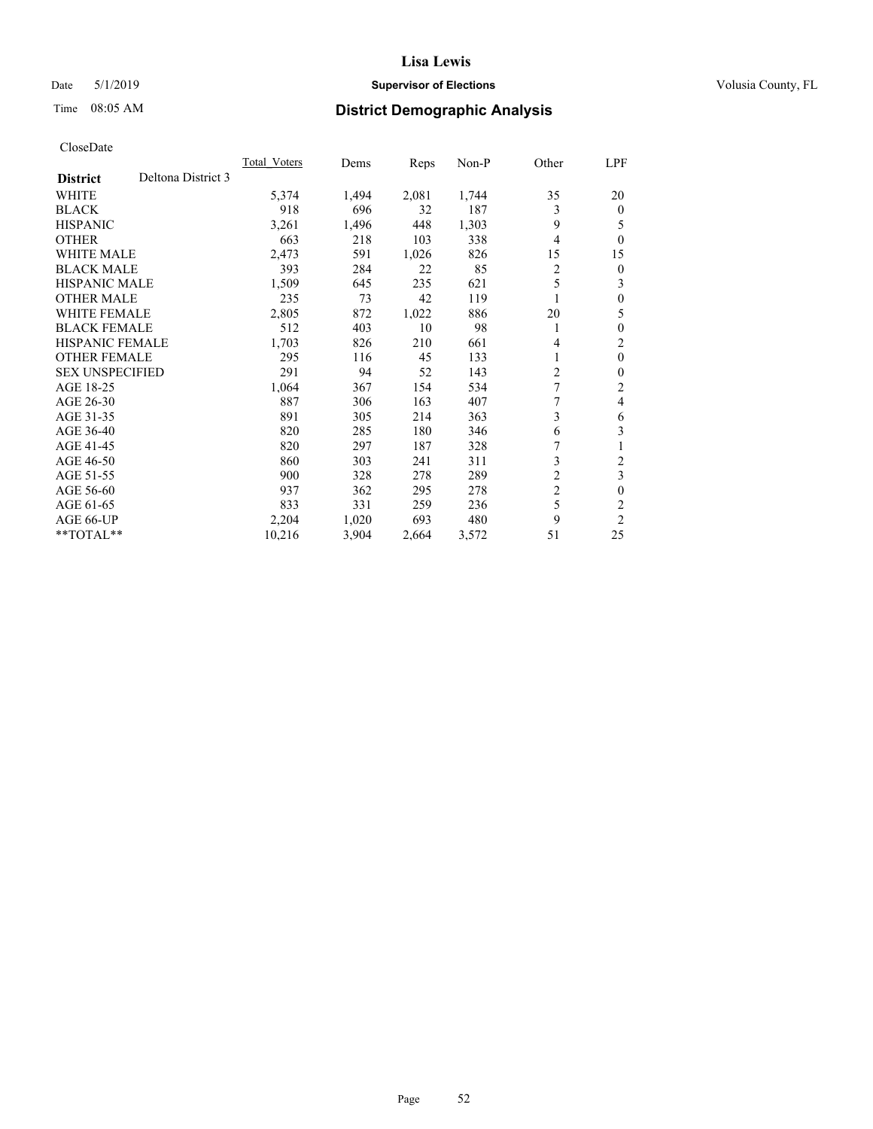## Date 5/1/2019 **Supervisor of Elections Supervisor of Elections** Volusia County, FL

# Time 08:05 AM **District Demographic Analysis**

|                                       | Total Voters | Dems  | Reps  | $Non-P$ | Other          | LPF      |
|---------------------------------------|--------------|-------|-------|---------|----------------|----------|
| Deltona District 3<br><b>District</b> |              |       |       |         |                |          |
| WHITE                                 | 5,374        | 1,494 | 2,081 | 1,744   | 35             | 20       |
| <b>BLACK</b>                          | 918          | 696   | 32    | 187     | 3              | $\Omega$ |
| <b>HISPANIC</b>                       | 3,261        | 1,496 | 448   | 1,303   | 9              | 5        |
| <b>OTHER</b>                          | 663          | 218   | 103   | 338     | 4              | 0        |
| <b>WHITE MALE</b>                     | 2,473        | 591   | 1,026 | 826     | 15             | 15       |
| <b>BLACK MALE</b>                     | 393          | 284   | 22    | 85      | 2              | 0        |
| <b>HISPANIC MALE</b>                  | 1,509        | 645   | 235   | 621     | 5              | 3        |
| <b>OTHER MALE</b>                     | 235          | 73    | 42    | 119     |                | 0        |
| <b>WHITE FEMALE</b>                   | 2,805        | 872   | 1,022 | 886     | 20             | 5        |
| <b>BLACK FEMALE</b>                   | 512          | 403   | 10    | 98      | 1              | 0        |
| <b>HISPANIC FEMALE</b>                | 1,703        | 826   | 210   | 661     | 4              | 2        |
| <b>OTHER FEMALE</b>                   | 295          | 116   | 45    | 133     | 1              | $\theta$ |
| <b>SEX UNSPECIFIED</b>                | 291          | 94    | 52    | 143     | 2              | 0        |
| AGE 18-25                             | 1,064        | 367   | 154   | 534     | 7              | 2        |
| AGE 26-30                             | 887          | 306   | 163   | 407     |                | 4        |
| AGE 31-35                             | 891          | 305   | 214   | 363     | 3              | 6        |
| AGE 36-40                             | 820          | 285   | 180   | 346     | 6              | 3        |
| AGE 41-45                             | 820          | 297   | 187   | 328     | 7              | 1        |
| AGE 46-50                             | 860          | 303   | 241   | 311     | 3              | 2        |
| AGE 51-55                             | 900          | 328   | 278   | 289     | $\overline{2}$ | 3        |
| AGE 56-60                             | 937          | 362   | 295   | 278     | $\overline{2}$ | 0        |
| AGE 61-65                             | 833          | 331   | 259   | 236     | 5              | 2        |
| AGE 66-UP                             | 2,204        | 1,020 | 693   | 480     | 9              | 2        |
| $*$ TOTAL $*$                         | 10,216       | 3,904 | 2,664 | 3,572   | 51             | 25       |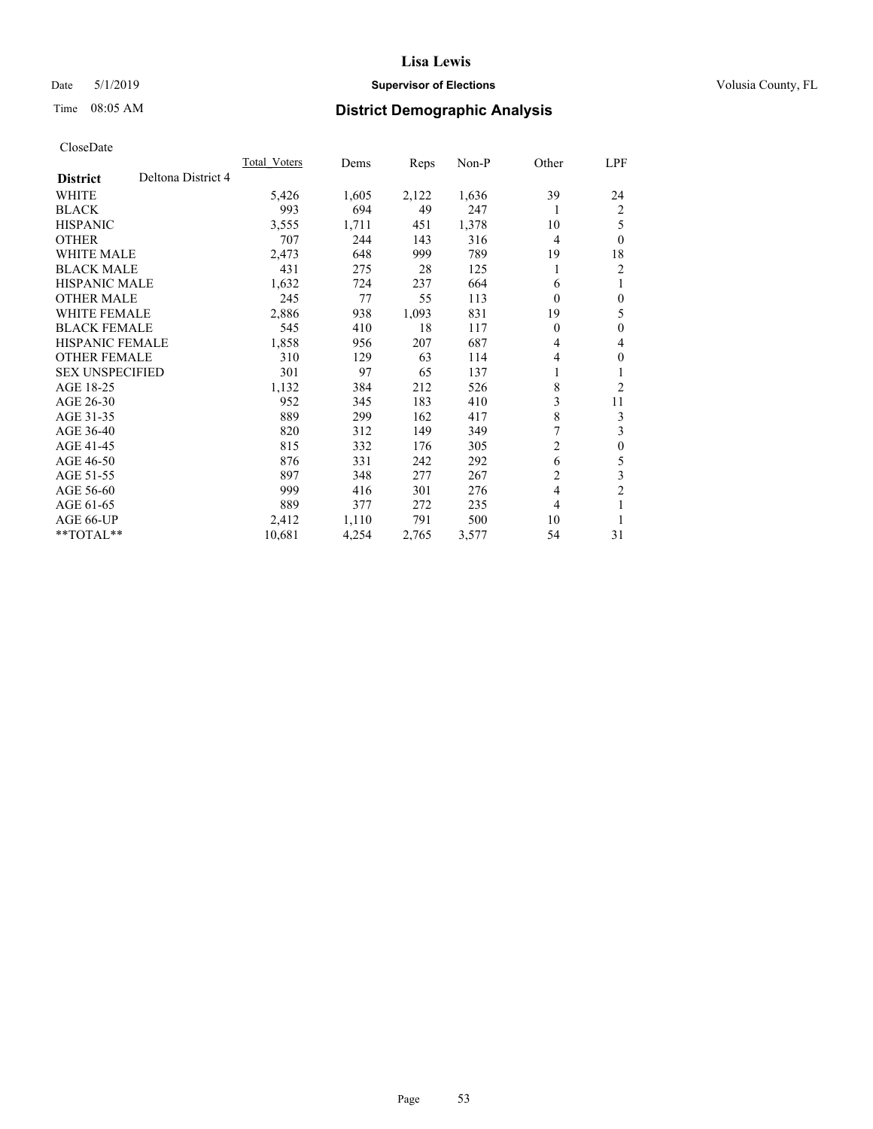## Date 5/1/2019 **Supervisor of Elections Supervisor of Elections** Volusia County, FL

# Time 08:05 AM **District Demographic Analysis**

|                                       | Total Voters | Dems  | Reps  | $Non-P$ | Other          | LPF              |
|---------------------------------------|--------------|-------|-------|---------|----------------|------------------|
| Deltona District 4<br><b>District</b> |              |       |       |         |                |                  |
| WHITE                                 | 5,426        | 1,605 | 2,122 | 1,636   | 39             | 24               |
| <b>BLACK</b>                          | 993          | 694   | 49    | 247     | 1              | 2                |
| <b>HISPANIC</b>                       | 3,555        | 1,711 | 451   | 1,378   | 10             | 5                |
| <b>OTHER</b>                          | 707          | 244   | 143   | 316     | 4              | $\theta$         |
| <b>WHITE MALE</b>                     | 2,473        | 648   | 999   | 789     | 19             | 18               |
| <b>BLACK MALE</b>                     | 431          | 275   | 28    | 125     | 1              | 2                |
| <b>HISPANIC MALE</b>                  | 1,632        | 724   | 237   | 664     | 6              | 1                |
| <b>OTHER MALE</b>                     | 245          | 77    | 55    | 113     | $\theta$       | $\mathbf{0}$     |
| <b>WHITE FEMALE</b>                   | 2,886        | 938   | 1,093 | 831     | 19             | 5                |
| <b>BLACK FEMALE</b>                   | 545          | 410   | 18    | 117     | 0              | $\mathbf{0}$     |
| <b>HISPANIC FEMALE</b>                | 1,858        | 956   | 207   | 687     | 4              | 4                |
| <b>OTHER FEMALE</b>                   | 310          | 129   | 63    | 114     | 4              | $\mathbf{0}$     |
| <b>SEX UNSPECIFIED</b>                | 301          | 97    | 65    | 137     | 1              | 1                |
| AGE 18-25                             | 1,132        | 384   | 212   | 526     | 8              | $\overline{2}$   |
| AGE 26-30                             | 952          | 345   | 183   | 410     | 3              | 11               |
| AGE 31-35                             | 889          | 299   | 162   | 417     | 8              | 3                |
| AGE 36-40                             | 820          | 312   | 149   | 349     | 7              | 3                |
| AGE 41-45                             | 815          | 332   | 176   | 305     | 2              | $\boldsymbol{0}$ |
| AGE 46-50                             | 876          | 331   | 242   | 292     | 6              | 5                |
| AGE 51-55                             | 897          | 348   | 277   | 267     | $\overline{2}$ | $\mathfrak{Z}$   |
| AGE 56-60                             | 999          | 416   | 301   | 276     | $\overline{4}$ | $\overline{2}$   |
| AGE 61-65                             | 889          | 377   | 272   | 235     | 4              | 1                |
| AGE 66-UP                             | 2,412        | 1,110 | 791   | 500     | 10             | 1                |
| $*$ TOTAL $*$                         | 10,681       | 4,254 | 2,765 | 3,577   | 54             | 31               |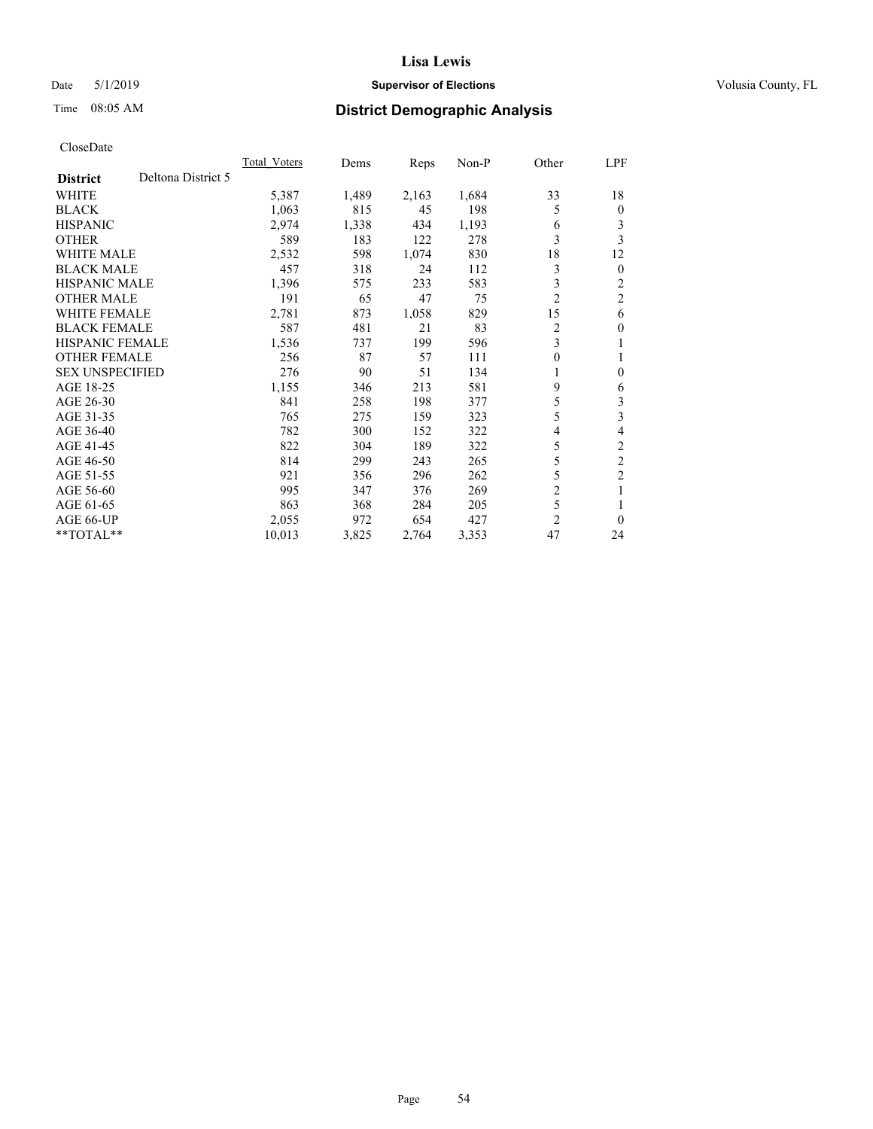## Date 5/1/2019 **Supervisor of Elections Supervisor of Elections** Volusia County, FL

# Time 08:05 AM **District Demographic Analysis**

|                                       | Total Voters | Dems  | Reps  | Non-P | Other          | LPF            |
|---------------------------------------|--------------|-------|-------|-------|----------------|----------------|
| Deltona District 5<br><b>District</b> |              |       |       |       |                |                |
| <b>WHITE</b>                          | 5,387        | 1,489 | 2,163 | 1,684 | 33             | 18             |
| <b>BLACK</b>                          | 1,063        | 815   | 45    | 198   | 5              | $\mathbf{0}$   |
| <b>HISPANIC</b>                       | 2,974        | 1,338 | 434   | 1,193 | 6              | 3              |
| <b>OTHER</b>                          | 589          | 183   | 122   | 278   | 3              | 3              |
| WHITE MALE                            | 2,532        | 598   | 1,074 | 830   | 18             | 12             |
| <b>BLACK MALE</b>                     | 457          | 318   | 24    | 112   | 3              | $\mathbf{0}$   |
| <b>HISPANIC MALE</b>                  | 1,396        | 575   | 233   | 583   | 3              | 2              |
| <b>OTHER MALE</b>                     | 191          | 65    | 47    | 75    | $\overline{2}$ | $\overline{c}$ |
| <b>WHITE FEMALE</b>                   | 2,781        | 873   | 1,058 | 829   | 15             | 6              |
| <b>BLACK FEMALE</b>                   | 587          | 481   | 21    | 83    | $\overline{2}$ | $\theta$       |
| <b>HISPANIC FEMALE</b>                | 1,536        | 737   | 199   | 596   | 3              | 1              |
| <b>OTHER FEMALE</b>                   | 256          | 87    | 57    | 111   | 0              |                |
| <b>SEX UNSPECIFIED</b>                | 276          | 90    | 51    | 134   | 1              | $\theta$       |
| AGE 18-25                             | 1,155        | 346   | 213   | 581   | 9              | 6              |
| AGE 26-30                             | 841          | 258   | 198   | 377   | 5              | 3              |
| AGE 31-35                             | 765          | 275   | 159   | 323   | 5              | 3              |
| AGE 36-40                             | 782          | 300   | 152   | 322   | 4              | 4              |
| AGE 41-45                             | 822          | 304   | 189   | 322   | 5              | 2              |
| AGE 46-50                             | 814          | 299   | 243   | 265   | 5              | $\overline{c}$ |
| AGE 51-55                             | 921          | 356   | 296   | 262   | 5              | $\overline{c}$ |
| AGE 56-60                             | 995          | 347   | 376   | 269   | $\overline{2}$ | 1              |
| AGE 61-65                             | 863          | 368   | 284   | 205   | 5              |                |
| AGE 66-UP                             | 2,055        | 972   | 654   | 427   | $\overline{2}$ | $\theta$       |
| $*$ TOTAL $*$                         | 10,013       | 3,825 | 2,764 | 3,353 | 47             | 24             |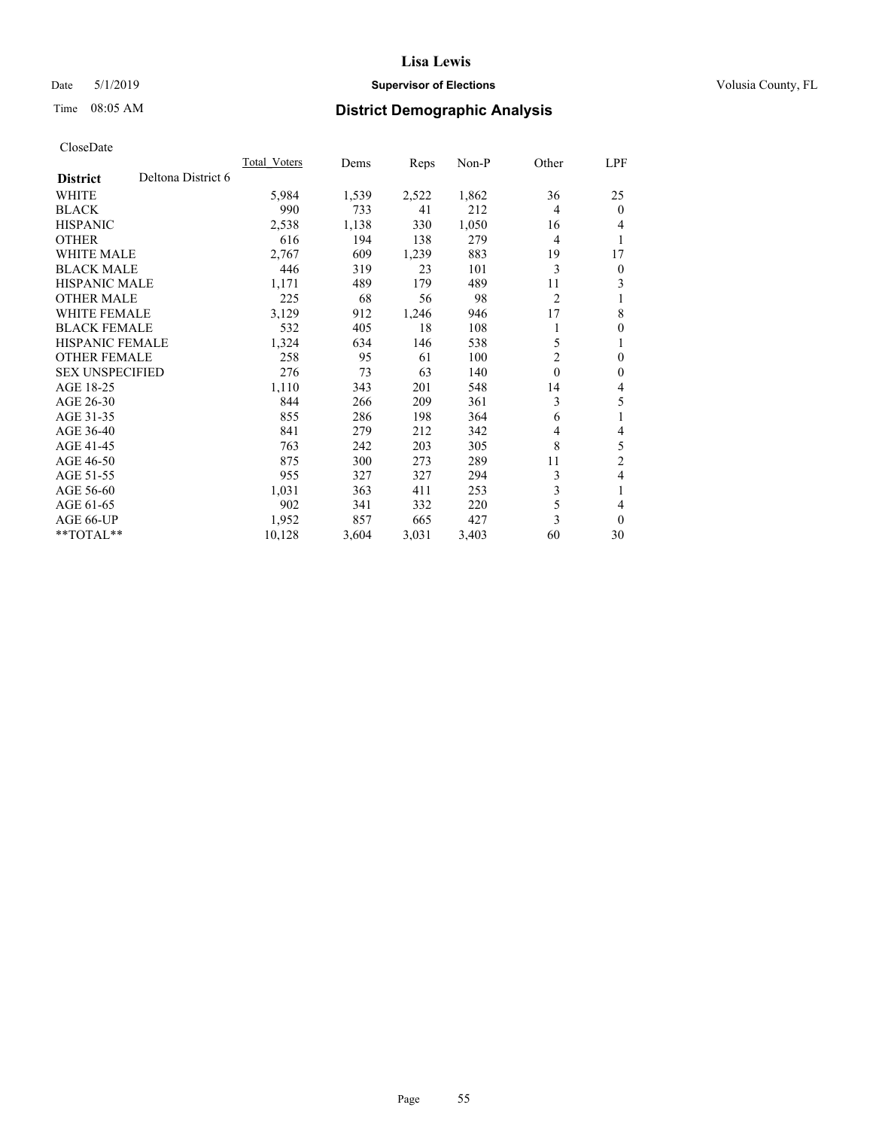## Date 5/1/2019 **Supervisor of Elections Supervisor of Elections** Volusia County, FL

# Time 08:05 AM **District Demographic Analysis**

|                        |                    | <b>Total Voters</b> | Dems  | Reps  | $Non-P$ | Other          | LPF            |
|------------------------|--------------------|---------------------|-------|-------|---------|----------------|----------------|
| <b>District</b>        | Deltona District 6 |                     |       |       |         |                |                |
| <b>WHITE</b>           |                    | 5,984               | 1,539 | 2,522 | 1,862   | 36             | 25             |
| <b>BLACK</b>           |                    | 990                 | 733   | 41    | 212     | 4              | $\theta$       |
| <b>HISPANIC</b>        |                    | 2,538               | 1,138 | 330   | 1,050   | 16             | 4              |
| <b>OTHER</b>           |                    | 616                 | 194   | 138   | 279     | 4              | 1              |
| <b>WHITE MALE</b>      |                    | 2,767               | 609   | 1,239 | 883     | 19             | 17             |
| <b>BLACK MALE</b>      |                    | 446                 | 319   | 23    | 101     | 3              | $\overline{0}$ |
| <b>HISPANIC MALE</b>   |                    | 1,171               | 489   | 179   | 489     | 11             | 3              |
| <b>OTHER MALE</b>      |                    | 225                 | 68    | 56    | 98      | $\overline{2}$ |                |
| <b>WHITE FEMALE</b>    |                    | 3,129               | 912   | 1,246 | 946     | 17             | 8              |
| <b>BLACK FEMALE</b>    |                    | 532                 | 405   | 18    | 108     |                | $\theta$       |
| <b>HISPANIC FEMALE</b> |                    | 1,324               | 634   | 146   | 538     | 5              | 1              |
| <b>OTHER FEMALE</b>    |                    | 258                 | 95    | 61    | 100     | 2              | $\theta$       |
| <b>SEX UNSPECIFIED</b> |                    | 276                 | 73    | 63    | 140     | $\mathbf{0}$   | $\theta$       |
| AGE 18-25              |                    | 1,110               | 343   | 201   | 548     | 14             | 4              |
| AGE 26-30              |                    | 844                 | 266   | 209   | 361     | 3              | 5              |
| AGE 31-35              |                    | 855                 | 286   | 198   | 364     | 6              | 1              |
| AGE 36-40              |                    | 841                 | 279   | 212   | 342     | 4              | 4              |
| AGE 41-45              |                    | 763                 | 242   | 203   | 305     | 8              | 5              |
| AGE 46-50              |                    | 875                 | 300   | 273   | 289     | 11             | $\overline{2}$ |
| AGE 51-55              |                    | 955                 | 327   | 327   | 294     | 3              | 4              |
| AGE 56-60              |                    | 1,031               | 363   | 411   | 253     | 3              | 1              |
| AGE 61-65              |                    | 902                 | 341   | 332   | 220     | 5              | 4              |
| AGE 66-UP              |                    | 1,952               | 857   | 665   | 427     | 3              | $\theta$       |
| $*$ TOTAL $*$          |                    | 10,128              | 3,604 | 3,031 | 3,403   | 60             | 30             |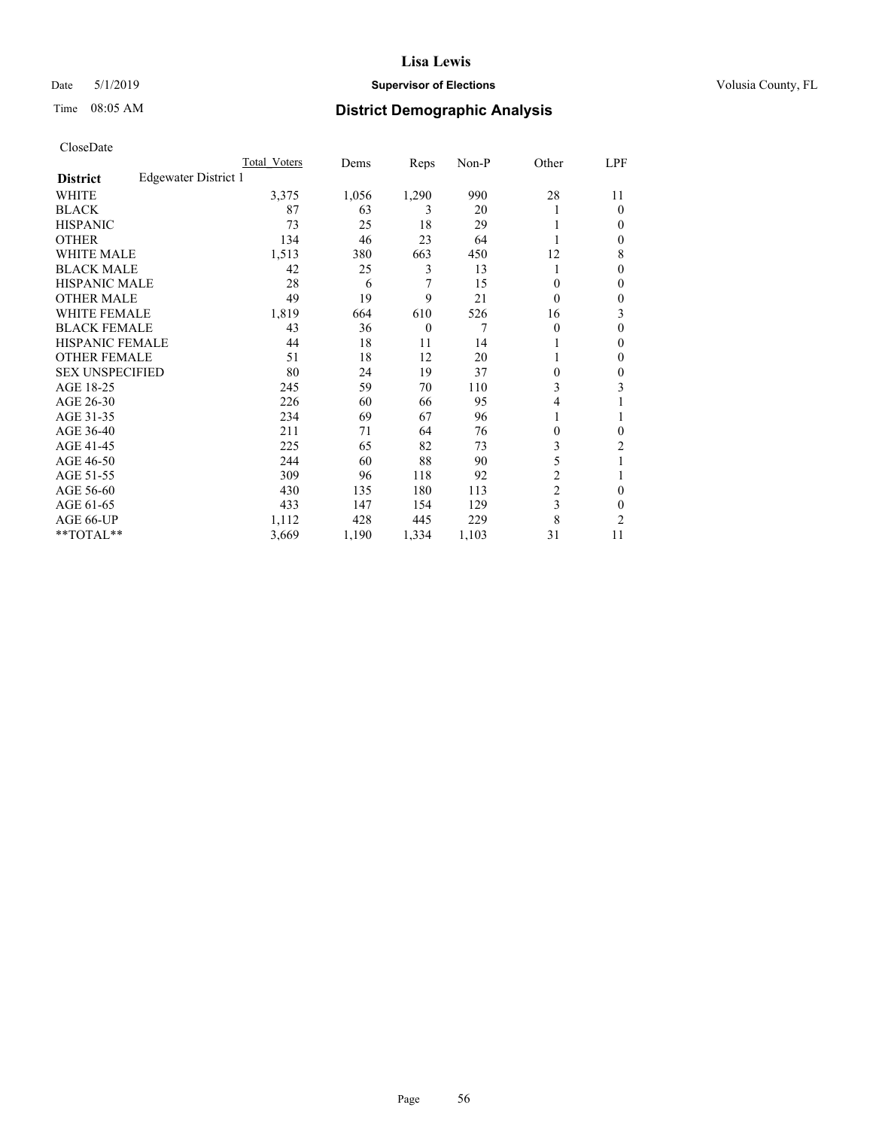## Date 5/1/2019 **Supervisor of Elections Supervisor of Elections** Volusia County, FL

# Time 08:05 AM **District Demographic Analysis**

|                        |                      | Total Voters | Dems  | Reps     | Non-P | Other          | LPF            |
|------------------------|----------------------|--------------|-------|----------|-------|----------------|----------------|
| <b>District</b>        | Edgewater District 1 |              |       |          |       |                |                |
| WHITE                  |                      | 3,375        | 1,056 | 1,290    | 990   | 28             | 11             |
| <b>BLACK</b>           |                      | 87           | 63    | 3        | 20    |                | $\Omega$       |
| <b>HISPANIC</b>        |                      | 73           | 25    | 18       | 29    |                | $\Omega$       |
| <b>OTHER</b>           |                      | 134          | 46    | 23       | 64    |                | $\Omega$       |
| <b>WHITE MALE</b>      |                      | 1,513        | 380   | 663      | 450   | 12             | 8              |
| <b>BLACK MALE</b>      |                      | 42           | 25    | 3        | 13    |                | $\Omega$       |
| <b>HISPANIC MALE</b>   |                      | 28           | 6     | 7        | 15    | 0              | $\theta$       |
| <b>OTHER MALE</b>      |                      | 49           | 19    | 9        | 21    | $\theta$       | $\mathbf{0}$   |
| <b>WHITE FEMALE</b>    |                      | 1,819        | 664   | 610      | 526   | 16             | 3              |
| <b>BLACK FEMALE</b>    |                      | 43           | 36    | $\theta$ | 7     | $\theta$       | $\theta$       |
| <b>HISPANIC FEMALE</b> |                      | 44           | 18    | 11       | 14    |                | $\Omega$       |
| <b>OTHER FEMALE</b>    |                      | 51           | 18    | 12       | 20    |                | $\Omega$       |
| <b>SEX UNSPECIFIED</b> |                      | 80           | 24    | 19       | 37    | 0              | $\theta$       |
| AGE 18-25              |                      | 245          | 59    | 70       | 110   | 3              | 3              |
| AGE 26-30              |                      | 226          | 60    | 66       | 95    | 4              |                |
| AGE 31-35              |                      | 234          | 69    | 67       | 96    |                |                |
| AGE 36-40              |                      | 211          | 71    | 64       | 76    | 0              | $\Omega$       |
| AGE 41-45              |                      | 225          | 65    | 82       | 73    | 3              | 2              |
| AGE 46-50              |                      | 244          | 60    | 88       | 90    | 5              |                |
| AGE 51-55              |                      | 309          | 96    | 118      | 92    | $\overline{2}$ |                |
| AGE 56-60              |                      | 430          | 135   | 180      | 113   | $\overline{c}$ | $\theta$       |
| AGE 61-65              |                      | 433          | 147   | 154      | 129   | 3              | $\theta$       |
| AGE 66-UP              |                      | 1,112        | 428   | 445      | 229   | 8              | $\overline{2}$ |
| **TOTAL**              |                      | 3,669        | 1,190 | 1,334    | 1,103 | 31             | 11             |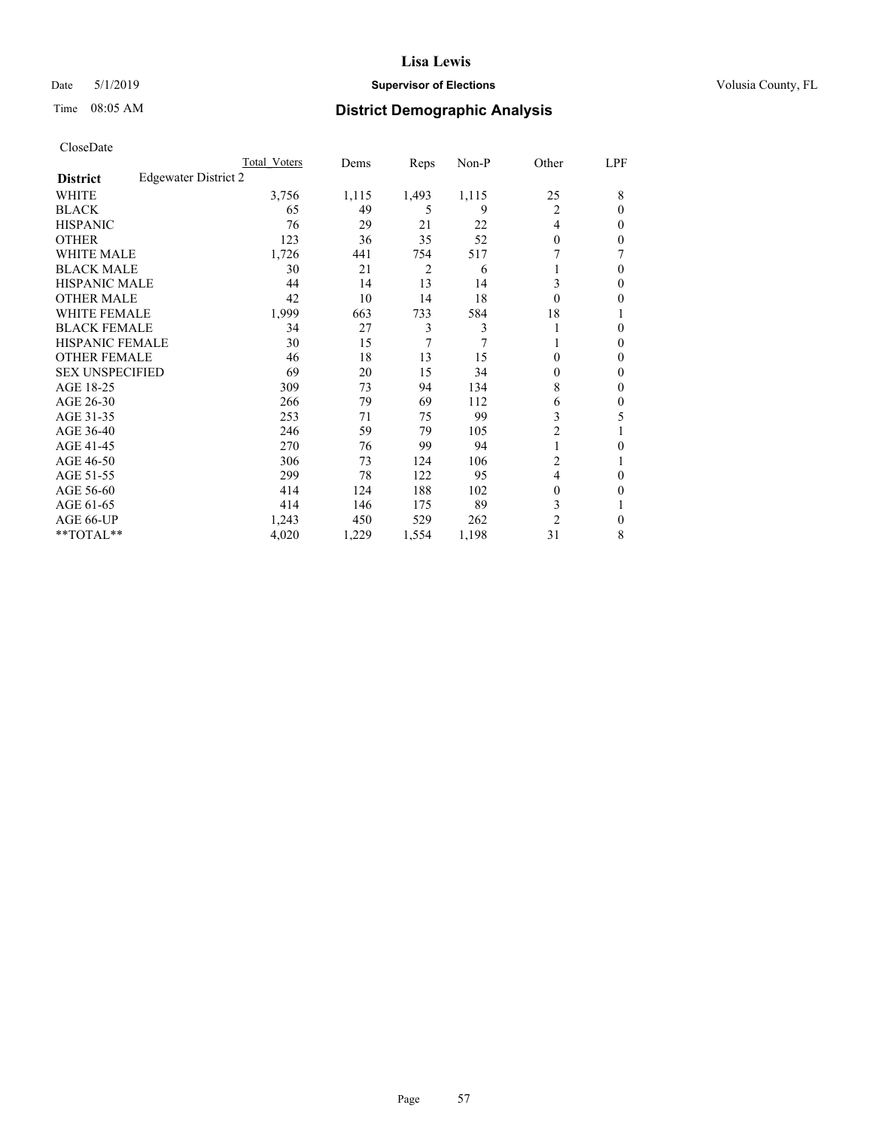#### Date 5/1/2019 **Supervisor of Elections Supervisor of Elections** Volusia County, FL

# Time 08:05 AM **District Demographic Analysis**

|                        |                      | Total Voters | Dems  | Reps  | Non-P | Other          | LPF          |
|------------------------|----------------------|--------------|-------|-------|-------|----------------|--------------|
| <b>District</b>        | Edgewater District 2 |              |       |       |       |                |              |
| WHITE                  |                      | 3,756        | 1,115 | 1,493 | 1,115 | 25             | 8            |
| <b>BLACK</b>           |                      | 65           | 49    | 5     | 9     | 2              | $\Omega$     |
| <b>HISPANIC</b>        |                      | 76           | 29    | 21    | 22    | $\overline{4}$ | 0            |
| <b>OTHER</b>           |                      | 123          | 36    | 35    | 52    | $\theta$       | 0            |
| <b>WHITE MALE</b>      |                      | 1,726        | 441   | 754   | 517   |                |              |
| <b>BLACK MALE</b>      |                      | 30           | 21    | 2     | 6     |                | $\Omega$     |
| <b>HISPANIC MALE</b>   |                      | 44           | 14    | 13    | 14    | 3              | 0            |
| <b>OTHER MALE</b>      |                      | 42           | 10    | 14    | 18    | $\theta$       | 0            |
| WHITE FEMALE           |                      | 1,999        | 663   | 733   | 584   | 18             |              |
| <b>BLACK FEMALE</b>    |                      | 34           | 27    | 3     | 3     | 1              | 0            |
| <b>HISPANIC FEMALE</b> |                      | 30           | 15    | 7     | 7     |                | 0            |
| <b>OTHER FEMALE</b>    |                      | 46           | 18    | 13    | 15    | $\Omega$       | 0            |
| <b>SEX UNSPECIFIED</b> |                      | 69           | 20    | 15    | 34    | $\theta$       | 0            |
| AGE 18-25              |                      | 309          | 73    | 94    | 134   | 8              | 0            |
| AGE 26-30              |                      | 266          | 79    | 69    | 112   | 6              | $\mathbf{0}$ |
| AGE 31-35              |                      | 253          | 71    | 75    | 99    | 3              | 5            |
| AGE 36-40              |                      | 246          | 59    | 79    | 105   | $\overline{c}$ |              |
| AGE 41-45              |                      | 270          | 76    | 99    | 94    | $\mathbf{1}$   | 0            |
| AGE 46-50              |                      | 306          | 73    | 124   | 106   | 2              |              |
| AGE 51-55              |                      | 299          | 78    | 122   | 95    | $\overline{4}$ | 0            |
| AGE 56-60              |                      | 414          | 124   | 188   | 102   | $\theta$       | 0            |
| AGE 61-65              |                      | 414          | 146   | 175   | 89    | 3              |              |
| AGE 66-UP              |                      | 1,243        | 450   | 529   | 262   | $\overline{c}$ | 0            |
| **TOTAL**              |                      | 4,020        | 1,229 | 1,554 | 1,198 | 31             | 8            |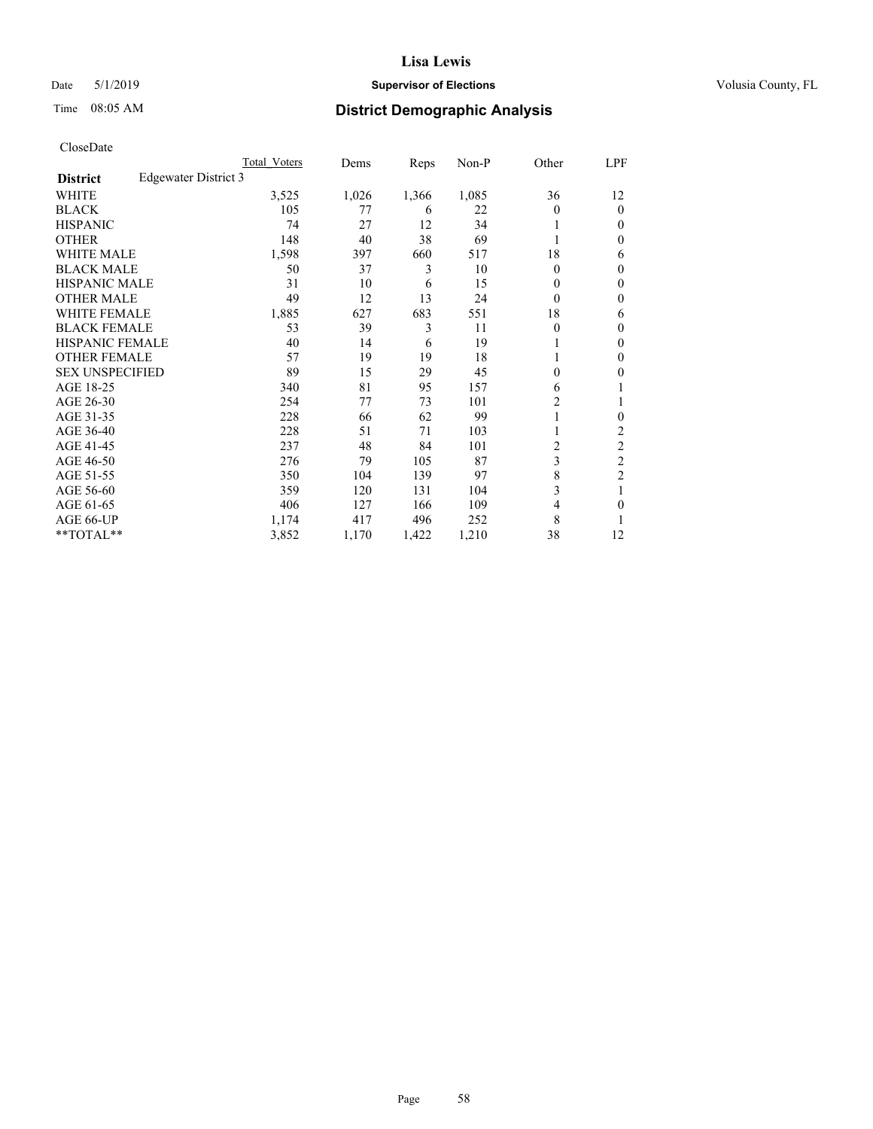## Date 5/1/2019 **Supervisor of Elections Supervisor of Elections** Volusia County, FL

# Time 08:05 AM **District Demographic Analysis**

|                        |                      | Total Voters | Dems  | Reps  | Non-P | Other | LPF            |
|------------------------|----------------------|--------------|-------|-------|-------|-------|----------------|
| <b>District</b>        | Edgewater District 3 |              |       |       |       |       |                |
| WHITE                  |                      | 3,525        | 1,026 | 1,366 | 1,085 | 36    | 12             |
| <b>BLACK</b>           |                      | 105          | 77    | 6     | 22    | 0     | $\mathbf{0}$   |
| <b>HISPANIC</b>        |                      | 74           | 27    | 12    | 34    |       | $\Omega$       |
| <b>OTHER</b>           |                      | 148          | 40    | 38    | 69    |       | 0              |
| <b>WHITE MALE</b>      |                      | 1,598        | 397   | 660   | 517   | 18    | 6              |
| <b>BLACK MALE</b>      |                      | 50           | 37    | 3     | 10    | 0     | $\mathbf{0}$   |
| <b>HISPANIC MALE</b>   |                      | 31           | 10    | 6     | 15    | 0     | $\theta$       |
| <b>OTHER MALE</b>      |                      | 49           | 12    | 13    | 24    | 0     | $\mathbf{0}$   |
| WHITE FEMALE           |                      | 1,885        | 627   | 683   | 551   | 18    | 6              |
| <b>BLACK FEMALE</b>    |                      | 53           | 39    | 3     | 11    | 0     | $\mathbf{0}$   |
| <b>HISPANIC FEMALE</b> |                      | 40           | 14    | 6     | 19    |       | 0              |
| <b>OTHER FEMALE</b>    |                      | 57           | 19    | 19    | 18    |       | 0              |
| <b>SEX UNSPECIFIED</b> |                      | 89           | 15    | 29    | 45    | 0     | 0              |
| AGE 18-25              |                      | 340          | 81    | 95    | 157   | 6     |                |
| AGE 26-30              |                      | 254          | 77    | 73    | 101   | 2     | 1              |
| AGE 31-35              |                      | 228          | 66    | 62    | 99    |       | 0              |
| AGE 36-40              |                      | 228          | 51    | 71    | 103   |       | 2              |
| AGE 41-45              |                      | 237          | 48    | 84    | 101   | 2     | 2              |
| AGE 46-50              |                      | 276          | 79    | 105   | 87    | 3     | $\overline{c}$ |
| AGE 51-55              |                      | 350          | 104   | 139   | 97    | 8     | $\overline{c}$ |
| AGE 56-60              |                      | 359          | 120   | 131   | 104   | 3     |                |
| AGE 61-65              |                      | 406          | 127   | 166   | 109   | 4     | 0              |
| AGE 66-UP              |                      | 1,174        | 417   | 496   | 252   | 8     |                |
| **TOTAL**              |                      | 3,852        | 1,170 | 1,422 | 1,210 | 38    | 12             |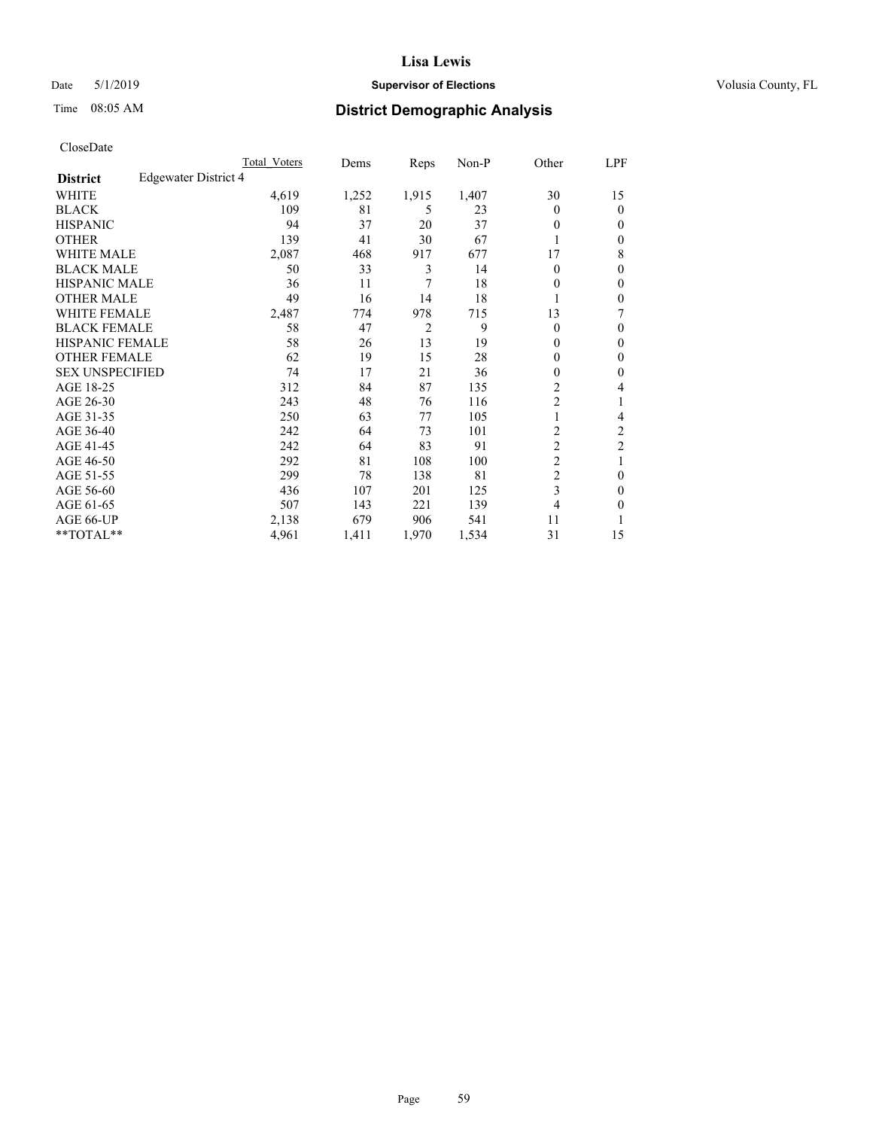## Date 5/1/2019 **Supervisor of Elections Supervisor of Elections** Volusia County, FL

# Time 08:05 AM **District Demographic Analysis**

|                        |                      | Total Voters | Dems  | Reps           | Non-P | Other          | LPF            |
|------------------------|----------------------|--------------|-------|----------------|-------|----------------|----------------|
| <b>District</b>        | Edgewater District 4 |              |       |                |       |                |                |
| WHITE                  |                      | 4,619        | 1,252 | 1,915          | 1,407 | 30             | 15             |
| <b>BLACK</b>           |                      | 109          | 81    | 5              | 23    | $\theta$       | $\mathbf{0}$   |
| <b>HISPANIC</b>        |                      | 94           | 37    | 20             | 37    | $\theta$       | $\Omega$       |
| <b>OTHER</b>           |                      | 139          | 41    | 30             | 67    |                | $\theta$       |
| <b>WHITE MALE</b>      |                      | 2,087        | 468   | 917            | 677   | 17             | 8              |
| <b>BLACK MALE</b>      |                      | 50           | 33    | 3              | 14    | $\theta$       | $\theta$       |
| <b>HISPANIC MALE</b>   |                      | 36           | 11    | 7              | 18    | 0              | $\theta$       |
| <b>OTHER MALE</b>      |                      | 49           | 16    | 14             | 18    |                | $\theta$       |
| <b>WHITE FEMALE</b>    |                      | 2,487        | 774   | 978            | 715   | 13             | 7              |
| <b>BLACK FEMALE</b>    |                      | 58           | 47    | $\overline{2}$ | 9     | $\theta$       | $\Omega$       |
| <b>HISPANIC FEMALE</b> |                      | 58           | 26    | 13             | 19    | 0              | $\theta$       |
| <b>OTHER FEMALE</b>    |                      | 62           | 19    | 15             | 28    | 0              | $\theta$       |
| <b>SEX UNSPECIFIED</b> |                      | 74           | 17    | 21             | 36    | 0              | $\theta$       |
| AGE 18-25              |                      | 312          | 84    | 87             | 135   | $\overline{2}$ | 4              |
| AGE 26-30              |                      | 243          | 48    | 76             | 116   | $\overline{c}$ | 1              |
| AGE 31-35              |                      | 250          | 63    | 77             | 105   |                | 4              |
| AGE 36-40              |                      | 242          | 64    | 73             | 101   | 2              | $\overline{c}$ |
| AGE 41-45              |                      | 242          | 64    | 83             | 91    | $\overline{c}$ | $\overline{c}$ |
| AGE 46-50              |                      | 292          | 81    | 108            | 100   | $\overline{2}$ | 1              |
| AGE 51-55              |                      | 299          | 78    | 138            | 81    | $\overline{c}$ | $\theta$       |
| AGE 56-60              |                      | 436          | 107   | 201            | 125   | 3              | $\theta$       |
| AGE 61-65              |                      | 507          | 143   | 221            | 139   | 4              | $\theta$       |
| AGE 66-UP              |                      | 2,138        | 679   | 906            | 541   | 11             |                |
| **TOTAL**              |                      | 4,961        | 1,411 | 1,970          | 1,534 | 31             | 15             |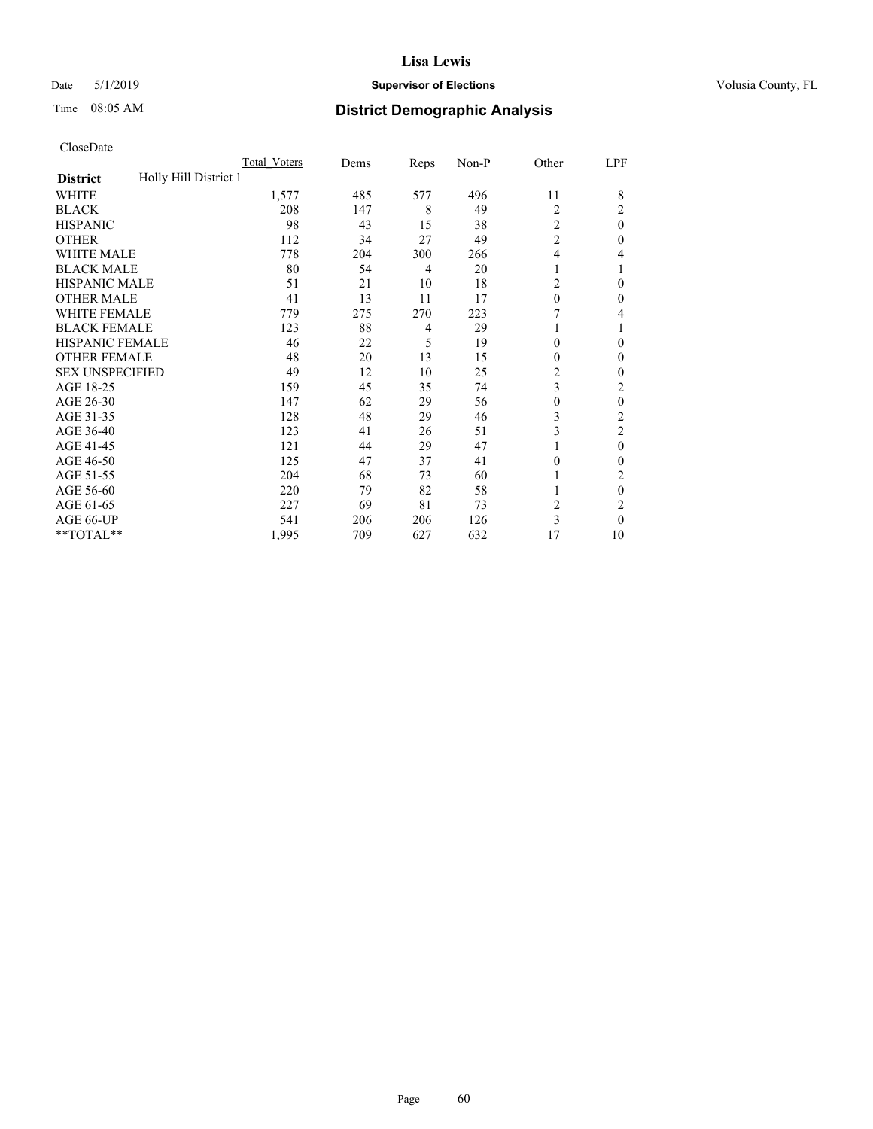#### Date 5/1/2019 **Supervisor of Elections Supervisor of Elections** Volusia County, FL

# Time 08:05 AM **District Demographic Analysis**

|                                          | Total Voters | Dems | Reps | Non-P | Other          | LPF            |
|------------------------------------------|--------------|------|------|-------|----------------|----------------|
| Holly Hill District 1<br><b>District</b> |              |      |      |       |                |                |
| WHITE                                    | 1,577        | 485  | 577  | 496   | 11             | 8              |
| <b>BLACK</b>                             | 208          | 147  | 8    | 49    | 2              | 2              |
| <b>HISPANIC</b>                          | 98           | 43   | 15   | 38    | 2              | $\theta$       |
| <b>OTHER</b>                             | 112          | 34   | 27   | 49    | $\overline{c}$ | 0              |
| WHITE MALE                               | 778          | 204  | 300  | 266   | 4              | 4              |
| <b>BLACK MALE</b>                        | 80           | 54   | 4    | 20    | 1              |                |
| <b>HISPANIC MALE</b>                     | 51           | 21   | 10   | 18    | 2              | $\theta$       |
| <b>OTHER MALE</b>                        | 41           | 13   | 11   | 17    | $\theta$       | $\mathbf{0}$   |
| <b>WHITE FEMALE</b>                      | 779          | 275  | 270  | 223   |                | 4              |
| <b>BLACK FEMALE</b>                      | 123          | 88   | 4    | 29    | 1              |                |
| <b>HISPANIC FEMALE</b>                   | 46           | 22   | 5    | 19    | $\theta$       | 0              |
| <b>OTHER FEMALE</b>                      | 48           | 20   | 13   | 15    | $\theta$       | $\Omega$       |
| <b>SEX UNSPECIFIED</b>                   | 49           | 12   | 10   | 25    | $\overline{c}$ | 0              |
| AGE 18-25                                | 159          | 45   | 35   | 74    | 3              | 2              |
| AGE 26-30                                | 147          | 62   | 29   | 56    | $\mathbf{0}$   | $\theta$       |
| AGE 31-35                                | 128          | 48   | 29   | 46    | 3              | $\overline{c}$ |
| AGE 36-40                                | 123          | 41   | 26   | 51    | 3              | 2              |
| AGE 41-45                                | 121          | 44   | 29   | 47    |                | $\theta$       |
| AGE 46-50                                | 125          | 47   | 37   | 41    | $\theta$       | 0              |
| AGE 51-55                                | 204          | 68   | 73   | 60    |                | 2              |
| AGE 56-60                                | 220          | 79   | 82   | 58    |                | $\theta$       |
| AGE 61-65                                | 227          | 69   | 81   | 73    | $\overline{c}$ | $\overline{c}$ |
| AGE 66-UP                                | 541          | 206  | 206  | 126   | 3              | $\Omega$       |
| **TOTAL**                                | 1,995        | 709  | 627  | 632   | 17             | 10             |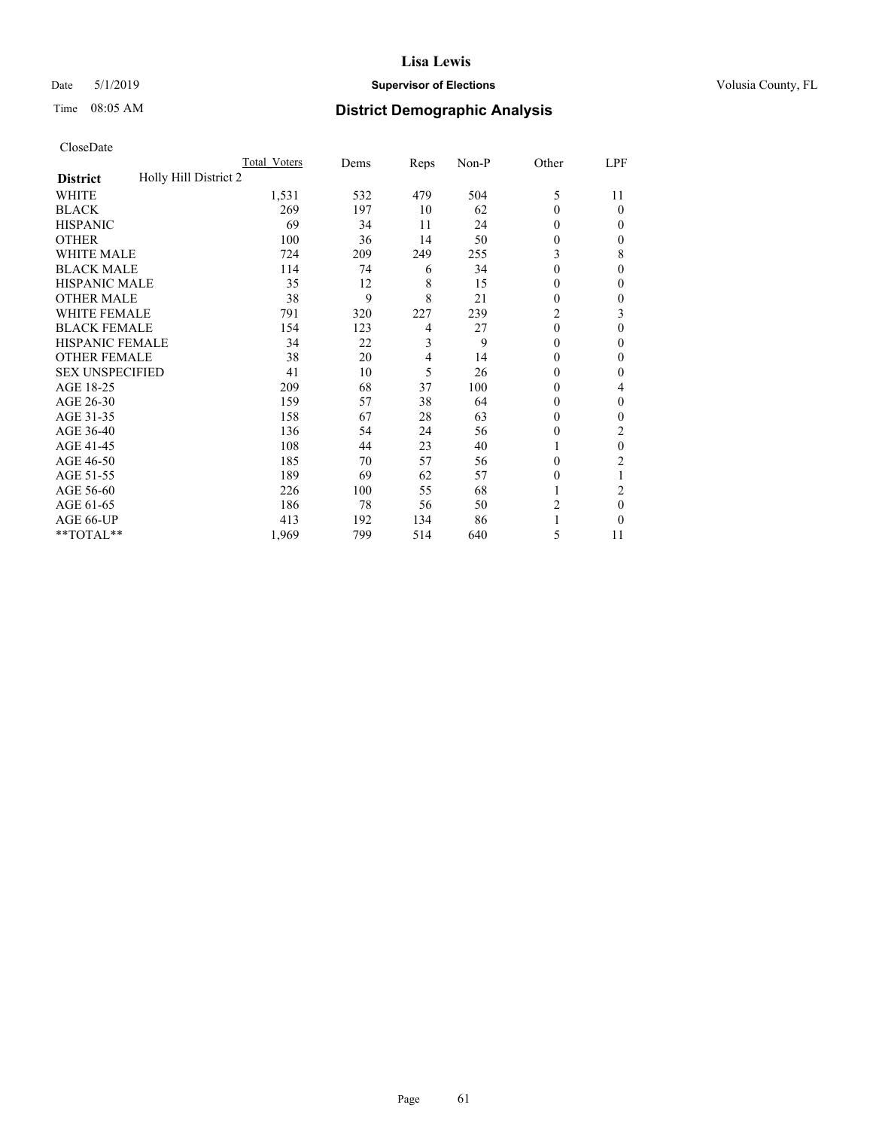## Date 5/1/2019 **Supervisor of Elections Supervisor of Elections** Volusia County, FL

# Time 08:05 AM **District Demographic Analysis**

|                                          | Total Voters | Dems | Reps | Non-P | Other          | LPF            |
|------------------------------------------|--------------|------|------|-------|----------------|----------------|
| Holly Hill District 2<br><b>District</b> |              |      |      |       |                |                |
| WHITE                                    | 1,531        | 532  | 479  | 504   | 5              | 11             |
| <b>BLACK</b>                             | 269          | 197  | 10   | 62    | $\theta$       | $\theta$       |
| <b>HISPANIC</b>                          | 69           | 34   | 11   | 24    | $\theta$       | 0              |
| <b>OTHER</b>                             | 100          | 36   | 14   | 50    | $\theta$       | 0              |
| <b>WHITE MALE</b>                        | 724          | 209  | 249  | 255   | 3              | 8              |
| <b>BLACK MALE</b>                        | 114          | 74   | 6    | 34    | $\theta$       | $\Omega$       |
| <b>HISPANIC MALE</b>                     | 35           | 12   | 8    | 15    | $\bf{0}$       | 0              |
| <b>OTHER MALE</b>                        | 38           | 9    | 8    | 21    | $\theta$       | 0              |
| <b>WHITE FEMALE</b>                      | 791          | 320  | 227  | 239   | 2              | 3              |
| <b>BLACK FEMALE</b>                      | 154          | 123  | 4    | 27    | $\theta$       | $\theta$       |
| <b>HISPANIC FEMALE</b>                   | 34           | 22   | 3    | 9     | $\theta$       | 0              |
| <b>OTHER FEMALE</b>                      | 38           | 20   | 4    | 14    | $\theta$       | 0              |
| <b>SEX UNSPECIFIED</b>                   | 41           | 10   | 5    | 26    | $\theta$       | 0              |
| AGE 18-25                                | 209          | 68   | 37   | 100   | $\theta$       | 4              |
| AGE 26-30                                | 159          | 57   | 38   | 64    | $\theta$       | $\theta$       |
| AGE 31-35                                | 158          | 67   | 28   | 63    | $\theta$       | 0              |
| AGE 36-40                                | 136          | 54   | 24   | 56    | $\theta$       | 2              |
| AGE 41-45                                | 108          | 44   | 23   | 40    |                | $\theta$       |
| AGE 46-50                                | 185          | 70   | 57   | 56    | $\theta$       | $\overline{c}$ |
| AGE 51-55                                | 189          | 69   | 62   | 57    | $\Omega$       |                |
| AGE 56-60                                | 226          | 100  | 55   | 68    |                | $\overline{c}$ |
| AGE 61-65                                | 186          | 78   | 56   | 50    | $\overline{c}$ | $\theta$       |
| AGE 66-UP                                | 413          | 192  | 134  | 86    |                | 0              |
| **TOTAL**                                | 1,969        | 799  | 514  | 640   | 5              | 11             |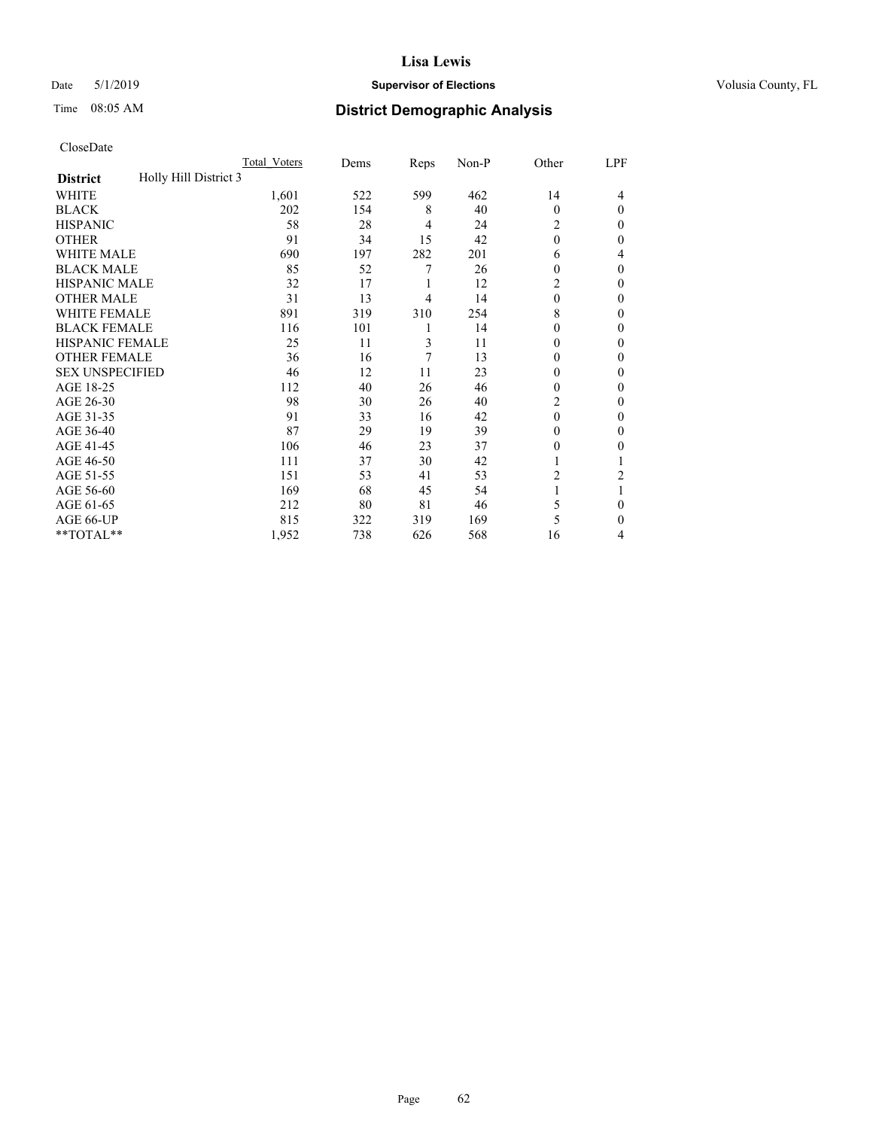## Date 5/1/2019 **Supervisor of Elections Supervisor of Elections** Volusia County, FL

# Time 08:05 AM **District Demographic Analysis**

|                                          | Total Voters | Dems | Reps | Non-P | Other    | LPF      |
|------------------------------------------|--------------|------|------|-------|----------|----------|
| Holly Hill District 3<br><b>District</b> |              |      |      |       |          |          |
| WHITE                                    | 1,601        | 522  | 599  | 462   | 14       | 4        |
| <b>BLACK</b>                             | 202          | 154  | 8    | 40    | $\Omega$ | $\Omega$ |
| <b>HISPANIC</b>                          | 58           | 28   | 4    | 24    | 2        | 0        |
| <b>OTHER</b>                             | 91           | 34   | 15   | 42    | $\theta$ | 0        |
| WHITE MALE                               | 690          | 197  | 282  | 201   | 6        | 4        |
| <b>BLACK MALE</b>                        | 85           | 52   | 7    | 26    | 0        | 0        |
| <b>HISPANIC MALE</b>                     | 32           | 17   | 1    | 12    | 2        | 0        |
| <b>OTHER MALE</b>                        | 31           | 13   | 4    | 14    | $\Omega$ | 0        |
| WHITE FEMALE                             | 891          | 319  | 310  | 254   | 8        | 0        |
| <b>BLACK FEMALE</b>                      | 116          | 101  | 1    | 14    | 0        | 0        |
| <b>HISPANIC FEMALE</b>                   | 25           | 11   | 3    | 11    | 0        | 0        |
| <b>OTHER FEMALE</b>                      | 36           | 16   | 7    | 13    | 0        | 0        |
| <b>SEX UNSPECIFIED</b>                   | 46           | 12   | 11   | 23    | 0        | 0        |
| AGE 18-25                                | 112          | 40   | 26   | 46    | 0        | 0        |
| AGE 26-30                                | 98           | 30   | 26   | 40    | 2        | 0        |
| AGE 31-35                                | 91           | 33   | 16   | 42    | 0        | 0        |
| AGE 36-40                                | 87           | 29   | 19   | 39    | 0        | 0        |
| AGE 41-45                                | 106          | 46   | 23   | 37    | $_{0}$   | 0        |
| AGE 46-50                                | 111          | 37   | 30   | 42    |          |          |
| AGE 51-55                                | 151          | 53   | 41   | 53    | 2        | 2        |
| AGE 56-60                                | 169          | 68   | 45   | 54    |          |          |
| AGE 61-65                                | 212          | 80   | 81   | 46    | 5        | 0        |
| AGE 66-UP                                | 815          | 322  | 319  | 169   | 5        | 0        |
| **TOTAL**                                | 1,952        | 738  | 626  | 568   | 16       | 4        |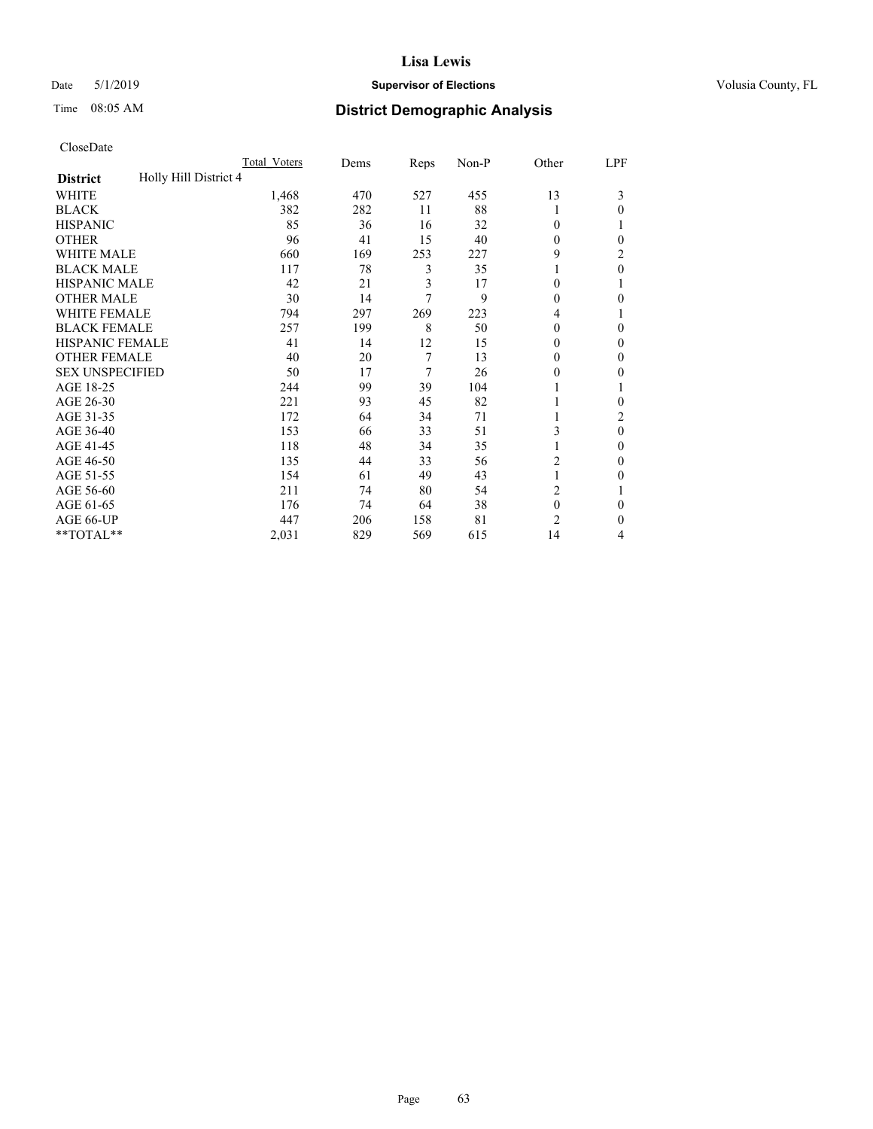#### Date 5/1/2019 **Supervisor of Elections Supervisor of Elections** Volusia County, FL

# Time 08:05 AM **District Demographic Analysis**

|                                          | Total Voters | Dems | Reps | Non-P | Other          | LPF      |
|------------------------------------------|--------------|------|------|-------|----------------|----------|
| Holly Hill District 4<br><b>District</b> |              |      |      |       |                |          |
| WHITE                                    | 1,468        | 470  | 527  | 455   | 13             | 3        |
| <b>BLACK</b>                             | 382          | 282  | 11   | 88    |                | 0        |
| <b>HISPANIC</b>                          | 85           | 36   | 16   | 32    | 0              |          |
| <b>OTHER</b>                             | 96           | 41   | 15   | 40    | 0              | 0        |
| WHITE MALE                               | 660          | 169  | 253  | 227   | 9              | 2        |
| <b>BLACK MALE</b>                        | 117          | 78   | 3    | 35    |                | 0        |
| HISPANIC MALE                            | 42           | 21   | 3    | 17    | 0              |          |
| <b>OTHER MALE</b>                        | 30           | 14   | 7    | 9     | 0              | 0        |
| WHITE FEMALE                             | 794          | 297  | 269  | 223   | 4              |          |
| <b>BLACK FEMALE</b>                      | 257          | 199  | 8    | 50    | 0              | 0        |
| <b>HISPANIC FEMALE</b>                   | 41           | 14   | 12   | 15    | 0              | 0        |
| <b>OTHER FEMALE</b>                      | 40           | 20   | 7    | 13    | 0              | 0        |
| <b>SEX UNSPECIFIED</b>                   | 50           | 17   | 7    | 26    | 0              | 0        |
| AGE 18-25                                | 244          | 99   | 39   | 104   |                |          |
| AGE 26-30                                | 221          | 93   | 45   | 82    |                | 0        |
| AGE 31-35                                | 172          | 64   | 34   | 71    |                | 2        |
| AGE 36-40                                | 153          | 66   | 33   | 51    | 3              | $\theta$ |
| AGE 41-45                                | 118          | 48   | 34   | 35    |                | 0        |
| AGE 46-50                                | 135          | 44   | 33   | 56    | 2              | 0        |
| AGE 51-55                                | 154          | 61   | 49   | 43    | 1              | 0        |
| AGE 56-60                                | 211          | 74   | 80   | 54    | $\overline{2}$ |          |
| AGE 61-65                                | 176          | 74   | 64   | 38    | $\mathbf{0}$   | 0        |
| AGE 66-UP                                | 447          | 206  | 158  | 81    | $\overline{c}$ | 0        |
| **TOTAL**                                | 2,031        | 829  | 569  | 615   | 14             | 4        |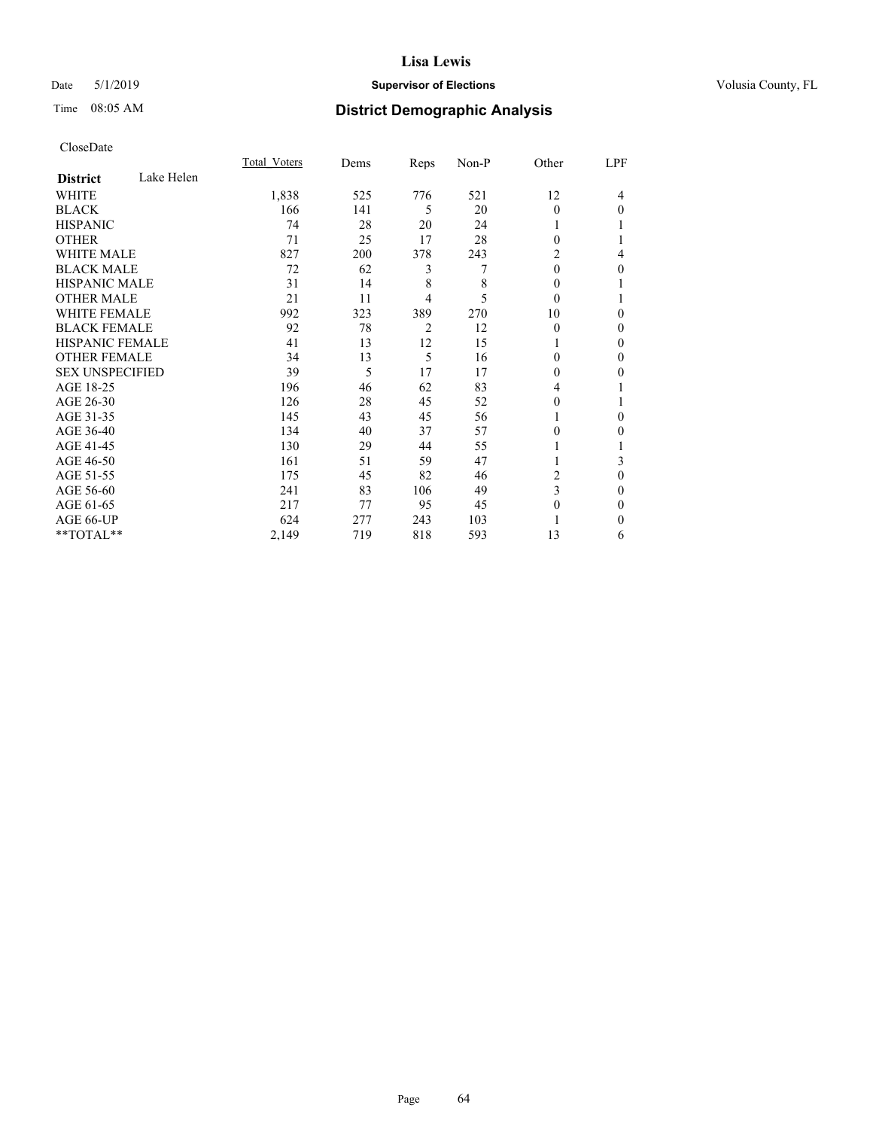## Date 5/1/2019 **Supervisor of Elections Supervisor of Elections** Volusia County, FL

# Time 08:05 AM **District Demographic Analysis**

|                        |            | Total Voters | Dems | Reps           | Non-P | Other        | LPF          |
|------------------------|------------|--------------|------|----------------|-------|--------------|--------------|
| <b>District</b>        | Lake Helen |              |      |                |       |              |              |
| WHITE                  |            | 1,838        | 525  | 776            | 521   | 12           | 4            |
| <b>BLACK</b>           |            | 166          | 141  | 5              | 20    | $\Omega$     | $\Omega$     |
| <b>HISPANIC</b>        |            | 74           | 28   | 20             | 24    |              |              |
| <b>OTHER</b>           |            | 71           | 25   | 17             | 28    | $\Omega$     |              |
| <b>WHITE MALE</b>      |            | 827          | 200  | 378            | 243   | 2            | 4            |
| <b>BLACK MALE</b>      |            | 72           | 62   | 3              | 7     | $\mathbf{0}$ | $\mathbf{0}$ |
| <b>HISPANIC MALE</b>   |            | 31           | 14   | 8              | 8     | $\theta$     |              |
| <b>OTHER MALE</b>      |            | 21           | 11   | 4              | 5     | $\theta$     |              |
| <b>WHITE FEMALE</b>    |            | 992          | 323  | 389            | 270   | 10           | $\Omega$     |
| <b>BLACK FEMALE</b>    |            | 92           | 78   | $\overline{2}$ | 12    | $\theta$     | $\theta$     |
| <b>HISPANIC FEMALE</b> |            | 41           | 13   | 12             | 15    |              | 0            |
| <b>OTHER FEMALE</b>    |            | 34           | 13   | 5              | 16    | $\Omega$     | 0            |
| <b>SEX UNSPECIFIED</b> |            | 39           | 5    | 17             | 17    | $\theta$     | 0            |
| AGE 18-25              |            | 196          | 46   | 62             | 83    | 4            |              |
| AGE 26-30              |            | 126          | 28   | 45             | 52    | $\theta$     |              |
| AGE 31-35              |            | 145          | 43   | 45             | 56    |              | $\Omega$     |
| AGE 36-40              |            | 134          | 40   | 37             | 57    | $\Omega$     | 0            |
| AGE 41-45              |            | 130          | 29   | 44             | 55    |              |              |
| AGE 46-50              |            | 161          | 51   | 59             | 47    |              | 3            |
| AGE 51-55              |            | 175          | 45   | 82             | 46    | 2            | $\mathbf{0}$ |
| AGE 56-60              |            | 241          | 83   | 106            | 49    | 3            | 0            |
| AGE 61-65              |            | 217          | 77   | 95             | 45    | $\theta$     | $\Omega$     |
| AGE 66-UP              |            | 624          | 277  | 243            | 103   |              | $\Omega$     |
| **TOTAL**              |            | 2,149        | 719  | 818            | 593   | 13           | 6            |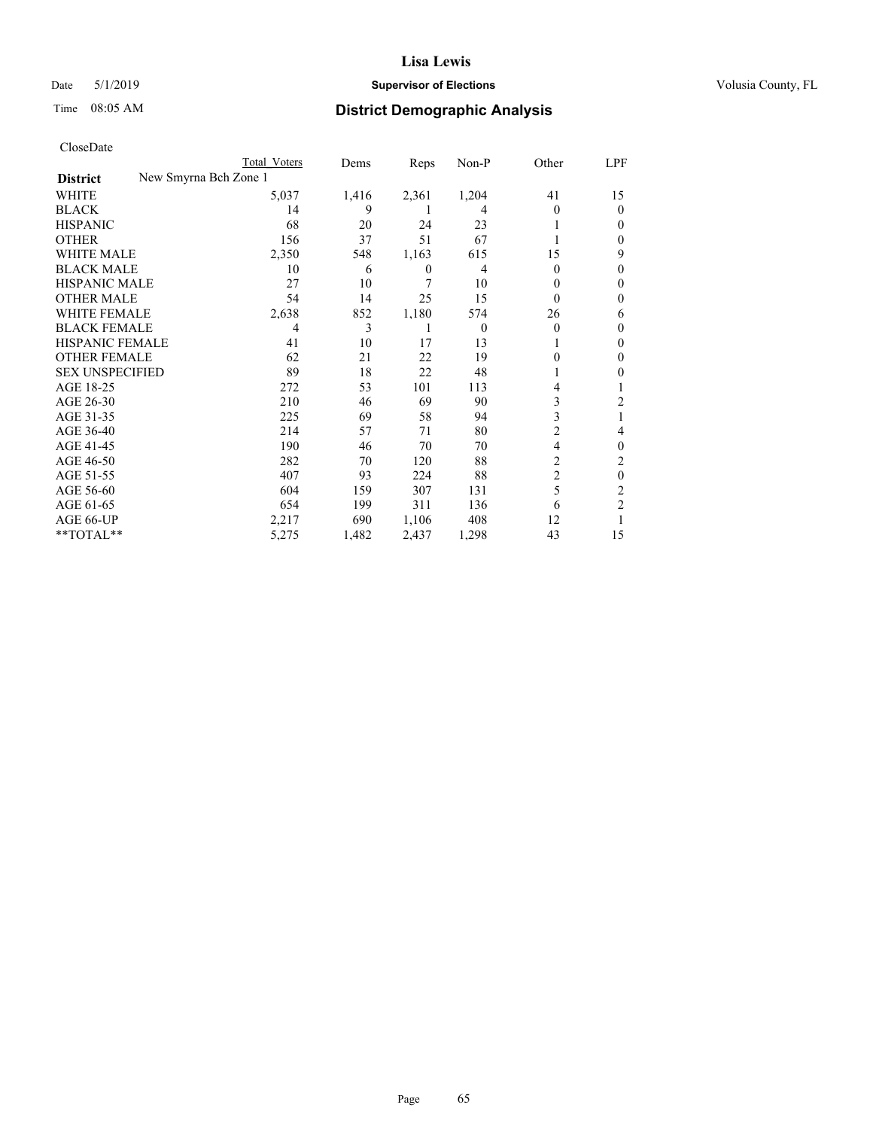## Date 5/1/2019 **Supervisor of Elections Supervisor of Elections** Volusia County, FL

|                                          | Total Voters | Dems  | Reps  | Non-P    | Other    | LPF            |
|------------------------------------------|--------------|-------|-------|----------|----------|----------------|
| New Smyrna Bch Zone 1<br><b>District</b> |              |       |       |          |          |                |
| WHITE                                    | 5,037        | 1,416 | 2,361 | 1,204    | 41       | 15             |
| <b>BLACK</b>                             | 14           | 9     | 1     | 4        | 0        | 0              |
| <b>HISPANIC</b>                          | 68           | 20    | 24    | 23       |          | 0              |
| <b>OTHER</b>                             | 156          | 37    | 51    | 67       |          | 0              |
| <b>WHITE MALE</b>                        | 2,350        | 548   | 1,163 | 615      | 15       | 9              |
| <b>BLACK MALE</b>                        | 10           | 6     | 0     | 4        | 0        | 0              |
| <b>HISPANIC MALE</b>                     | 27           | 10    | 7     | 10       | 0        | 0              |
| <b>OTHER MALE</b>                        | 54           | 14    | 25    | 15       | $\theta$ | 0              |
| <b>WHITE FEMALE</b>                      | 2,638        | 852   | 1,180 | 574      | 26       | 6              |
| <b>BLACK FEMALE</b>                      | 4            | 3     |       | $\theta$ | 0        | $_{0}$         |
| HISPANIC FEMALE                          | 41           | 10    | 17    | 13       |          | 0              |
| <b>OTHER FEMALE</b>                      | 62           | 21    | 22    | 19       | 0        | 0              |
| <b>SEX UNSPECIFIED</b>                   | 89           | 18    | 22    | 48       |          | 0              |
| AGE 18-25                                | 272          | 53    | 101   | 113      | 4        |                |
| AGE 26-30                                | 210          | 46    | 69    | 90       | 3        | 2              |
| AGE 31-35                                | 225          | 69    | 58    | 94       | 3        |                |
| AGE 36-40                                | 214          | 57    | 71    | 80       | 2        | 4              |
| AGE 41-45                                | 190          | 46    | 70    | 70       | 4        | 0              |
| AGE 46-50                                | 282          | 70    | 120   | 88       | 2        | 2              |
| AGE 51-55                                | 407          | 93    | 224   | 88       | 2        | 0              |
| AGE 56-60                                | 604          | 159   | 307   | 131      | 5        | 2              |
| AGE 61-65                                | 654          | 199   | 311   | 136      | 6        | $\overline{2}$ |
| AGE 66-UP                                | 2,217        | 690   | 1,106 | 408      | 12       |                |
| **TOTAL**                                | 5,275        | 1,482 | 2,437 | 1,298    | 43       | 15             |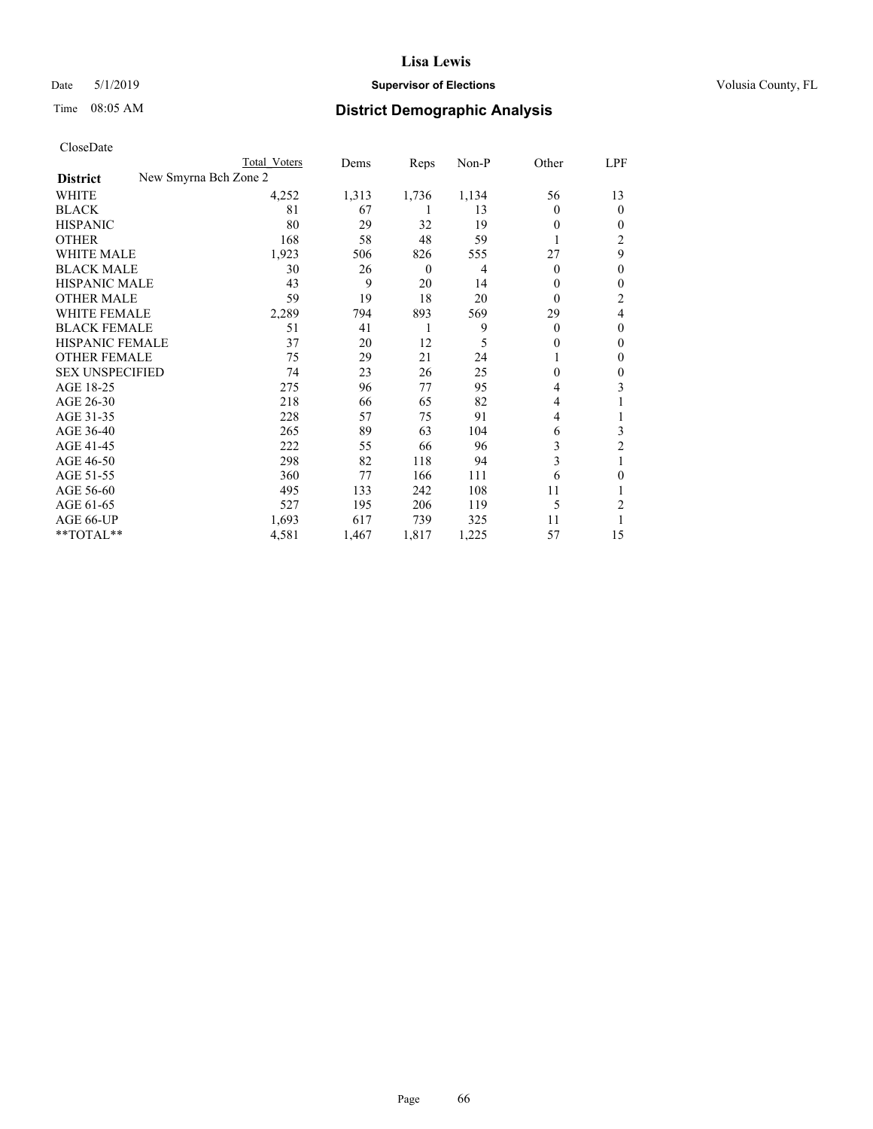## Date 5/1/2019 **Supervisor of Elections Supervisor of Elections** Volusia County, FL

| CloseDate |
|-----------|
|-----------|

|                                          | Total Voters | Dems  | Reps             | Non-P | Other    | LPF      |
|------------------------------------------|--------------|-------|------------------|-------|----------|----------|
| New Smyrna Bch Zone 2<br><b>District</b> |              |       |                  |       |          |          |
| WHITE                                    | 4,252        | 1,313 | 1,736            | 1,134 | 56       | 13       |
| <b>BLACK</b>                             | 81           | 67    |                  | 13    | $\theta$ | $\Omega$ |
| <b>HISPANIC</b>                          | 80           | 29    | 32               | 19    | $\theta$ | 0        |
| <b>OTHER</b>                             | 168          | 58    | 48               | 59    |          | 2        |
| <b>WHITE MALE</b>                        | 1,923        | 506   | 826              | 555   | 27       | 9        |
| <b>BLACK MALE</b>                        | 30           | 26    | $\boldsymbol{0}$ | 4     | $\Omega$ | 0        |
| <b>HISPANIC MALE</b>                     | 43           | 9     | 20               | 14    | $\theta$ | 0        |
| <b>OTHER MALE</b>                        | 59           | 19    | 18               | 20    | $\theta$ | 2        |
| WHITE FEMALE                             | 2,289        | 794   | 893              | 569   | 29       | 4        |
| <b>BLACK FEMALE</b>                      | 51           | 41    |                  | 9     | $\Omega$ | 0        |
| <b>HISPANIC FEMALE</b>                   | 37           | 20    | 12               | 5     | 0        | 0        |
| <b>OTHER FEMALE</b>                      | 75           | 29    | 21               | 24    |          | 0        |
| <b>SEX UNSPECIFIED</b>                   | 74           | 23    | 26               | 25    | $\theta$ | 0        |
| AGE 18-25                                | 275          | 96    | 77               | 95    | 4        | 3        |
| AGE 26-30                                | 218          | 66    | 65               | 82    | 4        |          |
| AGE 31-35                                | 228          | 57    | 75               | 91    | 4        |          |
| AGE 36-40                                | 265          | 89    | 63               | 104   | 6        | 3        |
| AGE 41-45                                | 222          | 55    | 66               | 96    | 3        | 2        |
| AGE 46-50                                | 298          | 82    | 118              | 94    | 3        |          |
| AGE 51-55                                | 360          | 77    | 166              | 111   | 6        | 0        |
| AGE 56-60                                | 495          | 133   | 242              | 108   | 11       |          |
| AGE 61-65                                | 527          | 195   | 206              | 119   | 5        | 2        |
| AGE 66-UP                                | 1,693        | 617   | 739              | 325   | 11       |          |
| **TOTAL**                                | 4,581        | 1,467 | 1,817            | 1,225 | 57       | 15       |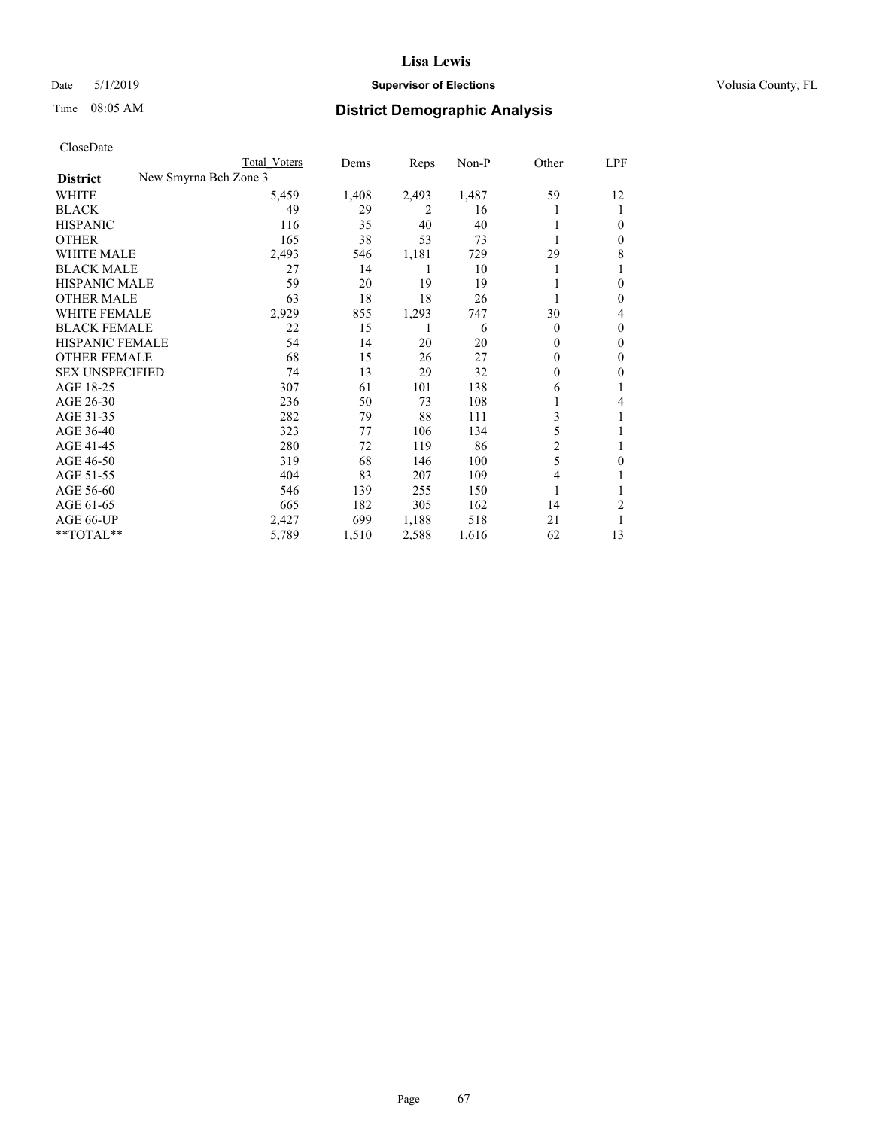## Date 5/1/2019 **Supervisor of Elections Supervisor of Elections** Volusia County, FL

|                                          | Total Voters | Dems  | Reps  | Non-P | Other    | LPF    |
|------------------------------------------|--------------|-------|-------|-------|----------|--------|
| New Smyrna Bch Zone 3<br><b>District</b> |              |       |       |       |          |        |
| WHITE                                    | 5,459        | 1,408 | 2,493 | 1,487 | 59       | 12     |
| BLACK                                    | 49           | 29    | 2     | 16    |          |        |
| HISPANIC                                 | 116          | 35    | 40    | 40    |          | $_{0}$ |
| OTHER                                    | 165          | 38    | 53    | 73    |          | 0      |
| WHITE MALE                               | 2,493        | 546   | 1,181 | 729   | 29       | 8      |
| BLACK MALE                               | 27           | 14    |       | 10    |          |        |
| HISPANIC MALE                            | 59           | 20    | 19    | 19    |          | 0      |
| OTHER MALE                               | 63           | 18    | 18    | 26    |          | 0      |
| WHITE FEMALE                             | 2,929        | 855   | 1,293 | 747   | 30       | 4      |
| BLACK FEMALE                             | 22           | 15    |       | 6     | $\Omega$ | 0      |
| HISPANIC FEMALE                          | 54           | 14    | 20    | 20    | 0        | 0      |
| OTHER FEMALE                             | 68           | 15    | 26    | 27    | $\Omega$ | $_{0}$ |
| <b>SEX UNSPECIFIED</b>                   | 74           | 13    | 29    | 32    | $\Omega$ | 0      |
| AGE 18-25                                | 307          | 61    | 101   | 138   | 6        |        |
| AGE 26-30                                | 236          | 50    | 73    | 108   |          | 4      |
| AGE 31-35                                | 282          | 79    | 88    | 111   | 3        |        |
| AGE 36-40                                | 323          | 77    | 106   | 134   | 5        |        |
| AGE 41-45                                | 280          | 72    | 119   | 86    | 2        |        |
| AGE 46-50                                | 319          | 68    | 146   | 100   | 5        | $_{0}$ |
| AGE 51-55                                | 404          | 83    | 207   | 109   | 4        |        |
| AGE 56-60                                | 546          | 139   | 255   | 150   |          |        |
| AGE 61-65                                | 665          | 182   | 305   | 162   | 14       | 2      |
| AGE 66-UP                                | 2,427        | 699   | 1,188 | 518   | 21       |        |
| **TOTAL**                                | 5,789        | 1,510 | 2,588 | 1,616 | 62       | 13     |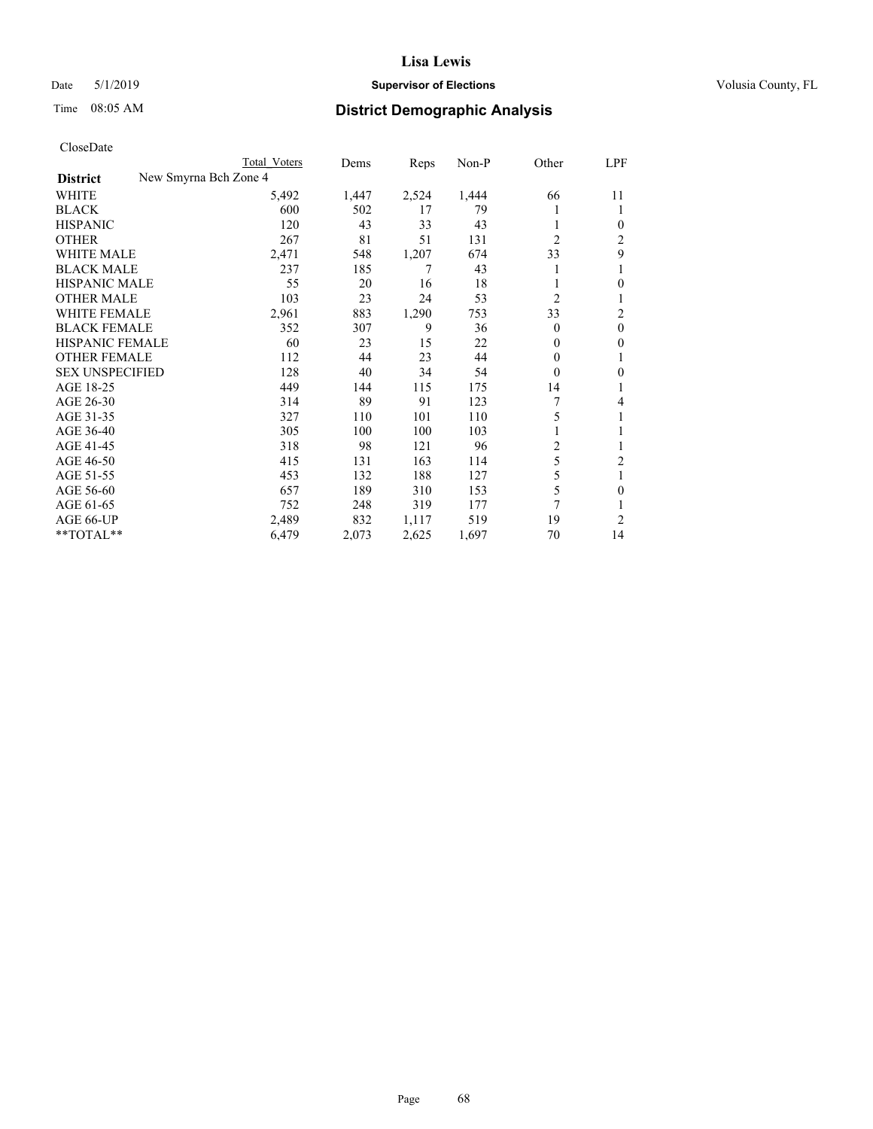## Date 5/1/2019 **Supervisor of Elections Supervisor of Elections** Volusia County, FL

|                        |                       | Total Voters | Dems  | Reps  | Non-P | Other          | LPF      |
|------------------------|-----------------------|--------------|-------|-------|-------|----------------|----------|
| <b>District</b>        | New Smyrna Bch Zone 4 |              |       |       |       |                |          |
| WHITE                  |                       | 5,492        | 1,447 | 2,524 | 1,444 | 66             | 11       |
| <b>BLACK</b>           |                       | 600          | 502   | 17    | 79    |                |          |
| <b>HISPANIC</b>        |                       | 120          | 43    | 33    | 43    | 1              | 0        |
| OTHER                  |                       | 267          | 81    | 51    | 131   | $\overline{2}$ | 2        |
| <b>WHITE MALE</b>      |                       | 2,471        | 548   | 1,207 | 674   | 33             | 9        |
| <b>BLACK MALE</b>      |                       | 237          | 185   | 7     | 43    |                |          |
| HISPANIC MALE          |                       | 55           | 20    | 16    | 18    |                | 0        |
| OTHER MALE             |                       | 103          | 23    | 24    | 53    | 2              |          |
| <b>WHITE FEMALE</b>    |                       | 2,961        | 883   | 1,290 | 753   | 33             | 2        |
| <b>BLACK FEMALE</b>    |                       | 352          | 307   | 9     | 36    | $\Omega$       | $\theta$ |
| <b>HISPANIC FEMALE</b> |                       | 60           | 23    | 15    | 22    | $\Omega$       | 0        |
| <b>OTHER FEMALE</b>    |                       | 112          | 44    | 23    | 44    | $\Omega$       |          |
| <b>SEX UNSPECIFIED</b> |                       | 128          | 40    | 34    | 54    | $\theta$       | 0        |
| AGE 18-25              |                       | 449          | 144   | 115   | 175   | 14             |          |
| AGE 26-30              |                       | 314          | 89    | 91    | 123   | 7              | 4        |
| AGE 31-35              |                       | 327          | 110   | 101   | 110   | 5              |          |
| AGE 36-40              |                       | 305          | 100   | 100   | 103   |                |          |
| AGE 41-45              |                       | 318          | 98    | 121   | 96    | 2              |          |
| AGE 46-50              |                       | 415          | 131   | 163   | 114   | 5              | 2        |
| AGE 51-55              |                       | 453          | 132   | 188   | 127   | 5              | 1        |
| AGE 56-60              |                       | 657          | 189   | 310   | 153   | 5              | 0        |
| AGE 61-65              |                       | 752          | 248   | 319   | 177   | 7              |          |
| AGE 66-UP              |                       | 2,489        | 832   | 1,117 | 519   | 19             | 2        |
| **TOTAL**              |                       | 6,479        | 2,073 | 2,625 | 1,697 | 70             | 14       |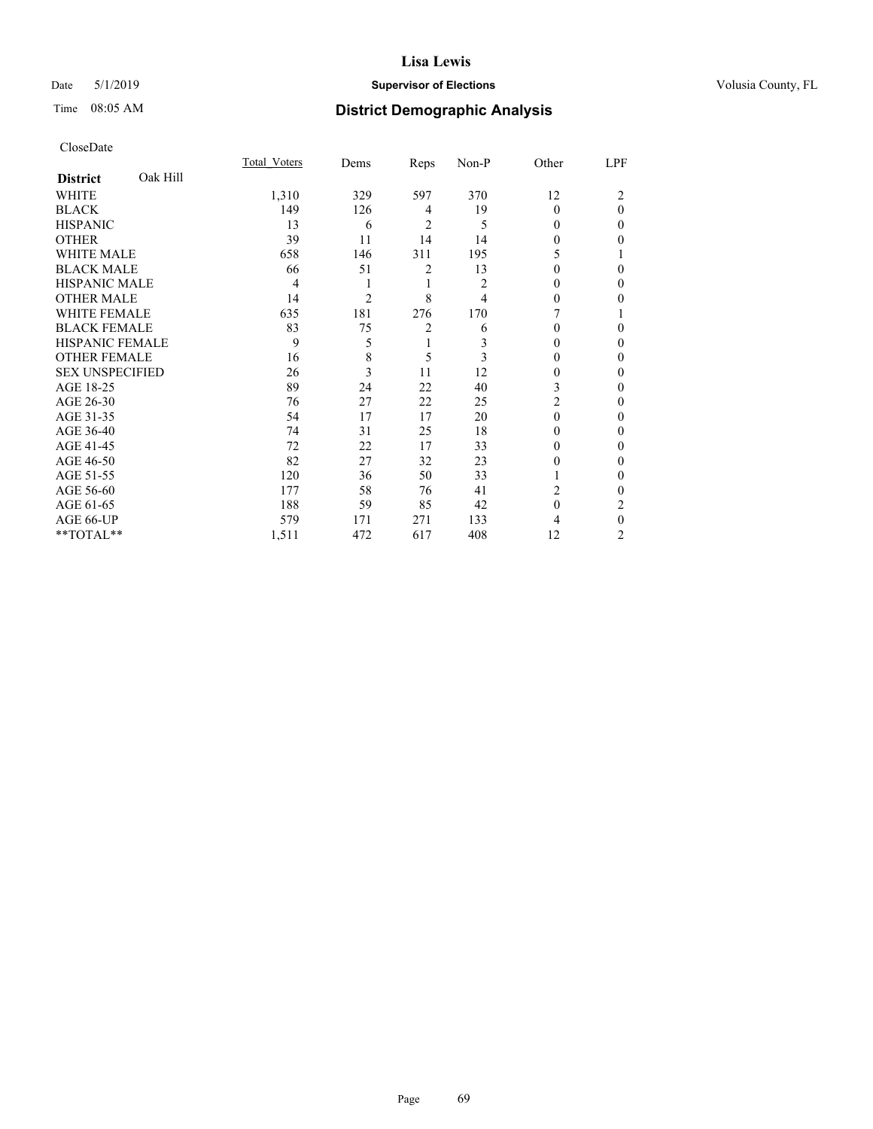## Date 5/1/2019 **Supervisor of Elections Supervisor of Elections** Volusia County, FL

# Time 08:05 AM **District Demographic Analysis**

|                        |          | Total Voters | Dems           | Reps | Non-P | Other    | LPF      |
|------------------------|----------|--------------|----------------|------|-------|----------|----------|
| <b>District</b>        | Oak Hill |              |                |      |       |          |          |
| WHITE                  |          | 1,310        | 329            | 597  | 370   | 12       | 2        |
| <b>BLACK</b>           |          | 149          | 126            | 4    | 19    | $\Omega$ | $\theta$ |
| <b>HISPANIC</b>        |          | 13           | 6              | 2    | 5     | 0        | 0        |
| <b>OTHER</b>           |          | 39           | 11             | 14   | 14    | 0        | 0        |
| WHITE MALE             |          | 658          | 146            | 311  | 195   | 5        |          |
| <b>BLACK MALE</b>      |          | 66           | 51             | 2    | 13    | 0        | 0        |
| <b>HISPANIC MALE</b>   |          | 4            | 1              | 1    | 2     | 0        | 0        |
| <b>OTHER MALE</b>      |          | 14           | $\overline{2}$ | 8    | 4     | 0        | 0        |
| <b>WHITE FEMALE</b>    |          | 635          | 181            | 276  | 170   |          |          |
| <b>BLACK FEMALE</b>    |          | 83           | 75             | 2    | 6     | 0        | 0        |
| <b>HISPANIC FEMALE</b> |          | 9            | 5              | 1    | 3     | 0        | 0        |
| <b>OTHER FEMALE</b>    |          | 16           | 8              | 5    | 3     | 0        | 0        |
| <b>SEX UNSPECIFIED</b> |          | 26           | 3              | 11   | 12    | 0        | 0        |
| AGE 18-25              |          | 89           | 24             | 22   | 40    | 3        | 0        |
| AGE 26-30              |          | 76           | 27             | 22   | 25    | 2        | 0        |
| AGE 31-35              |          | 54           | 17             | 17   | 20    | 0        | 0        |
| AGE 36-40              |          | 74           | 31             | 25   | 18    | 0        | 0        |
| AGE 41-45              |          | 72           | 22             | 17   | 33    | 0        | 0        |
| AGE 46-50              |          | 82           | 27             | 32   | 23    | 0        | 0        |
| AGE 51-55              |          | 120          | 36             | 50   | 33    |          | 0        |
| AGE 56-60              |          | 177          | 58             | 76   | 41    | 2        | 0        |
| AGE 61-65              |          | 188          | 59             | 85   | 42    | $\theta$ | 2        |
| AGE 66-UP              |          | 579          | 171            | 271  | 133   | 4        | 0        |
| **TOTAL**              |          | 1,511        | 472            | 617  | 408   | 12       | 2        |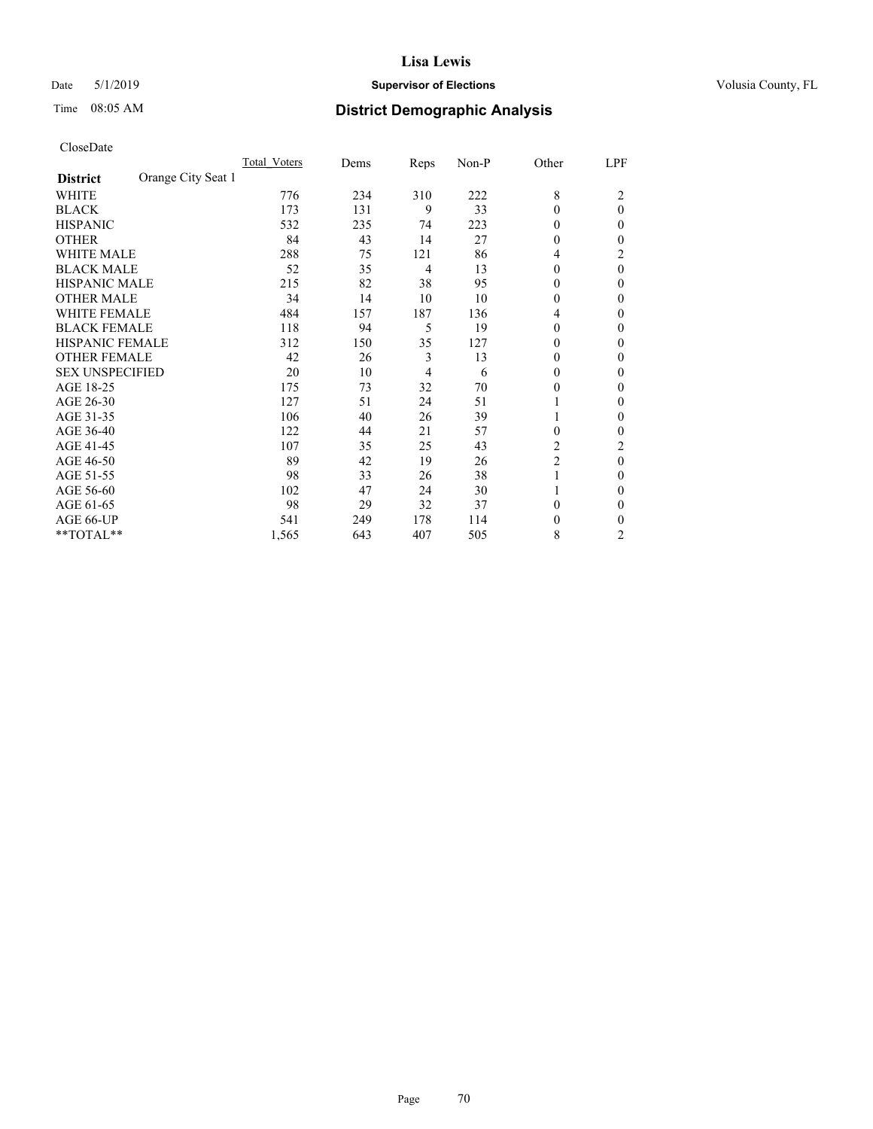## Date 5/1/2019 **Supervisor of Elections Supervisor of Elections** Volusia County, FL

# Time 08:05 AM **District Demographic Analysis**

|                                       | Total Voters | Dems | Reps           | Non-P | Other          | LPF            |
|---------------------------------------|--------------|------|----------------|-------|----------------|----------------|
| Orange City Seat 1<br><b>District</b> |              |      |                |       |                |                |
| WHITE                                 | 776          | 234  | 310            | 222   | 8              | 2              |
| <b>BLACK</b>                          | 173          | 131  | 9              | 33    | $\theta$       | $\theta$       |
| <b>HISPANIC</b>                       | 532          | 235  | 74             | 223   | $\Omega$       | 0              |
| <b>OTHER</b>                          | 84           | 43   | 14             | 27    | $\Omega$       | 0              |
| <b>WHITE MALE</b>                     | 288          | 75   | 121            | 86    | 4              | 2              |
| <b>BLACK MALE</b>                     | 52           | 35   | $\overline{4}$ | 13    | $\Omega$       | $\theta$       |
| <b>HISPANIC MALE</b>                  | 215          | 82   | 38             | 95    | $\Omega$       | 0              |
| <b>OTHER MALE</b>                     | 34           | 14   | 10             | 10    | $\theta$       | 0              |
| <b>WHITE FEMALE</b>                   | 484          | 157  | 187            | 136   | 4              | 0              |
| <b>BLACK FEMALE</b>                   | 118          | 94   | 5              | 19    | $\Omega$       | 0              |
| <b>HISPANIC FEMALE</b>                | 312          | 150  | 35             | 127   | $\Omega$       | 0              |
| <b>OTHER FEMALE</b>                   | 42           | 26   | 3              | 13    | $\Omega$       | 0              |
| <b>SEX UNSPECIFIED</b>                | 20           | 10   | $\overline{4}$ | 6     | $\Omega$       | 0              |
| AGE 18-25                             | 175          | 73   | 32             | 70    | $\Omega$       | 0              |
| AGE 26-30                             | 127          | 51   | 24             | 51    |                | 0              |
| AGE 31-35                             | 106          | 40   | 26             | 39    |                | 0              |
| AGE 36-40                             | 122          | 44   | 21             | 57    | $\Omega$       | 0              |
| AGE 41-45                             | 107          | 35   | 25             | 43    | 2              | 2              |
| AGE 46-50                             | 89           | 42   | 19             | 26    | $\overline{2}$ | $\theta$       |
| AGE 51-55                             | 98           | 33   | 26             | 38    | 1              | 0              |
| AGE 56-60                             | 102          | 47   | 24             | 30    |                | 0              |
| AGE 61-65                             | 98           | 29   | 32             | 37    | $\theta$       | 0              |
| AGE 66-UP                             | 541          | 249  | 178            | 114   | 0              | 0              |
| **TOTAL**                             | 1,565        | 643  | 407            | 505   | 8              | $\overline{c}$ |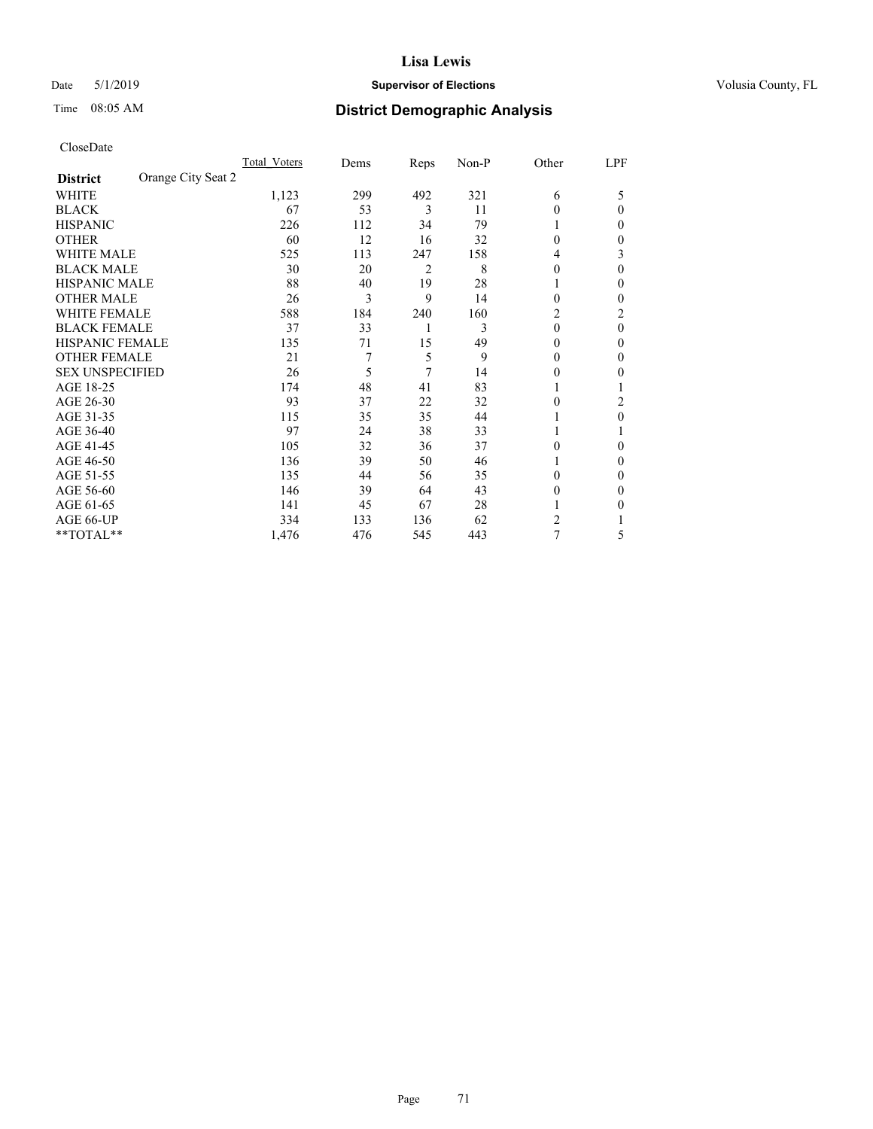## Date 5/1/2019 **Supervisor of Elections Supervisor of Elections** Volusia County, FL

# Time 08:05 AM **District Demographic Analysis**

|                                       | Total Voters | Dems | Reps           | Non-P | Other    | LPF            |
|---------------------------------------|--------------|------|----------------|-------|----------|----------------|
| Orange City Seat 2<br><b>District</b> |              |      |                |       |          |                |
| WHITE                                 | 1,123        | 299  | 492            | 321   | 6        | 5              |
| <b>BLACK</b>                          | 67           | 53   | 3              | 11    | $\theta$ | $\Omega$       |
| <b>HISPANIC</b>                       | 226          | 112  | 34             | 79    | 1        | 0              |
| <b>OTHER</b>                          | 60           | 12   | 16             | 32    | $\Omega$ | 0              |
| WHITE MALE                            | 525          | 113  | 247            | 158   | 4        | 3              |
| <b>BLACK MALE</b>                     | 30           | 20   | $\overline{2}$ | 8     | $\theta$ | $\Omega$       |
| <b>HISPANIC MALE</b>                  | 88           | 40   | 19             | 28    | 1        | 0              |
| <b>OTHER MALE</b>                     | 26           | 3    | 9              | 14    | 0        | 0              |
| <b>WHITE FEMALE</b>                   | 588          | 184  | 240            | 160   | 2        | $\overline{c}$ |
| <b>BLACK FEMALE</b>                   | 37           | 33   | 1              | 3     | $\theta$ | $\theta$       |
| <b>HISPANIC FEMALE</b>                | 135          | 71   | 15             | 49    | 0        | 0              |
| <b>OTHER FEMALE</b>                   | 21           | 7    | 5              | 9     | $\theta$ | 0              |
| <b>SEX UNSPECIFIED</b>                | 26           | 5    | 7              | 14    | $\theta$ | 0              |
| AGE 18-25                             | 174          | 48   | 41             | 83    |          |                |
| AGE 26-30                             | 93           | 37   | 22             | 32    | $\theta$ | 2              |
| AGE 31-35                             | 115          | 35   | 35             | 44    |          | 0              |
| AGE 36-40                             | 97           | 24   | 38             | 33    | 1        |                |
| AGE 41-45                             | 105          | 32   | 36             | 37    | 0        | 0              |
| AGE 46-50                             | 136          | 39   | 50             | 46    | 1        | 0              |
| AGE 51-55                             | 135          | 44   | 56             | 35    | 0        | 0              |
| AGE 56-60                             | 146          | 39   | 64             | 43    | $\theta$ | 0              |
| AGE 61-65                             | 141          | 45   | 67             | 28    |          | 0              |
| AGE 66-UP                             | 334          | 133  | 136            | 62    | 2        |                |
| **TOTAL**                             | 1,476        | 476  | 545            | 443   | 7        | 5              |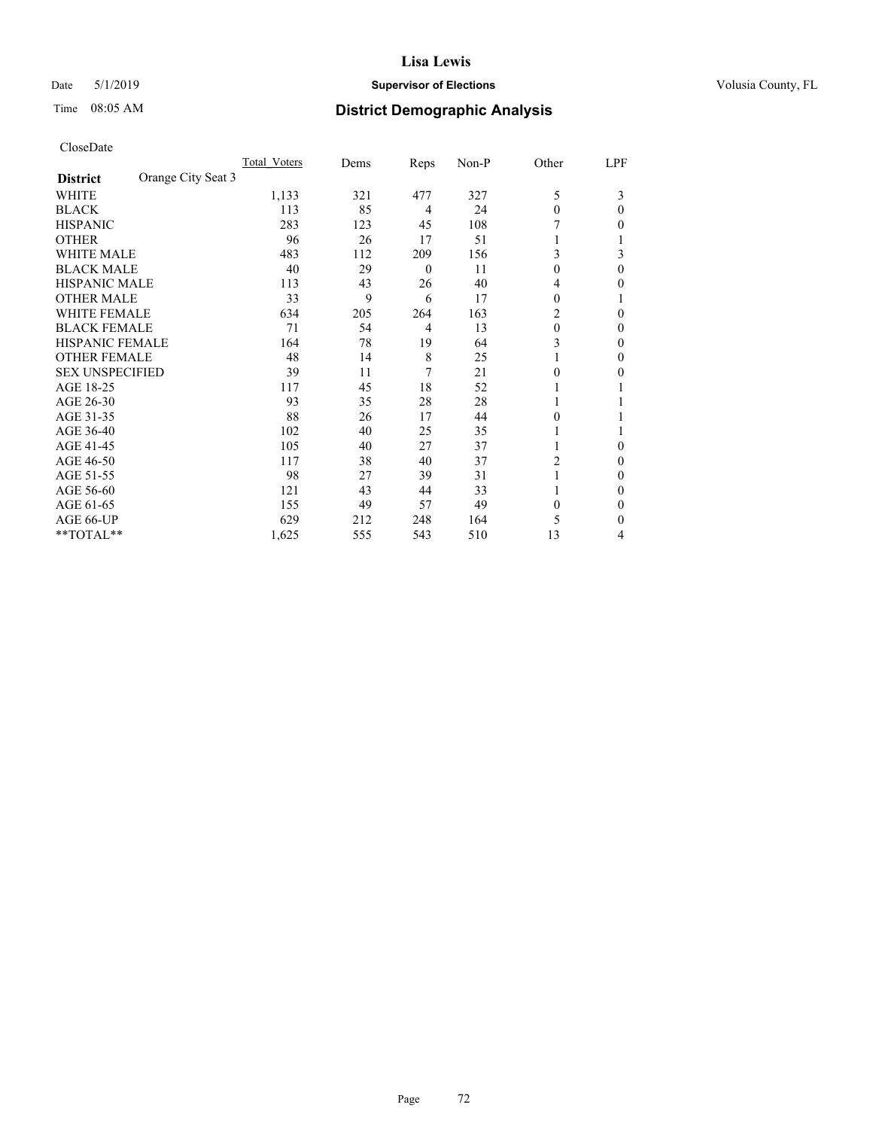## Date 5/1/2019 **Supervisor of Elections Supervisor of Elections** Volusia County, FL

# Time 08:05 AM **District Demographic Analysis**

|                                       | Total Voters | Dems | Reps           | Non-P | Other    | LPF      |
|---------------------------------------|--------------|------|----------------|-------|----------|----------|
| Orange City Seat 3<br><b>District</b> |              |      |                |       |          |          |
| WHITE                                 | 1,133        | 321  | 477            | 327   | 5        | 3        |
| <b>BLACK</b>                          | 113          | 85   | $\overline{4}$ | 24    | $\theta$ | 0        |
| <b>HISPANIC</b>                       | 283          | 123  | 45             | 108   |          | 0        |
| <b>OTHER</b>                          | 96           | 26   | 17             | 51    |          |          |
| <b>WHITE MALE</b>                     | 483          | 112  | 209            | 156   | 3        | 3        |
| <b>BLACK MALE</b>                     | 40           | 29   | $\mathbf{0}$   | 11    | $\Omega$ | $\Omega$ |
| <b>HISPANIC MALE</b>                  | 113          | 43   | 26             | 40    | 4        | 0        |
| <b>OTHER MALE</b>                     | 33           | 9    | 6              | 17    | 0        |          |
| <b>WHITE FEMALE</b>                   | 634          | 205  | 264            | 163   | 2        | 0        |
| <b>BLACK FEMALE</b>                   | 71           | 54   | $\overline{4}$ | 13    | $\theta$ | 0        |
| <b>HISPANIC FEMALE</b>                | 164          | 78   | 19             | 64    | 3        | 0        |
| <b>OTHER FEMALE</b>                   | 48           | 14   | 8              | 25    |          | 0        |
| <b>SEX UNSPECIFIED</b>                | 39           | 11   | 7              | 21    | 0        | 0        |
| AGE 18-25                             | 117          | 45   | 18             | 52    |          |          |
| AGE 26-30                             | 93           | 35   | 28             | 28    |          |          |
| AGE 31-35                             | 88           | 26   | 17             | 44    | 0        |          |
| AGE 36-40                             | 102          | 40   | 25             | 35    |          |          |
| AGE 41-45                             | 105          | 40   | 27             | 37    |          | 0        |
| AGE 46-50                             | 117          | 38   | 40             | 37    | 2        | 0        |
| AGE 51-55                             | 98           | 27   | 39             | 31    |          | 0        |
| AGE 56-60                             | 121          | 43   | 44             | 33    |          | 0        |
| AGE 61-65                             | 155          | 49   | 57             | 49    | $\Omega$ | 0        |
| AGE 66-UP                             | 629          | 212  | 248            | 164   | 5        | 0        |
| **TOTAL**                             | 1,625        | 555  | 543            | 510   | 13       | 4        |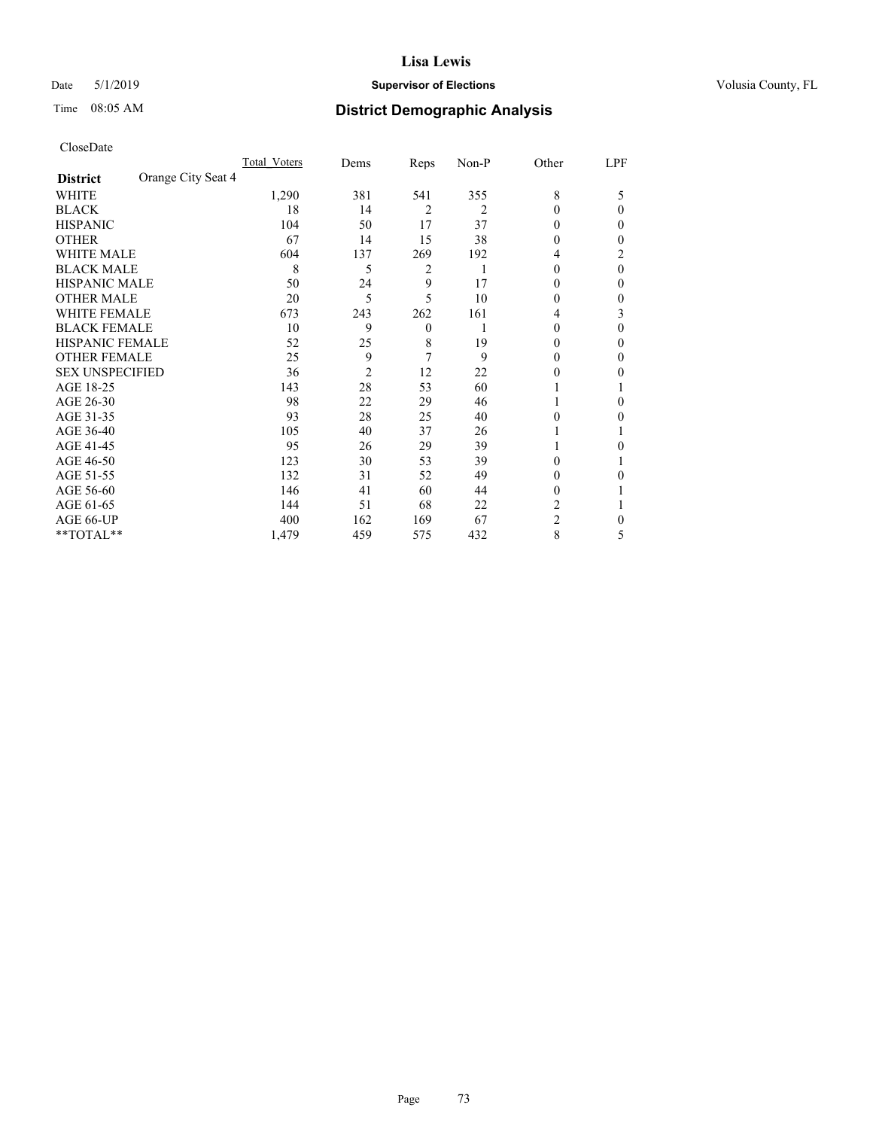## Date 5/1/2019 **Supervisor of Elections Supervisor of Elections** Volusia County, FL

# Time 08:05 AM **District Demographic Analysis**

|                        | Total Voters       | Dems           | Reps           | Non-P | Other          | LPF |
|------------------------|--------------------|----------------|----------------|-------|----------------|-----|
| <b>District</b>        | Orange City Seat 4 |                |                |       |                |     |
| WHITE                  | 1,290              | 381            | 541            | 355   | 8              | 5   |
| <b>BLACK</b>           | 18                 | 14             | $\overline{2}$ | 2     | $\Omega$       | 0   |
| <b>HISPANIC</b>        | 104                | 50             | 17             | 37    | 0              | 0   |
| <b>OTHER</b>           | 67                 | 14             | 15             | 38    | 0              | 0   |
| <b>WHITE MALE</b>      | 604                | 137            | 269            | 192   | 4              | 2   |
| <b>BLACK MALE</b>      |                    | 8<br>5         | 2              | 1     | $\theta$       | 0   |
| <b>HISPANIC MALE</b>   | 50                 | 24             | 9              | 17    | 0              | 0   |
| <b>OTHER MALE</b>      | 20                 | 5              | 5              | 10    | 0              | 0   |
| <b>WHITE FEMALE</b>    | 673                | 243            | 262            | 161   | 4              | 3   |
| <b>BLACK FEMALE</b>    | 10                 | 9              | $\theta$       |       | 0              | 0   |
| <b>HISPANIC FEMALE</b> | 52                 | 25             | 8              | 19    | 0              | 0   |
| <b>OTHER FEMALE</b>    | 25                 | 9              | 7              | 9     | $\theta$       | 0   |
| <b>SEX UNSPECIFIED</b> | 36                 | $\overline{2}$ | 12             | 22    | 0              | 0   |
| AGE 18-25              | 143                | 28             | 53             | 60    |                |     |
| AGE 26-30              | 98                 | 22             | 29             | 46    |                | 0   |
| AGE 31-35              | 93                 | 28             | 25             | 40    | 0              | 0   |
| AGE 36-40              | 105                | 40             | 37             | 26    |                |     |
| AGE 41-45              | 95                 | 26             | 29             | 39    |                | 0   |
| AGE 46-50              | 123                | 30             | 53             | 39    | 0              |     |
| AGE 51-55              | 132                | 31             | 52             | 49    | $_{0}$         | 0   |
| AGE 56-60              | 146                | 41             | 60             | 44    | $_{0}$         |     |
| AGE 61-65              | 144                | 51             | 68             | 22    | 2              |     |
| AGE 66-UP              | 400                | 162            | 169            | 67    | $\overline{2}$ | 0   |
| **TOTAL**              | 1,479              | 459            | 575            | 432   | 8              | 5   |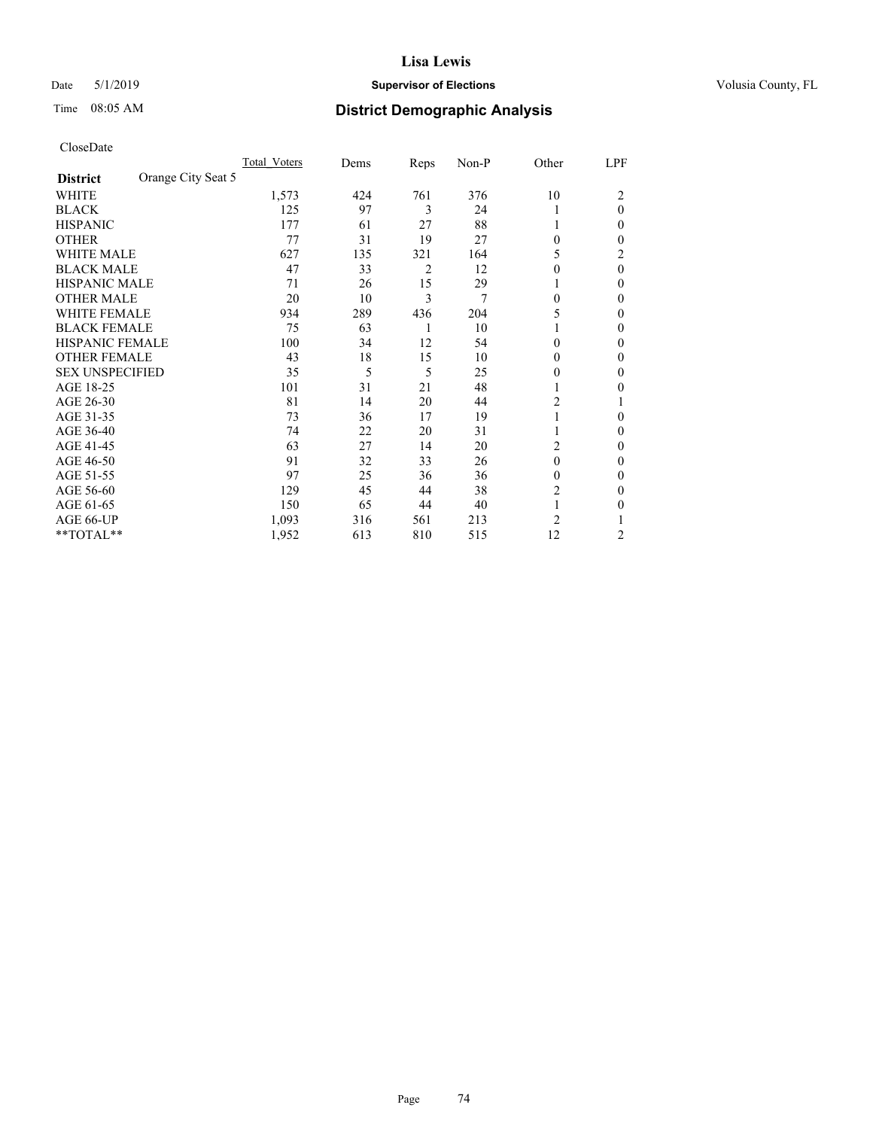## Date 5/1/2019 **Supervisor of Elections Supervisor of Elections** Volusia County, FL

# Time 08:05 AM **District Demographic Analysis**

|                                       | Total Voters | Dems | Reps           | Non-P | Other          | LPF      |
|---------------------------------------|--------------|------|----------------|-------|----------------|----------|
| Orange City Seat 5<br><b>District</b> |              |      |                |       |                |          |
| WHITE                                 | 1,573        | 424  | 761            | 376   | 10             | 2        |
| <b>BLACK</b>                          | 125          | 97   | 3              | 24    |                | $\theta$ |
| <b>HISPANIC</b>                       | 177          | 61   | 27             | 88    | 1              | 0        |
| <b>OTHER</b>                          | 77           | 31   | 19             | 27    | $\Omega$       | 0        |
| <b>WHITE MALE</b>                     | 627          | 135  | 321            | 164   | 5              | 2        |
| <b>BLACK MALE</b>                     | 47           | 33   | $\overline{2}$ | 12    | $\theta$       | $\theta$ |
| <b>HISPANIC MALE</b>                  | 71           | 26   | 15             | 29    |                | 0        |
| <b>OTHER MALE</b>                     | 20           | 10   | 3              | 7     | $\theta$       | 0        |
| WHITE FEMALE                          | 934          | 289  | 436            | 204   | 5              | 0        |
| <b>BLACK FEMALE</b>                   | 75           | 63   | 1              | 10    |                | 0        |
| <b>HISPANIC FEMALE</b>                | 100          | 34   | 12             | 54    | $\Omega$       | 0        |
| <b>OTHER FEMALE</b>                   | 43           | 18   | 15             | 10    | $\theta$       | 0        |
| <b>SEX UNSPECIFIED</b>                | 35           | 5    | 5              | 25    | $\Omega$       | 0        |
| AGE 18-25                             | 101          | 31   | 21             | 48    |                | 0        |
| AGE 26-30                             | 81           | 14   | 20             | 44    | 2              |          |
| AGE 31-35                             | 73           | 36   | 17             | 19    | 1              | 0        |
| AGE 36-40                             | 74           | 22   | 20             | 31    | 1              | 0        |
| AGE 41-45                             | 63           | 27   | 14             | 20    | 2              | 0        |
| AGE 46-50                             | 91           | 32   | 33             | 26    | $\theta$       | 0        |
| AGE 51-55                             | 97           | 25   | 36             | 36    | $\theta$       | 0        |
| AGE 56-60                             | 129          | 45   | 44             | 38    | 2              | 0        |
| AGE 61-65                             | 150          | 65   | 44             | 40    | 1              | 0        |
| AGE 66-UP                             | 1,093        | 316  | 561            | 213   | $\overline{c}$ |          |
| **TOTAL**                             | 1,952        | 613  | 810            | 515   | 12             | 2        |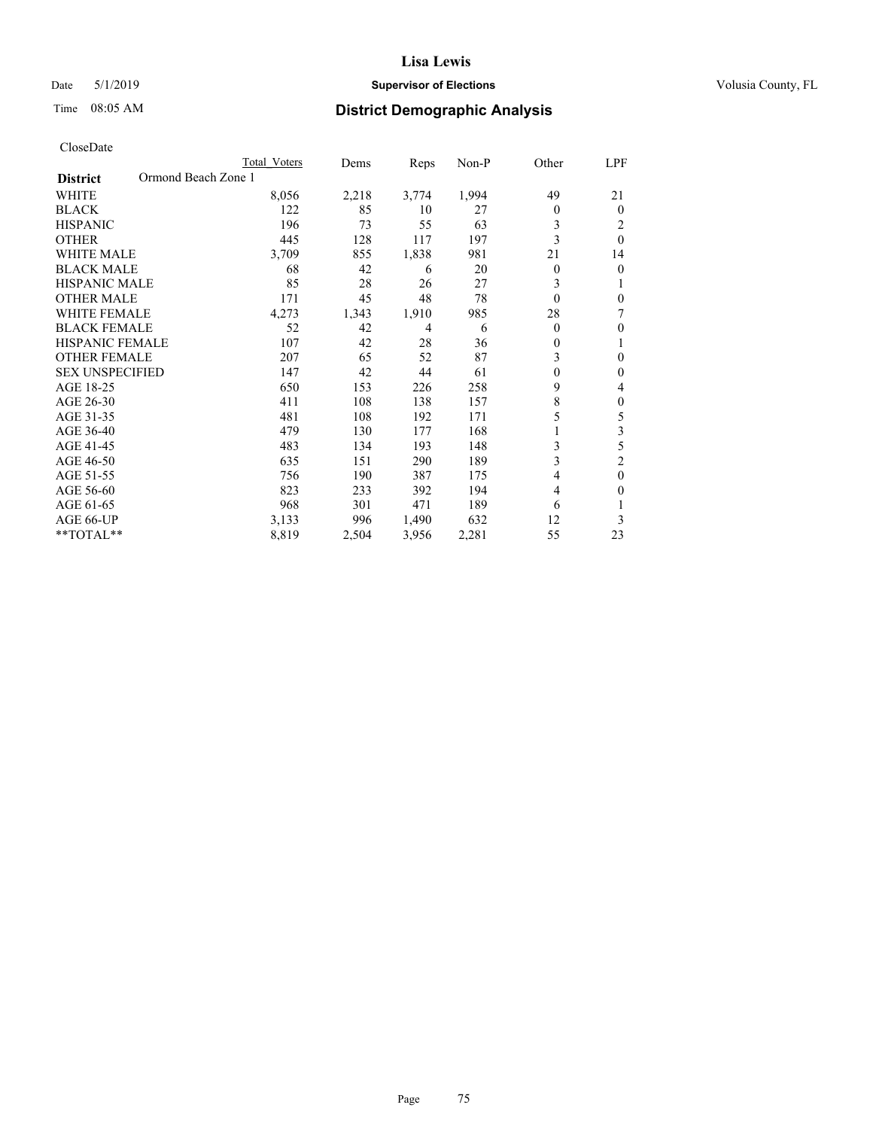## Date 5/1/2019 **Supervisor of Elections Supervisor of Elections** Volusia County, FL

# Time 08:05 AM **District Demographic Analysis**

|                                        | Total Voters | Dems  | Reps           | $Non-P$ | Other          | LPF            |
|----------------------------------------|--------------|-------|----------------|---------|----------------|----------------|
| Ormond Beach Zone 1<br><b>District</b> |              |       |                |         |                |                |
| <b>WHITE</b>                           | 8,056        | 2,218 | 3,774          | 1,994   | 49             | 21             |
| <b>BLACK</b>                           | 122          | 85    | 10             | 27      | $\Omega$       | $\theta$       |
| <b>HISPANIC</b>                        | 196          | 73    | 55             | 63      | 3              | 2              |
| <b>OTHER</b>                           | 445          | 128   | 117            | 197     | 3              | $\theta$       |
| <b>WHITE MALE</b>                      | 3,709        | 855   | 1,838          | 981     | 21             | 14             |
| <b>BLACK MALE</b>                      | 68           | 42    | 6              | 20      | $\mathbf{0}$   | $\theta$       |
| HISPANIC MALE                          | 85           | 28    | 26             | 27      | 3              |                |
| <b>OTHER MALE</b>                      | 171          | 45    | 48             | 78      | $\theta$       | $\theta$       |
| <b>WHITE FEMALE</b>                    | 4,273        | 1,343 | 1,910          | 985     | 28             | 7              |
| <b>BLACK FEMALE</b>                    | 52           | 42    | $\overline{4}$ | 6       | $\theta$       | $\theta$       |
| <b>HISPANIC FEMALE</b>                 | 107          | 42    | 28             | 36      | $\mathbf{0}$   | 1              |
| <b>OTHER FEMALE</b>                    | 207          | 65    | 52             | 87      | 3              | $\theta$       |
| <b>SEX UNSPECIFIED</b>                 | 147          | 42    | 44             | 61      | $\theta$       | $\theta$       |
| AGE 18-25                              | 650          | 153   | 226            | 258     | 9              | 4              |
| AGE 26-30                              | 411          | 108   | 138            | 157     | 8              | $\theta$       |
| AGE 31-35                              | 481          | 108   | 192            | 171     | 5              | 5              |
| AGE 36-40                              | 479          | 130   | 177            | 168     |                | 3              |
| AGE 41-45                              | 483          | 134   | 193            | 148     | 3              | 5              |
| AGE 46-50                              | 635          | 151   | 290            | 189     | 3              | $\overline{2}$ |
| AGE 51-55                              | 756          | 190   | 387            | 175     | $\overline{4}$ | $\mathbf{0}$   |
| AGE 56-60                              | 823          | 233   | 392            | 194     | 4              | $\theta$       |
| AGE 61-65                              | 968          | 301   | 471            | 189     | 6              |                |
| AGE 66-UP                              | 3,133        | 996   | 1,490          | 632     | 12             | 3              |
| $*$ TOTAL $*$                          | 8,819        | 2,504 | 3,956          | 2,281   | 55             | 23             |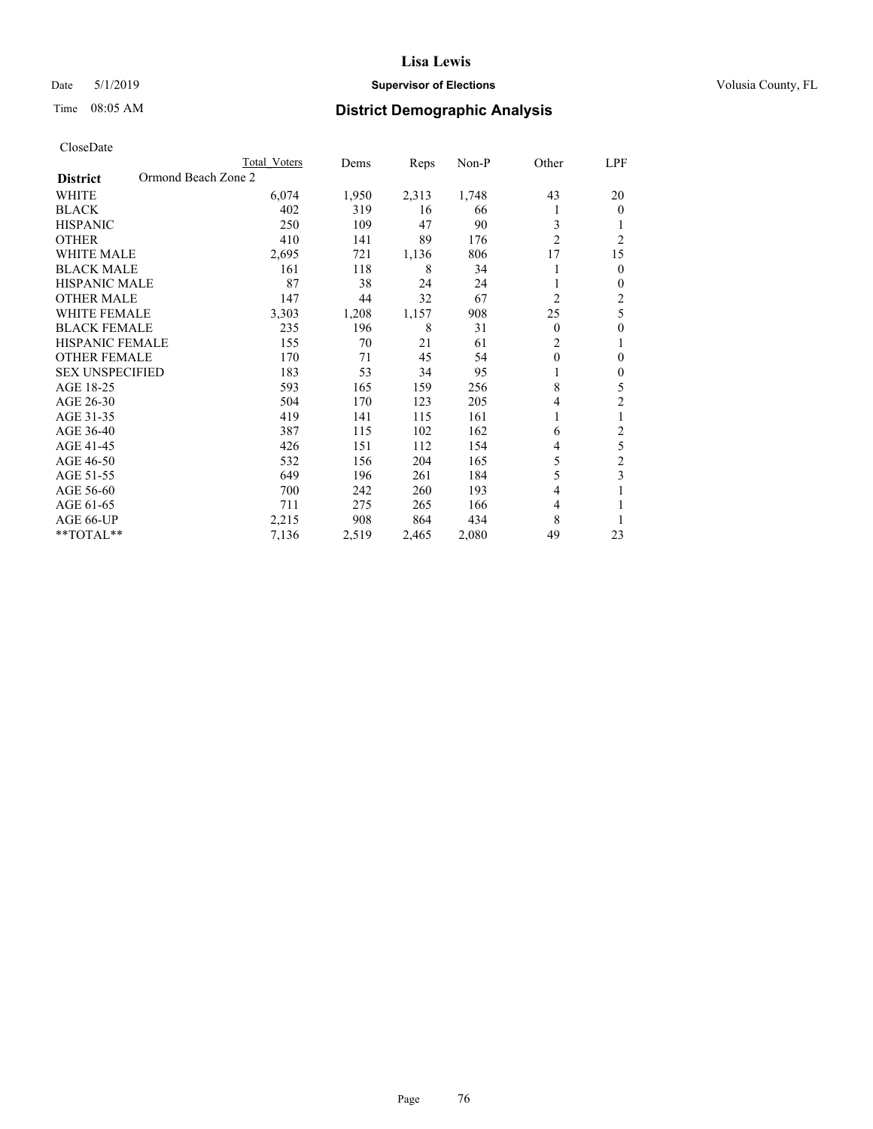## Date 5/1/2019 **Supervisor of Elections Supervisor of Elections** Volusia County, FL

# Time 08:05 AM **District Demographic Analysis**

|                                        | Total Voters | Dems  | Reps  | Non-P | Other          | LPF            |
|----------------------------------------|--------------|-------|-------|-------|----------------|----------------|
| Ormond Beach Zone 2<br><b>District</b> |              |       |       |       |                |                |
| WHITE                                  | 6,074        | 1,950 | 2,313 | 1,748 | 43             | 20             |
| <b>BLACK</b>                           | 402          | 319   | 16    | 66    |                | $\mathbf{0}$   |
| <b>HISPANIC</b>                        | 250          | 109   | 47    | 90    | 3              | 1              |
| <b>OTHER</b>                           | 410          | 141   | 89    | 176   | $\overline{2}$ | $\overline{2}$ |
| <b>WHITE MALE</b>                      | 2,695        | 721   | 1,136 | 806   | 17             | 15             |
| <b>BLACK MALE</b>                      | 161          | 118   | 8     | 34    |                | $\theta$       |
| <b>HISPANIC MALE</b>                   | 87           | 38    | 24    | 24    |                | $\mathbf{0}$   |
| <b>OTHER MALE</b>                      | 147          | 44    | 32    | 67    | $\overline{2}$ | 2              |
| WHITE FEMALE                           | 3,303        | 1,208 | 1,157 | 908   | 25             | 5              |
| <b>BLACK FEMALE</b>                    | 235          | 196   | 8     | 31    | $\theta$       | $\theta$       |
| <b>HISPANIC FEMALE</b>                 | 155          | 70    | 21    | 61    | $\overline{2}$ | 1              |
| <b>OTHER FEMALE</b>                    | 170          | 71    | 45    | 54    | $\theta$       | $\theta$       |
| <b>SEX UNSPECIFIED</b>                 | 183          | 53    | 34    | 95    |                | $\theta$       |
| AGE 18-25                              | 593          | 165   | 159   | 256   | 8              | 5              |
| AGE 26-30                              | 504          | 170   | 123   | 205   | 4              | $\overline{2}$ |
| AGE 31-35                              | 419          | 141   | 115   | 161   |                | 1              |
| AGE 36-40                              | 387          | 115   | 102   | 162   | 6              | 2              |
| AGE 41-45                              | 426          | 151   | 112   | 154   | 4              | 5              |
| AGE 46-50                              | 532          | 156   | 204   | 165   | 5              | $\overline{c}$ |
| AGE 51-55                              | 649          | 196   | 261   | 184   | 5              | 3              |
| AGE 56-60                              | 700          | 242   | 260   | 193   | 4              |                |
| AGE 61-65                              | 711          | 275   | 265   | 166   | 4              |                |
| AGE 66-UP                              | 2,215        | 908   | 864   | 434   | 8              |                |
| **TOTAL**                              | 7,136        | 2,519 | 2,465 | 2,080 | 49             | 23             |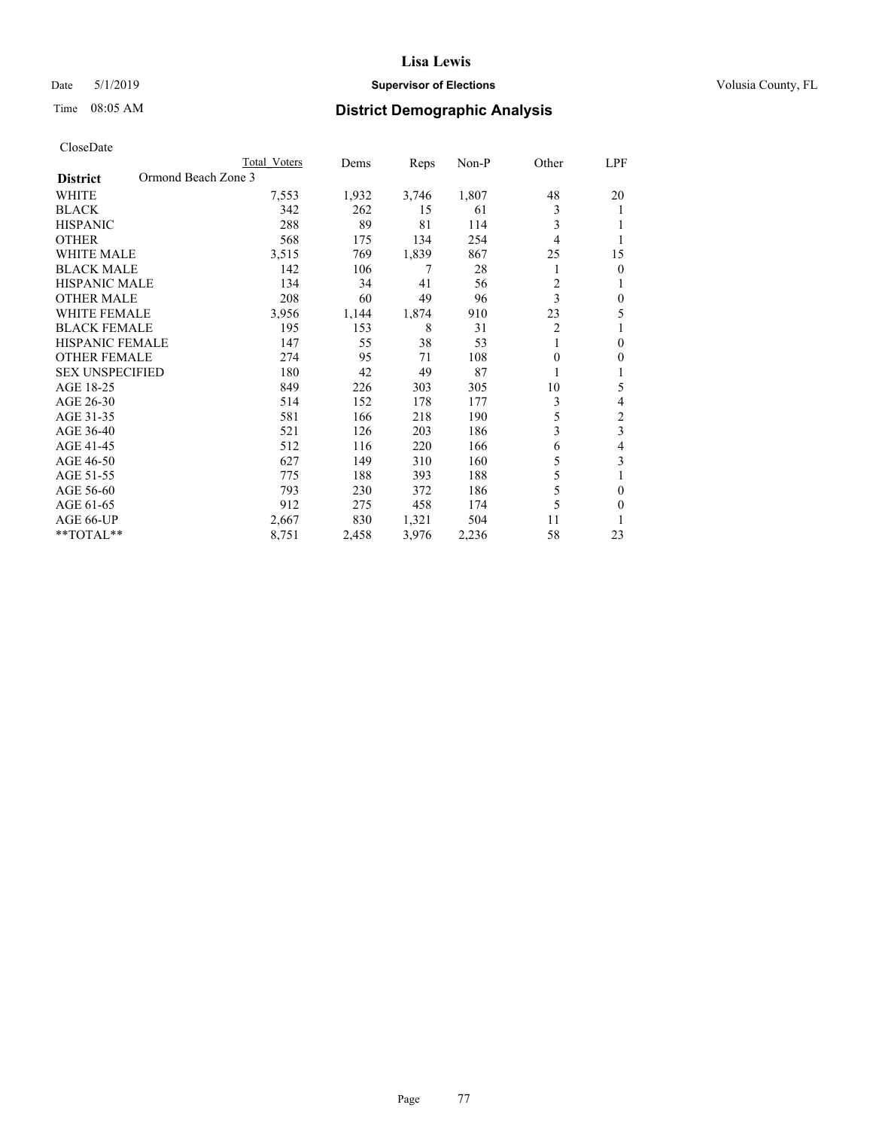### Date 5/1/2019 **Supervisor of Elections Supervisor of Elections** Volusia County, FL

# Time 08:05 AM **District Demographic Analysis**

|                                        | Total Voters | Dems  | Reps  | Non-P | Other          | LPF            |
|----------------------------------------|--------------|-------|-------|-------|----------------|----------------|
| Ormond Beach Zone 3<br><b>District</b> |              |       |       |       |                |                |
| WHITE                                  | 7,553        | 1,932 | 3,746 | 1,807 | 48             | 20             |
| <b>BLACK</b>                           | 342          | 262   | 15    | 61    | 3              |                |
| <b>HISPANIC</b>                        | 288          | 89    | 81    | 114   | 3              |                |
| <b>OTHER</b>                           | 568          | 175   | 134   | 254   | 4              |                |
| <b>WHITE MALE</b>                      | 3,515        | 769   | 1,839 | 867   | 25             | 15             |
| <b>BLACK MALE</b>                      | 142          | 106   | 7     | 28    |                | $\theta$       |
| <b>HISPANIC MALE</b>                   | 134          | 34    | 41    | 56    | $\overline{2}$ |                |
| <b>OTHER MALE</b>                      | 208          | 60    | 49    | 96    | 3              | $\mathbf{0}$   |
| <b>WHITE FEMALE</b>                    | 3,956        | 1,144 | 1,874 | 910   | 23             | 5              |
| <b>BLACK FEMALE</b>                    | 195          | 153   | 8     | 31    | $\overline{2}$ |                |
| <b>HISPANIC FEMALE</b>                 | 147          | 55    | 38    | 53    | 1              | $\theta$       |
| <b>OTHER FEMALE</b>                    | 274          | 95    | 71    | 108   | $\theta$       | $\theta$       |
| <b>SEX UNSPECIFIED</b>                 | 180          | 42    | 49    | 87    |                |                |
| AGE 18-25                              | 849          | 226   | 303   | 305   | 10             | 5              |
| AGE 26-30                              | 514          | 152   | 178   | 177   | 3              | 4              |
| AGE 31-35                              | 581          | 166   | 218   | 190   | 5              | $\overline{c}$ |
| AGE 36-40                              | 521          | 126   | 203   | 186   | 3              | 3              |
| AGE 41-45                              | 512          | 116   | 220   | 166   | 6              | 4              |
| AGE 46-50                              | 627          | 149   | 310   | 160   | 5              | 3              |
| AGE 51-55                              | 775          | 188   | 393   | 188   | 5              |                |
| AGE 56-60                              | 793          | 230   | 372   | 186   | 5              | $\theta$       |
| AGE 61-65                              | 912          | 275   | 458   | 174   | 5              | $\theta$       |
| AGE 66-UP                              | 2,667        | 830   | 1,321 | 504   | 11             |                |
| **TOTAL**                              | 8,751        | 2,458 | 3,976 | 2,236 | 58             | 23             |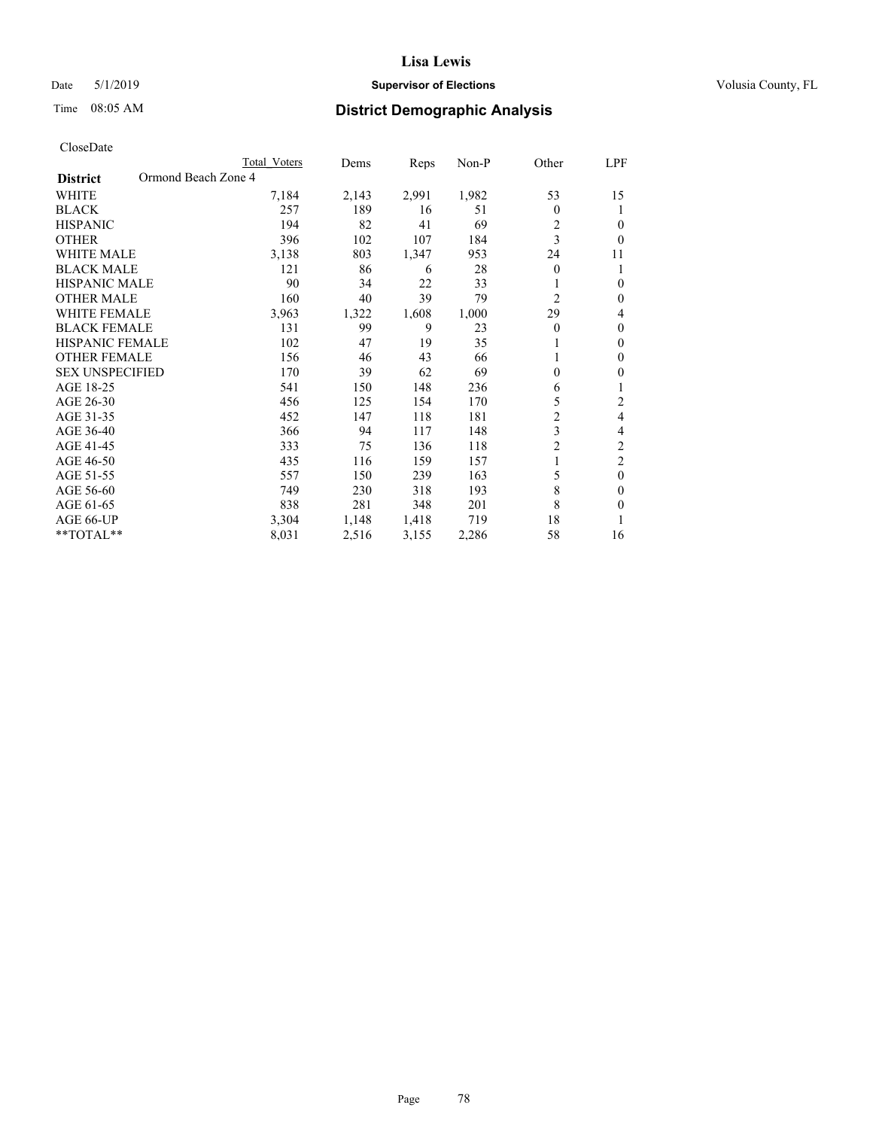### Date 5/1/2019 **Supervisor of Elections Supervisor of Elections** Volusia County, FL

# Time 08:05 AM **District Demographic Analysis**

|                                        | Total Voters | Dems  | Reps  | Non-P | Other            | LPF            |
|----------------------------------------|--------------|-------|-------|-------|------------------|----------------|
| Ormond Beach Zone 4<br><b>District</b> |              |       |       |       |                  |                |
| WHITE                                  | 7,184        | 2,143 | 2,991 | 1,982 | 53               | 15             |
| <b>BLACK</b>                           | 257          | 189   | 16    | 51    | 0                | 1              |
| <b>HISPANIC</b>                        | 194          | 82    | 41    | 69    | 2                | 0              |
| <b>OTHER</b>                           | 396          | 102   | 107   | 184   | 3                | $\theta$       |
| <b>WHITE MALE</b>                      | 3,138        | 803   | 1,347 | 953   | 24               | 11             |
| <b>BLACK MALE</b>                      | 121          | 86    | 6     | 28    | 0                | 1              |
| HISPANIC MALE                          | 90           | 34    | 22    | 33    |                  | $\theta$       |
| <b>OTHER MALE</b>                      | 160          | 40    | 39    | 79    | 2                | $\mathbf{0}$   |
| <b>WHITE FEMALE</b>                    | 3,963        | 1,322 | 1,608 | 1,000 | 29               | 4              |
| <b>BLACK FEMALE</b>                    | 131          | 99    | 9     | 23    | 0                | $\mathbf{0}$   |
| <b>HISPANIC FEMALE</b>                 | 102          | 47    | 19    | 35    |                  | $\theta$       |
| <b>OTHER FEMALE</b>                    | 156          | 46    | 43    | 66    |                  | $\theta$       |
| <b>SEX UNSPECIFIED</b>                 | 170          | 39    | 62    | 69    | $\boldsymbol{0}$ | $\theta$       |
| AGE 18-25                              | 541          | 150   | 148   | 236   | 6                | 1              |
| AGE 26-30                              | 456          | 125   | 154   | 170   | 5                | 2              |
| AGE 31-35                              | 452          | 147   | 118   | 181   | $\overline{c}$   | 4              |
| AGE 36-40                              | 366          | 94    | 117   | 148   | 3                | 4              |
| AGE 41-45                              | 333          | 75    | 136   | 118   | $\overline{c}$   | 2              |
| AGE 46-50                              | 435          | 116   | 159   | 157   |                  | $\overline{c}$ |
| AGE 51-55                              | 557          | 150   | 239   | 163   | 5                | $\theta$       |
| AGE 56-60                              | 749          | 230   | 318   | 193   | 8                | $\theta$       |
| AGE 61-65                              | 838          | 281   | 348   | 201   | 8                | $\theta$       |
| AGE 66-UP                              | 3,304        | 1,148 | 1,418 | 719   | 18               |                |
| **TOTAL**                              | 8,031        | 2,516 | 3,155 | 2,286 | 58               | 16             |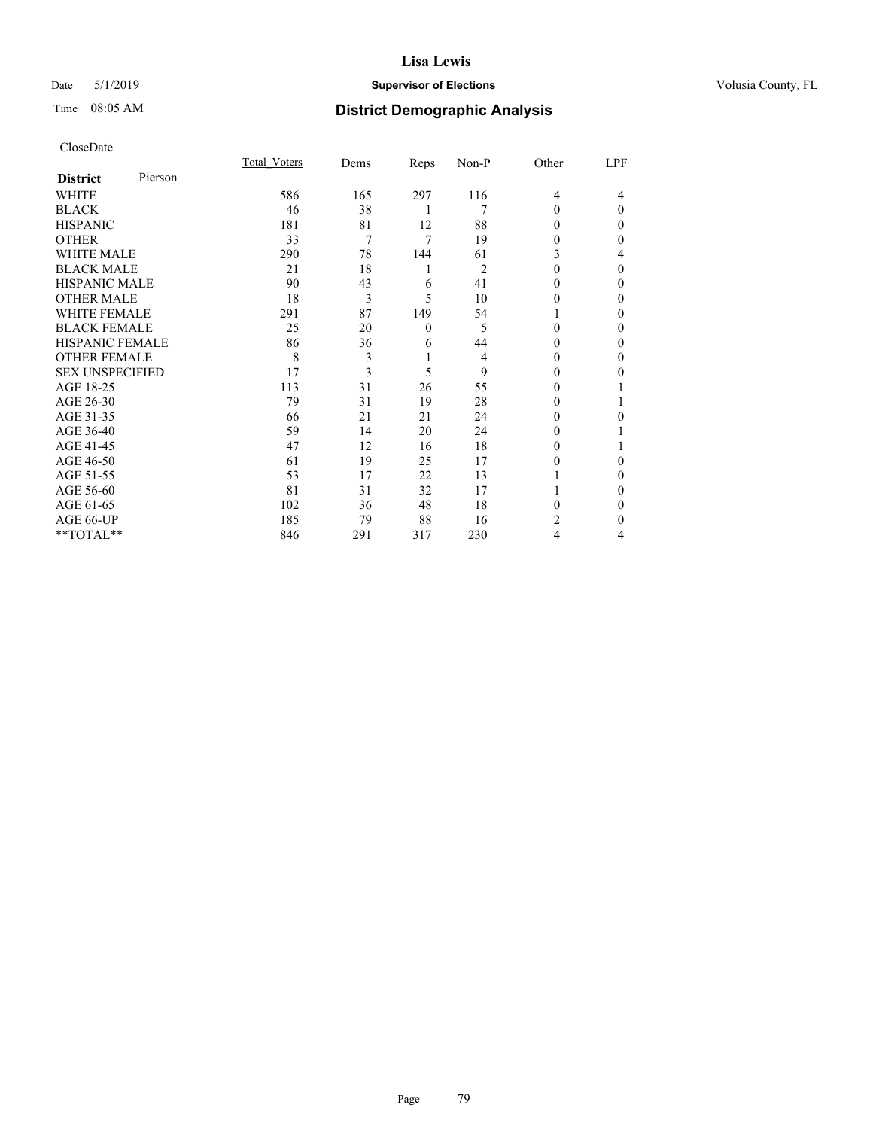## Date 5/1/2019 **Supervisor of Elections Supervisor of Elections** Volusia County, FL

# Time 08:05 AM **District Demographic Analysis**

|                        |         | Total Voters | Dems | Reps         | Non-P          | Other    | LPF      |
|------------------------|---------|--------------|------|--------------|----------------|----------|----------|
| <b>District</b>        | Pierson |              |      |              |                |          |          |
| WHITE                  |         | 586          | 165  | 297          | 116            | 4        | 4        |
| <b>BLACK</b>           |         | 46           | 38   | 1            | 7              | $\Omega$ | $\Omega$ |
| <b>HISPANIC</b>        |         | 181          | 81   | 12           | 88             | $\Omega$ | 0        |
| <b>OTHER</b>           |         | 33           | 7    | 7            | 19             | 0        | 0        |
| <b>WHITE MALE</b>      |         | 290          | 78   | 144          | 61             | 3        | 4        |
| <b>BLACK MALE</b>      |         | 21           | 18   | 1            | $\overline{2}$ | $\Omega$ | $\Omega$ |
| <b>HISPANIC MALE</b>   |         | 90           | 43   | 6            | 41             | 0        | 0        |
| <b>OTHER MALE</b>      |         | 18           | 3    | 5            | 10             | 0        | 0        |
| <b>WHITE FEMALE</b>    |         | 291          | 87   | 149          | 54             |          | 0        |
| <b>BLACK FEMALE</b>    |         | 25           | 20   | $\mathbf{0}$ | 5              | 0        | 0        |
| <b>HISPANIC FEMALE</b> |         | 86           | 36   | 6            | 44             | 0        | 0        |
| <b>OTHER FEMALE</b>    |         | 8            | 3    | 1            | 4              | 0        | 0        |
| <b>SEX UNSPECIFIED</b> |         | 17           | 3    | 5            | 9              | $\Omega$ | 0        |
| AGE 18-25              |         | 113          | 31   | 26           | 55             | $_{0}$   |          |
| AGE 26-30              |         | 79           | 31   | 19           | 28             | 0        |          |
| AGE 31-35              |         | 66           | 21   | 21           | 24             | 0        | 0        |
| AGE 36-40              |         | 59           | 14   | 20           | 24             | 0        |          |
| AGE 41-45              |         | 47           | 12   | 16           | 18             | 0        |          |
| AGE 46-50              |         | 61           | 19   | 25           | 17             | 0        | 0        |
| AGE 51-55              |         | 53           | 17   | 22           | 13             |          | 0        |
| AGE 56-60              |         | 81           | 31   | 32           | 17             |          | 0        |
| AGE 61-65              |         | 102          | 36   | 48           | 18             | 0        | 0        |
| AGE 66-UP              |         | 185          | 79   | 88           | 16             | 2        | 0        |
| **TOTAL**              |         | 846          | 291  | 317          | 230            | 4        | 4        |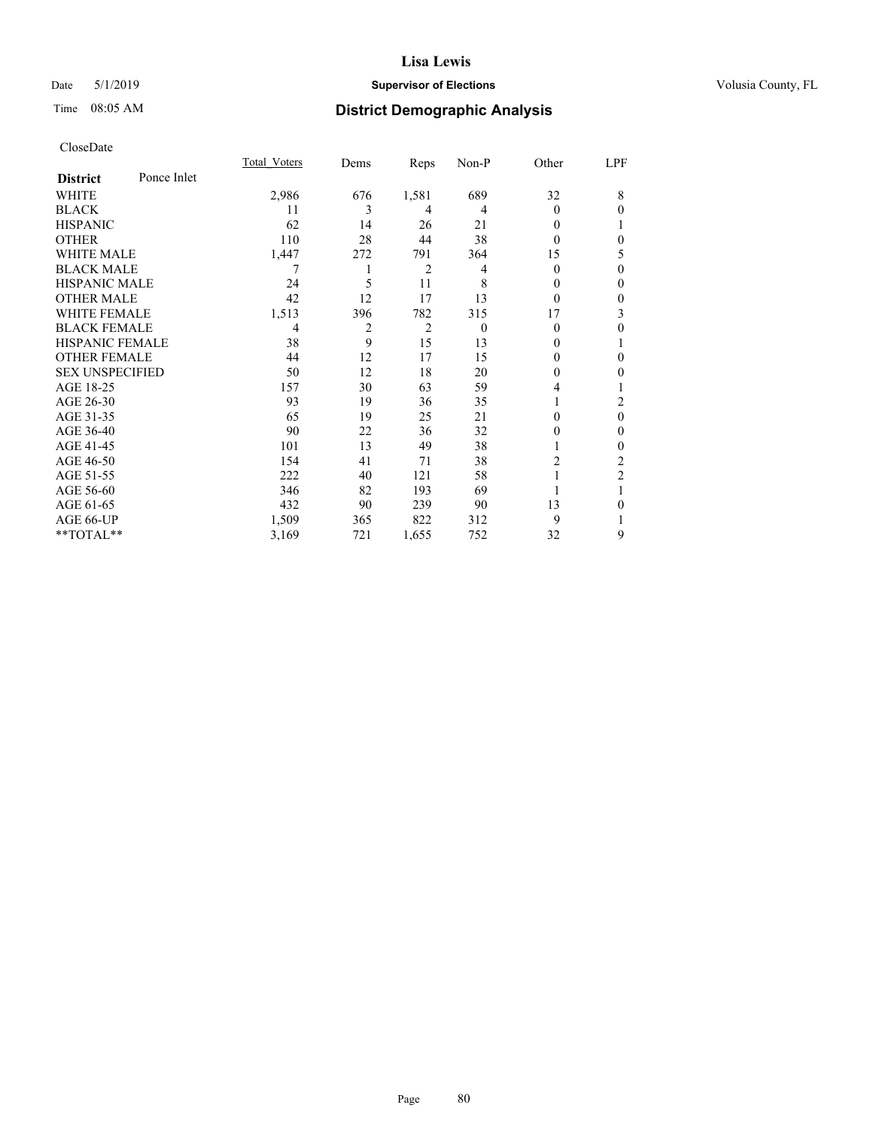## Date 5/1/2019 **Supervisor of Elections Supervisor of Elections** Volusia County, FL

# Time 08:05 AM **District Demographic Analysis**

|                        |             | Total Voters | Dems | Reps           | Non-P    | Other    | LPF            |
|------------------------|-------------|--------------|------|----------------|----------|----------|----------------|
| <b>District</b>        | Ponce Inlet |              |      |                |          |          |                |
| WHITE                  |             | 2,986        | 676  | 1,581          | 689      | 32       | 8              |
| <b>BLACK</b>           |             | 11           | 3    | 4              | 4        | $\theta$ | $\theta$       |
| <b>HISPANIC</b>        |             | 62           | 14   | 26             | 21       | 0        |                |
| <b>OTHER</b>           |             | 110          | 28   | 44             | 38       | 0        | $\theta$       |
| <b>WHITE MALE</b>      |             | 1,447        | 272  | 791            | 364      | 15       | 5              |
| <b>BLACK MALE</b>      |             | 7            |      | 2              | 4        | $\theta$ | $\mathbf{0}$   |
| <b>HISPANIC MALE</b>   |             | 24           | 5    | 11             | 8        | $_{0}$   | $\mathbf{0}$   |
| <b>OTHER MALE</b>      |             | 42           | 12   | 17             | 13       | 0        | $\mathbf{0}$   |
| <b>WHITE FEMALE</b>    |             | 1,513        | 396  | 782            | 315      | 17       | 3              |
| <b>BLACK FEMALE</b>    |             | 4            | 2    | $\overline{2}$ | $\Omega$ | $\theta$ | $\theta$       |
| <b>HISPANIC FEMALE</b> |             | 38           | 9    | 15             | 13       | $_{0}$   | 1              |
| <b>OTHER FEMALE</b>    |             | 44           | 12   | 17             | 15       | 0        | $\theta$       |
| <b>SEX UNSPECIFIED</b> |             | 50           | 12   | 18             | 20       | 0        | $\theta$       |
| AGE 18-25              |             | 157          | 30   | 63             | 59       | 4        | 1              |
| AGE 26-30              |             | 93           | 19   | 36             | 35       |          | 2              |
| AGE 31-35              |             | 65           | 19   | 25             | 21       | 0        | $\theta$       |
| AGE 36-40              |             | 90           | 22   | 36             | 32       | 0        | $\mathbf{0}$   |
| AGE 41-45              |             | 101          | 13   | 49             | 38       |          | $\mathbf{0}$   |
| AGE 46-50              |             | 154          | 41   | 71             | 38       | 2        | 2              |
| AGE 51-55              |             | 222          | 40   | 121            | 58       |          | $\overline{c}$ |
| AGE 56-60              |             | 346          | 82   | 193            | 69       |          |                |
| AGE 61-65              |             | 432          | 90   | 239            | 90       | 13       | $\theta$       |
| AGE 66-UP              |             | 1,509        | 365  | 822            | 312      | 9        | 1              |
| **TOTAL**              |             | 3,169        | 721  | 1,655          | 752      | 32       | 9              |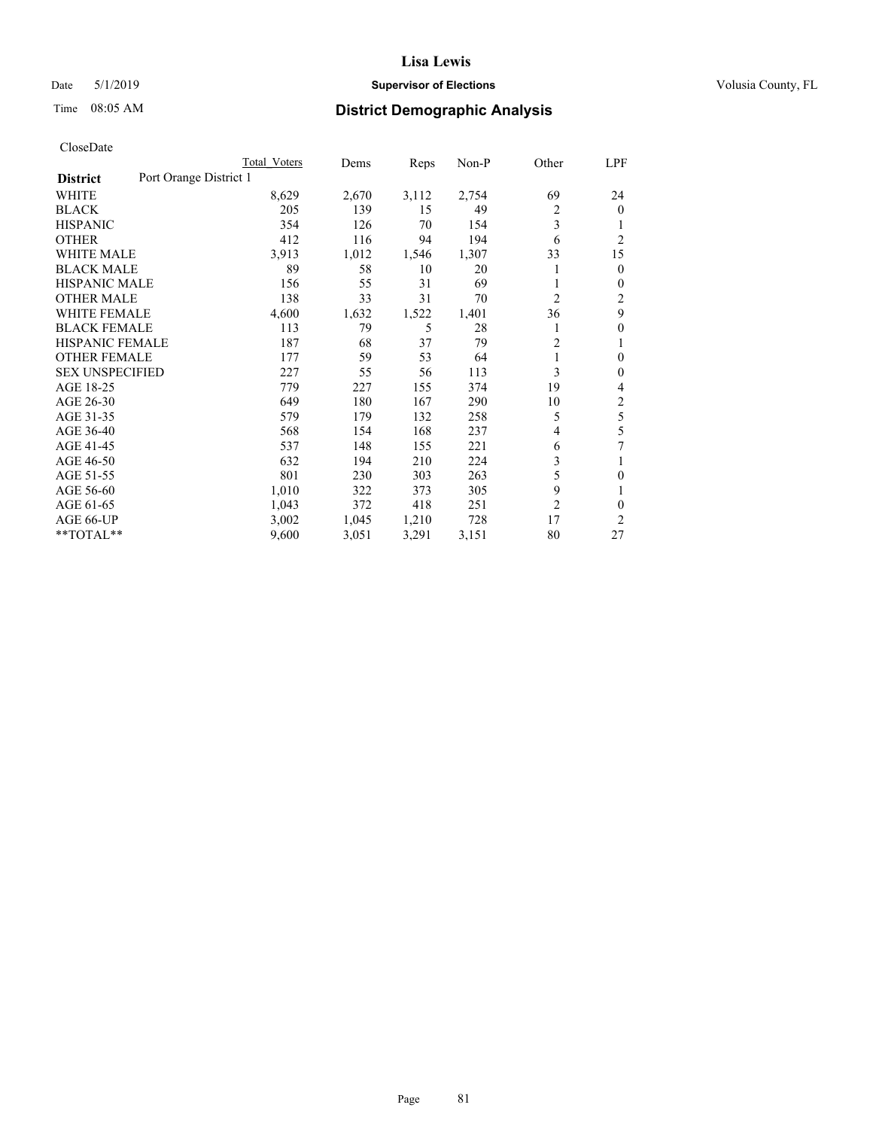### Date 5/1/2019 **Supervisor of Elections Supervisor of Elections** Volusia County, FL

# Time 08:05 AM **District Demographic Analysis**

|                        | Total Voters           | Dems  | Reps  | Non-P | Other          | LPF            |
|------------------------|------------------------|-------|-------|-------|----------------|----------------|
| <b>District</b>        | Port Orange District 1 |       |       |       |                |                |
| WHITE                  | 8,629                  | 2,670 | 3,112 | 2,754 | 69             | 24             |
| <b>BLACK</b>           | 205                    | 139   | 15    | 49    | 2              | $\mathbf{0}$   |
| <b>HISPANIC</b>        | 354                    | 126   | 70    | 154   | 3              |                |
| <b>OTHER</b>           | 412                    | 116   | 94    | 194   | 6              | $\overline{2}$ |
| <b>WHITE MALE</b>      | 3,913                  | 1,012 | 1,546 | 1,307 | 33             | 15             |
| <b>BLACK MALE</b>      | 89                     | 58    | 10    | 20    |                | $\theta$       |
| <b>HISPANIC MALE</b>   | 156                    | 55    | 31    | 69    |                | $\mathbf{0}$   |
| <b>OTHER MALE</b>      | 138                    | 33    | 31    | 70    | $\overline{c}$ | $\overline{2}$ |
| <b>WHITE FEMALE</b>    | 4,600                  | 1,632 | 1,522 | 1,401 | 36             | 9              |
| <b>BLACK FEMALE</b>    | 113                    | 79    | 5     | 28    |                | $\theta$       |
| <b>HISPANIC FEMALE</b> | 187                    | 68    | 37    | 79    | $\overline{2}$ |                |
| <b>OTHER FEMALE</b>    | 177                    | 59    | 53    | 64    | 1              | $\theta$       |
| <b>SEX UNSPECIFIED</b> | 227                    | 55    | 56    | 113   | 3              | $\theta$       |
| AGE 18-25              | 779                    | 227   | 155   | 374   | 19             | 4              |
| AGE 26-30              | 649                    | 180   | 167   | 290   | 10             | $\overline{c}$ |
| AGE 31-35              | 579                    | 179   | 132   | 258   | 5              | 5              |
| AGE 36-40              | 568                    | 154   | 168   | 237   | $\overline{4}$ | 5              |
| AGE 41-45              | 537                    | 148   | 155   | 221   | 6              | 7              |
| AGE 46-50              | 632                    | 194   | 210   | 224   | 3              |                |
| AGE 51-55              | 801                    | 230   | 303   | 263   | 5              | $\theta$       |
| AGE 56-60              | 1,010                  | 322   | 373   | 305   | 9              |                |
| AGE 61-65              | 1,043                  | 372   | 418   | 251   | $\overline{c}$ | $\theta$       |
| AGE 66-UP              | 3,002                  | 1,045 | 1,210 | 728   | 17             | $\overline{c}$ |
| **TOTAL**              | 9,600                  | 3,051 | 3,291 | 3,151 | 80             | 27             |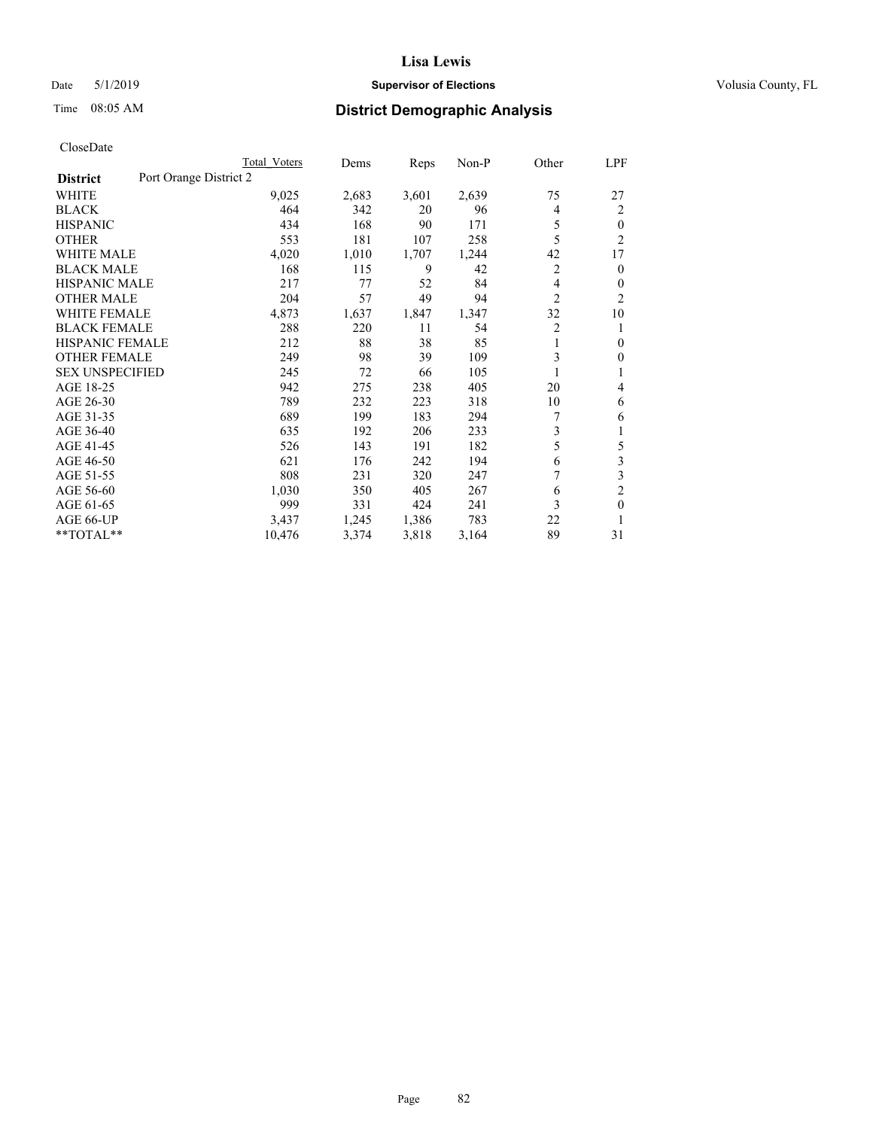## Date 5/1/2019 **Supervisor of Elections Supervisor of Elections** Volusia County, FL

# Time 08:05 AM **District Demographic Analysis**

|                        | Total Voters           | Dems  | Reps  | Non-P | Other          | LPF            |
|------------------------|------------------------|-------|-------|-------|----------------|----------------|
| <b>District</b>        | Port Orange District 2 |       |       |       |                |                |
| <b>WHITE</b>           | 9,025                  | 2,683 | 3,601 | 2,639 | 75             | 27             |
| <b>BLACK</b>           | 464                    | 342   | 20    | 96    | 4              | 2              |
| <b>HISPANIC</b>        | 434                    | 168   | 90    | 171   | 5              | $\theta$       |
| <b>OTHER</b>           | 553                    | 181   | 107   | 258   | 5              | $\overline{2}$ |
| <b>WHITE MALE</b>      | 4,020                  | 1,010 | 1,707 | 1,244 | 42             | 17             |
| <b>BLACK MALE</b>      | 168                    | 115   | 9     | 42    | 2              | $\mathbf{0}$   |
| <b>HISPANIC MALE</b>   | 217                    | 77    | 52    | 84    | 4              | $\mathbf{0}$   |
| <b>OTHER MALE</b>      | 204                    | 57    | 49    | 94    | $\overline{2}$ | $\overline{2}$ |
| <b>WHITE FEMALE</b>    | 4,873                  | 1,637 | 1,847 | 1,347 | 32             | 10             |
| <b>BLACK FEMALE</b>    | 288                    | 220   | 11    | 54    | 2              | 1              |
| <b>HISPANIC FEMALE</b> | 212                    | 88    | 38    | 85    | 1              | $\theta$       |
| <b>OTHER FEMALE</b>    | 249                    | 98    | 39    | 109   | 3              | $\theta$       |
| <b>SEX UNSPECIFIED</b> | 245                    | 72    | 66    | 105   | 1              | 1              |
| AGE 18-25              | 942                    | 275   | 238   | 405   | 20             | 4              |
| AGE 26-30              | 789                    | 232   | 223   | 318   | 10             | 6              |
| AGE 31-35              | 689                    | 199   | 183   | 294   | 7              | 6              |
| AGE 36-40              | 635                    | 192   | 206   | 233   | 3              | 1              |
| AGE 41-45              | 526                    | 143   | 191   | 182   | 5              | 5              |
| AGE 46-50              | 621                    | 176   | 242   | 194   | 6              | 3              |
| AGE 51-55              | 808                    | 231   | 320   | 247   |                | 3              |
| AGE 56-60              | 1,030                  | 350   | 405   | 267   | 6              | $\overline{c}$ |
| AGE 61-65              | 999                    | 331   | 424   | 241   | 3              | $\mathbf{0}$   |
| AGE 66-UP              | 3,437                  | 1,245 | 1,386 | 783   | 22             | 1              |
| **TOTAL**              | 10,476                 | 3,374 | 3,818 | 3,164 | 89             | 31             |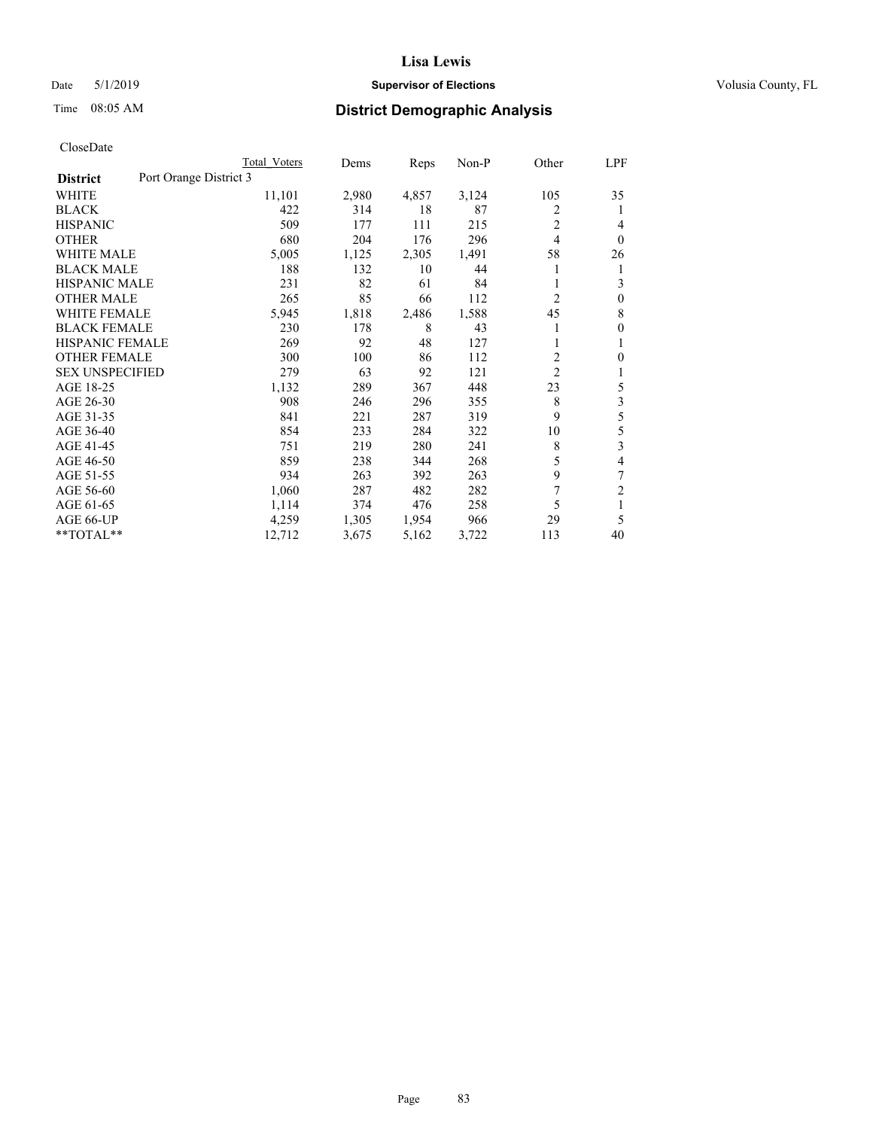### Date 5/1/2019 **Supervisor of Elections Supervisor of Elections** Volusia County, FL

# Time 08:05 AM **District Demographic Analysis**

|                                           | Total Voters | Dems  | Reps  | Non-P | Other          | LPF            |
|-------------------------------------------|--------------|-------|-------|-------|----------------|----------------|
| Port Orange District 3<br><b>District</b> |              |       |       |       |                |                |
| WHITE                                     | 11,101       | 2,980 | 4,857 | 3,124 | 105            | 35             |
| <b>BLACK</b>                              | 422          | 314   | 18    | 87    | 2              | 1              |
| <b>HISPANIC</b>                           | 509          | 177   | 111   | 215   | $\overline{2}$ | 4              |
| <b>OTHER</b>                              | 680          | 204   | 176   | 296   | $\overline{4}$ | $\theta$       |
| <b>WHITE MALE</b>                         | 5,005        | 1,125 | 2,305 | 1,491 | 58             | 26             |
| <b>BLACK MALE</b>                         | 188          | 132   | 10    | 44    |                | 1              |
| <b>HISPANIC MALE</b>                      | 231          | 82    | 61    | 84    |                | 3              |
| <b>OTHER MALE</b>                         | 265          | 85    | 66    | 112   | 2              | $\mathbf{0}$   |
| <b>WHITE FEMALE</b>                       | 5,945        | 1,818 | 2,486 | 1,588 | 45             | 8              |
| <b>BLACK FEMALE</b>                       | 230          | 178   | 8     | 43    |                | $\theta$       |
| HISPANIC FEMALE                           | 269          | 92    | 48    | 127   |                | 1              |
| <b>OTHER FEMALE</b>                       | 300          | 100   | 86    | 112   | 2              | $\theta$       |
| <b>SEX UNSPECIFIED</b>                    | 279          | 63    | 92    | 121   | $\overline{2}$ | 1              |
| AGE 18-25                                 | 1,132        | 289   | 367   | 448   | 23             | 5              |
| AGE 26-30                                 | 908          | 246   | 296   | 355   | 8              | 3              |
| AGE 31-35                                 | 841          | 221   | 287   | 319   | 9              | 5              |
| AGE 36-40                                 | 854          | 233   | 284   | 322   | 10             | 5              |
| AGE 41-45                                 | 751          | 219   | 280   | 241   | 8              | 3              |
| AGE 46-50                                 | 859          | 238   | 344   | 268   | 5              | 4              |
| AGE 51-55                                 | 934          | 263   | 392   | 263   | 9              | 7              |
| AGE 56-60                                 | 1,060        | 287   | 482   | 282   | 7              | $\overline{2}$ |
| AGE 61-65                                 | 1,114        | 374   | 476   | 258   | 5              | 1              |
| AGE 66-UP                                 | 4,259        | 1,305 | 1,954 | 966   | 29             | 5              |
| **TOTAL**                                 | 12,712       | 3,675 | 5,162 | 3,722 | 113            | 40             |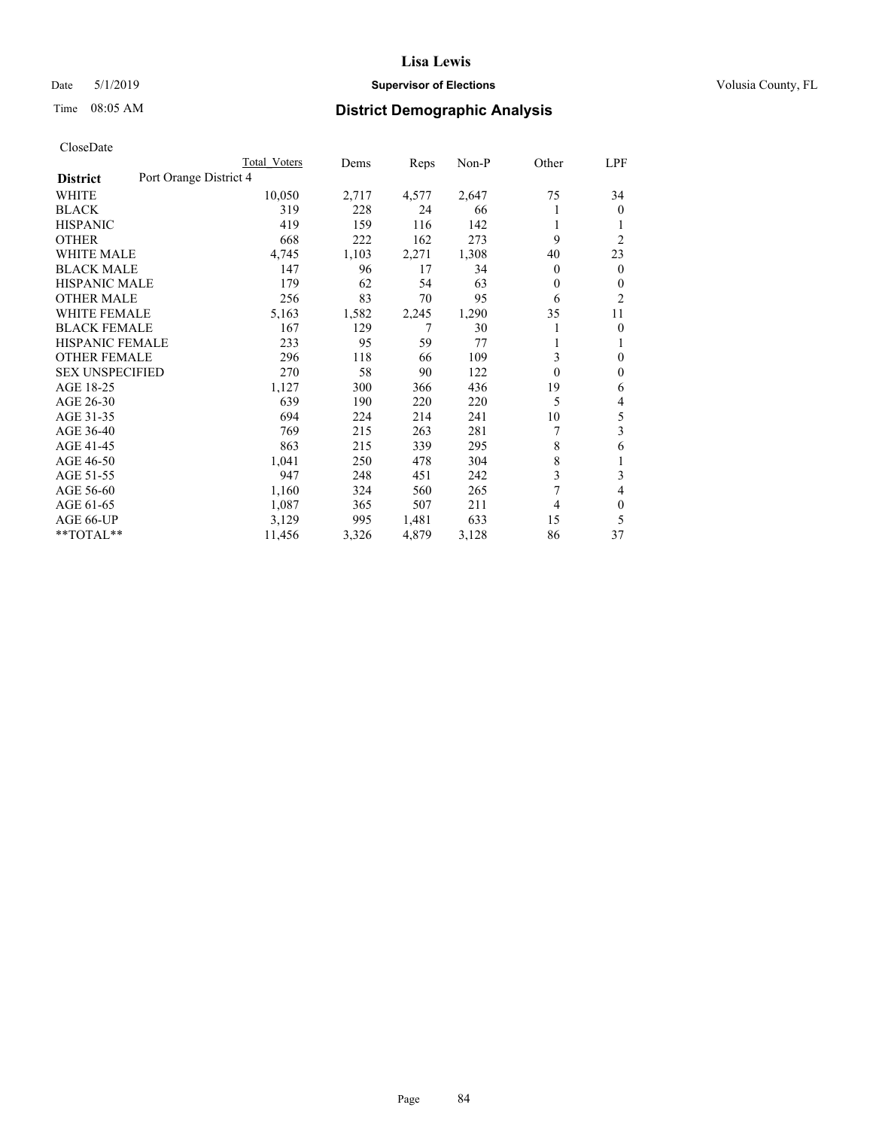## Date 5/1/2019 **Supervisor of Elections Supervisor of Elections** Volusia County, FL

# Time 08:05 AM **District Demographic Analysis**

|                                           | Total Voters | Dems  | Reps  | Non-P | Other          | LPF            |
|-------------------------------------------|--------------|-------|-------|-------|----------------|----------------|
| Port Orange District 4<br><b>District</b> |              |       |       |       |                |                |
| WHITE                                     | 10,050       | 2,717 | 4,577 | 2,647 | 75             | 34             |
| <b>BLACK</b>                              | 319          | 228   | 24    | 66    |                | $\overline{0}$ |
| <b>HISPANIC</b>                           | 419          | 159   | 116   | 142   |                |                |
| <b>OTHER</b>                              | 668          | 222   | 162   | 273   | 9              | $\overline{2}$ |
| <b>WHITE MALE</b>                         | 4,745        | 1,103 | 2,271 | 1,308 | 40             | 23             |
| <b>BLACK MALE</b>                         | 147          | 96    | 17    | 34    | $\theta$       | $\mathbf{0}$   |
| <b>HISPANIC MALE</b>                      | 179          | 62    | 54    | 63    | 0              | $\mathbf{0}$   |
| <b>OTHER MALE</b>                         | 256          | 83    | 70    | 95    | 6              | $\overline{2}$ |
| <b>WHITE FEMALE</b>                       | 5,163        | 1,582 | 2,245 | 1,290 | 35             | 11             |
| <b>BLACK FEMALE</b>                       | 167          | 129   | 7     | 30    |                | $\theta$       |
| <b>HISPANIC FEMALE</b>                    | 233          | 95    | 59    | 77    |                | 1              |
| <b>OTHER FEMALE</b>                       | 296          | 118   | 66    | 109   | 3              | $\theta$       |
| <b>SEX UNSPECIFIED</b>                    | 270          | 58    | 90    | 122   | $\theta$       | $\theta$       |
| AGE 18-25                                 | 1,127        | 300   | 366   | 436   | 19             | 6              |
| AGE 26-30                                 | 639          | 190   | 220   | 220   | 5              | 4              |
| AGE 31-35                                 | 694          | 224   | 214   | 241   | 10             | 5              |
| AGE 36-40                                 | 769          | 215   | 263   | 281   | 7              | 3              |
| AGE 41-45                                 | 863          | 215   | 339   | 295   | 8              | 6              |
| AGE 46-50                                 | 1,041        | 250   | 478   | 304   | 8              | 1              |
| AGE 51-55                                 | 947          | 248   | 451   | 242   | 3              | 3              |
| AGE 56-60                                 | 1,160        | 324   | 560   | 265   | $\overline{7}$ | 4              |
| AGE 61-65                                 | 1,087        | 365   | 507   | 211   | 4              | $\theta$       |
| AGE 66-UP                                 | 3,129        | 995   | 1,481 | 633   | 15             | 5              |
| **TOTAL**                                 | 11,456       | 3,326 | 4,879 | 3,128 | 86             | 37             |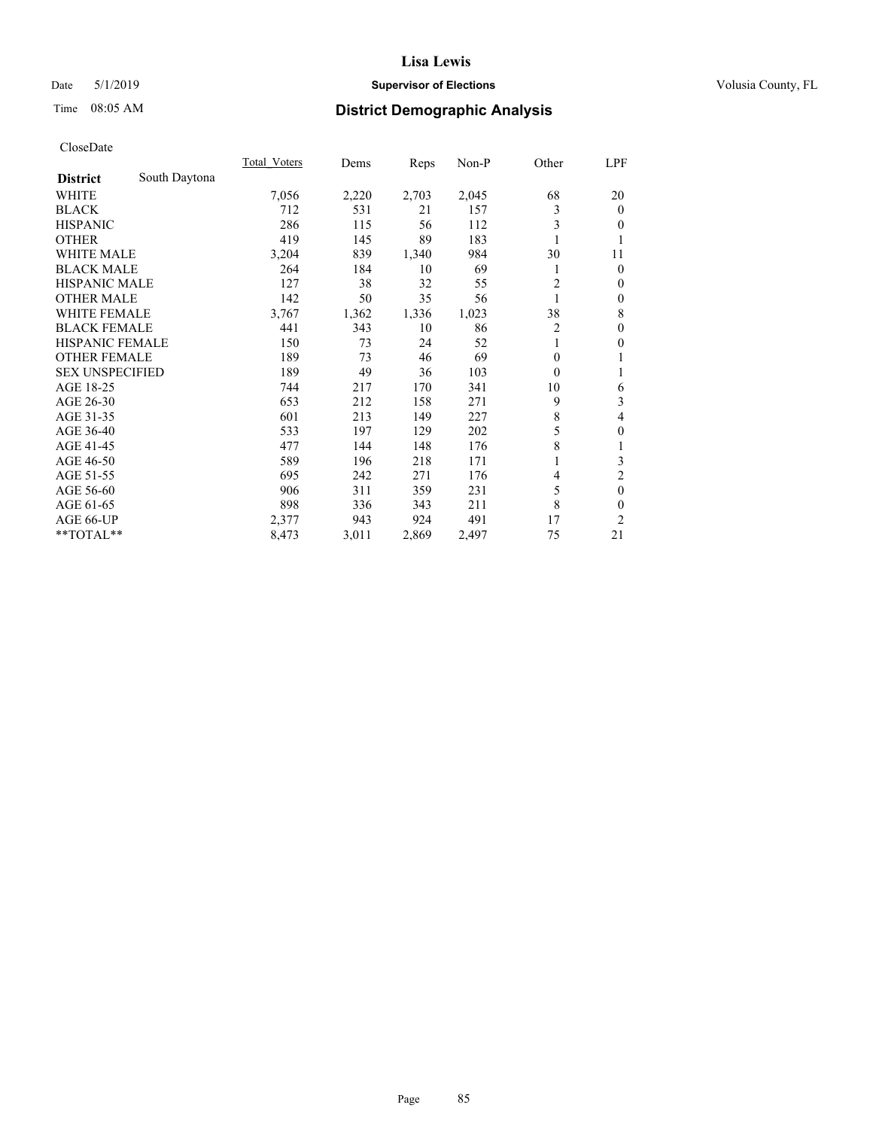## Date 5/1/2019 **Supervisor of Elections Supervisor of Elections** Volusia County, FL

# Time 08:05 AM **District Demographic Analysis**

|                        |               | Total Voters | Dems  | Reps  | Non-P | Other          | LPF              |
|------------------------|---------------|--------------|-------|-------|-------|----------------|------------------|
| <b>District</b>        | South Daytona |              |       |       |       |                |                  |
| WHITE                  |               | 7,056        | 2,220 | 2,703 | 2,045 | 68             | 20               |
| <b>BLACK</b>           |               | 712          | 531   | 21    | 157   | 3              | $\mathbf{0}$     |
| <b>HISPANIC</b>        |               | 286          | 115   | 56    | 112   | 3              | $\overline{0}$   |
| <b>OTHER</b>           |               | 419          | 145   | 89    | 183   |                | 1                |
| <b>WHITE MALE</b>      |               | 3,204        | 839   | 1,340 | 984   | 30             | 11               |
| <b>BLACK MALE</b>      |               | 264          | 184   | 10    | 69    | 1              | $\theta$         |
| <b>HISPANIC MALE</b>   |               | 127          | 38    | 32    | 55    | $\overline{2}$ | $\mathbf{0}$     |
| <b>OTHER MALE</b>      |               | 142          | 50    | 35    | 56    | 1              | $\boldsymbol{0}$ |
| <b>WHITE FEMALE</b>    |               | 3,767        | 1,362 | 1,336 | 1,023 | 38             | 8                |
| <b>BLACK FEMALE</b>    |               | 441          | 343   | 10    | 86    | 2              | $\theta$         |
| <b>HISPANIC FEMALE</b> |               | 150          | 73    | 24    | 52    |                | $\theta$         |
| <b>OTHER FEMALE</b>    |               | 189          | 73    | 46    | 69    | $\Omega$       | 1                |
| <b>SEX UNSPECIFIED</b> |               | 189          | 49    | 36    | 103   | $\theta$       | 1                |
| AGE 18-25              |               | 744          | 217   | 170   | 341   | 10             | 6                |
| AGE 26-30              |               | 653          | 212   | 158   | 271   | 9              | 3                |
| AGE 31-35              |               | 601          | 213   | 149   | 227   | 8              | 4                |
| AGE 36-40              |               | 533          | 197   | 129   | 202   | 5              | $\theta$         |
| AGE 41-45              |               | 477          | 144   | 148   | 176   | 8              | 1                |
| AGE 46-50              |               | 589          | 196   | 218   | 171   |                | 3                |
| AGE 51-55              |               | 695          | 242   | 271   | 176   | 4              | $\overline{c}$   |
| AGE 56-60              |               | 906          | 311   | 359   | 231   | 5              | $\mathbf{0}$     |
| AGE 61-65              |               | 898          | 336   | 343   | 211   | 8              | $\theta$         |
| AGE 66-UP              |               | 2,377        | 943   | 924   | 491   | 17             | 2                |
| **TOTAL**              |               | 8,473        | 3,011 | 2,869 | 2,497 | 75             | 21               |